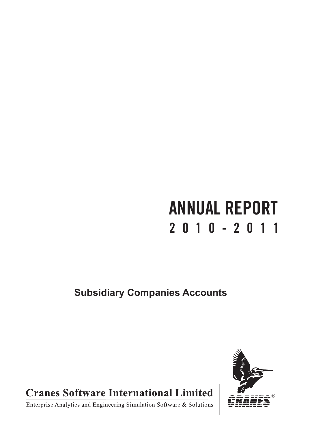# **ANNUAL REPORT 2 0 1 0 - 2 0 1 1**

## **Subsidiary Companies Accounts**

**Cranes Software International Limited** 

Enterprise Analytics and Engineering Simulation Software & Solutions

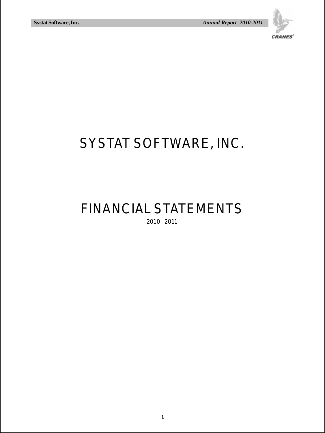

# SYSTAT SOFTWARE, INC.

## FINANCIAL STATEMENTS 2010 - 2011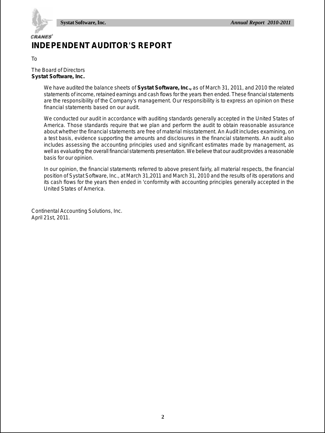

**Systat Software, Inc.**

## **INDEPENDENT AUDITOR'S REPORT**

To

The Board of Directors **Systat Software, Inc.**

> We have audited the balance sheets of **Systat Software, Inc.,** as of March 31, 2011, and 2010 the related statements of income, retained earnings and cash flows for the years then ended. These financial statements are the responsibility of the Company's management. Our responsibility is to express an opinion on these financial statements based on our audit.

> We conducted our audit in accordance with auditing standards generally accepted in the United States of America. Those standards require that we plan and perform the audit to obtain reasonable assurance about whether the financial statements are free of material misstatement. An Audit includes examining, on a test basis, evidence supporting the amounts and disclosures in the financial statements. An audit also includes assessing the accounting principles used and significant estimates made by management, as well as evaluating the overall financial statements presentation. We believe that our audit provides a reasonable basis for our opinion.

> In our opinion, the financial statements referred to above present fairly, all material respects, the financial position of Systat Software, Inc., at March 31,2011 and March 31, 2010 and the results of its operations and its cash flows for the years then ended in 'conformity with accounting principles generally accepted in the United States of America.

Continental Accounting Solutions, Inc. April 21st, 2011.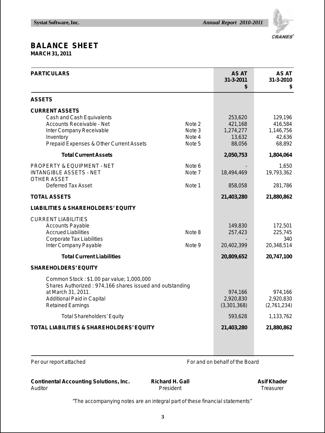

### **BALANCE SHEET**

**MARCH 31, 2011**

| <b>PARTICULARS</b>                                                                                                                                                                                                                                                                                               |                                      | <b>AS AT</b><br>31-3-2011<br>\$                                  | AS AT<br>31-3-2010<br>\$                                         |
|------------------------------------------------------------------------------------------------------------------------------------------------------------------------------------------------------------------------------------------------------------------------------------------------------------------|--------------------------------------|------------------------------------------------------------------|------------------------------------------------------------------|
| <b>ASSETS</b>                                                                                                                                                                                                                                                                                                    |                                      |                                                                  |                                                                  |
| <b>CURRENT ASSETS</b><br>Cash and Cash Equivalents<br>Accounts Receivable - Net<br>Inter Company Receivable<br>Inventory<br>Prepaid Expenses & Other Current Assets<br><b>Total Current Assets</b>                                                                                                               | Note 2<br>Note 3<br>Note 4<br>Note 5 | 253,620<br>421,168<br>1,274,277<br>13,632<br>88,056<br>2,050,753 | 129,196<br>416,584<br>1,146,756<br>42,636<br>68,892<br>1,804,064 |
| PROPERTY & EQUIPMENT - NET<br><b>INTANGIBLE ASSETS - NET</b><br>OTHER ASSET<br>Deferred Tax Asset                                                                                                                                                                                                                | Note 6<br>Note 7<br>Note 1           | 18,494,469<br>858,058                                            | 1,650<br>19,793,362<br>281,786                                   |
| <b>TOTAL ASSETS</b>                                                                                                                                                                                                                                                                                              |                                      | 21,403,280                                                       | 21,880,862                                                       |
| <b>LIABILITIES &amp; SHAREHOLDERS' EQUITY</b>                                                                                                                                                                                                                                                                    |                                      |                                                                  |                                                                  |
| <b>CURRENT LIABILITIES</b><br><b>Accounts Payable</b><br><b>Accrued Liabilities</b><br>Corporate Tax Liabilities<br>Inter Company Payable                                                                                                                                                                        | Note 8<br>Note 9                     | 149,830<br>257,423<br>20,402,399                                 | 172,501<br>225,745<br>340<br>20,348,514                          |
| <b>Total Current Liabilities</b>                                                                                                                                                                                                                                                                                 |                                      | 20,809,652                                                       | 20,747,100                                                       |
| <b>SHAREHOLDERS' EQUITY</b><br>Common Stock: \$1.00 par value; 1,000,000<br>Shares Authorized: 974,166 shares issued and outstanding<br>at March 31, 2011.<br>Additional Paid in Capital<br><b>Retained Earnings</b><br><b>Total Shareholders' Equity</b><br><b>TOTAL LIABILITIES &amp; SHAREHOLDERS' EQUITY</b> |                                      | 974,166<br>2,920,830<br>(3,301,368)<br>593,628<br>21,403,280     | 974,166<br>2,920,830<br>(2,761,234)<br>1,133,762<br>21,880,862   |
|                                                                                                                                                                                                                                                                                                                  |                                      |                                                                  |                                                                  |

Per our report attached For and on behalf of the Board

**Continental Accounting Solutions, Inc.** Richard H. Gall **Asif Khader** Auditor **Asif Khader**<br>
President **President** President Treasurer Auditor President Treasurer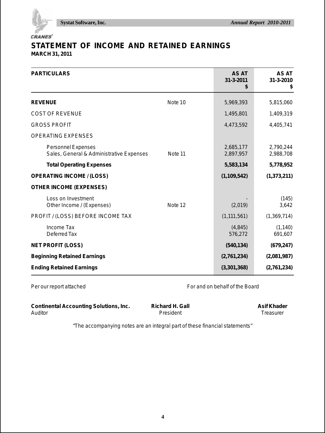

### **STATEMENT OF INCOME AND RETAINED EARNINGS MARCH 31, 2011**

| <b>PARTICULARS</b>                                                    |         | <b>AS AT</b><br>31-3-2011<br>\$ | <b>AS AT</b><br>31-3-2010<br>S |
|-----------------------------------------------------------------------|---------|---------------------------------|--------------------------------|
| <b>REVENUE</b>                                                        | Note 10 | 5,969,393                       | 5,815,060                      |
| <b>COST OF REVENUE</b>                                                |         | 1,495,801                       | 1,409,319                      |
| <b>GROSS PROFIT</b>                                                   |         | 4,473,592                       | 4,405,741                      |
| <b>OPERATING EXPENSES</b>                                             |         |                                 |                                |
| <b>Personnel Expenses</b><br>Sales, General & Administrative Expenses | Note 11 | 2,685,177<br>2,897,957          | 2,790,244<br>2,988,708         |
| <b>Total Operating Expenses</b>                                       |         | 5,583,134                       | 5,778,952                      |
| <b>OPERATING INCOME / (LOSS)</b>                                      |         | (1, 109, 542)                   | (1, 373, 211)                  |
| <b>OTHER INCOME (EXPENSES)</b>                                        |         |                                 |                                |
| Loss on Investment<br>Other Income / (Expenses)                       | Note 12 | (2,019)                         | (145)<br>3,642                 |
| PROFIT / (LOSS) BEFORE INCOME TAX                                     |         | (1, 111, 561)                   | (1,369,714)                    |
| Income Tax<br>Deferred Tax                                            |         | (4,845)<br>576,272              | (1, 140)<br>691,607            |
| <b>NET PROFIT (LOSS)</b>                                              |         | (540, 134)                      | (679, 247)                     |
| <b>Beginning Retained Earnings</b>                                    |         | (2,761,234)                     | (2,081,987)                    |
| <b>Ending Retained Earnings</b>                                       |         | (3,301,368)                     | (2,761,234)                    |

Per our report attached For and on behalf of the Board

**Continental Accounting Solutions, Inc.** Richard H. Gall **Asif Khader** Auditor **Assemble Auditor Assemble Auditor Assemble Auditor Reasurer** Auditor President Treasurer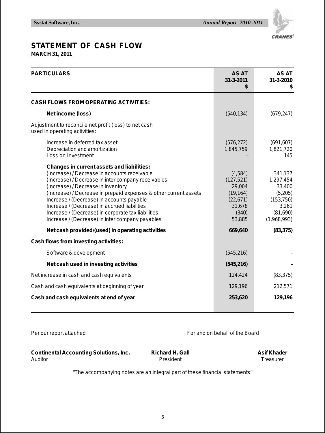

### **STATEMENT OF CASH FLOW MARCH 31, 2011**

| <b>PARTICULARS</b>                                                                                                                                                                                                                                                                                                                                                                                                                                               | <b>AS AT</b><br>31-3-2011<br>\$                                                       | AS AT<br>31-3-2010<br>S                                                                     |
|------------------------------------------------------------------------------------------------------------------------------------------------------------------------------------------------------------------------------------------------------------------------------------------------------------------------------------------------------------------------------------------------------------------------------------------------------------------|---------------------------------------------------------------------------------------|---------------------------------------------------------------------------------------------|
| <b>CASH FLOWS FROM OPERATING ACTIVITIES:</b>                                                                                                                                                                                                                                                                                                                                                                                                                     |                                                                                       |                                                                                             |
| Net income (loss)                                                                                                                                                                                                                                                                                                                                                                                                                                                | (540, 134)                                                                            | (679, 247)                                                                                  |
| Adjustment to reconcile net profit (loss) to net cash<br>used in operating activities:                                                                                                                                                                                                                                                                                                                                                                           |                                                                                       |                                                                                             |
| Increase in deferred tax asset<br>Depreciation and amortization<br>Loss on Investment                                                                                                                                                                                                                                                                                                                                                                            | (576, 272)<br>1,845,759                                                               | (691, 607)<br>1,821,720<br>145                                                              |
| Changes in current assets and liabilities:<br>(Increase) / Decrease in accounts receivable<br>(Increase) / Decrease in inter company receivables<br>(Increase) / Decrease in inventory<br>(Increase) / Decrease in prepaid expenses & other current assets<br>Increase / (Decrease) in accounts payable<br>Increase / (Decrease) in accrued liabilities<br>Increase / (Decrease) in corporate tax liabilities<br>Increase / (Decrease) in inter company payables | (4,584)<br>(127, 521)<br>29,004<br>(19, 164)<br>(22,671)<br>31,678<br>(340)<br>53,885 | 341,137<br>1,297,454<br>33,400<br>(5,205)<br>(153, 750)<br>3,261<br>(81,690)<br>(1,968,993) |
| Net cash provided/(used) in operating activities                                                                                                                                                                                                                                                                                                                                                                                                                 | 669,640                                                                               | (83, 375)                                                                                   |
| Cash flows from investing activities:                                                                                                                                                                                                                                                                                                                                                                                                                            |                                                                                       |                                                                                             |
| Software & development                                                                                                                                                                                                                                                                                                                                                                                                                                           | (545, 216)                                                                            |                                                                                             |
| Net cash used in investing activities                                                                                                                                                                                                                                                                                                                                                                                                                            | (545, 216)                                                                            |                                                                                             |
| Net increase in cash and cash equivalents                                                                                                                                                                                                                                                                                                                                                                                                                        | 124,424                                                                               | (83, 375)                                                                                   |
| Cash and cash equivalents at beginning of year                                                                                                                                                                                                                                                                                                                                                                                                                   | 129,196                                                                               | 212,571                                                                                     |
| Cash and cash equivalents at end of year                                                                                                                                                                                                                                                                                                                                                                                                                         | 253,620                                                                               | 129,196                                                                                     |

Per our report attached For and on behalf of the Board

**Continental Accounting Solutions, Inc.** Richard H. Gall **Asif Khader** Auditor **Assemble Auditor** Treasurer Auditor President Treasurer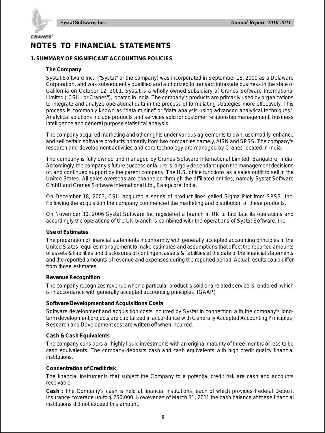

### **NOTES TO FINANCIAL STATEMENTS**

### **1. SUMMARY OF SIGNIFICANT ACCOUNTING POLICIES**

### **The Company**

Systat Software Inc., ("Systat" or the company) was incorporated in September 18, 2000 as a Delaware Corporation, and was subsequently qualified and authorized to transact intrastate business in the state of California on October 12, 2001. Systat is a wholly owned subsidiary of Cranes Software International Limited ("CSIL" or Cranes"), located in India. The company's products are primarily used by organizations to integrate and analyze operational data in the process of formulating strategies more effectively. This process is commonly known as "data mining" or "data analysis using advanced analytical techniques". Analytical solutions include products and services sold for customer relationship management, business intelligence and general purpose statistical analysis.

The company acquired marketing and other rights under various agreements to own, use modify, enhance and sell certain software products primarily from two companies namely, AISN and SPSS. The company's research and development activities and core technology are managed by Cranes located in India.

The company is fully owned and managed by Cranes Software International Limited, Bangalore, India. Accordingly, the company's future success or failure is largely dependant upon the management decisions of, and continued support by the parent company. The U.S. office functions as a sales outfit to sell in the United States. All sales overseas are channeled through the affiliated entities; namely Systat Software GmbH and Cranes Software International Ltd., Bangalore, India.

On December 18, 2003, CSIL acquired a series of product lines called Sigma Plot from SPSS, Inc. Following the acquisition the company commenced the marketing and distribution of these products.

On November 30, 2006 Systat Software Inc registered a branch in UK to facilitate its operations and accordingly the operations of the UK branch is combined with the operations of Systat Software, Inc.

### **Use of Estimates**

The preparation of financial statements inconformity with generally accepted accounting principles in the United States requires management to make estimates and assumptions that affect the reported amounts of assets & liabilities and disclosures of contingent assets & liabilities at the date of the financial statements and the reported amounts of revenue and expenses during the reported period. Actual results could differ from those estimates.

### **Revenue Recognition**

The company recognizes revenue when a particular product is sold or a related service is rendered, which is in accordance with generally accepted accounting principles. (GAAP)

### **Software Development and Acquisitions Costs**

Software development and acquisition costs incurred by Systat in connection with the company's longterm development projects are capitalized in accordance with Generally Accepted Accounting Principles, Research and Development cost are written off when incurred.

### **Cash & Cash Equivalents**

The company considers all highly liquid investments with an original maturity of three months or less to be cash equivalents. The company deposits cash and cash equivalents with high credit quality financial institutions.

### **Concentration of Credit risk**

The financial instruments that subject the Company to a potential credit risk are cash and accounts receivable.

**Cash :** The Company's cash is held at financial institutions, each of which provides Federal Deposit Insurance coverage up-to \$ 250,000. However as of March 31, 2011 the cash balance at these financial institutions did not exceed this amount.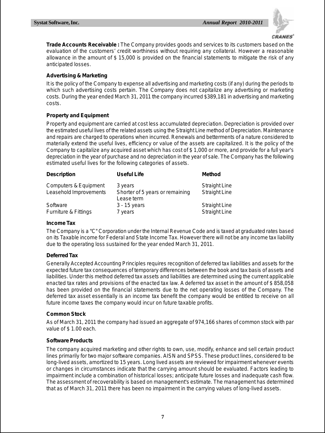

**Trade Accounts Receivable :** The Company provides goods and services to its customers based on the evaluation of the customers' credit worthiness without requiring any collateral. However a reasonable allowance in the amount of \$ 15,000 is provided on the financial statements to mitigate the risk of any anticipated losses.

### **Advertising & Marketing**

It is the policy of the Company to expense all advertising and marketing costs (if any) during the periods to which such advertising costs pertain. The Company does not capitalize any advertising or marketing costs. During the year ended March 31, 2011 the company incurred \$389,181 in advertising and marketing costs.

### **Property and Equipment**

Property and equipment are carried at cost less accumulated depreciation. Depreciation is provided over the estimated useful lives of the related assets using the Straight Line method of Depreciation. Maintenance and repairs are charged to operations when incurred. Renewals and betterments of a nature considered to materially extend the useful lives, efficiency or value of the assets are capitalized. It is the policy of the Company to capitalize any acquired asset which has cost of \$ 1,000 or more, and provide for a full year's depreciation in the year of purchase and no depreciation in the year of sale. The Company has the following estimated useful lives for the following categories of assets.

| <b>Description</b>                              | Useful Life                                              | <b>Method</b>                                |
|-------------------------------------------------|----------------------------------------------------------|----------------------------------------------|
| Computers & Equipment<br>Leasehold Improvements | 3 years<br>Shorter of 5 years or remaining<br>Lease term | <b>Straight Line</b><br><b>Straight Line</b> |
| Software<br>Furniture & Fittings                | $3 - 15$ years<br>7 years                                | <b>Straight Line</b><br><b>Straight Line</b> |

### **Income Tax**

The Company is a "C" Corporation under the Internal Revenue Code and is taxed at graduated rates based on its Taxable income for Federal and State Income Tax. However there will not be any income tax liability due to the operating loss sustained for the year ended March 31, 2011.

### **Deferred Tax**

Generally Accepted Accounting Principles requires recognition of deferred tax liabilities and assets for the expected future tax consequences of temporary differences between the book and tax basis of assets and liabilities. Under this method deferred tax assets and liabilities are determined using the current applicable enacted tax rates and provisions of the enacted tax law. A deferred tax asset in the amount of \$ 858,058 has been provided on the financial statements due to the net operating losses of the Company. The deferred tax asset essentially is an income tax benefit the company would be entitled to receive on all future income taxes the company would incur on future taxable profits.

### **Common Stock**

As of March 31, 2011 the company had issued an aggregate of 974,166 shares of common stock with par value of \$ 1.00 each.

### **Software Products**

The company acquired marketing and other rights to own, use, modify, enhance and sell certain product lines primarily for two major software companies. AISN and SPSS. These product lines, considered to be long-lived assets, amortized to 15 years. Long lived assets are reviewed for impairment whenever events or changes in circumstances indicate that the carrying amount should be evaluated. Factors leading to impairment include a combination of historical losses; anticipate future losses and inadequate cash flow. The assessment of recoverability is based on management's estimate. The management has determined that as of March 31, 2011 there has been no impairment in the carrying values of long-lived assets.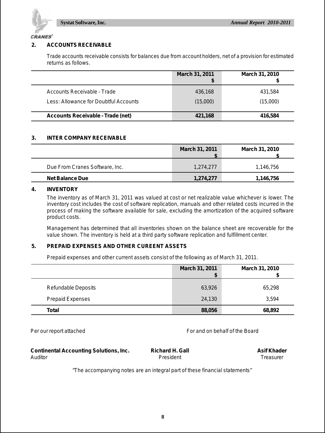

### **2. ACCOUNTS RECEIVABLE**

Trade accounts receivable consists for balances due from account holders, net of a provision for estimated returns as follows.

|                                                                      | March 31, 2011<br>\$ | March 31, 2010<br>\$ |
|----------------------------------------------------------------------|----------------------|----------------------|
| Accounts Receivable - Trade<br>Less: Allowance for Doubtful Accounts | 436,168<br>(15,000)  | 431,584<br>(15,000)  |
| Accounts Receivable - Trade (net)                                    | 421,168              | 416,584              |

### **3. INTER COMPANY RECEIVABLE**

|                                | March 31, 2011 | March 31, 2010 |
|--------------------------------|----------------|----------------|
| Due From Cranes Software, Inc. | 1.274.277      | 1,146,756      |
| <b>Net Balance Due</b>         | 1,274,277      | 1,146,756      |

### **4. INVENTORY**

The inventory as of March 31, 2011 was valued at cost or net realizable value whichever is lower. The inventory cost includes the cost of software replication, manuals and other related costs incurred in the process of making the software available for sale, excluding the amortization of the acquired software product costs.

Management has determined that all inventories shown on the balance sheet are recoverable for the value shown. The inventory is held at a third party software replication and fulfillment center.

### **5. PREPAID EXPENSES AND OTHER CUREENT ASSETS**

Prepaid expenses and other current assets consist of the following as of March 31, 2011.

|                         | March 31, 2011<br>D | March 31, 2010 |
|-------------------------|---------------------|----------------|
| Refundable Deposits     | 63,926              | 65,298         |
| <b>Prepaid Expenses</b> | 24,130              | 3,594          |
| <b>Total</b>            | 88,056              | 68,892         |

Per our report attached For and on behalf of the Board

| <b>Continental Accounting Solutions, Inc.</b> | Richard H. Gall | Asif Khader |
|-----------------------------------------------|-----------------|-------------|
| Auditor                                       | President       | Treasurer   |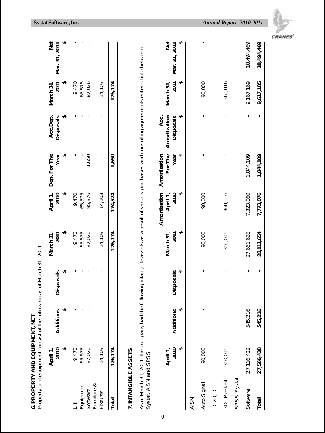| 6. PROPERTY AND EQUIPMENT, NET            |                           |                 | Property and equipment consist of the following as of March 31, 2011. |                           |                                  |                                 |                                                                                                                                                                                                   |                           |                           |
|-------------------------------------------|---------------------------|-----------------|-----------------------------------------------------------------------|---------------------------|----------------------------------|---------------------------------|---------------------------------------------------------------------------------------------------------------------------------------------------------------------------------------------------|---------------------------|---------------------------|
|                                           | မာ<br>2010<br>April 1,    | မာ<br>Additions | ↮<br>Disposals                                                        | ↮<br>2011<br>March 31     | April 1,<br>↮<br>2010            | ο<br>Dep. For The<br>Year       | ↮<br>Disposals<br>Acc.Dep.                                                                                                                                                                        | ↮<br>2011<br>March 31     | ↮<br>Jed<br>Mar. 31, 2011 |
| Furniture &<br>Equipment<br>Software<br>E | 87,026<br>9,470<br>65,575 |                 |                                                                       | 87,026<br>9,470<br>65,575 | 85,376<br>9,470<br>65,575        | 1,650                           |                                                                                                                                                                                                   | 87,026<br>9,470<br>65,575 |                           |
| Fixtures                                  | 14,103                    |                 |                                                                       | 14,103                    | 14,103                           |                                 |                                                                                                                                                                                                   | 14,103                    |                           |
| Total                                     | 176,174                   |                 |                                                                       | 176,174                   | 174,524                          | 1,650                           |                                                                                                                                                                                                   | 176,174                   |                           |
| Systat, AISN and SPSS.                    | 2010<br>April 1,          | Additions       | <b>Disposals</b>                                                      | 2011<br>March 31          | Amortization<br>April 1,<br>2010 | For The<br>Amortization<br>Year | As of March 31, 2011, the company had the following intangible assets as a result of various purchases and consulting agreements entered into between<br>Amortization<br><b>Disposals</b><br>Acc. | March 31,<br>2011         | ğ<br>Mar. 31, 2011        |
| <b>AISN</b>                               | ↮                         | ↮               | ↮                                                                     |                           | ↮                                | ↮                               | ↮                                                                                                                                                                                                 | ↮                         | ↮                         |
| Auto Signal<br>TC2D;TC                    | 90,000                    |                 |                                                                       | 90,000                    | 90,000                           |                                 |                                                                                                                                                                                                   | 90,000                    |                           |
| 3D - PeakFit                              | 360,016                   |                 |                                                                       | 360,016                   | 360,016                          |                                 |                                                                                                                                                                                                   | 360,016                   |                           |

18,494,469 18,494,469

9,167,169 9,617,185

 $\ddot{\phantom{0}}$ 

1,844,109 1,844,109

 $\overline{\phantom{a}}$ 



**9**

SPSS Systat

SPSS Systat

Software 27,116,422 545,216 - 545,216 7,323,060 - 1,844,109 - 9,167,167,167,109 - 9,167,1694,494

27,661,638

J,

545,216 545,216

27,116,422 27,566,438

Software

 $\overline{I}$ <sub>Dtal</sub>

7,323,060

**Total 27,566,438 545,216 - 28,111,654 7,773,076 1,844,109 - 9,617,185 18,494,469**

28, 11, 654

J.

7,773,076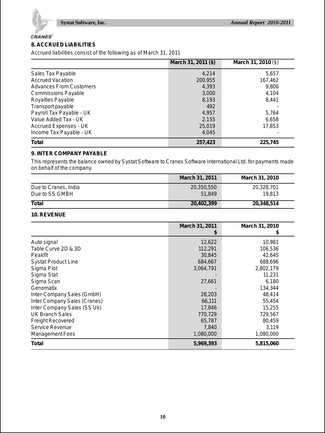

### **8. ACCRUED LIABILITIES**

Accrued liabilities consist of the following as of March 31, 2011

|                                | March 31, 2011 (\$) | March 31, 2010 (\$) |
|--------------------------------|---------------------|---------------------|
| Sales Tax Payable              | 4.214               | 5.657               |
| <b>Accrued Vacation</b>        | 200,955             | 167,462             |
| <b>Advances From Customers</b> | 4.393               | 9,806               |
| <b>Commissions Payable</b>     | 3,000               | 4,104               |
| Royalties Payable              | 8.193               | 8,441               |
| Transport payable              | 492                 |                     |
| Payroll Tax Payable - UK       | 4,957               | 5,764               |
| Value Added Tax - UK           | 2,155               | 6,658               |
| Accrued Expenses - UK          | 25,019              | 17.853              |
| Income Tax Payable - UK        | 4,045               |                     |
| Total                          | 257,423             | 225,745             |

### **9. INTER COMPANY PAYABLE**

This represents the balance owned by Systat Software to Cranes Software International Ltd. for payments made on behalf of the company.

|                                        | March 31, 2011       | March 31, 2010       |
|----------------------------------------|----------------------|----------------------|
| Due to Cranes, India<br>Due to SS GMBH | 20,350,550<br>51.849 | 20,328,701<br>19.813 |
| Total                                  | 20,402,399           | 20,348,514           |

### **10. REVENUE**

|                              | March 31, 2011 | March 31, 2010 |
|------------------------------|----------------|----------------|
|                              | \$             | S              |
| Auto signal                  | 12,622         | 10,981         |
| Table Curve 2D & 3D          | 112,291        | 106,536        |
| Peakfit                      | 30,845         | 42,645         |
| <b>Systat Product Line</b>   | 684,667        | 688,696        |
| Sigma Plot                   | 3,064,791      | 2,802,179      |
| Sigma Stat                   |                | 11,231         |
| Sigma Scan                   | 27,661         | 6,180          |
| Genomatix                    |                | 134,344        |
| Inter-Company Sales (GmbH)   | 28,203         | 48,414         |
| Inter Company Sales (Cranes) | 66,111         | 55,454         |
| Inter Company Sales (SS Uk)  | 17,846         | 15,255         |
| <b>UK Branch Sales</b>       | 770.729        | 729.567        |
| <b>Freight Recovered</b>     | 65,787         | 80,459         |
| Service Revenue              | 7,840          | 3,119          |
| <b>Management Fees</b>       | 1,080,000      | 1,080,000      |
| Total                        | 5,969,393      | 5,815,060      |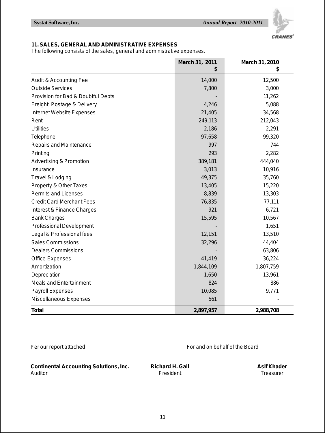

### **11. SALES, GENERAL AND ADMINISTRATIVE EXPENSES**

The following consists of the sales, general and administrative expenses.

|                                    | March 31, 2011<br>\$ | March 31, 2010<br>S |
|------------------------------------|----------------------|---------------------|
| Audit & Accounting Fee             | 14,000               | 12,500              |
| <b>Outside Services</b>            | 7,800                | 3,000               |
| Provision for Bad & Doubtful Debts |                      | 11,262              |
| Freight, Postage & Delivery        | 4,246                | 5,088               |
| Internet Website Expenses          | 21,405               | 34,568              |
| Rent                               | 249,113              | 212,043             |
| <b>Utilities</b>                   | 2,186                | 2,291               |
| Telephone                          | 97,658               | 99,320              |
| Repairs and Maintenance            | 997                  | 744                 |
| Printing                           | 293                  | 2,282               |
| <b>Advertising &amp; Promotion</b> | 389,181              | 444,040             |
| Insurance                          | 3,013                | 10,916              |
| Travel & Lodging                   | 49,375               | 35,760              |
| Property & Other Taxes             | 13,405               | 15,220              |
| Permits and Licenses               | 8,839                | 13,303              |
| <b>Credit Card Merchant Fees</b>   | 76,835               | 77,111              |
| Interest & Finance Charges         | 921                  | 6,721               |
| <b>Bank Charges</b>                | 15,595               | 10,567              |
| Professional Development           |                      | 1,651               |
| Legal & Professional fees          | 12,151               | 13,510              |
| <b>Sales Commissions</b>           | 32,296               | 44,404              |
| <b>Dealers Commissions</b>         |                      | 63,806              |
| <b>Office Expenses</b>             | 41,419               | 36,224              |
| Amortization                       | 1,844,109            | 1,807,759           |
| Depreciation                       | 1,650                | 13,961              |
| <b>Meals and Entertainment</b>     | 824                  | 886                 |
| Payroll Expenses                   | 10,085               | 9,771               |
| Miscellaneous Expenses             | 561                  |                     |
| <b>Total</b>                       | 2,897,957            | 2,988,708           |

Per our report attached For and on behalf of the Board

**Continental Accounting Solutions, Inc.** Richard H. Gall **Asif Khader**<br>Auditor **Auditor** President **President Auditor Treasurer** Auditor President Treasurer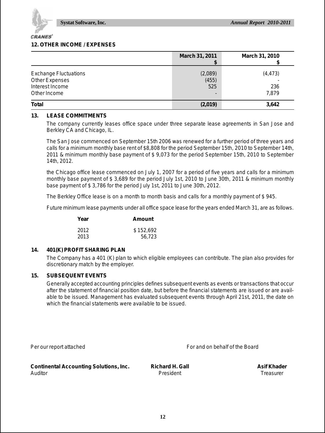

#### **12. OTHER INCOME / EXPENSES**

|                                                                                   | March 31, 2011                                      | March 31, 2010           |
|-----------------------------------------------------------------------------------|-----------------------------------------------------|--------------------------|
| <b>Exchange Fluctuations</b><br>Other Expenses<br>Interest Income<br>Other Income | (2,089)<br>(455)<br>525<br>$\overline{\phantom{0}}$ | (4, 473)<br>236<br>7,879 |
| <b>Total</b>                                                                      | (2,019)                                             | 3,642                    |

#### **13. LEASE COMMITMENTS**

The company currently leases office space under three separate lease agreements in San Jose and Berkley CA and Chicago, IL.

The San Jose commenced on September 15th 2006 was renewed for a further period of three years and calls for a minimum monthly base rent of \$8,808 for the period September 15th, 2010 to September 14th, 2011 & minimum monthly base payment of \$ 9,073 for the period September 15th, 2010 to September 14th, 2012.

the Chicago office lease commenced on July 1, 2007 for a period of five years and calls for a minimum monthly base payment of \$ 3,689 for the period July 1st, 2010 to June 30th, 2011 & minimum monthly base payment of \$ 3,786 for the period July 1st, 2011 to June 30th, 2012.

The Berkley Office lease is on a month to month basis and calls for a monthly payment of \$ 945.

Future minimum lease payments under all office space lease for the years ended March 31, are as follows.

| Amount    |
|-----------|
| \$152,692 |
| 56.723    |
|           |

### **14. 401(K) PROFIT SHARING PLAN**

The Company has a 401 (K) plan to which eligible employees can contribute. The plan also provides for discretionary match by the employer.

### **15. SUBSEQUENT EVENTS**

Generally accepted accounting principles defines subsequent events as events or transactions that occur after the statement of financial position date, but before the financial statements are issued or are available to be issued. Management has evaluated subsequent events through April 21st, 2011, the date on which the financial statements were available to be issued.

Per our report attached For and on behalf of the Board

**Continental Accounting Solutions, Inc.** Richard H. Gall **Assembly Assembly Assembly** Assembly Auditor and Treasurer Auditor President Treasurer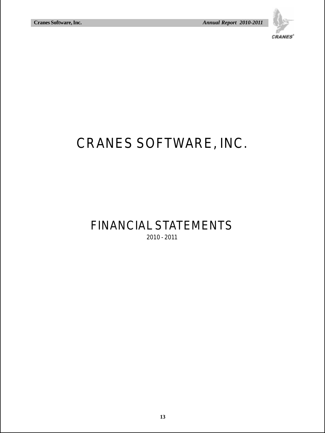

# CRANES SOFTWARE, INC.

FINANCIAL STATEMENTS 2010 - 2011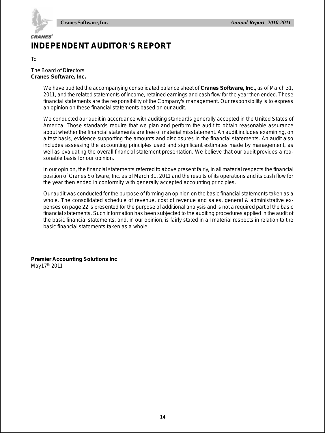

**Cranes Software, Inc.**

## **INDEPENDENT AUDITOR'S REPORT**

To

The Board of Directors **Cranes Software, Inc.**

> We have audited the accompanying consolidated balance sheet of **Cranes Software, Inc.,** as of March 31, 2011, and the related statements of income, retained earnings and cash flow for the year then ended. These financial statements are the responsibility of the Company's management. Our responsibility is to express an opinion on these financial statements based on our audit.

> We conducted our audit in accordance with auditing standards generally accepted in the United States of America. Those standards require that we plan and perform the audit to obtain reasonable assurance about whether the financial statements are free of material misstatement. An audit includes examining, on a test basis, evidence supporting the amounts and disclosures in the financial statements. An audit also includes assessing the accounting principles used and significant estimates made by management, as well as evaluating the overall financial statement presentation. We believe that our audit provides a reasonable basis for our opinion.

> In our opinion, the financial statements referred to above present fairly, in all material respects the financial position of Cranes Software, Inc. as of March 31, 2011 and the results of its operations and its cash flow for the year then ended in conformity with generally accepted accounting principles.

> Our audit was conducted for the purpose of forming an opinion on the basic financial statements taken as a whole. The consolidated schedule of revenue, cost of revenue and sales, general & administrative expenses on page 22 is presented for the purpose of additional analysis and is not a required part of the basic financial statements. Such information has been subjected to the auditing procedures applied in the audit of the basic financial statements, and, in our opinion, is fairly stated in all material respects in relation to the basic financial statements taken as a whole.

**Premier Accounting Solutions Inc** May17<sup>th</sup> 2011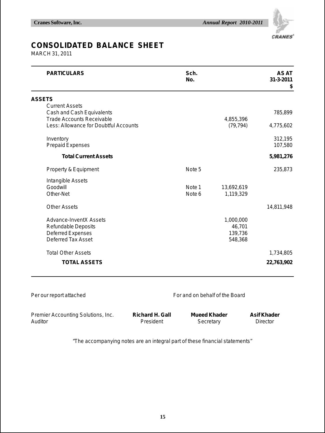

### **CONSOLIDATED BALANCE SHEET**

MARCH 31, 2011

| <b>PARTICULARS</b>                                                                                     | Sch.<br>No.                    |                                           | <b>AS AT</b><br>31-3-2011<br>\$ |
|--------------------------------------------------------------------------------------------------------|--------------------------------|-------------------------------------------|---------------------------------|
| <b>ASSETS</b>                                                                                          |                                |                                           |                                 |
| <b>Current Assets</b><br>Cash and Cash Equivalents<br><b>Trade Accounts Receivable</b>                 |                                | 4,855,396                                 | 785,899                         |
| Less: Allowance for Doubtful Accounts                                                                  |                                | (79, 794)                                 | 4,775,602                       |
| Inventory<br><b>Prepaid Expenses</b>                                                                   |                                |                                           | 312,195<br>107,580              |
| <b>Total Current Assets</b>                                                                            |                                |                                           | 5,981,276                       |
| Property & Equipment                                                                                   | Note 5                         |                                           | 235,873                         |
| Intangible Assets<br>Goodwill<br>Other-Net                                                             | Note 1<br>Note 6               | 13,692,619<br>1,119,329                   |                                 |
| <b>Other Assets</b>                                                                                    |                                |                                           | 14,811,948                      |
| <b>Advance-InventX Assets</b><br>Refundable Deposits<br>Deferred Expenses<br><b>Deferred Tax Asset</b> |                                | 1,000,000<br>46,701<br>139,736<br>548,368 |                                 |
| <b>Total Other Assets</b>                                                                              |                                |                                           | 1,734,805                       |
| <b>TOTAL ASSETS</b>                                                                                    |                                |                                           | 22,763,902                      |
| Per our report attached                                                                                | For and on behalf of the Board |                                           |                                 |
| Premier Accounting Solutions, Inc.<br>Richard H. Gall                                                  | <b>Mueed Khader</b>            |                                           | <b>Asif Khader</b>              |

"The accompanying notes are an integral part of these financial statements"

Auditor President Secretary Director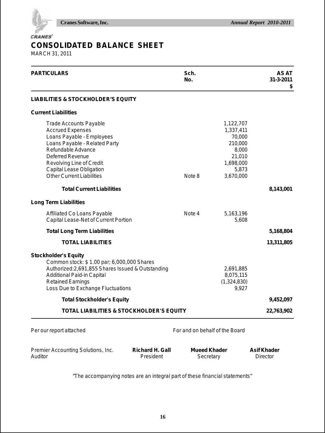

**Cranes Software, Inc.**

### **CRANES CONSOLIDATED BALANCE SHEET**

MARCH 31, 2011

| <b>PARTICULARS</b>                                                                                                                                                                                                                                           |                                     | Sch.<br>No.                      |                                                                                                   | <b>AS AT</b><br>31-3-2011<br>\$       |
|--------------------------------------------------------------------------------------------------------------------------------------------------------------------------------------------------------------------------------------------------------------|-------------------------------------|----------------------------------|---------------------------------------------------------------------------------------------------|---------------------------------------|
| <b>LIABILITIES &amp; STOCKHOLDER'S EQUITY</b>                                                                                                                                                                                                                |                                     |                                  |                                                                                                   |                                       |
| <b>Current Liabilities</b>                                                                                                                                                                                                                                   |                                     |                                  |                                                                                                   |                                       |
| <b>Trade Accounts Payable</b><br><b>Accrued Expenses</b><br>Loans Payable - Employees<br>Loans Payable - Related Party<br>Refundable Advance<br>Deferred Revenue<br>Revolving Line of Credit<br>Capital Lease Obligation<br><b>Other Current Liabilities</b> |                                     | Note 8                           | 1,122,707<br>1,337,411<br>70,000<br>210,000<br>8,000<br>21,010<br>1,698,000<br>5,873<br>3,670,000 |                                       |
| <b>Total Current Liabilities</b>                                                                                                                                                                                                                             |                                     |                                  |                                                                                                   | 8,143,001                             |
| Long Term Liabilities                                                                                                                                                                                                                                        |                                     |                                  |                                                                                                   |                                       |
| Affiliated Co Loans Payable<br>Capital Lease-Net of Current Portion                                                                                                                                                                                          |                                     | Note 4                           | 5,163,196<br>5,608                                                                                |                                       |
| <b>Total Long Term Liabilities</b>                                                                                                                                                                                                                           |                                     |                                  |                                                                                                   | 5,168,804                             |
| <b>TOTAL LIABILITIES</b>                                                                                                                                                                                                                                     |                                     |                                  |                                                                                                   | 13,311,805                            |
| <b>Stockholder's Equity</b><br>Common stock: \$1.00 par; 6,000,000 Shares<br>Authorized: 2,691,855 Shares Issued & Outstanding<br>Additional Paid-in Capital<br><b>Retained Earnings</b><br>Loss Due to Exchange Fluctuations                                |                                     |                                  | 2,691,885<br>8,075,115<br>(1,324,830)<br>9,927                                                    |                                       |
| <b>Total Stockholder's Equity</b>                                                                                                                                                                                                                            |                                     |                                  |                                                                                                   | 9,452,097                             |
| <b>TOTAL LIABILITIES &amp; STOCKHOLDER'S EQUITY</b>                                                                                                                                                                                                          |                                     |                                  |                                                                                                   | 22,763,902                            |
| Per our report attached                                                                                                                                                                                                                                      |                                     | For and on behalf of the Board   |                                                                                                   |                                       |
| Premier Accounting Solutions, Inc.<br>Auditor                                                                                                                                                                                                                | <b>Richard H. Gall</b><br>President | <b>Mueed Khader</b><br>Secretary |                                                                                                   | <b>Asif Khader</b><br><b>Director</b> |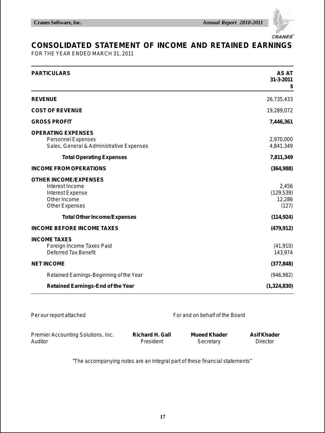

### **CONSOLIDATED STATEMENT OF INCOME AND RETAINED EARNINGS**

FOR THE YEAR ENDED MARCH 31, 2011

| <b>PARTICULARS</b>                                                                                                                    | <b>AS AT</b><br>31-3-2011<br>\$        |
|---------------------------------------------------------------------------------------------------------------------------------------|----------------------------------------|
| <b>REVENUE</b>                                                                                                                        | 26,735,433                             |
| <b>COST OF REVENUE</b>                                                                                                                | 19,289,072                             |
| <b>GROSS PROFIT</b>                                                                                                                   | 7,446,361                              |
| <b>OPERATING EXPENSES</b><br><b>Personnel Expenses</b><br>Sales, General & Administrative Expenses<br><b>Total Operating Expenses</b> | 2,970,000<br>4,841,349<br>7,811,349    |
| <b>INCOME FROM OPERATIONS</b>                                                                                                         | (364, 988)                             |
| <b>OTHER INCOME/EXPENSES</b><br>Interest Income<br>Interest Expense<br>Other Income<br>Other Expenses                                 | 2,456<br>(129, 539)<br>12,286<br>(127) |
| <b>Total Other Income/Expenses</b>                                                                                                    | (114, 924)                             |
| <b>INCOME BEFORE INCOME TAXES</b>                                                                                                     | (479, 912)                             |
| <b>INCOME TAXES</b><br>Foreign Income Taxes Paid<br><b>Deferred Tax Benefit</b>                                                       | (41, 910)<br>143,974                   |
| <b>NET INCOME</b>                                                                                                                     | (377, 848)                             |
| Retained Earnings-Beginning of the Year                                                                                               | (946, 982)                             |
| Retained Earnings-End of the Year                                                                                                     | (1,324,830)                            |

| Per our report attached            | For and on behalf of the Board |              |                 |
|------------------------------------|--------------------------------|--------------|-----------------|
| Premier Accounting Solutions, Inc. | <b>Richard H. Gall</b>         | Mueed Khader | Asif Khader     |
| Auditor                            | President                      | Secretary    | <b>Director</b> |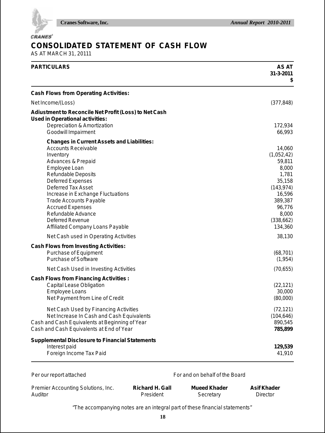

**Cranes Software, Inc.**

### **CRANES**

### **CONSOLIDATED STATEMENT OF CASH FLOW**

AS AT MARCH 31, 20111

| <b>PARTICULARS</b>                                                                                                                                                                                                                                                                                          | AS AT<br>31-3-2011<br>\$                                                                      |
|-------------------------------------------------------------------------------------------------------------------------------------------------------------------------------------------------------------------------------------------------------------------------------------------------------------|-----------------------------------------------------------------------------------------------|
| <b>Cash Flows from Operating Activities:</b>                                                                                                                                                                                                                                                                |                                                                                               |
| Net Income/(Loss)                                                                                                                                                                                                                                                                                           | (377, 848)                                                                                    |
| Adiustment to Reconcile Net Profit (Loss) to Net Cash<br>Used in Operational activities:<br>Depreciation & Amortization                                                                                                                                                                                     | 172,934                                                                                       |
| Goodwill Impairment                                                                                                                                                                                                                                                                                         | 66,993                                                                                        |
| <b>Changes in Current Assets and Liabilities:</b><br><b>Accounts Receivable</b><br>Inventory<br><b>Advances &amp; Prepaid</b><br>Employee Loan<br><b>Refundable Deposits</b><br><b>Deferred Expenses</b><br><b>Deferred Tax Asset</b><br>Increase in Exchange Fluctuations<br><b>Trade Accounts Payable</b> | 14,060<br>(1,052,42)<br>59,811<br>8,000<br>1,781<br>35,158<br>(143, 974)<br>16,596<br>389,387 |
| <b>Accrued Expenses</b><br>Refundable Advance<br>Deferred Revenue<br>Affiliated Company Loans Payable<br>Net Cash used in Operating Activities                                                                                                                                                              | 96,776<br>8,000<br>(338,662)<br>134,360<br>38,130                                             |
| <b>Cash Flows from Investing Activities:</b><br>Purchase of Equipment<br>Purchase of Software<br>Net Cash Used in Investing Activities                                                                                                                                                                      | (68, 701)<br>(1, 954)<br>(70,655)                                                             |
| <b>Cash Flows from Financing Activities:</b><br><b>Capital Lease Obligation</b><br>Employee Loans<br>Net Payment from Line of Credit                                                                                                                                                                        | (22, 121)<br>30,000<br>(80,000)                                                               |
| Net Cash Used by Financing Activities<br>Net Increase In Cash and Cash Equivalents<br>Cash and Cash Equivalents at Beginning of Year<br>Cash and Cash Equivalents at End of Year                                                                                                                            | (72, 121)<br>(104, 646)<br>890,545<br>785,899                                                 |
| <b>Supplemental Disclosure to Financial Statements</b><br>Interest paid<br>Foreign Income Tax Paid                                                                                                                                                                                                          | 129,539<br>41,910                                                                             |

| Per our report attached            | For and on behalf of the Board |              |                 |
|------------------------------------|--------------------------------|--------------|-----------------|
| Premier Accounting Solutions, Inc. | Richard H. Gall                | Mueed Khader | Asif Khader     |
| Auditor                            | President                      | Secretary    | <b>Director</b> |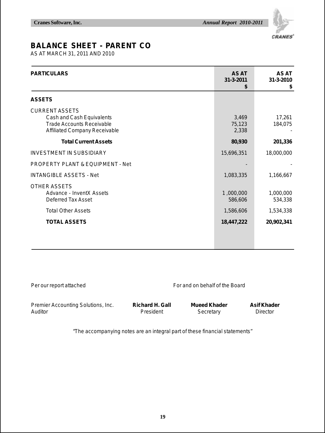

### **BALANCE SHEET - PARENT CO**

AS AT MARCH 31, 2011 AND 2010

| <b>PARTICULARS</b>                                                                                                             | <b>AS AT</b><br>31-3-2011<br>\$ | <b>AS AT</b><br>31-3-2010<br>S |
|--------------------------------------------------------------------------------------------------------------------------------|---------------------------------|--------------------------------|
| <b>ASSETS</b>                                                                                                                  |                                 |                                |
| <b>CURRENT ASSETS</b><br>Cash and Cash Equivalents<br><b>Trade Accounts Receivable</b><br><b>Affiliated Company Receivable</b> | 3,469<br>75,123<br>2,338        | 17,261<br>184,075              |
| <b>Total Current Assets</b>                                                                                                    | 80,930                          | 201,336                        |
| <b>INVESTMENT IN SUBSIDIARY</b>                                                                                                | 15,696,351                      | 18,000,000                     |
| PROPERTY PLANT & EQUIPMENT - Net                                                                                               |                                 |                                |
| <b>INTANGIBLE ASSETS - Net</b>                                                                                                 | 1,083,335                       | 1,166,667                      |
| OTHER ASSETS<br>Advance - InventX Assets<br>Deferred Tax Asset                                                                 | 1,000,000<br>586,606            | 1,000,000<br>534,338           |
| <b>Total Other Assets</b>                                                                                                      | 1,586,606                       | 1,534,338                      |
| <b>TOTAL ASSETS</b>                                                                                                            | 18,447,222                      | 20,902,341                     |
|                                                                                                                                |                                 |                                |

| Per our report attached            | For and on behalf of the Board |                     |                    |
|------------------------------------|--------------------------------|---------------------|--------------------|
| Premier Accounting Solutions, Inc. | <b>Richard H. Gall</b>         | <b>Mueed Khader</b> | <b>Asif Khader</b> |
| Auditor                            | President                      | Secretary           | <b>Director</b>    |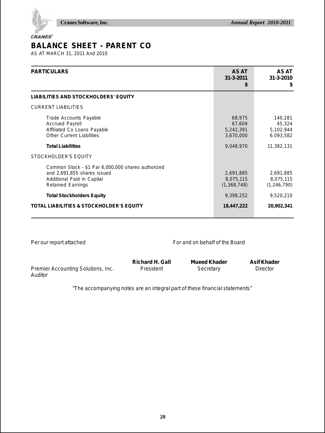

### **BALANCE SHEET - PARENT CO**

AS AT MARCH 31, 2011 And 2010

| <b>PARTICULARS</b>                                                                                                                   | <b>AS AT</b><br>$31 - 3 - 2011$<br>\$      | AS AT<br>31-3-2010<br>S                     |
|--------------------------------------------------------------------------------------------------------------------------------------|--------------------------------------------|---------------------------------------------|
| LIABILITIES AND STOCKHOLDERS' EQUITY                                                                                                 |                                            |                                             |
| <b>CURRENT LIABILITIES</b>                                                                                                           |                                            |                                             |
| Trade Accounts Payable<br><b>Accrued Payroll</b><br>Affiliated Co Loans Payable<br><b>Other Current Liabilities</b>                  | 68,975<br>67,604<br>5,242,391<br>3,670,000 | 140,281<br>45,324<br>5,102,944<br>6.093,582 |
| <b>Total Liabilities</b>                                                                                                             | 9,048,970                                  | 11,382,131                                  |
| STOCKHOLDER'S EQUITY                                                                                                                 |                                            |                                             |
| Common Stock - \$1 Par 6,000,000 shares authorized<br>and 2,691,855 shares issued<br>Additional Paid in Capital<br>Retained Earnings | 2,691,885<br>8,075,115<br>(1,368,748)      | 2,691,885<br>8,075,115<br>(1, 246, 790)     |
| <b>Total Stockholders Equity</b>                                                                                                     | 9,398,252                                  | 9,520,210                                   |
| TOTAL LIABILITIES & STOCKHOLDER'S EQUITY                                                                                             | 18,447,222                                 | 20,902,341                                  |

Per our report attached For and on behalf of the Board

|                                    | Richard H. Gall | Mueed Khader | Asif Khader |
|------------------------------------|-----------------|--------------|-------------|
| Premier Accounting Solutions, Inc. | President       | Secretary    | Director    |
| Auditor                            |                 |              |             |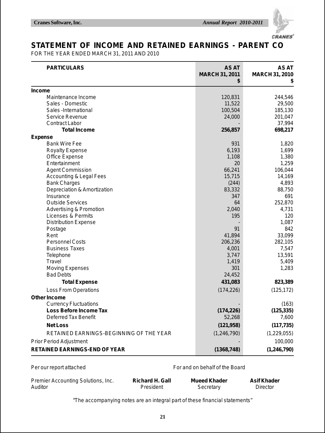

### **STATEMENT OF INCOME AND RETAINED EARNINGS - PARENT CO**

FOR THE YEAR ENDED MARCH 31, 2011 AND 2010

| <b>PARTICULARS</b>                      | <b>AS AT</b><br>MARCH 31, 2011<br>\$ | <b>AS AT</b><br>MARCH 31, 2010<br>\$ |
|-----------------------------------------|--------------------------------------|--------------------------------------|
| Income                                  |                                      |                                      |
| Maintenance Income                      | 120,831                              | 244,546                              |
| Sales - Domestic                        | 11,522                               | 29,500                               |
| Sales - International                   | 100,504                              | 185,130                              |
| Service Revenue                         | 24,000                               | 201,047                              |
| <b>Contract Labor</b>                   |                                      | 37,994                               |
| <b>Total Income</b>                     | 256,857                              | 698,217                              |
| <b>Expense</b>                          |                                      |                                      |
| <b>Bank Wire Fee</b>                    | 931                                  | 1,820                                |
| <b>Royalty Expense</b>                  | 6,193                                | 1,699                                |
| Office Expense                          | 1,108                                | 1,380                                |
| Entertainment                           | 20                                   | 1,259                                |
| <b>Agent Commission</b>                 | 66,241                               | 106,044                              |
| <b>Accounting &amp; Legal Fees</b>      | 15,715                               | 14,169                               |
| <b>Bank Charges</b>                     | (244)                                | 4,893                                |
| Depreciation & Amortization             | 83,332                               | 88,750                               |
| Insurance                               | 347                                  | 691                                  |
| <b>Outside Services</b>                 | 64                                   | 252,870                              |
| <b>Advertising &amp; Promotion</b>      | 2,040                                | 4,731                                |
| <b>Licenses &amp; Permits</b>           | 195                                  | 120                                  |
| <b>Distribution Expense</b>             |                                      | 1,087                                |
| Postage                                 | 91                                   | 842                                  |
| Rent                                    | 41,894                               | 33,099                               |
| <b>Personnel Costs</b>                  | 206,236                              | 282,105                              |
| <b>Business Taxes</b>                   | 4,001                                | 7,547                                |
| Telephone                               | 3,747                                | 13,591                               |
| Travel                                  | 1,419                                | 5,409                                |
| <b>Moving Expenses</b>                  | 301                                  | 1,283                                |
| <b>Bad Debts</b>                        | 24,452                               |                                      |
| <b>Total Expense</b>                    | 431,083                              | 823,389                              |
| Loss From Operations                    | (174, 226)                           | (125, 172)                           |
| Other Income                            |                                      |                                      |
| <b>Currency Fluctuations</b>            |                                      | (163)                                |
| Loss Before Income Tax                  | (174, 226)                           | (125, 335)                           |
| <b>Deferred Tax Benefit</b>             | 52,268                               | 7,600                                |
| <b>Net Loss</b>                         | (121, 958)                           | (117, 735)                           |
| RETAINED EARNINGS-BEGINNING OF THE YEAR | (1, 246, 790)                        | (1,229,055)                          |
| Prior Period Adjustment                 |                                      | 100,000                              |
| <b>RETAINED EARNINGS-END OF YEAR</b>    | (1368, 748)                          | (1, 246, 790)                        |

Per our report attached For and on behalf of the Board Premier Accounting Solutions, Inc. **Richard H. Gall Mueed Khader Asif Khader** Auditor **Asif Khader** President Secretary **Director** Auditor President Secretary Director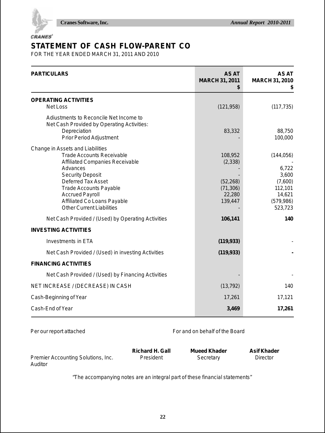

### **STATEMENT OF CASH FLOW-PARENT CO**

FOR THE YEAR ENDED MARCH 31, 2011 AND 2010

| <b>PARTICULARS</b>                                                                                                                                                                                                                                                                                 | <b>AS AT</b><br><b>MARCH 31, 2011</b>                              | <b>AS AT</b><br>MARCH 31, 2010                                                       |
|----------------------------------------------------------------------------------------------------------------------------------------------------------------------------------------------------------------------------------------------------------------------------------------------------|--------------------------------------------------------------------|--------------------------------------------------------------------------------------|
| <b>OPERATING ACTIVITIES</b><br>Net Loss                                                                                                                                                                                                                                                            | (121, 958)                                                         | (117, 735)                                                                           |
| Adiustments to Reconcile Net Income to<br>Net Cash Provided by Operating Activities:<br>Depreciation<br>Prior Period Adjustment                                                                                                                                                                    | 83,332                                                             | 88,750<br>100,000                                                                    |
| Change in Assets and Liabilities<br><b>Trade Accounts Receivable</b><br>Affiliated Companies Receivable<br>Advances<br><b>Security Deposit</b><br>Deferred Tax Asset<br><b>Trade Accounts Payable</b><br><b>Accrued Payroll</b><br>Affiliated Co Loans Payable<br><b>Other Current Liabilities</b> | 108,952<br>(2, 338)<br>(52, 268)<br>(71, 306)<br>22,280<br>139,447 | (144, 056)<br>6,722<br>3,600<br>(7,600)<br>112,101<br>14,621<br>(579,986)<br>523,723 |
| Net Cash Provided / (Used) by Operating Activities                                                                                                                                                                                                                                                 | 106,141                                                            | 140                                                                                  |
| <b>INVESTING ACTIVITIES</b>                                                                                                                                                                                                                                                                        |                                                                    |                                                                                      |
| Investments in ETA                                                                                                                                                                                                                                                                                 | (119, 933)                                                         |                                                                                      |
| Net Cash Provided / (Used) in investing Activities                                                                                                                                                                                                                                                 | (119, 933)                                                         |                                                                                      |
| <b>FINANCING ACTIVITIES</b>                                                                                                                                                                                                                                                                        |                                                                    |                                                                                      |
| Net Cash Provided / (Used) by Financing Activities                                                                                                                                                                                                                                                 |                                                                    |                                                                                      |
| NET INCREASE / (DECREASE) IN CASH                                                                                                                                                                                                                                                                  | (13, 792)                                                          | 140                                                                                  |
| Cash-Beginning of Year                                                                                                                                                                                                                                                                             | 17,261                                                             | 17,121                                                                               |
| Cash-End of Year                                                                                                                                                                                                                                                                                   | 3,469                                                              | 17,261                                                                               |

Per our report attached For and on behalf of the Board

|                                               | Richard H. Gall | Mueed Khader | Asif Khader |
|-----------------------------------------------|-----------------|--------------|-------------|
| Premier Accounting Solutions, Inc.<br>Auditor | President       | Secretary    | Director    |
|                                               |                 |              |             |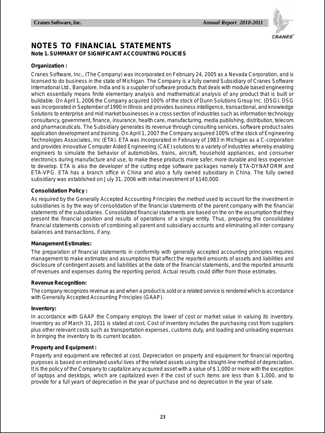

### **NOTES TO FINANCIAL STATEMENTS Note 1. SUMMARY OF SIGNIFICANT ACCOUNTING POLICIES**

### **Organization :**

Cranes Software, Inc., (The Company) was incorporated on February 24, 2005 as a Nevada Corporation, and is licensed to do business in the state of Michigan. The Company is a fully owned Subsidiary of Cranes Software International Ltd., Bangalore, India and is a supplier of software products that deals with module based engineering which essentially means finite elementary analysis and mathematical analysis of any product that is built or buildable. On April 1, 2006 the Company acquired 100% of the stock of Dunn Solutions Group Inc. (DSG). DSG was incorporated in September of 1990 in Illinois and provides business intelligence, transactional, and knowledge Solutions to enterprise and mid market businesses in a cross section of industries such as information technology consultancy, government, finance, insurance, health care, manufacturing, media publishing, distribution, telecom and pharmaceuticals. The Subsidiary generates its revenue through consulting services, software product sales application development and training. On April 1, 2007 the Company acquired 100% of the stock of Engineering Technologies Associates, Inc (ETA). ETA was incorporated in February of 1983 in Michigan as a C-corporation and provides innovative Computer Aided Engineering (CAE) solutions to a variety of industries whereby enabling engineers to simulate the behavior of automobiles, trains, aircraft, household appliances, and consumer electronics during manufacture and use, to make these products more safer, more durable and less expensive to develop. ETA is also the developer of the cutting edge software packages namely ETA-DYNAFORM and ETA-VPG. ETA has a branch office in China and also a fully owned subsidiary in China. The fully owned subsidiary was established on July 31, 2006 with initial investment of \$140,000.

### **Consolidation Policy :**

As required by the Generally Accepted Accounting Principles the method used to account for the investment in subsidiaries is by the way of consolidation of the financial statements of the parent company with the financial statements of the subsidiaries. Consolidated financial statements are based on the on the assumption that they present the financial position and results of operations of a single entity. Thus, preparing the consolidated financial statements consists of combining all parent and subsidiary accounts and eliminating all inter company balances and transactions, if any.

### **Management Estimates:**

The preparation of financial statements in conformity with generally accepted accounting principles requires management to make estimates and assumptions that affect the reported amounts of assets and liabilities and disclosure of contingent assets and liabilities at the date of the financial statements, and the reported amounts of revenues and expenses during the reporting period. Actual results could differ from those estimates.

### **Revenue Recognition:**

The company recognizes revenue as and when a product is.sold or a related service is rendered which is accordance with Generally Accepted Accounting Principles (GAAP).

### **Inventory:**

In accordance with GAAP the Company employs the lower of cost or market value in valuing its inventory. Inventory as of March 31, 2011 is stated at cost. Cost of inventory includes the purchasing cost from suppliers plus other relevant costs such as transportation expenses, customs duty, and loading and unloading expenses in bringing the inventory to its current location.

### **Property and Equipment :**

Property and equipment are reflected at cost. Depreciation on property and equipment for financial reporting purposes is based on estimated useful lives of the related assets using the straight-line method of depreciation. It is the policy of the Company to capitalize any acquired asset with a value of \$ 1,000 or more with the exception of laptops and desktops, which are capitalized even if the cost of such items are less than \$ 1,000, and to provide for a full years of depreciation in the year of purchase and no depreciation in the year of sale.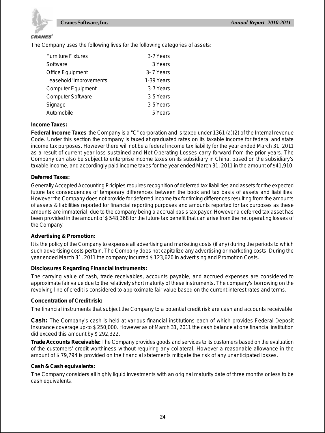

The Company uses the following lives for the following categories of assets:

| 3-7 Years  |
|------------|
| 3 Years    |
| 3-7 Years  |
| 1-39 Years |
| 3-7 Years  |
| 3-5 Years  |
| 3-5 Years  |
| 5 Years    |
|            |

### **Income Taxes:**

**Federal Income Taxes**-the Company is a "C" corporation and is taxed under 1361 (a)(2) of the Internal revenue Code. Under this section the company is taxed at graduated rates on its taxable income for federal and state income tax purposes. However there will not be a federal income tax liability for the year ended March 31, 2011 as a result of current year loss sustained and Net Operating Losses carry forward from the prior years. The Company can also be subject to enterprise income taxes on its subsidiary in China, based on the subsidiary's taxable income, and accordingly paid income taxes for the year ended March 31, 2011 in the amount of \$41,910.

### **Deferred Taxes:**

Generally Accepted Accounting Priciples requires recognition of deferred tax liabilities and assets for the expected future tax consequences of temporary differences between the book and tax basis of assets and liabilities. However the Company does not provide for deferred income tax for timing differences resulting from the amounts of assets & liabilities reported for financial reporting purposes and amounts reported for tax purposes as these amounts are immaterial, due to the company being a accrual basis tax payer. However a deferred tax asset has been provided in the amount of \$ 548,368 for the future tax benefit that can arise from the net operating losses of the Company.

### **Advertising & Promotion:**

It is the policy of the Company to expense all advertising and marketing costs (if any) during the periods to which such advertising costs pertain. The Company does not capitalize any advertising or marketing costs. During the year ended March 31, 2011 the company incurred \$ 123,620 in advertising and Promotion Costs.

### **Disclosures Regarding Financial Instruments:**

The carrying value of cash, trade receivables, accounts payable, and accrued expenses are considered to approximate fair value due to the relatively short maturity of these instruments. The company's borrowing on the revolving line of credit is considered to approximate fair value based on the current interest rates and terms.

### **Concentration of Credit risk:**

The financial instruments that subject the Company to a potential credit risk are cash and accounts receivable.

**Cash:** The Company's cash is held at various financial institutions each of which provides Federal Deposit Insurance coverage up-to \$ 250,000. However as of March 31, 2011 the cash balance at one financial institution did exceed this amount by \$ 292,322.

**Trade Accounts Receivable:** The Company provides goods and services to its customers based on the evaluation of the customers' credit worthiness without requiring any collateral. However a reasonable allowance in the amount of \$ 79,794 is provided on the financial statements mitigate the risk of any unanticipated losses.

### **Cash & Cash equivalents:**

The Company considers all highly liquid investments with an original maturity date of three months or less to be cash equivalents.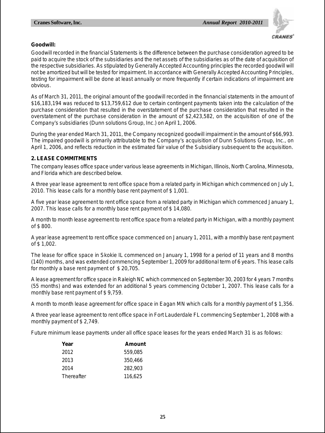

### **Goodwill:**

Goodwill recorded in the financial Statements is the difference between the purchase consideration agreed to be paid to acquire the stock of the subsidiaries and the net assets of the subsidiaries as of the date of acquisition of the respective subsidiaries. As stipulated by Generally Accepted Accounting principles the recorded goodwill will not be amortized but will be tested for impairment. In accordance with Generally Accepted Accounting Principles, testing for impairment will be done at least annually or more frequently if certain indications of impairment are obvious.

As of March 31, 2011, the original amount of the goodwill recorded in the finnancial statements in the amount of \$16,183,194 was reduced to \$13,759,612 due to certain contingent payments taken into the calculation of the purchase consideration that resulted in the overstatement of the purchase consideration that resulted in the overstatement of the purchase consideration in the amount of \$2,423,582, on the acquisition of one of the Company's subsidiaries (Dunn solutions Group, Inc.) on April 1, 2006.

During the year ended March 31, 2011, the Company recognized goodwill impairment in the amount of \$66,993. The impaired goodwill is primarily attributable to the Company's acquisition of Dunn Solutions Group, Inc., on April 1, 2006, and reflects reduction in the estimated fair value of the Subsidiary subsequent to the acquisition.

### **2. LEASE COMMITMENTS**

The company leases office space under various lease agreements in Michigan, Illinois, North Carolina, Minnesota, and Florida which are described below.

A three year lease agreement to rent office space from a related party in Michigan which commenced on July 1, 2010. This lease calls for a monthly base rent payment of \$ 1,001.

A five year lease agreement to rent office space from a related party in Michigan which commenced January 1, 2007. This lease calls for a monthly base rent payment of \$ 14,080.

A month to month lease agreement to rent office space from a related party in Michigan, with a monthly payment of \$ 800.

A year lease agreement to rent office space commenced on January 1, 2011, with a monthly base rent payment of \$ 1,002.

The lease for office space in Skokie IL commenced on January 1, 1998 for a period of 11 years and 8 months (140) months, and was extended commencing September 1, 2009 for additional term of 6 years. This lease calls for monthly a base rent payment of \$ 20,705.

A lease agreement for office space in Raleigh NC which commenced on September 30, 2003 for 4 years 7 months (55 months) and was extended for an additional 5 years commencing October 1, 2007. This lease calls for a monthly base rent payment of \$ 9,759.

A month to month lease agreement for office space in Eagan MN which calls for a monthly payment of \$ 1,356.

A three year lease agreement to rent office space in Fort Lauderdale FL commencing September 1, 2008 with a monthly payment of \$ 2,749.

Future minimum lease payments under all office space leases for the years ended March 31 is as follows:

| Year       | Amount  |
|------------|---------|
| 2012       | 559,085 |
| 2013       | 350.466 |
| 2014       | 282,903 |
| Thereafter | 116.625 |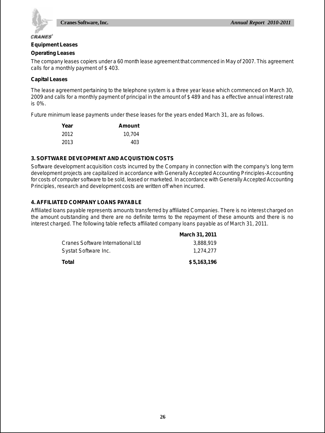

### **Equipment Leases**

### **Operating Leases**

The company leases copiers under a 60 month lease agreement that commenced in May of 2007. This agreement calls for a monthly payment of \$ 403.

### **Capital Leases**

The lease agreement pertaining to the telephone system is a three year lease which commenced on March 30, 2009 and calls for a monthly payment of principal in the amount of \$ 489 and has a effective annual interest rate is 0%.

Future minimum lease payments under these leases for the years ended March 31, are as follows.

| Year | Amount |
|------|--------|
| 2012 | 10.704 |
| 2013 | 403    |

### **3. SOFTWARE DEVEOPMENT AND ACQUISTION COSTS**

Software development acquisition costs incurred by the Company in connection with the company's long term development projects are capitalized in accordance with Generally Accepted Accounting Principles-Accounting for costs of computer software to be sold, leased or marketed. In accordance with Generally Accepted Accounting Principles, research and development costs are written off when incurred.

### **4. AFFILIATED COMPANY LOANS PAYABLE**

Affiliated loans payable represents amounts transferred by affiliated Companies. There is no interest charged on the amount outstanding and there are no definite terms to the repayment of these amounts and there is no interest charged. The following table reflects affiliated company loans payable as of March 31, 2011.

|                                   | March 31, 2011 |
|-----------------------------------|----------------|
| Cranes Software International Ltd | 3,888,919      |
| Systat Software Inc.              | 1.274.277      |
| Total                             | \$5.163.196    |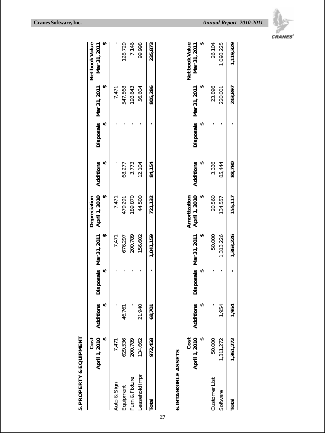|                           | 5. PROPERTY & EQUIPMENT |           |                             |                               |                 |                             |                                |
|---------------------------|-------------------------|-----------|-----------------------------|-------------------------------|-----------------|-----------------------------|--------------------------------|
|                           | April 1, 2010<br>Cost   | Additions | Disposals Mar 31, 2011<br>H | April 1, 2010<br>Depreciation | Additions       | ക<br>Disposals Mar 31, 2011 | Net book Value<br>Mar 31, 2011 |
| Auto & Sign               | 7,471                   |           | 7,471                       | 7,471                         |                 | 7,471                       |                                |
| Equipment                 | 629,536                 | 46,761    | 676,297                     | 479,291                       | 68,277          | 547,568                     | 128,729                        |
| Furn & Fixture            | 200,789                 |           | 200,789                     | 189,870                       | 3,773           | 193,643                     | 7,146                          |
| easehold Impr             | 134,662                 | 21,940    | 156,602                     | 44,500                        | 12,104          | 56,604                      | 99,998                         |
| Total                     | 972,458                 | 68,701    | 1,041,159                   | 721,132                       | 84,154          | 805,286                     | 235,873                        |
| 6. INTANGIBLE ASSETS      | April 1, 2010<br>Cost   | Additions | Disposals Mar 31, 2011      | April 1, 2010<br>Amortization | Additions       | ഗ<br>Disposals Mar 31, 2011 | Net book Value<br>Mar 31, 2011 |
| Customer List<br>Software | 1,311,272<br>50,000     | 1,954     | 50,000<br>1,313,226         | 20,560<br>134,557             | 3,336<br>85,444 | 23,896<br>220,001           | 26,104<br>1,093,225            |
| Total                     | 1,361,272               | 1,954     | 1,363,226                   | 155,117                       | 88,780          | 243,897                     | 1,119,329                      |

Total

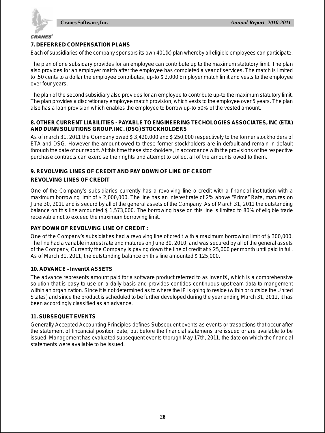

#### **7. DEFERRED COMPENSATION PLANS**

Each of subsidiaries of the company sponsors its own 401(k) plan whereby all eligible employees can participate.

The plan of one subsidary provides for an employee can contribute up to the maximum statutory limit. The plan also provides for an employer match after the employee has completed a year of services. The match is limited to .50 cents to a dollar the employee contributes, up-to \$ 2,000 Employer match limit and vests to the employee over four years.

The plan of the second subsidiary also provides for an employee to contribute up-to the maximum statutory limit. The plan provides a discretionary employee match provision, which vests to the employee over 5 years. The plan also has a loan provision which enables the employee to borrow up-to 50% of the vested amount.

### **8. OTHER CURRENT LIABILITIES - PAYABLE TO ENGINEERING TECHOLOGIES ASSOCIATES, INC (ETA) AND DUNN SOLUTIONS GROUP, INC. (DSG) STOCKHOLDERS**

As of march 31, 2011 the Company owed \$ 3,420,000 and \$ 250,000 respectively to the former stockholders of ETA and DSG. However the amount owed to these former stockholders are in default and remain in default through the date of our report. At this time these stockholders, in accordance with the provisions of the respective purchase contracts can exercise their rights and attempt to collect all of the amounts owed to them.

### **9. REVOLVING LINES OF CREDIT AND PAY DOWN OF LINE OF CREDIT REVOLVING LINES OF CREDIT**

One of the Company's subsidiaries currently has a revolving line o credit with a financial institution with a maximum borrowing limit of \$ 2,000,000. The line has an interest rate of 2% above "Prime" Rate, matures on June 30, 2011 and is securd by all of the general assets of the Company. As of March 31, 2011 the outstanding balance on this line amounted \$ 1,573,000. The borrowing base on this line is limited to 80% of eligible trade receivable not to exceed the maximum borrowing limit.

### **PAY DOWN OF REVOLVING LINE OF CREDIT :**

One of the Company's subsidiaties had a revolving line of credit with a maximum borrowing limit of \$ 300,000. The line had a variable interest rate and matures on June 30, 2010, and was secured by all of the general assets of the Company, Currently the Company is paying down the line of credit at \$ 25,000 per month until paid in full. As of March 31, 2011, the outstanding balance on this line amounted \$ 125,000.

### **10. ADVANCE - InventX ASSETS**

The advance represents amount paid for a software product referred to as InventX, which is a comprehensive solution that is easy to use on a daily basis and provides contides continuous upstream data to mangement within an organization. Since it is not determined as to where the IP is going to reside (within or outside the United States) and since the product is scheduled to be further developed during the year ending March 31, 2012, it has been accordingly classified as an advance.

### **11. SUBSEQUET EVENTS**

Generally Accepted Accounting Principles defines Subsequent events as events or trasactions that occur after the statement of fincancial position date, but before the financial statemens are issued or are available to be issued. Management has evaluated subsequent events thorugh May 17th, 2011, the date on which the financial statements were available to be issued.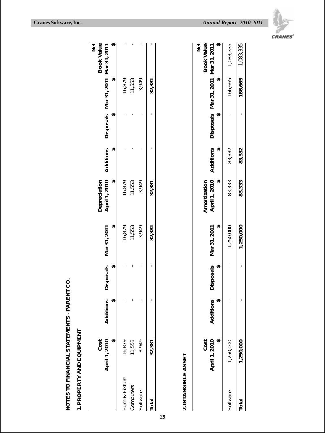|                           | NOTES TO FINANCIAL STATEMENTS - PARENT CO<br>1. PROPERTY AND EQUIPMENT |                       |                       |                   |                                    |                       |   |                                           |                             |
|---------------------------|------------------------------------------------------------------------|-----------------------|-----------------------|-------------------|------------------------------------|-----------------------|---|-------------------------------------------|-----------------------------|
|                           | ↮<br>April 1, 2010<br>Cost                                             | <b>Additions</b>      | <b>Disposals</b><br>↮ | ↮<br>Mar 31, 2011 | April 1, 2010<br>H<br>Depreciation | <b>Additions</b><br>↮ | ↮ | Disposals Mar 31, 2011 Mar 31, 2011<br>မာ | <b>Book Value</b><br>ğ      |
| Furn & Fixture            | 16,879                                                                 |                       |                       | 16,879            | 16,879                             |                       |   | 16,879                                    |                             |
| Computers                 | 11,553                                                                 |                       |                       | 11,553            | 11,553                             |                       |   | 11,553                                    |                             |
| Software                  | 3,949                                                                  |                       |                       | 3,949             | 3,949                              |                       |   | 3,949                                     |                             |
| Total                     | 32,381                                                                 |                       |                       | 32,381            | 32,381                             |                       |   | 32,381                                    |                             |
| 2. INTANGIBLE ASSET<br>29 |                                                                        |                       |                       |                   |                                    |                       |   |                                           |                             |
|                           |                                                                        |                       |                       |                   |                                    |                       |   |                                           |                             |
|                           | April 1, 2010<br>Cost                                                  | <b>Additions</b><br>ഗ | <b>Disposals</b><br>↮ | ↮<br>Mar 31, 2011 | April 1, 2010<br>Amortization      | <b>Additions</b><br>↮ | ↮ | Disposals Mar 31, 2011 Mar 31, 2011<br>υA | <b>Book Value</b><br>↮<br>ğ |
| Software                  | 1,250,000                                                              |                       |                       | 1,250,000         | 83,333                             | 83,332                |   | 166,665                                   | 1,083,335                   |

NOTES TO FINANCIAL STATEMENTS - PARENT CO.

1,083,335

166,665

 $\overline{\phantom{a}}$ 

83,332

83,333

**Total 1,250,000 - - 1,250,000 83,333 83,332 - 166,665** 1,083,335

1,250,000

 $\bar{1}$ 

 $\overline{\phantom{a}}$ 

1,250,000

 $\overline{\phantom{a}}$ 

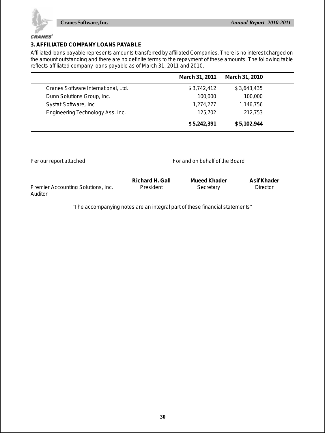

### **3. AFFILIATED COMPANY LOANS PAYABLE**

Affiliated loans payable represents amounts transferred by affiliated Companies. There is no interest charged on the amount outstanding and there are no definite terms to the repayment of these amounts. The following table reflects affiliated company loans payable as of March 31, 2011 and 2010.

|                                     | March 31, 2011 | March 31, 2010 |  |
|-------------------------------------|----------------|----------------|--|
| Cranes Software International, Ltd. | \$3,742,412    | \$3,643,435    |  |
| Dunn Solutions Group, Inc.          | 100,000        | 100,000        |  |
| Systat Software, Inc.               | 1.274.277      | 1,146,756      |  |
| Engineering Technology Ass. Inc.    | 125,702        | 212.753        |  |
|                                     | \$5,242,391    | \$5,102,944    |  |

|  | Per our report attached |
|--|-------------------------|
|--|-------------------------|

For and on behalf of the Board

|                                               | Richard H. Gall | Mueed Khader | <b>Asif Khader</b> |
|-----------------------------------------------|-----------------|--------------|--------------------|
| Premier Accounting Solutions, Inc.<br>Auditor | President       | Secretary    | <b>Director</b>    |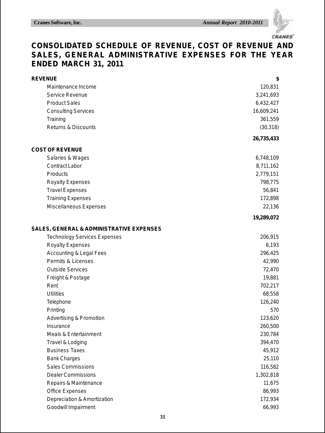

### **CONSOLIDATED SCHEDULE OF REVENUE, COST OF REVENUE AND SALES, GENERAL ADMINISTRATIVE EXPENSES FOR THE YEAR ENDED MARCH 31, 2011**

| <b>REVENUE</b>                                      | \$         |
|-----------------------------------------------------|------------|
| Maintenance Income                                  | 120,831    |
| Service Revenue                                     | 3,241,693  |
| <b>Product Sales</b>                                | 6,432,427  |
| <b>Consulting Services</b>                          | 16,609,241 |
| Training                                            | 361,559    |
| <b>Returns &amp; Discounts</b>                      | (30, 318)  |
|                                                     | 26,735,433 |
| <b>COST OF REVENUE</b>                              |            |
| Salaries & Wages                                    | 6,748,109  |
| Contract Labor                                      | 8,711,162  |
| Products                                            | 2,779,151  |
| <b>Royalty Expenses</b>                             | 798,775    |
| <b>Travel Expenses</b>                              | 56,841     |
| <b>Training Expenses</b>                            | 172,898    |
| Miscellaneous Expenses                              | 22,136     |
|                                                     | 19,289,072 |
| <b>SALES, GENERAL &amp; ADMINISTRATIVE EXPENSES</b> |            |
| <b>Technology Services Expenses</b>                 | 206,915    |
| <b>Royalty Expenses</b>                             | 6,193      |
| <b>Accounting &amp; Legal Fees</b>                  | 296,425    |
| Permits & Licenses                                  | 42,990     |
| <b>Outside Services</b>                             | 72,470     |
| Freight & Postage                                   | 19,881     |
| Rent                                                | 702,217    |
| <b>Utilities</b>                                    | 68,558     |
| Telephone                                           | 126,240    |
| Printing                                            | 570        |
| <b>Advertising &amp; Promotion</b>                  | 123,620    |
| Insurance                                           | 260,500    |
| Meals & Entertainment                               | 230,784    |
| Travel & Lodging                                    | 394,470    |
| <b>Business Taxes</b>                               | 45,912     |
| <b>Bank Charges</b>                                 | 25,110     |
| Sales Commissions                                   | 116,582    |
| <b>Dealer Commissions</b>                           | 1,302,818  |
| Repairs & Maintenance                               | 11,675     |
| <b>Office Expenses</b>                              | 86,993     |
| Depreciation & Amortization                         | 172,934    |
| Goodwill Impairment                                 | 66,993     |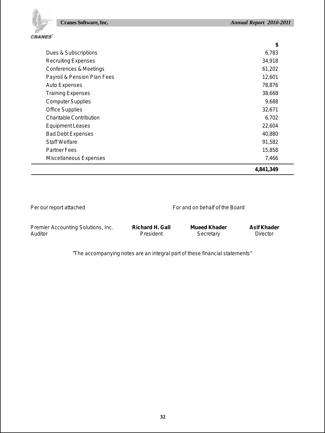| <b>Cranes Software, Inc.</b>   | <b>Annual Report 2010-2011</b> |  |
|--------------------------------|--------------------------------|--|
| <i><b>CRANES</b></i>           |                                |  |
|                                | \$                             |  |
| Dues & Subscriptions           | 6,783                          |  |
| <b>Recruiting Expenses</b>     | 34,918                         |  |
| Conferences & Meetings         | 61,202                         |  |
| Payroll & Pension Plan Fees    | 12,601                         |  |
| Auto Expenses                  | 78,876                         |  |
| <b>Training Expenses</b>       | 38,668                         |  |
| <b>Computer Supplies</b>       | 9,688                          |  |
| <b>Office Supplies</b>         | 32,671                         |  |
| <b>Charitable Contribution</b> | 6,702                          |  |
| <b>Equipment Leases</b>        | 22,604                         |  |
| <b>Bad Debt Expenses</b>       | 40,880                         |  |
| <b>Staff Welfare</b>           | 91,582                         |  |
| <b>Partner Fees</b>            | 15,858                         |  |
| Miscellaneous Expenses         | 7,466                          |  |
|                                | 4,841,349                      |  |

| Per our report attached            | For and on behalf of the Board |                     |                    |  |
|------------------------------------|--------------------------------|---------------------|--------------------|--|
| Premier Accounting Solutions, Inc. | Richard H. Gall                | <b>Mueed Khader</b> | <b>Asif Khader</b> |  |
| Auditor                            | <b>President</b>               | Secretary           | <b>Director</b>    |  |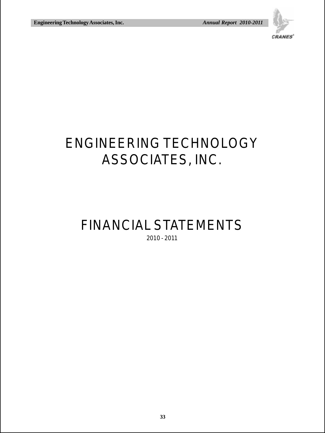

# ENGINEERING TECHNOLOGY ASSOCIATES, INC.

# FINANCIAL STATEMENTS

2010 - 2011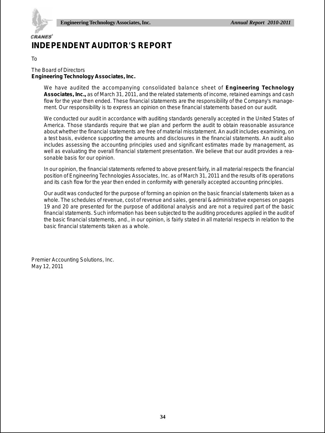

## **INDEPENDENT AUDITOR'S REPORT**

To

### The Board of Directors **Engineering Technology Associates, Inc.**

We have audited the accompanying consolidated balance sheet of **Engineering Technology Associates, Inc.,** as of March 31, 2011, and the related statements of income, retained earnings and cash flow for the year then ended. These financial statements are the responsibility of the Company's management. Our responsibility is to express an opinion on these financial statements based on our audit.

We conducted our audit in accordance with auditing standards generally accepted in the United States of America. Those standards require that we plan and perform the audit to obtain reasonable assurance about whether the financial statements are free of material misstatement. An audit includes examining, on a test basis, evidence supporting the amounts and disclosures in the financial statements. An audit also includes assessing the accounting principles used and significant estimates made by management, as well as evaluating the overall financial statement presentation. We believe that our audit provides a reasonable basis for our opinion.

In our opinion, the financial statements referred to above present fairly, in all material respects the financial position of Engineering Technologies Associates, Inc. as of March 31, 2011 and the results of its operations and its cash flow for the year then ended in conformity with generally accepted accounting principles.

Our audit was conducted for the purpose of forming an opinion on the basic financial statements taken as a whole. The schedules of revenue, cost of revenue and sales, general & administrative expenses on pages 19 and 20 are presented for the purpose of additional analysis and are not a required part of the basic financial statements. Such information has been subjected to the auditing procedures applied in the audit of the basic financial statements, and., in our opinion, is fairly stated in all material respects in relation to the basic financial statements taken as a whole.

Premier Accounting Solutions, Inc. May 12, 2011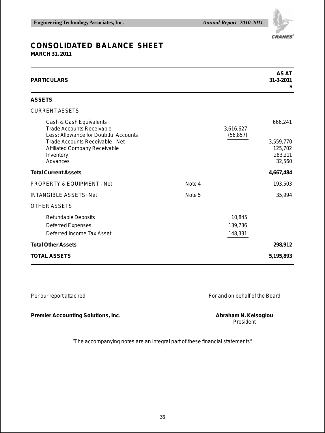

## **CONSOLIDATED BALANCE SHEET**

**MARCH 31, 2011**

| <b>PARTICULARS</b>                                                                                                                                                                                       |        |                        | <b>AS AT</b><br>31-3-2011<br>\$                      |
|----------------------------------------------------------------------------------------------------------------------------------------------------------------------------------------------------------|--------|------------------------|------------------------------------------------------|
| <b>ASSETS</b>                                                                                                                                                                                            |        |                        |                                                      |
| <b>CURRENT ASSETS</b>                                                                                                                                                                                    |        |                        |                                                      |
| Cash & Cash Equivalents<br><b>Trade Accounts Receivable</b><br>Less: Allowance for Doubtful Accounts<br>Trade Accounts Receivable - Net<br><b>Affiliated Company Receivable</b><br>Inventory<br>Advances |        | 3,616,627<br>(56, 857) | 666,241<br>3,559,770<br>125,702<br>283,211<br>32,560 |
| <b>Total Current Assets</b>                                                                                                                                                                              |        |                        | 4,667,484                                            |
| <b>PROPERTY &amp; EQUIPMENT - Net</b>                                                                                                                                                                    | Note 4 |                        | 193,503                                              |
| <b>INTANGIBLE ASSETS Net</b>                                                                                                                                                                             | Note 5 |                        | 35,994                                               |
| OTHER ASSETS                                                                                                                                                                                             |        |                        |                                                      |
| Refundable Deposits                                                                                                                                                                                      |        | 10,845                 |                                                      |
| Deferred Expenses                                                                                                                                                                                        |        | 139,736                |                                                      |
| Deferred Income Tax Asset                                                                                                                                                                                |        | 148,331                |                                                      |
| <b>Total Other Assets</b>                                                                                                                                                                                |        |                        | 298,912                                              |
| <b>TOTAL ASSETS</b>                                                                                                                                                                                      |        |                        | 5,195,893                                            |

Per our report attached For and on behalf of the Board

**Premier Accounting Solutions, Inc. Abraham N. Keisoglou** 

President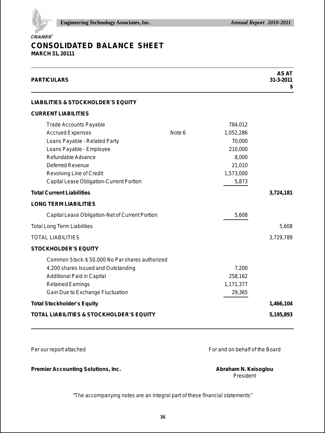

## **CRANES CONSOLIDATED BALANCE SHEET MARCH 31, 20111**

| <b>PARTICULARS</b>                                  |        |           | <b>ASAT</b><br>31-3-2011<br>\$ |
|-----------------------------------------------------|--------|-----------|--------------------------------|
| <b>LIABILITIES &amp; STOCKHOLDER'S EQUITY</b>       |        |           |                                |
| <b>CURRENT LIABILITIES</b>                          |        |           |                                |
| <b>Trade Accounts Payable</b>                       |        | 784,012   |                                |
| <b>Accrued Expenses</b>                             | Note 6 | 1,052,286 |                                |
| Loans Payable - Related Party                       |        | 70,000    |                                |
| Loans Payable - Employee                            |        | 210,000   |                                |
| Refundable Advance                                  |        | 8,000     |                                |
| Deferred Revenue                                    |        | 21,010    |                                |
| Revolving Line of Credit                            |        | 1,573,000 |                                |
| Capital Lease Obligation-Current Portion            |        | 5,873     |                                |
| <b>Total Current Liabilities</b>                    |        |           | 3,724,181                      |
| <b>LONG TERM LIABILITIES</b>                        |        |           |                                |
| Capital Lease Obligation-Net of Current Portion     |        | 5,608     |                                |
| <b>Total Long Term Liabilities</b>                  |        |           | 5,608                          |
| <b>TOTAL LIABILITIES</b>                            |        |           | 3,729,789                      |
| <b>STOCKHOLDER'S EQUITY</b>                         |        |           |                                |
| Common Stock-\$50,000 No Par shares authorized      |        |           |                                |
| 4,200 shares Issued and Outstanding                 |        | 7,200     |                                |
| Additional Paid in Capital                          |        | 258,162   |                                |
| <b>Retained Earnings</b>                            |        | 1,171,377 |                                |
| Gain Due to Exchange Fluctuation                    |        | 29,365    |                                |
| <b>Total Stockholder's Equity</b>                   |        |           | 1,466,104                      |
| <b>TOTAL LIABILITIES &amp; STOCKHOLDER'S EQUITY</b> |        |           | 5,195,893                      |

**Premier Accounting Solutions, Inc. Abraham N. Keisoglou** 

Per our report attached For and on behalf of the Board

President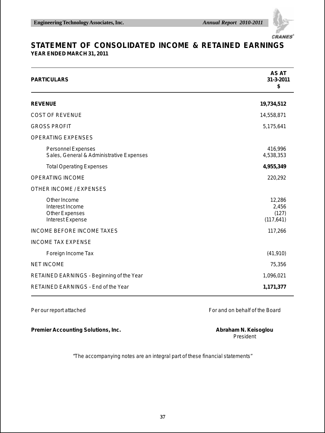

## **STATEMENT OF CONSOLIDATED INCOME & RETAINED EARNINGS YEAR ENDED MARCH 31, 2011**

| <b>PARTICULARS</b>                                                    | AS AT<br>31-3-2011<br>\$               |
|-----------------------------------------------------------------------|----------------------------------------|
| <b>REVENUE</b>                                                        | 19,734,512                             |
| <b>COST OF REVENUE</b>                                                | 14,558,871                             |
| <b>GROSS PROFIT</b>                                                   | 5,175,641                              |
| <b>OPERATING EXPENSES</b>                                             |                                        |
| <b>Personnel Expenses</b><br>Sales, General & Administrative Expenses | 416,996<br>4,538,353                   |
| <b>Total Operating Expenses</b>                                       | 4,955,349                              |
| OPERATING INCOME                                                      | 220,292                                |
| <b>OTHER INCOME / EXPENSES</b>                                        |                                        |
| Other Income<br>Interest Income<br>Other Expenses<br>Interest Expense | 12,286<br>2,456<br>(127)<br>(117, 641) |
| <b>INCOME BEFORE INCOME TAXES</b>                                     | 117,266                                |
| <b>INCOME TAX EXPENSE</b>                                             |                                        |
| Foreign Income Tax                                                    | (41, 910)                              |
| <b>NET INCOME</b>                                                     | 75,356                                 |
| RETAINED EARNINGS - Beginning of the Year                             | 1,096,021                              |
| RETAINED EARNINGS - End of the Year                                   | 1,171,377                              |

Per our report attached For and on behalf of the Board

**Premier Accounting Solutions, Inc. Abraham N. Keisoglou** 

President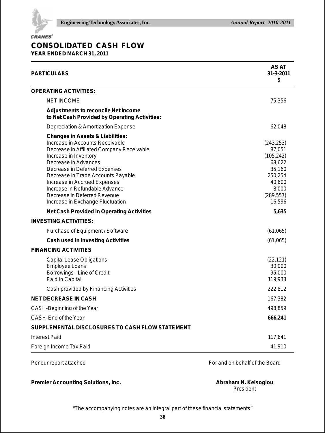

## **CRANES CONSOLIDATED CASH FLOW YEAR ENDED MARCH 31, 2011**

| <b>PARTICULARS</b>                                                                                                                                                                                                                                                                                                                                                             | AS AT<br>31-3-2011<br>\$                                                                                     |
|--------------------------------------------------------------------------------------------------------------------------------------------------------------------------------------------------------------------------------------------------------------------------------------------------------------------------------------------------------------------------------|--------------------------------------------------------------------------------------------------------------|
| <b>OPERATING ACTIVITIES:</b>                                                                                                                                                                                                                                                                                                                                                   |                                                                                                              |
| <b>NET INCOME</b>                                                                                                                                                                                                                                                                                                                                                              | 75,356                                                                                                       |
| Adjustments to reconcile Net Income<br>to Net Cash Provided by Operating Activities:                                                                                                                                                                                                                                                                                           |                                                                                                              |
| Depreciation & Amortization Expense                                                                                                                                                                                                                                                                                                                                            | 62,048                                                                                                       |
| Changes in Assets & Liabilities:<br>Increase in Accounts Receivable<br>Decrease in Affiliated Company Receivable<br>Increase in Inventory<br>Decrease in Advances<br>Decrease in Deferred Expenses<br>Decrease in Trade Accounts Payable<br>Increase in Accrued Expenses<br>Increase in Refundable Advance<br>Decrease in Deferred Revenue<br>Increase in Exchange Fluctuation | (243, 253)<br>87,051<br>(105, 242)<br>68,622<br>35,160<br>250,254<br>40,600<br>8,000<br>(289, 557)<br>16,596 |
| Net Cash Provided in Operating Activities<br><b>INVESTING ACTIVITIES:</b>                                                                                                                                                                                                                                                                                                      | 5,635                                                                                                        |
| Purchase of Equipment / Software                                                                                                                                                                                                                                                                                                                                               | (61,065)                                                                                                     |
| Cash used in Investing Activities                                                                                                                                                                                                                                                                                                                                              | (61,065)                                                                                                     |
| <b>FINANCING ACTIVITIES</b>                                                                                                                                                                                                                                                                                                                                                    |                                                                                                              |
| <b>Capital Lease Obligations</b><br>Employee Loans<br>Borrowings - Line of Credit<br>Paid In Capital                                                                                                                                                                                                                                                                           | (22, 121)<br>30,000<br>95,000<br>119,933                                                                     |
| Cash provided by Financing Activities                                                                                                                                                                                                                                                                                                                                          | 222,812                                                                                                      |
| <b>NET DECREASE IN CASH</b>                                                                                                                                                                                                                                                                                                                                                    | 167,382                                                                                                      |
| CASH-Beginning of the Year                                                                                                                                                                                                                                                                                                                                                     | 498,859                                                                                                      |
| CASH-End of the Year                                                                                                                                                                                                                                                                                                                                                           | 666,241                                                                                                      |
| SUPPLEMENTAL DISCLOSURES TO CASH FLOW STATEMENT                                                                                                                                                                                                                                                                                                                                |                                                                                                              |
| <b>Interest Paid</b>                                                                                                                                                                                                                                                                                                                                                           | 117,641                                                                                                      |
| Foreign Income Tax Paid                                                                                                                                                                                                                                                                                                                                                        | 41,910                                                                                                       |

Per our report attached For and on behalf of the Board

**Premier Accounting Solutions, Inc. Abraham N. Keisoglou** 

President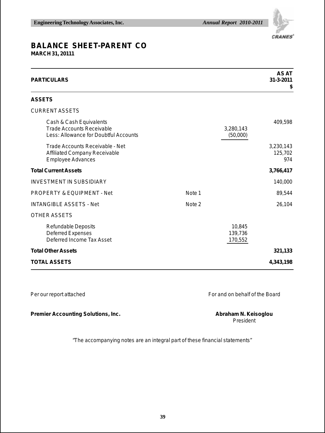

# **BALANCE SHEET-PARENT CO**

**MARCH 31, 20111**

| <b>PARTICULARS</b>                                                                                   |        |                              | <b>AS AT</b><br>31-3-2011<br>\$ |
|------------------------------------------------------------------------------------------------------|--------|------------------------------|---------------------------------|
| <b>ASSETS</b>                                                                                        |        |                              |                                 |
| <b>CURRENT ASSETS</b>                                                                                |        |                              |                                 |
| Cash & Cash Equivalents<br><b>Trade Accounts Receivable</b><br>Less: Allowance for Doubtful Accounts |        | 3,280,143<br>(50,000)        | 409,598                         |
| Trade Accounts Receivable - Net<br>Affiliated Company Receivable<br><b>Employee Advances</b>         |        |                              | 3,230,143<br>125,702<br>974     |
| <b>Total Current Assets</b>                                                                          |        |                              | 3,766,417                       |
| <b>INVESTMENT IN SUBSIDIARY</b>                                                                      |        |                              | 140,000                         |
| PROPERTY & EQUIPMENT - Net                                                                           | Note 1 |                              | 89,544                          |
| <b>INTANGIBLE ASSETS - Net</b>                                                                       | Note 2 |                              | 26,104                          |
| OTHER ASSETS                                                                                         |        |                              |                                 |
| Refundable Deposits<br>Deferred Expenses<br>Deferred Income Tax Asset                                |        | 10,845<br>139,736<br>170,552 |                                 |
| <b>Total Other Assets</b>                                                                            |        |                              | 321,133                         |
| <b>TOTAL ASSETS</b>                                                                                  |        |                              | 4,343,198                       |

Per our report attached For and on behalf of the Board

**Premier Accounting Solutions, Inc. Abraham N. Keisoglou** 

President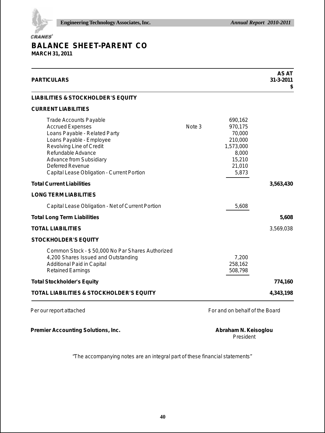

## **BALANCE SHEET-PARENT CO MARCH 31, 2011**

| <b>PARTICULARS</b>                                                                                                                                                                                                                                                                 |        |                                                                                            | <b>AS AT</b><br>31-3-2011<br>\$ |
|------------------------------------------------------------------------------------------------------------------------------------------------------------------------------------------------------------------------------------------------------------------------------------|--------|--------------------------------------------------------------------------------------------|---------------------------------|
| <b>LIABILITIES &amp; STOCKHOLDER'S EQUITY</b>                                                                                                                                                                                                                                      |        |                                                                                            |                                 |
| <b>CURRENT LIABILITIES</b>                                                                                                                                                                                                                                                         |        |                                                                                            |                                 |
| <b>Trade Accounts Payable</b><br><b>Accrued Expenses</b><br>Loans Payable - Related Party<br>Loans Payable - Employee<br>Revolving Line of Credit<br>Refundable Advance<br><b>Advance from Subsidiary</b><br><b>Deferred Revenue</b><br>Capital Lease Obligation - Current Portion | Note 3 | 690,162<br>970,175<br>70,000<br>210,000<br>1,573,000<br>8,000<br>15,210<br>21,010<br>5,873 |                                 |
| <b>Total Current Liabilities</b>                                                                                                                                                                                                                                                   |        |                                                                                            | 3,563,430                       |
| <b>LONG TERM LIABILITIES</b>                                                                                                                                                                                                                                                       |        |                                                                                            |                                 |
| Capital Lease Obligation - Net of Current Portion                                                                                                                                                                                                                                  |        | 5,608                                                                                      |                                 |
| <b>Total Long Term Liabilities</b>                                                                                                                                                                                                                                                 |        |                                                                                            | 5,608                           |
| <b>TOTAL LIABILITIES</b>                                                                                                                                                                                                                                                           |        |                                                                                            | 3,569,038                       |
| <b>STOCKHOLDER'S EQUITY</b>                                                                                                                                                                                                                                                        |        |                                                                                            |                                 |
| Common Stock - \$50,000 No Par Shares Authorized<br>4,200 Shares Issued and Outstanding<br>Additional Paid in Capital<br><b>Retained Earnings</b>                                                                                                                                  |        | 7,200<br>258,162<br>508,798                                                                |                                 |
| <b>Total Stockholder's Equity</b>                                                                                                                                                                                                                                                  |        |                                                                                            | 774,160                         |
| <b>TOTAL LIABILITIES &amp; STOCKHOLDER'S EQUITY</b>                                                                                                                                                                                                                                |        |                                                                                            | 4,343,198                       |
|                                                                                                                                                                                                                                                                                    |        |                                                                                            |                                 |

Per our report attached For and on behalf of the Board

**Premier Accounting Solutions, Inc. Abraham N. Keisoglou** 

President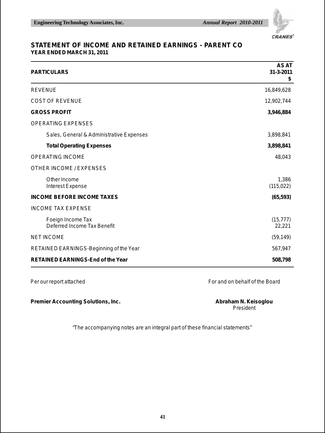

## **STATEMENT OF INCOME AND RETAINED EARNINGS - PARENT CO YEAR ENDED MARCH 31, 2011**

| <b>PARTICULARS</b>                               | <b>AS AT</b><br>31-3-2011<br>\$ |
|--------------------------------------------------|---------------------------------|
| <b>REVENUE</b>                                   | 16,849,628                      |
| <b>COST OF REVENUE</b>                           | 12,902,744                      |
| <b>GROSS PROFIT</b>                              | 3,946,884                       |
| <b>OPERATING EXPENSES</b>                        |                                 |
| Sales, General & Administrative Expenses         | 3,898,841                       |
| <b>Total Operating Expenses</b>                  | 3,898,841                       |
| OPERATING INCOME                                 | 48,043                          |
| OTHER INCOME / EXPENSES                          |                                 |
| Other Income<br>Interest Expense                 | 1,386<br>(115, 022)             |
| <b>INCOME BEFORE INCOME TAXES</b>                | (65, 593)                       |
| <b>INCOME TAX EXPENSE</b>                        |                                 |
| Foeign Income Tax<br>Deferred Income Tax Benefit | (15, 777)<br>22,221             |
| <b>NET INCOME</b>                                | (59, 149)                       |
| RETAINED EARNINGS-Beginning of the Year          | 567,947                         |
| <b>RETAINED EARNINGS-End of the Year</b>         | 508,798                         |

Per our report attached For and on behalf of the Board

**Premier Accounting Solutions, Inc. Abraham N. Keisoglou** 

President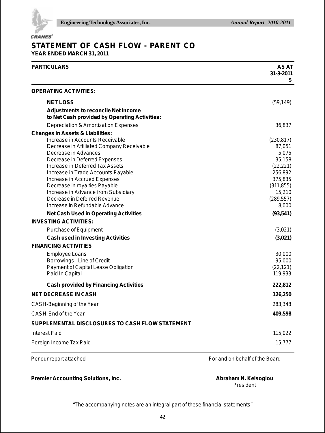

## **STATEMENT OF CASH FLOW - PARENT CO**

**YEAR ENDED MARCH 31, 2011**

| <b>PARTICULARS</b>                                                                   | <b>AS AT</b><br>31-3-2011 |
|--------------------------------------------------------------------------------------|---------------------------|
|                                                                                      | \$                        |
| <b>OPERATING ACTIVITIES:</b>                                                         |                           |
| <b>NET LOSS</b>                                                                      | (59, 149)                 |
| Adjustments to reconcile Net Income<br>to Net Cash provided by Operating Activities: |                           |
| Depreciation & Amortization Expenses                                                 | 36,837                    |
| <b>Changes in Assets &amp; Liabilities:</b>                                          |                           |
| Increase in Accounts Receivable                                                      | (230, 817)                |
| Decrease in Affiliated Company Receivable                                            | 87,051                    |
| Decrease in Advances                                                                 | 5,075                     |
| Decrease in Deferred Expenses<br>Increase in Deferred Tax Assets                     | 35,158<br>(22, 221)       |
| Increase in Trade Accounts Payable                                                   | 256,892                   |
| Increase in Accrued Expenses                                                         | 375,835                   |
| Decrease in royalties Payable                                                        | (311, 855)                |
| Increase in Advance from Subsidiary                                                  | 15,210                    |
| Decrease in Deferred Revenue                                                         | (289, 557)                |
| Increase in Refundable Advance                                                       | 8,000                     |
| Net Cash Used in Operating Activities                                                | (93, 541)                 |
| <b>INVESTING ACTIVITIES:</b>                                                         |                           |
| Purchase of Equipment                                                                | (3,021)                   |
| Cash used in Investing Activities                                                    | (3,021)                   |
| <b>FINANCING ACTIVITIES</b>                                                          |                           |
| Employee Loans                                                                       | 30,000                    |
| Borrowings - Line of Credit                                                          | 95,000                    |
| Payment of Capital Lease Obligation                                                  | (22, 121)                 |
| Paid In Capital                                                                      | 119,933                   |
| <b>Cash provided by Financing Activities</b>                                         | 222,812                   |
| <b>NET DECREASE IN CASH</b>                                                          | 126,250                   |
| CASH-Beginning of the Year                                                           | 283,348                   |
| CASH-End of the Year                                                                 | 409,598                   |
| SUPPLEMENTAL DISCLOSURES TO CASH FLOW STATEMENT                                      |                           |
| <b>Interest Paid</b>                                                                 | 115,022                   |
| Foreign Income Tax Paid                                                              | 15,777                    |
|                                                                                      |                           |

Per our report attached For and on behalf of the Board

**Premier Accounting Solutions, Inc. Abraham N. Keisoglou** 

President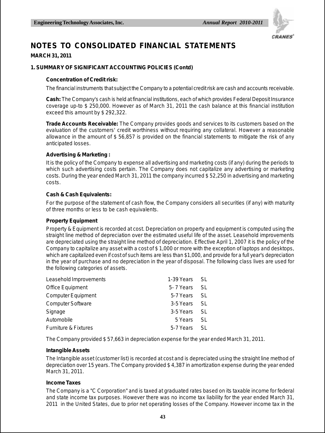

## **NOTES TO CONSOLIDATED FINANCIAL STATEMENTS**

## **MARCH 31, 2011**

## **1. SUMMARY OF SIGNIFICANT ACCOUNTING POLICIES (Contd)**

## **Concentration of Credit risk:**

The financial instruments that subject the Company to a potential credit risk are cash and accounts receivable.

**Cash:** The Company's cash is held at financial institutions, each of which provides Federal Deposit Insurance coverage up-to \$ 250,000. However as of March 31, 2011 the cash balance at this financial institution exceed this amount by \$ 292,322.

**Trade Accounts Receivable:** The Company provides goods and services to its customers based on the evaluation of the customers' credit worthiness without requiring any collateral. However a reasonable allowance in the amount of \$ 56,857 is provided on the financial statements to mitigate the risk of any anticipated losses.

## **Advertising & Marketing :**

It is the policy of the Company to expense all advertising and marketing costs (if any) during the periods to which such advertising costs pertain. The Company does not capitalize any advertising or marketing costs. During the year ended March 31, 2011 the company incurred \$ 52,250 in advertising and marketing costs.

## **Cash & Cash Equivalents:**

For the purpose of the statement of cash flow, the Company considers all securities (if any) with maturity of three months or less to be cash equivalents.

## **Property Equipment**

Property & Equipment is recorded at cost. Depreciation on property and equipment is computed using the straight line method of depreciation over the estimated useful life of the asset. Leasehold improvements are depreciated using the straight line method of depreciation. Effective April 1, 2007 it is the policy of the Company to capitalize any asset with a cost of \$ 1,000 or more with the exception of laptops and desktops, which are capitalized even if cost of such items are less than \$1,000, and provide for a full year's depreciation in the year of purchase and no depreciation in the year of disposal. The following class lives are used for the following categories of assets.

| Leasehold Improvements          | 1-39 Years SL |  |
|---------------------------------|---------------|--|
| Office Equipment                | 5-7 Years SL  |  |
| <b>Computer Equipment</b>       | 5-7 Years SL  |  |
| <b>Computer Software</b>        | 3-5 Years SL  |  |
| Signage                         | 3-5 Years SL  |  |
| Automobile                      | 5 Years SL    |  |
| <b>Furniture &amp; Fixtures</b> | 5-7 Years SL  |  |

The Company provided \$ 57,663 in depreciation expense for the year ended March 31, 2011.

## **Intangible Assets**

The Intangible asset (customer list) is recorded at cost and is depreciated using the straight line method of depreciation over 15 years. The Company provided \$ 4,387 in amortization expense during the year ended March 31, 2011.

## **Income Taxes**

The Company is a "C Corporation" and is taxed at graduated rates based on its taxable income for federal and state income tax purposes. However there was no income tax liability for the year ended March 31, 2011 in the United States, due to prior net operating losses of the Company. However income tax in the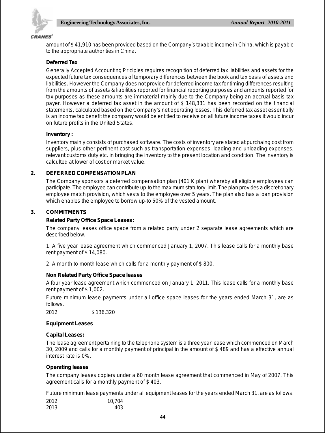

amount of \$ 41,910 has been provided based on the Company's taxable income in China, which is payable to the appropriate authorities in China.

### **Deferred Tax**

Generally Accepted Accounting Priciples requires recognition of deferred tax liabilities and assets for the expected future tax consequences of temporary differences between the book and tax basis of assets and liabilities. However the Company does not provide for deferred income tax for timing differences resulting from the amounts of assets & liabilities reported for financial reporting purposes and amounts reported for tax purposes as these amounts are immaterial mainly due to the Company being an accrual basis tax payer. However a deferred tax asset in the amount of \$ 148,331 has been recorded on the financial statements, calculated based on the Company's net operating losses. This deferred tax asset essentially is an income tax benefit the company would be entitled to receive on all future income taxes it would incur on future profits in the United States.

### **Inventory :**

Inventory mainly consists of purchased software. The costs of inventory are stated at purchaing cost from suppliers, plus other pertinent cost such as transportation expenses, loading and unloading expenses, relevant customs duty etc. in bringing the inventory to the present location and condition. The inventory is calculted at lower of cost or market value.

## **2. DEFERRED COMPENSATION PLAN**

The Company sponsors a deferred compensation plan (401 K plan) whereby all eligible employees can participate. The employee can contribute up-to the maximum statutory limit. The plan provides a discretionary employee match provision, which vests to the employee over 5 years. The plan also has a loan provision which enables the employee to borrow up-to 50% of the vested amount.

### **3. COMMITMENTS**

### **Related Party Office Space Leases:**

The company leases office space from a related party under 2 separate lease agreements which are described below.

1. A five year lease agreement which commenced January 1, 2007. This lease calls for a monthly base rent payment of \$ 14,080.

2. A month to month lease which calls for a monthly payment of \$ 800.

### **Non Related Party Office Space leases**

A four year lease agreement which commenced on January 1, 2011. This lease calls for a monthly base rent payment of \$ 1,002.

Future minimum lease payments under all office space leases for the years ended March 31, are as follows.

2012 \$ 136,320

### **Equipment Leases**

## **Capital Leases:**

The lease agreement pertaining to the telephone system is a three year lease which commenced on March 30, 2009 and calls for a monthly payment of principal in the amount of \$ 489 and has a effective annual interest rate is 0%.

### **Operating leases**

The company leases copiers under a 60 month lease agreement that commenced in May of 2007. This agreement calls for a monthly payment of \$ 403.

Future minimum lease payments under all equipment leases for the years ended March 31, are as follows.

2012 10,704<br>2013 10,704 2013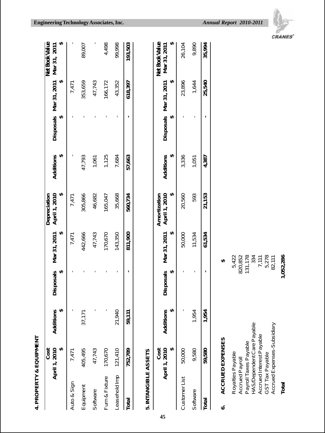| 4. PROPERTY & EQUIPMENT |                                                     |                |                                            |                   |                                    |                |    |                              |                                                                 |
|-------------------------|-----------------------------------------------------|----------------|--------------------------------------------|-------------------|------------------------------------|----------------|----|------------------------------|-----------------------------------------------------------------|
|                         | April 1, 2010<br>↮<br>Cost                          | ↮<br>Additions | <b>Disposals</b><br>$\boldsymbol{\varphi}$ | ↮<br>Mar 31, 2011 | ↮<br>April 1, 2010<br>Depreciation | Additions<br>↮ | ↮  | ِص<br>Disposals Mar 31, 2011 | <b>Net Book Value</b><br>$\boldsymbol{\varphi}$<br>Mar 31, 2011 |
| Auto & Sign             | 7,471                                               |                |                                            | 7,471             | 7,471                              |                |    | 7,471                        |                                                                 |
| Equipment               | 405,495                                             | 37,171         |                                            | 442,666           | 305,866                            | 47,793         |    | 353,659                      | 89,007                                                          |
| Software                | 47,743                                              |                |                                            | 47,743            | 46,682                             | 1,061          |    | 47,743                       | 1                                                               |
| Furn & Fixture          | 170,670                                             |                |                                            | 170,670           | 165,047                            | 1,125          |    | 166,172                      | 4,498                                                           |
| Leasehold Imp           | 121,410                                             | 21,940         |                                            | 143,350           | 35,668                             | 7,684          |    | 43,352                       | 99,998                                                          |
| Total                   | 752,789                                             | 59,111         |                                            | 811,900           | 560,734                            | 57,663         |    | 618,397                      | 193,503                                                         |
| 5. INTANGIBLE ASSETS    | Cost                                                |                |                                            |                   | Amortization                       |                |    |                              | Net Book Value                                                  |
|                         | April 1, 2010<br>↮                                  | ↮<br>Additions | Disposals<br>ِص                            | ↮<br>Mar 31, 2011 | ↮<br>April 1, 2010                 | Additions<br>↮ | ِص | ↮<br>Disposals Mar 31, 2011  | $\boldsymbol{\varphi}$<br>Mar 31, 2011                          |
| Customer List           | 50,000                                              |                |                                            | 50,000            | 20,560                             | 3,336          |    | 23,896                       | 26,104                                                          |
| Software                | 9,580                                               | 1,954          |                                            | 11,534            | 593                                | 1,051          | ı  | 1,644                        | 9,890                                                           |
| Total                   | 59,580                                              | 1,954          |                                            | 61,534            | 21,153                             | 4,387          | ٠  | 25,540                       | 35,994                                                          |
| ن.                      | ACCRUED EXPENSES                                    |                |                                            | ↔                 |                                    |                |    |                              |                                                                 |
|                         | Royalties Payable                                   |                |                                            | 5,422             |                                    |                |    |                              |                                                                 |
| Accrued Payroll         |                                                     |                |                                            | 820,852           |                                    |                |    |                              |                                                                 |
|                         | HAS/Dependent Care Payable<br>Payroll Taxes Payable |                |                                            | 131,178<br>334    |                                    |                |    |                              |                                                                 |
|                         | Accrued Interest Payable                            |                |                                            | 7,111<br>5,278    |                                    |                |    |                              |                                                                 |
|                         | GST Tax Payable                                     |                |                                            |                   |                                    |                |    |                              |                                                                 |
|                         | Accrued Expenses-Subsidiary                         |                |                                            | 82,111            |                                    |                |    |                              |                                                                 |

GST Tax Payable 5,278 Accrued Expenses-Subsidiary 82,111 **Total 1,052,286**

Total

1,052,286



**45**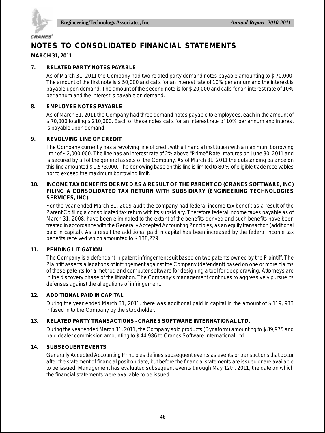

## **NOTES TO CONSOLIDATED FINANCIAL STATEMENTS**

**MARCH 31, 2011**

## **7. RELATED PARTY NOTES PAYABLE**

As of March 31, 2011 the Company had two related party demand notes payable amounting to \$ 70,000. The amount of the first note is \$ 50,000 and calls for an interest rate of 10% per annum and the interest is payable upon demand. The amount of the second note is for \$ 20,000 and calls for an interest rate of 10% per annum and the interest is payable on demand.

## **8. EMPLOYEE NOTES PAYABLE**

As of March 31, 2011 the Company had three demand notes payable to employees, each in the amount of \$ 70,000 totaling \$ 210,000. Each of these notes calls for an interest rate of 10% per annum and interest is payable upon demand.

## **9. REVOLVING LINE OF CREDIT**

The Company currently has a revolving line of credit with a financial institution with a maximum borrowing limit of \$ 2,000,000. The line has an interest rate of 2% above "Prime" Rate, matures on June 30, 2011 and is secured by all of the general assets of the Company. As of March 31, 2011 the outstanding balance on this line amounted \$ 1,573,000. The borrowing base on this line is limited to 80 % of eligible trade receivables not to exceed the maximum borrowing limit.

## **10. INCOME TAX BENEFITS DERIVED AS A RESULT OF THE PARENT CO (CRANES SOFTWARE, INC) FILING A CONSOLIDATED TAX RETURN WITH SUBSIDIARY (ENGINEERING TECHNOLOGIES SERVICES, INC).**

For the year ended March 31, 2009 audit the company had federal income tax benefit as a result of the Parent Co filing a consolidated tax return with its subsidiary. Therefore federal income taxes payable as of March 31, 2008, have been eliminated to the extant of the benefits derived and such benefits have been treated in accordance with the Generally Accepted Accounting Principles, as an equity transaction (additional paid in capital). As a result the additional paid in capital has been increased by the federal income tax benefits received which amounted to \$ 138,229.

## **11. PENDING LITIGATION**

The Company is a defendant in patent infringement suit based on two patents owned by the Plaintiff. The Plaintiff asserts allegations of infringement against the Company (defendant) based on one or more claims of these patents for a method and computer software for designing a tool for deep drawing. Attorneys are in the discovery phase of the litigation. The Company's management continues to aggressively pursue its defenses against the allegations of infringement.

## **12. ADDITIONAL PAID IN CAPITAL**

During the year ended March 31, 2011, there was additional paid in capital in the amount of \$ 119, 933 infused in to the Company by the stockholder.

## **13. RELATED PARTY TRANSACTIONS - CRANES SOFTWARE INTERNATIONAL LTD.**

During the year ended March 31, 2011, the Company sold products (Dynaform) amounting to \$ 89,975 and paid dealer commission amounting to \$ 44,986 to Cranes Software International Ltd.

## **14. SUBSEQUENT EVENTS**

Generally Accepted Accounting Principles defines subsequent events as events or transactions that occur after the statement of financial position date, but before the financial statements are issued or are available to be issued. Management has evaluated subsequent events through May 12th, 2011, the date on which the financial statements were available to be issued.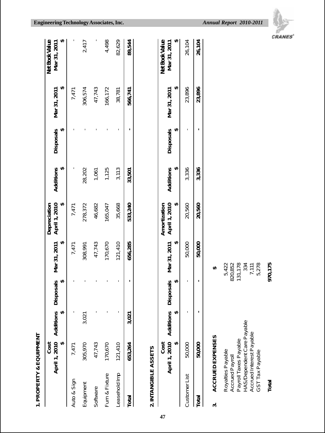| 1. PROPERTY & EQUIPMENT |                                                                                 |                |           |                                  |                                    |                |                |                   |                                                          |
|-------------------------|---------------------------------------------------------------------------------|----------------|-----------|----------------------------------|------------------------------------|----------------|----------------|-------------------|----------------------------------------------------------|
|                         | April 1, 2010<br>↮<br>Cost                                                      | Additions<br>↮ | Disposals | ο<br>Mar 31, 2011                | ↮<br>April 1, 2010<br>Depreciation | Additions<br>↮ | Disposals<br>↮ | ↮<br>Mar 31, 2011 | ↮<br>Net Book Value<br>Mar 31, 2011                      |
| Auto & Sign             | 7,471                                                                           |                |           | 7,471                            | 7,471                              |                |                | 7,471             |                                                          |
| Equipment               | 305,970                                                                         | 3,021          |           | 308,991                          | 278,372                            | 28,202         |                | 306,574           | 2,417                                                    |
| Software                | 47,743                                                                          |                |           | 47,743                           | 46,682                             | 1,061          |                | 47,743            |                                                          |
| Furn & Fixture          | 170,670                                                                         |                |           | 170,670                          | 165,047                            | 1,125          |                | 166,172           | 4,498                                                    |
| Leasehold Imp           | 121,410                                                                         |                |           | 121,410                          | 35,668                             | 3,113          |                | 38,781            | 82,629                                                   |
| Total                   | 653,264                                                                         | 3,021          |           | 656,285                          | 533,240                            | 33,501         | ı              | 566,741           | 89,544                                                   |
| 2. INTANGIBLE ASSETS    |                                                                                 |                |           |                                  |                                    |                |                |                   |                                                          |
|                         | April 1, 2010<br>$\bullet$<br>Cost                                              | Additions<br>↮ | Disposals | ↮<br>Mar 31, 2011                | S<br>April 1, 2010<br>Amortization | Additions<br>H | Disposals<br>↮ | ↮<br>Mar 31, 2011 | $\boldsymbol{\varphi}$<br>Net Book Value<br>Mar 31, 2011 |
| Customer List           | 50,000                                                                          |                |           | 50,000                           | 20,560                             | 3,336          | 1              | 23,896            | 26,104                                                   |
| Total                   | 50,000                                                                          |                |           | 50,000                           | 20,560                             | 3,336          | ٠              | 23,896            | 26,104                                                   |
| က                       | ACCRUED EXPENSES                                                                |                |           | ↔                                |                                    |                |                |                   |                                                          |
| Accrued Payroll         | Royalties Payable                                                               |                |           | 820,852<br>5,422                 |                                    |                |                |                   |                                                          |
| GST Tax Payable         | HAS/Dependent Care Payable<br>Accrued Interest Payable<br>Payroll Taxes Payable |                |           | 131,178<br>5,278<br>334<br>7,111 |                                    |                |                |                   |                                                          |
| Total                   |                                                                                 |                |           | 970,175                          |                                    |                |                |                   | ¢                                                        |

## **Engineering Technology Associates, Inc.**



**47**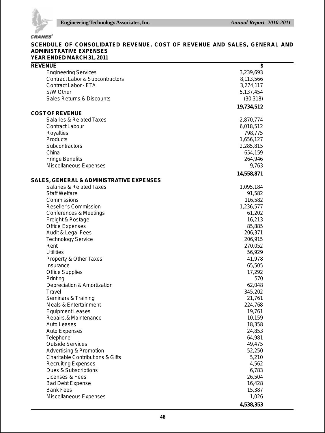

**SCEHDULE OF CONSOLIDATED REVENUE, COST OF REVENUE AND SALES, GENERAL AND ADMINISTRATIVE EXPENSES**

## **YEAR ENDED MARCH 31, 2011**

| <b>REVENUE</b>                                      | \$         |  |
|-----------------------------------------------------|------------|--|
| <b>Engineering Services</b>                         | 3,239,693  |  |
| <b>Contract Labor &amp; Subcontractors</b>          | 8,113,566  |  |
| Contract Labor - ETA                                | 3,274,117  |  |
| S/W Other                                           | 5,137,454  |  |
| Sales Returns & Discounts                           | (30, 318)  |  |
|                                                     | 19,734,512 |  |
| <b>COST OF REVENUE</b>                              |            |  |
| Salaries & Related Taxes                            | 2,870,774  |  |
| <b>Contract Labour</b>                              | 6,018,512  |  |
| Royalties                                           | 798,775    |  |
| Products                                            | 1,656,127  |  |
| Subcontractors                                      | 2,285,815  |  |
| China                                               | 654,159    |  |
| <b>Fringe Benefits</b>                              | 264,946    |  |
| Miscellaneous Expenses                              | 9,763      |  |
|                                                     | 14,558,871 |  |
| <b>SALES, GENERAL &amp; ADMINISTRATIVE EXPENSES</b> |            |  |
| <b>Salaries &amp; Related Taxes</b>                 | 1,095,184  |  |
| <b>Staff Welfare</b>                                | 91,582     |  |
| Commissions                                         | 116,582    |  |
| <b>Reseller's Commission</b>                        | 1,236,577  |  |
| Conferences & Meetings                              | 61,202     |  |
| Freight & Postage                                   | 16,213     |  |
| <b>Office Expenses</b>                              | 85,885     |  |
| Audit & Legal Fees                                  | 206,371    |  |
| <b>Technology Service</b>                           | 206,915    |  |
| Rent                                                | 270,052    |  |
| <b>Utilities</b>                                    | 56,929     |  |
| Property & Other Taxes                              | 41,978     |  |
| Insurance                                           | 65,505     |  |
| <b>Office Supplies</b>                              | 17,292     |  |
| Printing                                            | 570        |  |
| Depreciation & Amortization                         | 62,048     |  |
| Travel                                              | 345,202    |  |
| <b>Seminars &amp; Training</b>                      | 21,761     |  |
| Meals & Entertainment                               | 224,768    |  |
| <b>Equipment Leases</b>                             | 19,761     |  |
| Repairs.& Maintenance                               | 10,159     |  |
| Auto Leases                                         | 18,358     |  |
| <b>Auto Expenses</b>                                | 24,853     |  |
| Telephone                                           | 64,981     |  |
| <b>Outside Services</b>                             | 49,475     |  |
| <b>Advertising &amp; Promotion</b>                  | 52,250     |  |
| Charitable Contributions & Gifts                    | 5,210      |  |
| <b>Recruiting Expenses</b>                          | 4,562      |  |
| Dues & Subscriptions                                | 6,783      |  |
| Licenses & Fees                                     | 26,504     |  |
| <b>Bad Debt Expense</b>                             | 16,428     |  |
| <b>Bank Fees</b>                                    | 15,387     |  |
| Miscellaneous Expenses                              | 1,026      |  |
|                                                     | 4,538,353  |  |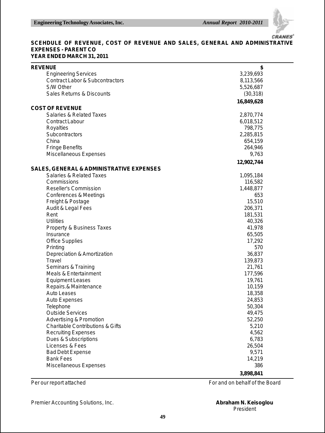

## **SCEHDULE OF REVENUE, COST OF REVENUE AND SALES, GENERAL AND ADMINISTRATIVE EXPENSES - PARENT CO YEAR ENDED MARCH 31, 2011**

| <b>REVENUE</b>                                      | \$         |  |
|-----------------------------------------------------|------------|--|
| <b>Engineering Services</b>                         | 3,239,693  |  |
| <b>Contract Labor &amp; Subcontractors</b>          | 8,113,566  |  |
| S/W Other                                           | 5,526,687  |  |
| Sales Returns & Discounts                           | (30, 318)  |  |
|                                                     | 16,849,628 |  |
| <b>COST OF REVENUE</b>                              |            |  |
| Salaries & Related Taxes                            | 2,870,774  |  |
| <b>Contract Labour</b>                              | 6,018,512  |  |
| Royalties                                           | 798,775    |  |
| Subcontractors                                      | 2,285,815  |  |
| China                                               | 654,159    |  |
| <b>Fringe Benefits</b>                              | 264,946    |  |
| Miscellaneous Expenses                              | 9,763      |  |
|                                                     | 12,902,744 |  |
| <b>SALES, GENERAL &amp; ADMINISTRATIVE EXPENSES</b> |            |  |
| Salaries & Related Taxes                            | 1,095,184  |  |
| Commissions                                         | 116,582    |  |
| Reseller's Commission                               | 1,448,877  |  |
| Conferences & Meetings                              | 653        |  |
| Freight & Postage                                   | 15,510     |  |
| Audit & Legal Fees                                  | 206,371    |  |
| Rent                                                | 181,531    |  |
| <b>Utilities</b>                                    | 40,326     |  |
| Property & Business Taxes                           | 41,978     |  |
| Insurance                                           | 65,505     |  |
| <b>Office Supplies</b>                              | 17,292     |  |
| Printing                                            | 570        |  |
| Depreciation & Amortization                         | 36,837     |  |
| Travel                                              | 139,873    |  |
| <b>Seminars &amp; Training</b>                      | 21,761     |  |
| Meals & Entertainment                               | 177,596    |  |
| <b>Equipment Leases</b>                             | 19,761     |  |
| Repairs.& Maintenance                               | 10,159     |  |
| Auto Leases                                         | 18,358     |  |
| <b>Auto Expenses</b>                                | 24,853     |  |
| Telephone                                           |            |  |
| <b>Outside Services</b>                             | 50,304     |  |
|                                                     | 49,475     |  |
| <b>Advertising &amp; Promotion</b>                  | 52,250     |  |
| <b>Charitable Contributions &amp; Gifts</b>         | 5,210      |  |
| <b>Recruiting Expenses</b>                          | 4,562      |  |
| Dues & Subscriptions                                | 6,783      |  |
| Licenses & Fees                                     | 26,504     |  |
| <b>Bad Debt Expense</b>                             | 9,571      |  |
| <b>Bank Fees</b>                                    | 14,219     |  |
| Miscellaneous Expenses                              | 386        |  |
|                                                     | 3,898,841  |  |

Per our report attached For and on behalf of the Board

Premier Accounting Solutions, Inc. **Abraham N. Keisoglou**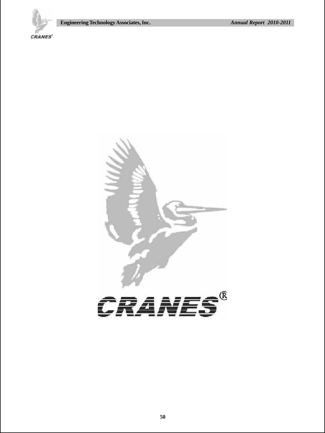



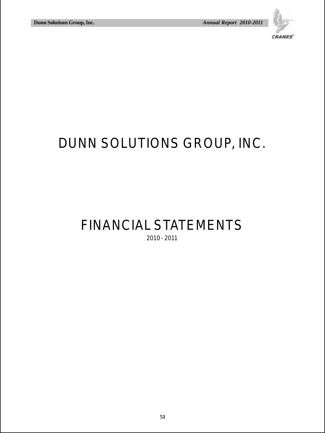

# DUNN SOLUTIONS GROUP, INC.

# FINANCIAL STATEMENTS

2010 - 2011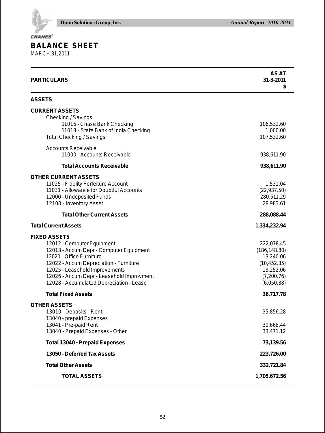

**Dunn Solutions Group, Inc.**

## **CRANES BALANCE SHEET**

MARCH 31,2011

| <b>PARTICULARS</b>                                                                                                                                                                                                                                                                            | AS AT<br>31-3-2011<br>\$                                                                          |
|-----------------------------------------------------------------------------------------------------------------------------------------------------------------------------------------------------------------------------------------------------------------------------------------------|---------------------------------------------------------------------------------------------------|
| <b>ASSETS</b>                                                                                                                                                                                                                                                                                 |                                                                                                   |
| <b>CURRENT ASSETS</b><br>Checking / Savings<br>11016 - Chase Bank Checking<br>11018 - State Bank of India Checking<br><b>Total Checking / Savings</b>                                                                                                                                         | 106,532.60<br>1,000.00<br>107,532.60                                                              |
| <b>Accounts Receivable</b><br>11000 - Accounts Receivable                                                                                                                                                                                                                                     | 938,611.90                                                                                        |
| <b>Total Accounts Receivable</b>                                                                                                                                                                                                                                                              | 938,611.90                                                                                        |
| <b>OTHER CURRENT ASSETS</b><br>11025 - Fidelity Forfeiture Account<br>11031 - Allowance for Doubtful Accounts<br>12000 - Undeposited Funds<br>12100 - Inventory Asset                                                                                                                         | 1,531.04<br>(22,937.50)<br>280,511.29<br>28,983.61                                                |
| <b>Total Other Current Assets</b>                                                                                                                                                                                                                                                             | 288,088.44                                                                                        |
| <b>Total Current Assets</b>                                                                                                                                                                                                                                                                   | 1,334,232.94                                                                                      |
| <b>FIXED ASSETS</b><br>12012 - Computer Equipment<br>12013 - Accum Depr - Computer Equipment<br>12020 - Office Furniture<br>12022 - Accum Depreciation - Furniture<br>12025 - Leasehold Improvements<br>12026 - Accum Depr - Leasehold Improvment<br>12028 - Accumulated Depreciation - Lease | 222,078.45<br>(186, 148.80)<br>13,240.06<br>(10, 452.35)<br>13,252.06<br>(7,200.76)<br>(6,050.88) |
| <b>Total Fixed Assets</b>                                                                                                                                                                                                                                                                     | 38,717.78                                                                                         |
| <b>OTHER ASSETS</b><br>13010 - Deposits - Rent<br>13040 - prepaid Expenses<br>13041 - Pre-paid Rent<br>13040 - Prepaid Expenses - Other                                                                                                                                                       | 35,856.28<br>39,668.44<br>33,471.12                                                               |
| <b>Total 13040 - Prepaid Expenses</b>                                                                                                                                                                                                                                                         | 73,139.56                                                                                         |
| 13050 - Deferred Tax Assets                                                                                                                                                                                                                                                                   | 223,726.00                                                                                        |
| <b>Total Other Assets</b>                                                                                                                                                                                                                                                                     | 332,721.84                                                                                        |
| <b>TOTAL ASSETS</b>                                                                                                                                                                                                                                                                           | 1,705,672.56                                                                                      |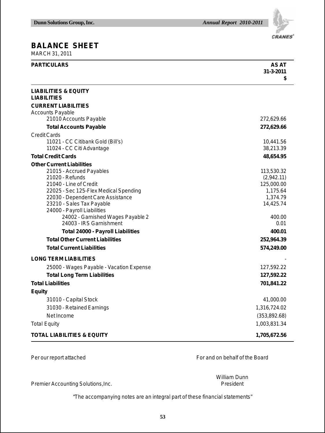

## **BALANCE SHEET**

MARCH 31, 2011

| <b>PARTICULARS</b>                                | AS AT<br>31-3-2011<br>\$ |
|---------------------------------------------------|--------------------------|
| <b>LIABILITIES &amp; EQUITY</b>                   |                          |
| <b>LIABILITIES</b>                                |                          |
| <b>CURRENT LIABILITIES</b>                        |                          |
| <b>Accounts Payable</b><br>21010 Accounts Payable | 272,629.66               |
| <b>Total Accounts Payable</b>                     | 272,629.66               |
| <b>Credit Cards</b>                               |                          |
| 11021 - CC Citibank Gold (Bill's)                 | 10,441.56                |
| 11024 - CC Citi Advantage                         | 38,213.39                |
| <b>Total Credit Cards</b>                         | 48,654.95                |
| <b>Other Current Liabilities</b>                  |                          |
| 21015 - Accrued Payables                          | 113,530.32               |
| 21020 - Refunds<br>21040 - Line of Credit         | (2,942.11)<br>125,000.00 |
| 22025 - Sec 125-Flex Medical Spending             | 1,175.64                 |
| 22030 - Dependent Care Assistance                 | 1,374.79                 |
| 23210 - Sales Tax Payable                         | 14,425.74                |
| 24000 - Payroll Liabilities                       |                          |
| 24002 - Garnished Wages Payable 2                 | 400.00                   |
| 24003 - IRS Garnishment                           | 0.01                     |
| Total 24000 - Payroll Liabilities                 | 400.01                   |
| Total Other Current Liabilities                   | 252,964.39               |
| <b>Total Current Liabilities</b>                  | 574,249.00               |
| <b>LONG TERM LIABILITIES</b>                      |                          |
| 25000 - Wages Payable - Vacation Expense          | 127,592.22               |
| <b>Total Long Term Liabilities</b>                | 127,592.22               |
| <b>Total Liabilities</b>                          | 701,841.22               |
| Equity                                            |                          |
| 31010 - Capital Stock                             | 41,000.00                |
| 31030 - Retained Earnings                         | 1,316,724.02             |
| Net Income                                        | (353,892.68)             |
| <b>Total Equity</b>                               | 1,003,831.34             |
| <b>TOTAL LIABILITIES &amp; EQUITY</b>             | 1,705,672.56             |

Per our report attached For and on behalf of the Board

Premier Accounting Solutions, Inc.

William Dunn<br>President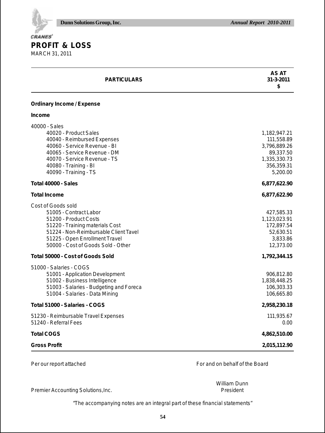

**Dunn Solutions Group, Inc.**

## **CRANES PROFIT & LOSS** MARCH 31, 2011

| <b>PARTICULARS</b>                                                                                                                                                                                                        | <b>AS AT</b><br>31-3-2011<br>\$                                                                   |
|---------------------------------------------------------------------------------------------------------------------------------------------------------------------------------------------------------------------------|---------------------------------------------------------------------------------------------------|
| Ordinary Income / Expense                                                                                                                                                                                                 |                                                                                                   |
| Income                                                                                                                                                                                                                    |                                                                                                   |
| 40000 - Sales<br>40020 - Product Sales<br>40040 - Reimbursed Expenses<br>40060 - Service Revenue - Bl<br>40065 - Service Revenue - DM<br>40070 - Service Revenue - TS<br>40080 - Training - BI<br>40090 - Training - TS   | 1,182,947.21<br>111,558.89<br>3,796,889.26<br>89,337.50<br>1,335,330.73<br>356,359.31<br>5,200.00 |
| Total 40000 - Sales                                                                                                                                                                                                       | 6,877,622.90                                                                                      |
| <b>Total Income</b>                                                                                                                                                                                                       | 6,877,622.90                                                                                      |
| Cost of Goods sold<br>51005 - Contract Labor<br>51200 - Product Costs<br>51220 - Training materials Cost<br>51224 - Non-Reimbursable Client Tavel<br>51225 - Open Enrollment Travel<br>50000 - Cost of Goods Sold - Other | 427,585.33<br>1,123,023.91<br>172,897.54<br>52,630.51<br>3,833.86<br>12,373.00                    |
| Total 50000 - Cost of Goods Sold                                                                                                                                                                                          | 1,792,344.15                                                                                      |
| 51000 - Salaries - COGS<br>51001 - Application Development<br>51002 - Business Intelligence<br>51003 - Salaries - Budgeting and Foreca<br>51004 - Salaries - Data Mining                                                  | 906,812.80<br>1,838,448.25<br>106,303.33<br>106,665.80                                            |
| Total 51000 - Salaries - COGS                                                                                                                                                                                             | 2,958,230.18                                                                                      |
| 51230 - Reimbursable Travel Expenses<br>51240 - Referral Fees                                                                                                                                                             | 111,935.67<br>0.00                                                                                |
| <b>Total COGS</b>                                                                                                                                                                                                         | 4,862,510.00                                                                                      |
| <b>Gross Profit</b>                                                                                                                                                                                                       | 2,015,112.90                                                                                      |

Per our report attached For and on behalf of the Board

Premier Accounting Solutions, Inc.

William Dunn<br>President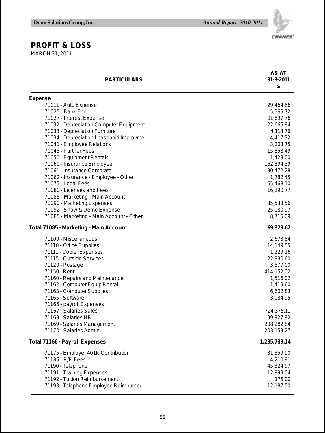

## **PROFIT & LOSS**

MARCH 31, 2011

| <b>Expense</b><br>71011 - Auto Expense<br>71025 - Bank Fee<br>11,897.76<br>71027 - Interest Expense<br>71032 - Depreciation Computer Equipment<br>71033 - Depreciation Furniture<br>71034 - Depreciation Leasehold Improvme<br>71041 - Employee Relations<br>71045 - Partner Fees<br>71050 - Equipment Rentals<br>71060 - Insurance Employee<br>71061 - Insurance Corporate<br>71062 - Insurance - Employee - Other<br>71075 - Legal Fees<br>71080 - Licenses and Fees<br>71085 - Marketing - Main Account<br>71090 - Marketing Expenses<br>71092 - Show & Demo Expense<br>71085 - Marketing - Main Account - Other<br>Total 71085 - Marketing - Main Account<br>71100 - Miscellaneous | <b>PARTICULARS</b>      | <b>AS AT</b><br>31-3-2011<br>\$ |
|----------------------------------------------------------------------------------------------------------------------------------------------------------------------------------------------------------------------------------------------------------------------------------------------------------------------------------------------------------------------------------------------------------------------------------------------------------------------------------------------------------------------------------------------------------------------------------------------------------------------------------------------------------------------------------------|-------------------------|---------------------------------|
|                                                                                                                                                                                                                                                                                                                                                                                                                                                                                                                                                                                                                                                                                        |                         |                                 |
|                                                                                                                                                                                                                                                                                                                                                                                                                                                                                                                                                                                                                                                                                        |                         | 29,464.86                       |
|                                                                                                                                                                                                                                                                                                                                                                                                                                                                                                                                                                                                                                                                                        |                         | 5,565.72                        |
|                                                                                                                                                                                                                                                                                                                                                                                                                                                                                                                                                                                                                                                                                        |                         |                                 |
|                                                                                                                                                                                                                                                                                                                                                                                                                                                                                                                                                                                                                                                                                        |                         | 22,665.84                       |
|                                                                                                                                                                                                                                                                                                                                                                                                                                                                                                                                                                                                                                                                                        |                         | 4,118.76                        |
|                                                                                                                                                                                                                                                                                                                                                                                                                                                                                                                                                                                                                                                                                        |                         | 4,417.32                        |
|                                                                                                                                                                                                                                                                                                                                                                                                                                                                                                                                                                                                                                                                                        |                         | 3,203.75                        |
|                                                                                                                                                                                                                                                                                                                                                                                                                                                                                                                                                                                                                                                                                        |                         | 15,858.49                       |
|                                                                                                                                                                                                                                                                                                                                                                                                                                                                                                                                                                                                                                                                                        |                         | 1,423.00                        |
|                                                                                                                                                                                                                                                                                                                                                                                                                                                                                                                                                                                                                                                                                        |                         | 162,394.39                      |
|                                                                                                                                                                                                                                                                                                                                                                                                                                                                                                                                                                                                                                                                                        |                         | 30,472.28                       |
|                                                                                                                                                                                                                                                                                                                                                                                                                                                                                                                                                                                                                                                                                        |                         | 1,782.45                        |
|                                                                                                                                                                                                                                                                                                                                                                                                                                                                                                                                                                                                                                                                                        |                         | 65,468.10                       |
|                                                                                                                                                                                                                                                                                                                                                                                                                                                                                                                                                                                                                                                                                        |                         | 16,290.77                       |
|                                                                                                                                                                                                                                                                                                                                                                                                                                                                                                                                                                                                                                                                                        |                         |                                 |
|                                                                                                                                                                                                                                                                                                                                                                                                                                                                                                                                                                                                                                                                                        |                         | 35,533.56                       |
|                                                                                                                                                                                                                                                                                                                                                                                                                                                                                                                                                                                                                                                                                        |                         | 25,080.97                       |
|                                                                                                                                                                                                                                                                                                                                                                                                                                                                                                                                                                                                                                                                                        |                         | 8,715.09                        |
|                                                                                                                                                                                                                                                                                                                                                                                                                                                                                                                                                                                                                                                                                        |                         | 69,329.62                       |
|                                                                                                                                                                                                                                                                                                                                                                                                                                                                                                                                                                                                                                                                                        |                         | 2,673.84                        |
|                                                                                                                                                                                                                                                                                                                                                                                                                                                                                                                                                                                                                                                                                        | 71110 - Office Supplies | 14,149.55                       |
| 71111 - Copier Expenses                                                                                                                                                                                                                                                                                                                                                                                                                                                                                                                                                                                                                                                                |                         | 1,229.16                        |
| 71115 - Outside Services                                                                                                                                                                                                                                                                                                                                                                                                                                                                                                                                                                                                                                                               |                         | 22,930.60                       |
| 71120 - Postage                                                                                                                                                                                                                                                                                                                                                                                                                                                                                                                                                                                                                                                                        |                         | 3,577.00                        |
| 71150 - Rent                                                                                                                                                                                                                                                                                                                                                                                                                                                                                                                                                                                                                                                                           |                         | 414,152.02                      |
| 71160 - Repairs and Maintenance                                                                                                                                                                                                                                                                                                                                                                                                                                                                                                                                                                                                                                                        |                         | 1,516.02                        |
| 71162 - Computer Equip Rental                                                                                                                                                                                                                                                                                                                                                                                                                                                                                                                                                                                                                                                          |                         | 1,419.60                        |
| 71163 - Computer Supplies                                                                                                                                                                                                                                                                                                                                                                                                                                                                                                                                                                                                                                                              |                         | 6,602.83                        |
| 71165 - Software                                                                                                                                                                                                                                                                                                                                                                                                                                                                                                                                                                                                                                                                       |                         | 3,084.95                        |
| 71166 - payroll Expenses                                                                                                                                                                                                                                                                                                                                                                                                                                                                                                                                                                                                                                                               |                         |                                 |
| 71167 - Salaries Sales                                                                                                                                                                                                                                                                                                                                                                                                                                                                                                                                                                                                                                                                 |                         | 724,375.11                      |
| 71168 - Salaries HR                                                                                                                                                                                                                                                                                                                                                                                                                                                                                                                                                                                                                                                                    |                         | 99,927.92                       |
| 71169 - Salaries Management                                                                                                                                                                                                                                                                                                                                                                                                                                                                                                                                                                                                                                                            |                         | 208,282.84                      |
| 71170 - Salaries Admin.                                                                                                                                                                                                                                                                                                                                                                                                                                                                                                                                                                                                                                                                |                         | 203,153.27                      |
| <b>Total 71166 - Payroll Expenses</b>                                                                                                                                                                                                                                                                                                                                                                                                                                                                                                                                                                                                                                                  |                         | 1,235,739.14                    |
| 71175 - Employer 401K Contribution                                                                                                                                                                                                                                                                                                                                                                                                                                                                                                                                                                                                                                                     |                         | 31,359.90                       |
| 71185 - P/R Fees                                                                                                                                                                                                                                                                                                                                                                                                                                                                                                                                                                                                                                                                       |                         | 4,210.91                        |
| 71190 - Telephone                                                                                                                                                                                                                                                                                                                                                                                                                                                                                                                                                                                                                                                                      |                         | 45,324.97                       |
| 71191 - Training Expenses                                                                                                                                                                                                                                                                                                                                                                                                                                                                                                                                                                                                                                                              |                         | 12,899.04                       |
| 71192 - Tuition Reimbursement                                                                                                                                                                                                                                                                                                                                                                                                                                                                                                                                                                                                                                                          |                         | 175.00                          |
| 71193 - Telephone Employee Reimbursed                                                                                                                                                                                                                                                                                                                                                                                                                                                                                                                                                                                                                                                  |                         | 12,187.50                       |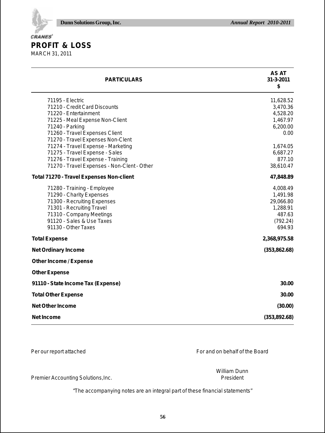## **CRANES PROFIT & LOSS**

**Dunn Solutions Group, Inc.**

MARCH 31, 2011

| 71195 - Electric<br>11,628.52<br>71210 - Credit Card Discounts<br>3,470.36<br>71220 - Entertainment<br>4,528.20<br>71225 - Meal Expense Non-Client<br>1,467.97<br>6,200.00<br>71240 - Parking<br>71260 - Travel Expenses Client<br>0.00<br>71270 - Travel Expenses Non-Clent<br>71274 - Travel Expense - Marketing<br>1,674.05<br>71275 - Travel Expense - Sales<br>6,687.27<br>71276 - Travel Expense - Training<br>877.10<br>71270 - Travel Expenses - Non-Clent - Other<br>38,610.47<br>Total 71270 - Travel Expenses Non-client<br>47,848.89<br>71280 - Training - Employee<br>4,008.49<br>71290 - Charity Expenses<br>1,491.98<br>71300 - Recruiting Expenses<br>29,066.80<br>71301 - Recruiting Travel<br>1,288.91<br>71310 - Company Meetings<br>487.63<br>91120 - Sales & Use Taxes<br>(792.24)<br>91130 - Other Taxes<br>694.93<br>2,368,975.58<br><b>Total Expense</b><br>Net Ordinary Income<br>(353,862.68)<br>Other Income / Expense<br><b>Other Expense</b><br>91110 - State Income Tax (Expense)<br>30.00<br><b>Total Other Expense</b><br>30.00<br>Net Other Income<br>(30.00)<br>(353, 892.68)<br>Net Income | <b>PARTICULARS</b> | AS AT<br>31-3-2011<br>\$ |
|-------------------------------------------------------------------------------------------------------------------------------------------------------------------------------------------------------------------------------------------------------------------------------------------------------------------------------------------------------------------------------------------------------------------------------------------------------------------------------------------------------------------------------------------------------------------------------------------------------------------------------------------------------------------------------------------------------------------------------------------------------------------------------------------------------------------------------------------------------------------------------------------------------------------------------------------------------------------------------------------------------------------------------------------------------------------------------------------------------------------------------|--------------------|--------------------------|
|                                                                                                                                                                                                                                                                                                                                                                                                                                                                                                                                                                                                                                                                                                                                                                                                                                                                                                                                                                                                                                                                                                                               |                    |                          |
|                                                                                                                                                                                                                                                                                                                                                                                                                                                                                                                                                                                                                                                                                                                                                                                                                                                                                                                                                                                                                                                                                                                               |                    |                          |
|                                                                                                                                                                                                                                                                                                                                                                                                                                                                                                                                                                                                                                                                                                                                                                                                                                                                                                                                                                                                                                                                                                                               |                    |                          |
|                                                                                                                                                                                                                                                                                                                                                                                                                                                                                                                                                                                                                                                                                                                                                                                                                                                                                                                                                                                                                                                                                                                               |                    |                          |
|                                                                                                                                                                                                                                                                                                                                                                                                                                                                                                                                                                                                                                                                                                                                                                                                                                                                                                                                                                                                                                                                                                                               |                    |                          |
|                                                                                                                                                                                                                                                                                                                                                                                                                                                                                                                                                                                                                                                                                                                                                                                                                                                                                                                                                                                                                                                                                                                               |                    |                          |
|                                                                                                                                                                                                                                                                                                                                                                                                                                                                                                                                                                                                                                                                                                                                                                                                                                                                                                                                                                                                                                                                                                                               |                    |                          |
|                                                                                                                                                                                                                                                                                                                                                                                                                                                                                                                                                                                                                                                                                                                                                                                                                                                                                                                                                                                                                                                                                                                               |                    |                          |
|                                                                                                                                                                                                                                                                                                                                                                                                                                                                                                                                                                                                                                                                                                                                                                                                                                                                                                                                                                                                                                                                                                                               |                    |                          |
|                                                                                                                                                                                                                                                                                                                                                                                                                                                                                                                                                                                                                                                                                                                                                                                                                                                                                                                                                                                                                                                                                                                               |                    |                          |
|                                                                                                                                                                                                                                                                                                                                                                                                                                                                                                                                                                                                                                                                                                                                                                                                                                                                                                                                                                                                                                                                                                                               |                    |                          |
|                                                                                                                                                                                                                                                                                                                                                                                                                                                                                                                                                                                                                                                                                                                                                                                                                                                                                                                                                                                                                                                                                                                               |                    |                          |
|                                                                                                                                                                                                                                                                                                                                                                                                                                                                                                                                                                                                                                                                                                                                                                                                                                                                                                                                                                                                                                                                                                                               |                    |                          |
|                                                                                                                                                                                                                                                                                                                                                                                                                                                                                                                                                                                                                                                                                                                                                                                                                                                                                                                                                                                                                                                                                                                               |                    |                          |
|                                                                                                                                                                                                                                                                                                                                                                                                                                                                                                                                                                                                                                                                                                                                                                                                                                                                                                                                                                                                                                                                                                                               |                    |                          |
|                                                                                                                                                                                                                                                                                                                                                                                                                                                                                                                                                                                                                                                                                                                                                                                                                                                                                                                                                                                                                                                                                                                               |                    |                          |
|                                                                                                                                                                                                                                                                                                                                                                                                                                                                                                                                                                                                                                                                                                                                                                                                                                                                                                                                                                                                                                                                                                                               |                    |                          |
|                                                                                                                                                                                                                                                                                                                                                                                                                                                                                                                                                                                                                                                                                                                                                                                                                                                                                                                                                                                                                                                                                                                               |                    |                          |
|                                                                                                                                                                                                                                                                                                                                                                                                                                                                                                                                                                                                                                                                                                                                                                                                                                                                                                                                                                                                                                                                                                                               |                    |                          |
|                                                                                                                                                                                                                                                                                                                                                                                                                                                                                                                                                                                                                                                                                                                                                                                                                                                                                                                                                                                                                                                                                                                               |                    |                          |
|                                                                                                                                                                                                                                                                                                                                                                                                                                                                                                                                                                                                                                                                                                                                                                                                                                                                                                                                                                                                                                                                                                                               |                    |                          |
|                                                                                                                                                                                                                                                                                                                                                                                                                                                                                                                                                                                                                                                                                                                                                                                                                                                                                                                                                                                                                                                                                                                               |                    |                          |
|                                                                                                                                                                                                                                                                                                                                                                                                                                                                                                                                                                                                                                                                                                                                                                                                                                                                                                                                                                                                                                                                                                                               |                    |                          |
|                                                                                                                                                                                                                                                                                                                                                                                                                                                                                                                                                                                                                                                                                                                                                                                                                                                                                                                                                                                                                                                                                                                               |                    |                          |
|                                                                                                                                                                                                                                                                                                                                                                                                                                                                                                                                                                                                                                                                                                                                                                                                                                                                                                                                                                                                                                                                                                                               |                    |                          |
|                                                                                                                                                                                                                                                                                                                                                                                                                                                                                                                                                                                                                                                                                                                                                                                                                                                                                                                                                                                                                                                                                                                               |                    |                          |

Premier Accounting Solutions, Inc.

Per our report attached For and on behalf of the Board

William Dunn<br>President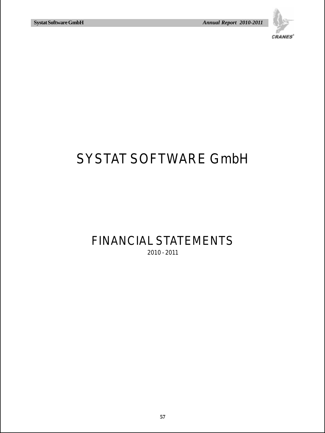

# SYSTAT SOFTWARE GmbH

# FINANCIAL STATEMENTS 2010 - 2011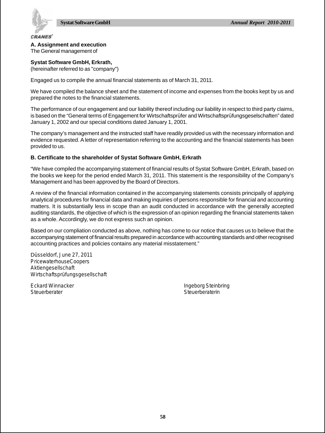

## **A. Assignment and execution** The General management of

**Systat Software GmbH, Erkrath,**

(hereinafter referred to as "company")

Engaged us to compile the annual financial statements as of March 31, 2011.

We have compiled the balance sheet and the statement of income and expenses from the books kept by us and prepared the notes to the financial statements.

The performance of our engagement and our liability thereof including our liability in respect to third party claims, is based on the "General terms of Engagement for Wirtschaftsprüfer and Wirtschaftsprüfungsgeselschaften" dated January 1, 2002 and our special conditions dated January 1, 2001.

The company's management and the instructed staff have readily provided us with the necessary information and evidence requested. A letter of representation referring to the accounting and the financial statements has been provided to us.

## **B. Certificate to the shareholder of Systat Software GmbH, Erkrath**

"We have compiled the accompanying statement of financial results of Systat Software GmbH, Erkrath, based on the books we keep for the period ended March 31, 2011. This statement is the responsibility of the Company's Management and has been approved by the Board of Directors.

A review of the financial information contained in the accompanying statements consists principally of applying analytical procedures for financial data and making inquiries of persons responsible for financial and accounting matters. It is substantially less in scope than an audit conducted in accordance with the generally accepted auditing standards, the objective of which is the expression of an opinion regarding the financial statements taken as a whole. Accordingly, we do not express such an opinion.

Based on our compliation conducted as above, nothing has come to our notice that causes us to believe that the accompanying statement of financial results prepared in accordance with accounting standards and other recognised accounting practices and policies contains any material misstatement."

Düsseldorf, June 27, 2011 PricewaterhouseCoopers Aktiengesellschaft Wirtschaftsprüfungsgesellschaft

Eckard Winnacker and the University of the University of the University of the Ingeborg Steinbring<br>
Ingeborg Steuerberaterin<br>
Steuerberaterin Steuerberaterin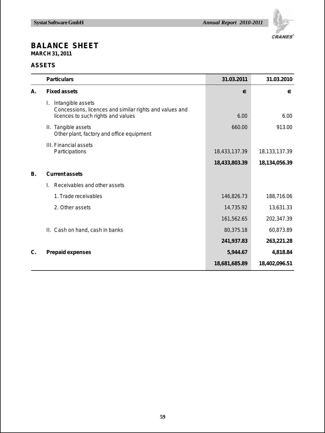

# **BALANCE SHEET**

**MARCH 31, 2011**

## **ASSETS**

|    | <b>Particulars</b>                                                                                                       | 31.03.2011    | 31.03.2010       |
|----|--------------------------------------------------------------------------------------------------------------------------|---------------|------------------|
| А. | <b>Fixed assets</b>                                                                                                      | $\epsilon$    | $\epsilon$       |
|    | Intangible assets<br>L.<br>Concessions, licences and similar rights and values and<br>licences to such rights and values | 6.00          | 6.00             |
|    | II. Tangible assets<br>Other plant, factory and office equipment                                                         | 660.00        | 913.00           |
|    | III. Financial assets<br>Participations                                                                                  | 18,433,137.39 | 18, 133, 137. 39 |
|    |                                                                                                                          | 18,433,803.39 | 18,134,056.39    |
| В. | <b>Current assets</b>                                                                                                    |               |                  |
|    | Receivables and other assets<br>L.                                                                                       |               |                  |
|    | 1. Trade receivables                                                                                                     | 146,826.73    | 188,716.06       |
|    | 2. Other assets                                                                                                          | 14,735.92     | 13,631.33        |
|    |                                                                                                                          | 161,562.65    | 202,347.39       |
|    | Cash on hand, cash in banks<br>Н.                                                                                        | 80,375.18     | 60,873.89        |
|    |                                                                                                                          | 241,937.83    | 263,221.28       |
| C. | Prepaid expenses                                                                                                         | 5,944.67      | 4,818.84         |
|    |                                                                                                                          | 18,681,685.89 | 18,402,096.51    |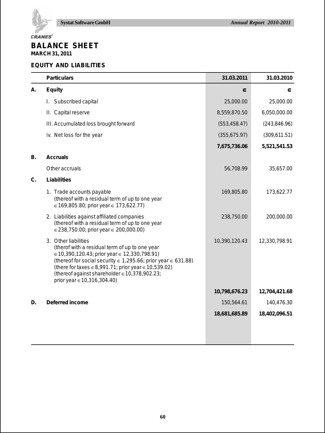

## **CRANES BALANCE SHEET MARCH 31, 2011**

## **EQUITY AND LIABILITIES**

|    | <b>Particulars</b>                                                                                                                                                                                                                                                                                                                                                        | 31.03.2011    | 31.03.2010    |
|----|---------------------------------------------------------------------------------------------------------------------------------------------------------------------------------------------------------------------------------------------------------------------------------------------------------------------------------------------------------------------------|---------------|---------------|
| А. | Equity                                                                                                                                                                                                                                                                                                                                                                    | $\epsilon$    | $\epsilon$    |
|    | I. Subscribed capital                                                                                                                                                                                                                                                                                                                                                     | 25,000.00     | 25,000.00     |
|    | II. Capital reserve                                                                                                                                                                                                                                                                                                                                                       | 8,559,870.50  | 6,050,000.00  |
|    | III. Accumulated loss brought forward                                                                                                                                                                                                                                                                                                                                     | (553, 458.47) | (243, 846.96) |
|    | iv. Net loss for the year                                                                                                                                                                                                                                                                                                                                                 | (355,675.97)  | (309,611.51)  |
|    |                                                                                                                                                                                                                                                                                                                                                                           | 7,675,736.06  | 5,521,541.53  |
| В. | <b>Accruals</b>                                                                                                                                                                                                                                                                                                                                                           |               |               |
|    | Other accruals                                                                                                                                                                                                                                                                                                                                                            | 56,708.99     | 35,657.00     |
| C. | Liabilities                                                                                                                                                                                                                                                                                                                                                               |               |               |
|    | 1. Trade accounts payable<br>(thereof with a residual term of up to one year<br>$\in$ 169,805.80; prior year $\in$ 173,622.77)                                                                                                                                                                                                                                            | 169,805.80    | 173,622.77    |
|    | 2. Liabilities against affiliated companies<br>(thereof with a residual term of up to one year<br>$\in$ 238,750.00; prior year $\in$ 200,000.00)                                                                                                                                                                                                                          | 238,750.00    | 200,000.00    |
|    | 3. Other liabilities<br>(therof with a residual term of up to one year<br>$\in$ 10,390,120.43; prior year $\in$ 12,330,798.91)<br>(thereof for social security $\epsilon$ 1,295.66; prior year $\epsilon$ 631.88)<br>(there for taxes $\in$ 8,991.71; prior year $\in$ 10,539.02)<br>(thereof against shareholder $\in$ 10,378,902.23;<br>prior year $\in$ 10,316,304.40) | 10,390,120.43 | 12,330,798.91 |
|    |                                                                                                                                                                                                                                                                                                                                                                           | 10,798,676.23 | 12,704,421.68 |
| D. | Deferred income                                                                                                                                                                                                                                                                                                                                                           | 150,564.61    | 140,476.30    |
|    |                                                                                                                                                                                                                                                                                                                                                                           | 18,681,685.89 | 18,402,096.51 |
|    |                                                                                                                                                                                                                                                                                                                                                                           |               |               |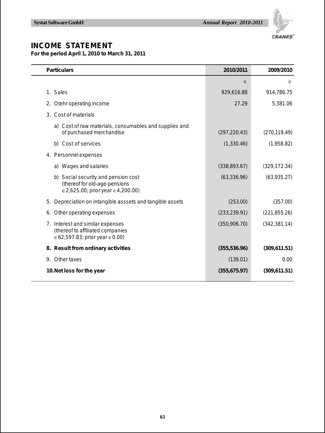

## **INCOME STATEMENT**

**For the period April 1, 2010 to March 31, 2011**

| <b>Particulars</b>                                                                                                 | 2010/2011     | 2009/2010     |
|--------------------------------------------------------------------------------------------------------------------|---------------|---------------|
|                                                                                                                    | $\in$         | $\in$         |
| 1. Sales                                                                                                           | 929,616.88    | 914,786.75    |
| 2. Otehr operating income                                                                                          | 27.29         | 5,381.06      |
| Cost of materials<br>3.                                                                                            |               |               |
| a) Cost of raw materials, consumables and supplies and<br>of purchased merchandise                                 | (297, 220.43) | (270, 119.49) |
| b) Cost of services                                                                                                | (1,330.46)    | (1,958.82)    |
| 4. Personnel expenses                                                                                              |               |               |
| a) Wages and salaries                                                                                              | (338, 893.67) | (329, 172.34) |
| b) Social security and pension cost<br>(thereof for old-age-pensions<br>$\in$ 2,625.00; prior year $\in$ 4,200.00) | (63, 336.96)  | (63,935.27)   |
| 5. Depreciation on intangible asssets and tangible assets                                                          | (253.00)      | (357.00)      |
| 6. Other operating expenses                                                                                        | (233, 239.91) | (221, 855.26) |
| 7. Interest and similar expenses<br>(thereof to affiliated companies<br>$\in$ 62,597.83; prior year $\in$ 0.00)    | (350,906.70)  | (342, 381.14) |
| 8. Result from ordinary activities                                                                                 | (355, 536.96) | (309,611.51)  |
| 9. Other taxes                                                                                                     | (139.01)      | 0.00          |
| 10. Net loss for the year                                                                                          | (355,675.97)  | (309,611.51)  |
|                                                                                                                    |               |               |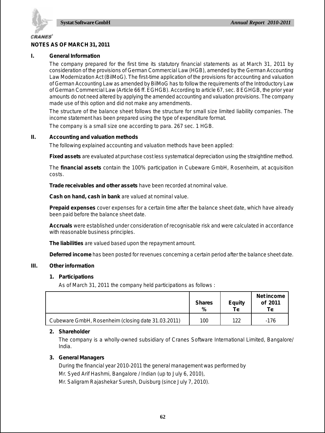

### **NOTES AS OF MARCH 31, 2011**

## **I. General Information**

The company prepared for the first time its statutory financial statements as at March 31, 2011 by consideration of the provisions of German Commercial Law (HGB), amended by the German Accounting Law Modernization Act (BilMoG). The first-time application of the provisions for accounting and valuation of German Accounting Law as amended by BilMoG has to follow the requirements of the Introductory Law of German Commercial Law (Article 66 ff. EGHGB). According to article 67, sec. 8 EGHGB, the prior year amounts do not need altered by applying the amended accounting and valuation provisions. The company made use of this option and did not make any amendments.

The structure of the balance sheet follows the structure for small size limited liability companies. The income statement has been prepared using the type of expenditure format.

The company is a small size one according to para. 267 sec. 1 HGB.

### **II. Accounting and valuation methods**

The following explained accounting and valuation methods have been applied:

**Fixed assets** are evaluated at purchase cost less systematical depreciation using the straightline method.

The **financial assets** contain the 100% participation in Cubeware GmbH, Rosenheim, at acquisition costs.

**Trade receivables and other assets** have been recorded at nominal value.

**Cash on hand, cash in bank** are valued at nominal value.

**Prepaid expenses** cover expenses for a certain time after the balance sheet date, which have already been paid before the balance sheet date.

**Accruals** were established under consideration of recognisable risk and were calculated in accordance with reasonable business principles.

**The liabilities** are valued based upon the repayment amount.

**Deferred income** has been posted for revenues concerning a certain period after the balance sheet date.

### **III. Other information**

### **1. Participations**

As of March 31, 2011 the company held participations as follows :

|                                                    | <b>Shares</b><br>% | Equity<br>Te | Net income<br>of 2011<br>τ∈ |
|----------------------------------------------------|--------------------|--------------|-----------------------------|
| Cubeware GmbH, Rosenheim (closing date 31.03.2011) | 100                | 122          | $-176$                      |

#### **2. Shareholder**

The company is a wholly-owned subsidiary of Cranes Software International Limited, Bangalore/ India.

### **3. General Managers**

During the financial year 2010-2011 the general management was performed by Mr. Syed Arif Hashmi, Bangalore / Indian (up to July 6, 2010),

Mr. Saligram Rajashekar Suresh, Duisburg (since July 7, 2010).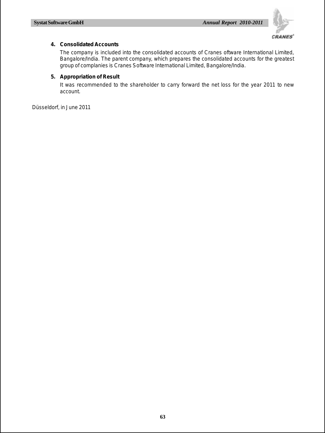

## **4. Consolidated Accounts**

The company is included into the consolidated accounts of Cranes oftware International Limited, Bangalore/India. The parent company, which prepares the consolidated accounts for the greatest group of complanies is Cranes Software International Limited, Bangalore/India.

## **5. Appropriation of Result**

It was recommended to the shareholder to carry forward the net loss for the year 2011 to new account.

Düsseldorf, in June 2011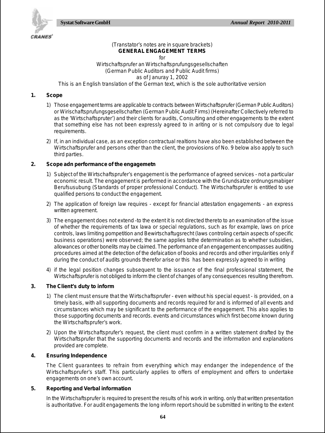

## (Transtator's notes are in square brackets) **GENERAL ENGAGEMENT TERMS**

for

Wirtschaftsprufer an Wirtschaftsprufungsgesellschaften (German Public Auditors and Public Audit firms) as of Januray 1, 2002

This is an English translation of the German text, which is the sole authoritative version

## **1. Scope**

- 1) Those engagement terms are applicable to contracts between Wirtschaftsprufer (German Public Auditors) or Wirischaftsprufungsgesellschaften (German Public Audit Firms) (Hereinafter Collectively referred to as the 'Wirtschaftspruter') and their clients for audits, Consulting and other engagements to the extent that something else has not been expressly agreed to in ariting or is not compulsory due to legal requirements.
- 2) If, in an individual case, as an exception contractual realtions have also been established between the Wirtschaftsprufer and persons other than the client, the proviosions of No. 9 below also apply to such third parties.

## **2. Scope adn performance of the engagemetn**

- 1) Subject of the Wirtschaftsprufer's engagement is the performance of agreed services not a particular economic result. The engagement is performed in accordance with the Grundsatze ordnungsmabiger Berufsusubung (Standards of proper professional Conduct). The Wirtschaftsprufer is entitled to use qualified persons to conduct the engagement.
- 2) The application of foreign law requires except for financial attestation engagements an express written agreement.
- 3) The engagement does not extend -to the extent it is not directed thereto to an examination of the issue of whether the requirements of tax lawa or special regulations, such as for example, laws on price controls, laws lirniting pompetition and Bewirtschaftugsrecht (laws controling certain aspects of specific business operations) were observed; the same applies tothe determination as to whether subsidies, allowances or other bonelits may be claimed. The performance of an engagement encompasses auditing procedures aimed at the detection of the defaication of books and records and other irrgularities only if during the conduct of audits grounds therefor arise or this has been expressly agreed to in writing
- 4) if the legal position changes subsequent to the issuance of the final professional statement, the Wirtschaftsprufer is not obliged to inform the client of changes of any consequences resulting therefrom.

## **3. The Client's duty to inform**

- 1) The client must ensure that the Wirtschaftsprufer even without his special equest is provided, on a timely basis, with all supporting documents and records required for and is informed of all events and circumstances which may be significant to the performance of the engagement. This also applies to those supporting documents and records. events and circumstances which first become known during the Wirtschaftsprufer's work.
- 2) Upon the Wirtschaftsprufer's request, the client must confirm in a written statement drafted by the Wirtschaftsprufer that the supporting documents and records and the information and explanations provided are complete.

## **4. Ensuring Independence**

The Client guarantees to refrain from everything which may endanger the independence of the Wirtschaftsprufer's staff. This particularly applies to offers of employment and offers to undertake engagements on one's own account.

## **5. Reporting and Verbal information**

In the Wirtschaftsprufer is required to present the results of his work in writing. only that written presentation is authoritative. For audit engagements the long inform report should be submitted in writing to the extent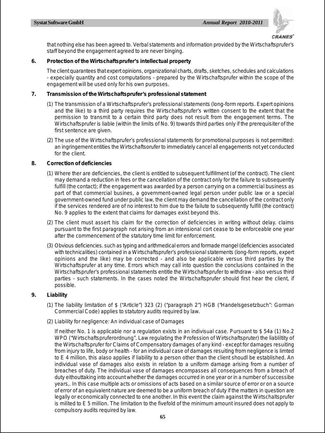

that nothing else has been agreed to. Verbal statements and information provided by the Wirtschaftsprufer's staff beyond the engagement agreed to are never binging.

## **6. Protection of the Wirtschaftsprufer's intellectual property**

The client quarantees that expert opinions, organizational charts, drafts, sketches, schedules and calculations - expecially quantity and cost computations - prepared by the Wirtschaftsprufer within the scope of the engagement will be used only for his own purposes.

## **7. Transmission of the Wirtschaftsprufer's professional statement**

- (1) The transmission of a Wirtschaftsprufer's professional statements (long-form reports. Expert opinions and the like) to a third party requires the Wirtschaftsprufer's written consent to the extent that the permission to transmit to a certain third party does not result from the engagement terms. The Wirtschaftsprufer is liable (within the limits of No. 9) towards third parties only if the prerequisiter of the first sentence are given.
- (2) The use of the Wirtschaftsprufer's professional statements for promotional purposes is not permitted: an ingringement entities the Wirtschaftsorufer to immediately cancel all engagements not yet conducted for the client.

## **8. Correction of deficiencies**

- (1) Where ther are deficiencies, the client is entitled to subsequent fulfillment (of the contract). The client may demand a reduction in fees or the cancellation of the contract only for the failure to subsequently fulfill (the contact); if the engagement was awarded by a person carrying on a commercial business as part of that commercial busines, a government-owned legal person under public law or a special government-owned fund under public law, the client may demand the cancellation of the contract only if the services rendered are of no interest to him due to the failute to subsequently fulfill (the contract) No. 9 applies to the extent that claims for damages exist beyond this.
- (2) The client must assert his claim for the correction of deficiencies in writing without delay. claims pursuant to the first paragraph not arising from an intensional cort cease to be enforceable one year after the commencement of the statutory time limit for enforcement.
- (3) Obvious deficiencies. such as typing and arithmedical errors and formade mangel (deficiencies associated with technicalities) contained in a Wirtschaftsprufer's professional statements (long-form reports, expert opinions and the like) may be corrected - and also be applicable versus third parties by the Wirtschaftsprufer at any time. Errors which may call into question the conclusions contained in the Wirtschaftsprufer's professional statements entitle the Wirtschaftsprufer to withdraw - also versus third parties - such statements. In the cases noted the Wirtschaftsprufer should first hear the client, if possible.

## **9. Liability**

- (1) The liability limitation of \$ ("Article") 323 (2) ("paragraph 2") HGB ("Handelsgesetzbuch": Gorman Commercial Code) applies to statutory audits required by law.
- (2) Liability for negligence: An individual case of Damages

If neither No. 1 is applicable nor a regulation exists in an indivisual case. Pursuant to \$ 54a (1) No.2 WPO ("Wirtschaftspruferordnung". Law regulating the Profession of Wirtschaftspruter) the liabliltity of the Wirtschaftsprufer for Claims of Compensatory damages of any kind - except for damages resuiting from injury to life, body or health - for an individual case of damages resuiting from negligence is limted to E 4 million, this alaso applies if liability to a person other than the client shoudl be established. An individual vase of damages also exists in relation to a uniform damage arising from a number of breaches of duty. The individual vase of damages encompasses all consequences from a breach of duty eithouttaking into account whether the damages occurred in one year or in a number of successibe years,. In this case multiple acts or omissions of acts based on a similar source of error or on a source of error of an equivalent nature are deemed to be a uniform breach of duty if the matters in question are legally or economically connected to one another. In this event the claim against the Wirtschaltsprufer is milited to E 5 million. The limitation to the fivefold of the minimum amount insured does not apply to compulsory audits required by law.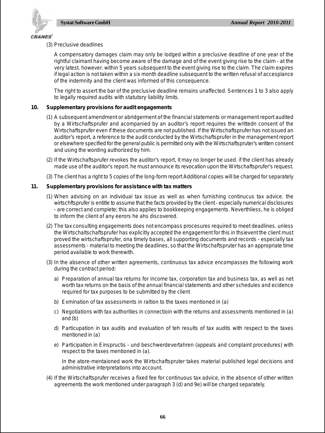

## (3) Preclusive deadlines

A compensatory damages claim may only be lodged within a preclusive deadline of one year of the rightful claimant having become aware of the damage and of the event giving rise to the claim - at the very latest. however. within 5 years subsequent to the event giving rise to the claim. The claim expires if legal action is not taken within a six month deadline subsequent to the written refusal of accesplance of the indemnity and the client was informed of this consequence.

The right to assert the bar of the preclusive deadline remains unaffected. Sentences 1 to 3 also apply to legally required audits with statutory liability limits.

## **10. Supplementary provisions for audit engagements**

- (1) A subsequent amendment or abridgerment of the financial statements or management report audited by a Wirtschaftsprufer and acompanied by an auditor's report requires the writtedn consent of the Wirtschaftsprufer even if these documents are not published. If the Wirtschaftsprufer has not issued an auditor's report, a reference to the audit conducted by the Wirtschaftsprufer in the management report or elsewhere specified for the general public is permitted only with the Wirtschaftspruter's written consent and using the wording authorized by him.
- (2) If the Wirtschaftsprufer revokes the auditor's report, it may no longer be used. if the client has already made use of the auditor's report. he must announce its revocation upon the Wirtschaftsprufer's request.
- (3) The client has a right to 5 copies of the long-form report Additional copies will be charged for separately

## **11. Supplementary provisions for assistance with tax matters**

- (1) When advising on an individual tax issue as well as when furnishing continucus tax advice. the wirtschftsprufer is entitle to assume that the facts provided by the client - especially numerical disclosures - are correct and complete; this also applies to bookkeeping engagements. Neverthliess, he is obliged to inform the client of any eerors he ahs discovered.
- (2) The tax consulting engagements does not encompass procesures required to meet deadlines. unless the Wirtschaltschaftsprufer has explicitly accepted the engagement for this in thsievent the client must proved the wirtschaftsprufer, ona timely bases, all supporting documents and records - especially tax assessments - material to meeting the deadlines, so that the Wirtschaftspruter has an appropriate time period available to work therewith.
- (3) In the absence of other written agreements, continuous tax advice encompasses the following work during the contract period:
	- a) Preparation of annual tax returns for income tax, corporation tax and business tax, as well as net worth tax returns on the basis of the annual financial statements and other schedules and ecidence required for tax purposes to be submitted by the client
	- b) Exmination of tax assessments in raltion to the taxes mentioned in (a)
	- c) Negotiations with tax authorities in connectioin with the returns and assessments mentioned in (a) and (b)
	- d) Particupation in tax audits and evaluation of teh results of tax audits with respect to the taxes mentioned in (a)
	- e) Participation in Einspructis und beschwerdevertahren (appeals and complaint procedures) with respect to the taxes mentioned in (a).

In the atore-mentaioned work the Wirtschaftspruter takes material published legal decisions and administrative interpretations into account.

(4) If the Wirtschaftsprufer receives a fixed fee for continuous tax advice, in the absence of other written agreements the work mentioned under paragraph 3 (d) and 9e) will be charged separately.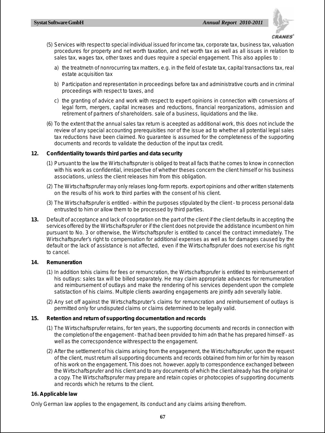

- (5) Services with respect to special individual issued for income tax, corporate tax, business tax, valuation procedures for property and net worth taxation, and net worth tax as well as all issues in relation to sales tax, wages tax, other taxes and dues require a special engagement. This also applies to :
	- a) the treatmetn of nonrocurring tax matters, e.g. in the field of estate tax, capital transactions tax, real estate acquisition tax
	- b) Participation and representation in proceedings before tax and administrative courts and in criminal proceedings with respect to taxes, and
	- c) the granting of advice and work with respect to expert opinions in connection with conversions of legal form, mergers, capital increases and reductions, financial reorganizations, admission and retirement of partners of shareholders. sale of a business, liquidations and the like.
- (6) To the extent that the annual sales tax return is aceepted as additional work, this does not include the review of any special accounting prerequisities nor of the issue ad to whether all potential legal sales tax reductions have been claimed. No guarantee is assumed for the completeness of the supporting documents and records to validate the deduction of the input tax credit.

## **12. Confidentiality towards third parties and data security**

- (1) Pursuant to the law the Wirtschaftspruter is obliged to treat all facts that he comes to know in connection with his work as confidential, irrespective of whether theses concern the client himself or his business associations, unless the client releases him from this obligation.
- (2) The Wirtschaftsprufer may only relases long-form reports. export opinions and other written statements on the results of his work to third parties with the consent of his client.
- (3) The Wirtschaftsprufer is entitled within the purposes stipulated by the client to process personal data entrusted to him or allow them to be processed by third parties.
- **13.** Default of acceptance and lack of cooprtation on the part of the client if the client defaults in accepting the services offered by the Wirtschaftsprufer or if the client does not provide the addistance incumbent on him pursuant to No. 3 or otherwise, the Wirtschaftsprufer is entitled to cancel the contract immediately. The Wirtschaftsprufer's right to compensation for additional expenses as well as for damages caused by the default or the lack of assistance is not affected, even if the Wirtschaftsprufer does not exercise his right to cancel.

## **14. Remuneration**

- (1) In addition tohis claims for fees or remuncration, the Wirtschaftsprufer is entitled to reimbursement of his outlays: sales tax will be billed separately. He may claim appropriate advances for remumeration and reimbursement of outlays and make the rendering of his services dependent upon the complete satistaction of his claims. Multiple clients awarding engagements are jointly adn severally liable.
- (2) Any set off against the Wirtschaftspruter's claims for remuncration and reimbursement of outlays is permitted only for undisputed claims or claims determined to be legally valid.

## **15. Retention and return of supporting documentation and records**

- (1) The Wirtschaftsprufer retains, for ten years, the supporting documents and records in connection with the completion of the engagement - that had been provided to him adn that he has prepared himself - as well as the correcspondence withrespect to the engagement.
- (2) After the settlement of his claims arising from the engagement, the Wirtschaftsprufer, upon the request of the client, must return all supporting documents and records obtained from him or for him by reason of his work on the engagement. This does not. however. apply to correspondence exchanged between the Wirtschaftsprufer and his client and to any documents of which the client already has the original or a copy. The Wirtschaftsprufer may prepare and retain copies or photocopies of supporting documents and records which he returns to the client.

## **16. Applicable law**

Only German law applies to the engagement, its conduct and any claims arising therefrom.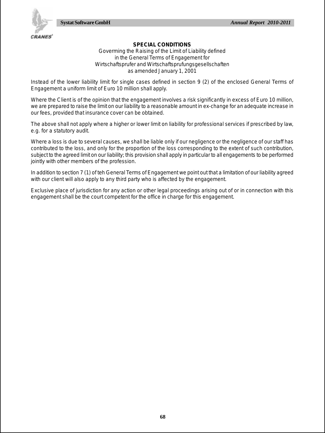**Systat Software GmbH**



## **SPECIAL CONDITIONS**

Goverming the Raising of the Limit of Liability defined in the General Terms of Engagement for Wirtschaftsprufer and Wirtschaftsprufungsgesellschaften as amended January 1, 2001

Instead of the lower liability limit for single cases defined in section 9 (2) of the enclosed General Terms of Engagement a uniform limit of Euro 10 million shall apply.

Where the Client is of the opinion that the engagement involves a risk significantly in excess of Euro 10 million, we are prepared to raise the limit on our liability to a reasonable amount in ex-change for an adequate increase in our fees, provided that insurance cover can be obtained.

The above shall not apply where a higher or lower limit on liability for professional services if prescribed by law, e.g. for a statutory audit.

Where a loss is due to several causes, we shall be liable only if our negligence or the negligence of our staff has contributed to the loss, and only for the proportion of the loss corresponding to the extent of such contribution, subject to the agreed limit on our liability; this provision shall apply in particular to all engagements to be performed jointly with other members of the profession.

In addition to section 7 (1) of teh General Terms of Engagement we point out that a limitation of our liability agreed with our client will also apply to any third party who is affected by the engagement.

Exclusive place of jurisdiction for any action or other legal proceedings arising out of or in connection with this engagement shall be the court competent for the office in charge for this engagement.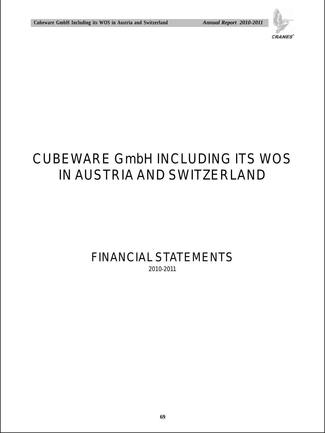

# CUBEWARE GmbH INCLUDING ITS WOS IN AUSTRIA AND SWITZERLAND

FINANCIAL STATEMENTS 2010-2011

**69**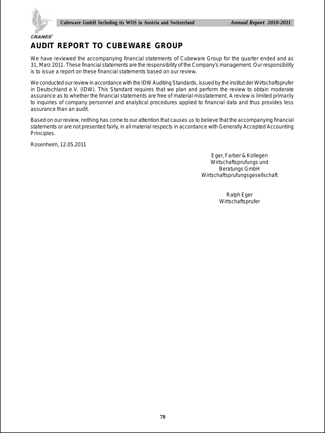

# **AUDIT REPORT TO CUBEWARE GROUP**

We have reviewed the accompanying financial statements of Cubeware Group for the quarter ended and as 31, Marz 2011. These financial statements are the responsibility of the Company's management. Our responsibility is to issue a report on these financial statements based on our review.

We conducted our review in accordance with the IDW Auditing Standards, issued by the institut der Wirtschaftsprufer in Deutschland e.V. (IDW). This Standard requires that we plan and perform the review to obtain moderate assurance as to whether the financial statements are free of material misstatement. A review is limited primarily to inquiries of company personnel and analytical procedures applied to financial data and thus provides less assurance than an audit.

Based on our review, nothing has come to our attention that causes us to believe that the accompanying financial statements or are not presented fairly, in all material respects in accordance with Generally Accepted Accounting Principles.

Rosenheim, 12.05.2011

Eger, Farber & Kollegen Wirtschaftsprufungs und Beratungs GmbH Wirtschaftsprufungsgesellschaft

> Ralph Eger **Wirtschaftsprufer**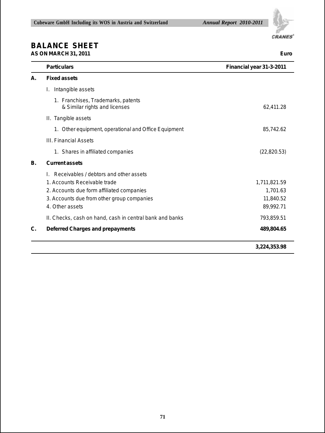*Annual Report 2010-2011*



## **BALANCE SHEET**

## **AS ON MARCH 31, 2011 Euro**

|             | <b>Particulars</b>                                                  | Financial year 31-3-2011 |
|-------------|---------------------------------------------------------------------|--------------------------|
| Α.          | <b>Fixed assets</b>                                                 |                          |
|             | Intangible assets<br>L.                                             |                          |
|             | 1. Franchises, Trademarks, patents<br>& Similar rights and licenses | 62,411.28                |
|             | II. Tangible assets                                                 |                          |
|             | 1. Other equipment, operational and Office Equipment                | 85,742.62                |
|             | III. Financial Assets                                               |                          |
|             | 1. Shares in affiliated companies                                   | (22,820.53)              |
| В.          | <b>Current assets</b>                                               |                          |
|             | Receivables / debtors and other assets                              |                          |
|             | 1. Accounts Receivable trade                                        | 1,711,821.59             |
|             | 2. Accounts due form affiliated companies                           | 1,701.63                 |
|             | 3. Accounts due from other group companies                          | 11,840.52                |
|             | 4. Other assets                                                     | 89,992.71                |
|             | II. Checks, cash on hand, cash in central bank and banks            | 793,859.51               |
| $C_{\cdot}$ | Deferred Charges and prepayments                                    | 489,804.65               |
|             |                                                                     | 3,224,353.98             |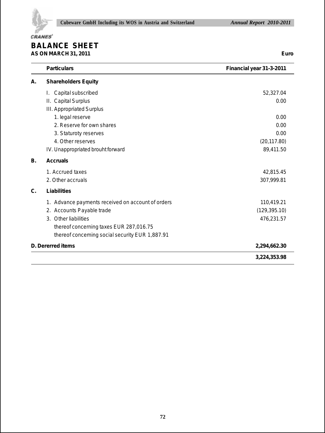

# **BALANCE SHEET**

#### **AS ON MARCH 31, 2011 Euro**

|    | <b>Particulars</b>                                | Financial year 31-3-2011 |
|----|---------------------------------------------------|--------------------------|
| А. | <b>Shareholders Equity</b>                        |                          |
|    | Capital subscribed                                | 52,327.04                |
|    | <b>Capital Surplus</b><br>Ш.                      | 0.00                     |
|    | III. Appropriated Surplus                         |                          |
|    | 1. legal reserve                                  | 0.00                     |
|    | 2. Reserve for own shares                         | 0.00                     |
|    | 3. Staturoty reserves                             | 0.00                     |
|    | 4. Other reserves                                 | (20, 117.80)             |
|    | IV. Unappropriated brouht forward                 | 89,411.50                |
| В. | <b>Accruals</b>                                   |                          |
|    | 1. Accrued taxes                                  | 42,815.45                |
|    | 2. Other accruals                                 | 307,999.81               |
| C. | Liabilities                                       |                          |
|    | 1. Advance payments received on account of orders | 110,419.21               |
|    | Accounts Payable trade<br>2.                      | (129, 395.10)            |
|    | 3. Other liabilities                              | 476,231.57               |
|    | thereof concerning taxes EUR 287,016.75           |                          |
|    | thereof conceming social security EUR 1,887.91    |                          |
|    | D. Dererred items                                 | 2,294,662.30             |
|    |                                                   | 3,224,353.98             |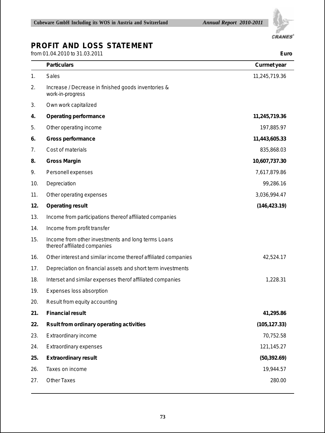*Annual Report 2010-2011*



# **PROFIT AND LOSS STATEMENT**

from 01.04.2010 to 31.03.2011 **Euro**

|     | <b>Particulars</b>                                                                 | <b>Currnet</b> year |
|-----|------------------------------------------------------------------------------------|---------------------|
| 1.  | Sales                                                                              | 11,245,719.36       |
| 2.  | Increase / Decrease in finished goods inventories &<br>work-in-progress            |                     |
| 3.  | Own work capitalized                                                               |                     |
| 4.  | Operating performance                                                              | 11,245,719.36       |
| 5.  | Other operating income                                                             | 197,885.97          |
| 6.  | Gross performance                                                                  | 11,443,605.33       |
| 7.  | Cost of materials                                                                  | 835,868.03          |
| 8.  | <b>Gross Margin</b>                                                                | 10,607,737.30       |
| 9.  | Personell expenses                                                                 | 7,617,879.86        |
| 10. | Depreciation                                                                       | 99,286.16           |
| 11. | Other operating expenses                                                           | 3,036,994.47        |
| 12. | <b>Operating result</b>                                                            | (146, 423.19)       |
| 13. | Income from participations thereof affiliated companies                            |                     |
| 14. | Income from profit transfer                                                        |                     |
| 15. | Income from other investments and long terms Loans<br>thereof affiliated companies |                     |
| 16. | Other interest and similar income thereof affiliated companies                     | 42,524.17           |
| 17. | Depreciation on financial assets and short term investments                        |                     |
| 18. | Interset and similar expenses therof affiliated companies                          | 1,228.31            |
| 19. | Expenses loss absorption                                                           |                     |
| 20. | Result from equity accounting                                                      |                     |
| 21. | <b>Financial result</b>                                                            | 41,295.86           |
| 22. | Rsult from ordinary operating activities                                           | (105, 127.33)       |
| 23. | Extraordinary income                                                               | 70,752.58           |
| 24. | Extraordinary expenses                                                             | 121,145.27          |
| 25. | <b>Extraordinary result</b>                                                        | (50, 392.69)        |
| 26. | Taxes on income                                                                    | 19,944.57           |
| 27. | Other Taxes                                                                        | 280.00              |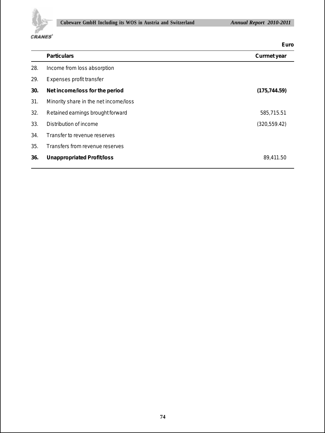

|     |                                       | Euro          |
|-----|---------------------------------------|---------------|
|     | <b>Particulars</b>                    | Currnet year  |
| 28. | Income from loss absorption           |               |
| 29. | Expenses profit transfer              |               |
| 30. | Net income/loss for the period        | (175, 744.59) |
| 31. | Minority share in the net income/loss |               |
| 32. | Retained earnings brought forward     | 585,715.51    |
| 33. | Distribution of income                | (320, 559.42) |
| 34. | Transfer to revenue reserves          |               |
| 35. | Transfers from revenue reserves       |               |
| 36. | <b>Unappropriated Profit/loss</b>     | 89,411.50     |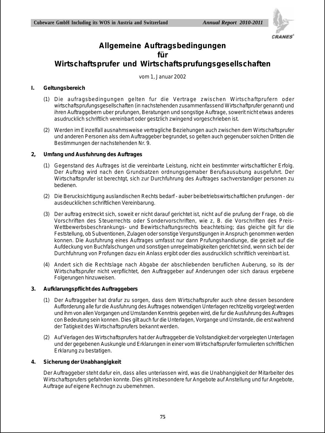

# **Allgemeine Auftragsbedingungen für Wirtschaftsprufer und Wirtschaftsprufungsgesellschaften**

vom 1, Januar 2002

#### **I. Geltungsbereich**

- (1) Die aufragsbedingungen gelten fur die Vertrage zwischen Wirtschaftprufern oder wirtschaftsprufungsgesellschaften (in nachstehenden zusammenfassend Wirtschaftprufer genannt) und ihren Auftraggebern uber prufungen, Beratungen und songstige Auftrage, sowerit nicht etwas anderes asudrucklich schriftlich vereinbart oder gestzlich zwingend vorgeschrieben ist.
- (2) Werden im Einzelfall ausnahmsweise vertragliche Beziehungen auch zwischen dem Wirtschaftsprufer und anderen Personen alss dem Auftraggeber begrundet, so gelten auch gegenuber solchen Dritten die Bestimmungen der nachstehenden Nr. 9.

#### **2, Umfang und Ausfuhrung des Auftrages**

- (1) Gegenstand des Auftrages ist die vereinbarte Leistung, nicht ein bestimmter wirtschaftlicher Erfolg. Der Auftrag wird nach den Grundsatzen ordnungsgemaber Berufsausubung ausgefuhrt. Der Wirtschaftsprufer ist berechtgt, sich zur Durchfuhrung des Auftrages sachverstandiger personen zu bedienen.
- (2) Die Berucksichtigung auslandischen Rechts bedarf auber beibetriebswirtschaftlichen prufungen der ausdeucklichen schriftlichen Vereinbarung.
- (3) Der auftrag erstreckt sich, soweit er nicht darauf gerichtet ist, nicht auf die prufung der Frage, ob die Vorschriften des Steuerrechts oder Sondervorschriften, wie z, B. die Vorschriften des Preis-Wettbewerbsbeschrankungs- und Bewirtschaftungsrechts beachtetsing; das gleiche gilt fur die Feststellung, ob Subventionen, Zulagen oder sonstige Vergunstigungen in Anspruch genommen werden konnen. Die Ausfuhrung eines Auftrages umfasst nur dann Prufungshandiunge, die gezielt auf die Aufdeckung von Buchfalschungen und sonstigen unregelmabigkeiten gerichtet sind, wenn sich bei der Durchfuhrung von Profungen dazu ein Anlass ergibt oder dies ausdrucklich schriftlich vereinbart ist.
- (4) Andert sich die Rechtslage nach Abgabe der abschliebenden beruflichen Auberung, so its der Wirtschaftsprufer nicht verpflichtet, den Auftraggeber auf Anderungen oder sich daraus ergebene Folgerungen hinzuweisen.

#### **3. Aufklarungspflicht des Auftraggebers**

- (1) Der Auftraggeber hat drafur zu sorgen, dass dem Wirtschaftsprufer auch ohne dessen besondere Aufforderung alle fur die Ausfuhrung des Auftrages notwendigen Unterlagen rechtzeitig vorgelegt werden und ihm von allen Vorgangen und Umstanden Kenntnis gegeben wird, die fur die Ausfuhrung des Auftrages con Bedeutung sein konnen. Dies gilt auch fur die Unterlagen, Vorgange und Umstande, die erst wahrend der Tatigkeit des Wirtschaftsprufers bekannt werden.
- (2) Auf Verlagen des Wirtschaftsprufers hat der Auftraggeber die Vollstandigkeit der vorgelegten Unterlagen und der gegebenen Auskungle und Erklarungen in einer vom Wirtschaftsprufer formulierten schriftlichen Erklarung zu bestatigen.

#### **4. Sicherung der Unabhangigkeit**

Der Auftraggeber steht dafur ein, dass alles unteriassen wird, was die Unabhangigkeit der Mitarbeiter des Wirtschaftsprufers gefahrden konnte. Dies gilt insbesondere fur Angebote auf Anstellung und fur Angebote, Auftrage auf eigene Rechnugn zu ubemehmen.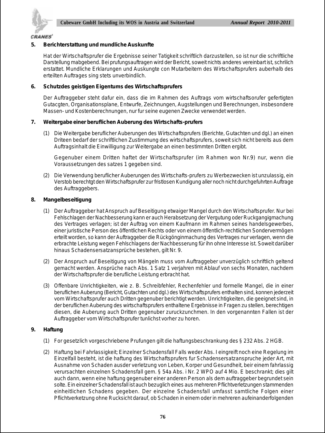

#### **5. Berichterstattung und mundliche Auskunfte**

Hat der Wirtschaftsprufer die Ergebnisse seiner Tatigkeit schriftlich darzustellen, so ist nur die schriftliche Darstellung mabgebend. Bei prufungsauftragen wird der Bericht, soweit nichts anderes vereinbart ist, schrilich erstattet. Mundliche Erklarungen und Auskungte con Mutarbeitern des Wirtschaftsprufers auberhalb des erteilten Auftrages sing stets unverbindlich.

#### **6. Schutzdes geistigen Eigentums des Wirtschaftsprufers**

Der Auftraggeber steht dafur ein, dass die im Rahmen des Auftrags vom wirtschaftsorufer gefertigten Gutacgten, Organisationsplane, Entwurfe, Zeichnungen, Augstellungen und Berechnungen, insbesondere Massen- und Kostenberechnungen, nur fur seine eugenen Zwecke verwendet werden.

#### **7. Weitergabe einer beruflichen Auberung des Wirtschafts-prufers**

(1) Die Weitergabe beruflicher Auberungen des Wirtschaftsprufers (Berichte, Gutachten und dgl.) an einen Driteen bedarf der schriftlichen Zustimmung des wirtschaftsprufers, soweit sich nicht bereits aus dem Auftragsinhalt die Einwilligung zur Weitergabe an einen bestimmten Dritten ergibt.

Gegenuber einem Dritten haftet der Wirtschaftsprufer (im Rahmen won Nr.9) nur, wenn die Voraussetzungen des satzes 1 gegeben sind.

(2) Die Verwendung beruflicher Auberungen des Wirtschafts-prufers zu Werbezwecken ist unzulassig, ein Verstob berechtgt den Wirtschaftsprufer zur fristlosen Kundigung aller noch nicht durchgefuhrten Auftrage des Auftraggebers.

#### **8. Mangelbeseitigung**

- (1) Der Auftraggeber hat Anspruch auf Beseitigung etwaiger Mangel durch den Wirtschaftsprufer. Nur bei Fehlschlagen der Nachbesserung kann er auch Herabsetzung der Vergutung oder Ruckgangigmachung des Vertrages verlagen; ist der Auftrag von einem Kaufmann im Rahmen seines handelsgewerbes, einer juristische Person des öffentlichen Rechts oder von einem öffentlich-rechtlichen Sondervermögen erteilt worden, so kann der Auftraggeber die Rückgönginmachung des Vertrages nur verlagen, wenn die erbrachte Leistung wegen Fehlschlagens der Nachbesserung für ihn ohne Interesse ist. Soweit darüber hinaus Schadensersatzansprüche bestehen, gilt Nr. 9.
- (2) Der Anspruch auf Beseitigung von Mängeln muss vom Auftraggeber unverzüglich schriftlich geltend gemacht werden. Ansprüche nach Abs. 1 Satz 1 verjahren mit Ablauf von sechs Monaten, nachdem der Wirtschaftsprufer die berufliche Leistung erbracht hat.
- (3) Offenbare Unrichtigkeiten, wie z. B. Schreibfehler, Rechenfehler und formelle Mangel, die in einer beruflichen Auberung (Bericht, Gutachten und dgl.) des Wirtschaftsprufers enthalten sind, konnen jederzeit vom Wirtschaftsprufer auch Dritten gegenuber berichtigt werden. Unrichtigkeiten, die geeignet sind, in der beruflichen Auberung des wirtschaftsprufers enthaltene Ergebnisse in Fragen zu stellen, berechtigen diesen, die Auberung auch Dritten gegenuber zuruckzunchmen. In den vorgenannten Fallen ist der Auftraggeber vom Wirtschaftsprufer tunlichst vorher zu horen.

#### **9. Haftung**

- (1) For gesetzlich vorgeschriebene Prufungen gilt die haftungsbeschrankung des § 232 Abs. 2 HGB.
- (2) Haftung bei Fahrlassigkeit; Einzelner Schadensfall Falls weder Abs. I eingreift noch eine Regelung im Einzelfall besteht, ist die haftung des Wirtschaftsprufers fur Schadensersatzanspruche jeder Art, mit Ausnahme von Schaden ausder verletzung von Leben, Korper und Gesundheit, beir einem fahrlassig verursachten einzelnen Schadensfall gem. § 54a Abs. i Nr. 2 WPO auf 4 Mio. E beschrankt; dies gilt auch dann, wenn eine haftung gegenuber einer anderen Person als dem auftraggeber begrundet sein solte. Ein einzelner Schadensfall ist auch bezuglich eines aus mehreren Pflichtverletzungen stammenden einheitlichen Schadens gegeben. Der einzelne Schadensfall umfasst samtliche Folgen einer Pflichtverketzung ohne Rucksicht darauf, ob Schaden in einem oder in mehreren aufeinanderfolgenden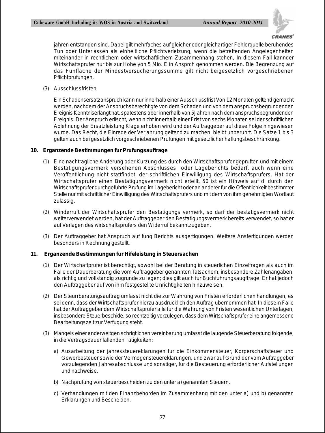

jahren entstanden sind. Dabei gilt mehrfaches auf gleicher oder gleichartiger Fehlerquelle beruhendes Tun oder Unterlassen als einheitliche Pflichtverletzung, wenn die betreffenden Angelegenheiten miteinander in rechtlichem oder wirtschaftlichem Zusammenhang stehen, In diesem Fall kannder Wirtschaftsprufer nur bis zur Hohe yon 5 Mio. E in Ansprch genommen werden. Die Begrenzung auf das Funffache der Mindestversucherungssumme gilt nicht beigesetzlich vorgeschriebenen Pflichtprufungen.

(3) Ausschlussfristen

Ein Schadensersatzanspruch kann nur innerhalb einer Ausschlussfrist Von 12 Monaten geltend gemacht werden, nachdem der Anspruchsberechtigte von dem Schaden und von dem anspruchsbegrundenden Ereignis Kenntniserlangt hat, spatestens aber innerhalb von 5Jahren nach dem anspruchsbegrundenden Ereignis. Der Anspruch erlischt, wenn nicht innerhalb einer Frist von sechs Monaten sei der schriftlichen Ablehnung der Ersatzleistung Klage erhoben wird und der Auftraggeber auf diese Folge hingewiesen wurde. Das Recht, die Einrede der Verjahrung geltend zu machen, bleibt unberuhrt. Die Satze 1 bis 3 gelten auch bei gesetzlich vorgeschriebenen Prufungen mit gesetzlicher haflungsbeschrankung.

#### **10. Erganzende Bestimmungen fur Prufungsauftrage**

- (1) Eine nachtragliche Anderung oder Kurzung des durch den Wirtschaftsprufer gepruften und mit einem Bestatigungsvermerk versehenen Abschlusses oder Lageberichts bedarf, auch wenn eine Veroffentlichung nicht stattfindet, der schriftlichen Einwilligung des Wirtschaftsprufers. Hat der Wirtschaftsprufer einen Bestatigungsvermerk nicht erteilt, 50 ist ein Hinweis auf di durch den Wirtschaftsprufer durchgefuhrte Prufung im Lagebericht oder an anderer fur die Offentlichkeit bestimmter Stelle nur mit schriftlicher Einwilligung des Wirtschaftsprufers und mit dem von ihm genehmigten Wortlaut zulassig.
- (2) Winderruft der Wirtschaftsprufer den Bestatigungs vermerk, so darf der bestatigsvermerk nicht weiterverwendet werden, hat der Auftraggeber den Bestatigungsvermerk bereits verwendet, so hat er auf Verlagen des wirtschaftsprufers den Widerruf bekanntzugeben.
- (3) Der Auftraggeber hat Anspruch auf fung Berichts ausgertigungen. Weitere Ansfertigungen werden besonders in Rechnung gestellt.

#### **11. Erganzende Bestimmungen fur Hifeleistung in Steuersachen**

- (1) Der Wirtschaftprufer ist berechtigt, sowohl bei der Beratung in steuerlichen Einzelfragen als auch im Falle der Dauerberatung die vom Auftraggeber genannten Tatsachem, insbesondere Zahlenangaben, als richtig und vollstandig zugrunde zu legen; dies gilt auch fur Buchfuhrungsaugftrage. Er hat jedoch den Auftraggeber auf von ihm festgestellte Unrichtigkeiten hinzuweisen.
- (2) Der Steurrberatungsauftrag umfasst nicht die zur Wahrung von Fristen erforderlichen handlungen, es sei denn, dass der Wirtschaftsprufer hierzu ausdrucklich den Auftrag ubernommen hat. In diesem Falle hat der Auftraggeber dem Wirtschaftsprufer alle fur die Wahrung von Fristen wesentlichen Unterlagen, insbesondere Steuerbeschide, so rechtzeitig vorzulegen, dass dem Wirtschaftsprufer eine angemessene Bearbeitungszeit zur Verfugung steht.
- (3) Mangels einer anderweitgen schrigtlichen vereinbarung umfasst die laugende Steuerberatung folgende, in die Vertragsdauer fallenden Tatigkeiten:
	- a) Ausarbeitung der jahressteuereklarungen fur die Einkommensteuer, Korperschaftsteuer und Gewerbesteuer sowie der Vermogensteuereklarungen, und zwar auf Grund der vom Auftraggeber vorzulegenden Jahresabschlusse und sonstiger, fur die Besteuerung erforderlicher Aufstellungen und nachweise.
	- b) Nachprufung von steuerbescheiden zu den unter a) genannten Steuern.
	- c) Verhandlungen mit den Finanzbehorden im Zusammenhang mit den unter a) und b) genannten Erklarungen und Bescheiden.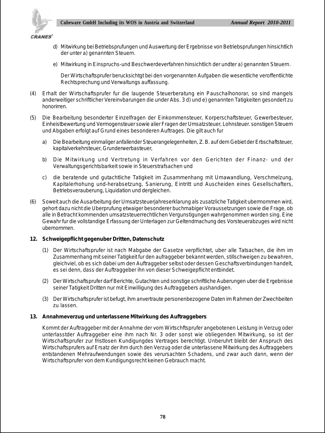

- d) Mitwirkung bei Betriebsprufungen und Auswertung der Ergebnisse von Betriebsprufungen hinsichtlich der unter a) genannten Steuern.
- e) Mitwirkung in Einspruchs-und Beschwerdeverfahren hinsichtlich der undter a) genannten Steuern.

Der Wirtschaftsprufer berucksichtgt bei den vorgenannten Aufgaben die wesentliche veroffentlichte Rechtsprechung und Verwaltungs auffassung.

- (4) Erhalt der Wirtschaftsprufer fur die laugende Steuerberatung ein Pauschalhonorar, so sind mangels anderweitiger schriftlicher Vereinvbarungen die under Abs. 3 d) und e) genannten Tatigkeiten gesondert zu honorirren.
- (5) Die Bearbeitung besonderter Einzelfragen der Einkommensteuer, Korperschaftsteuer, Gewerbesteuer, Einheistbewertung und Vermogensteuer sowie alier Fragen der Umsatzsteuer, Lohnsteuer. sonstigen Steuem und Abgaben erfolgt auf Grund eines besonderen Auftrages. Die gilt auch fur
	- a) Die Bearbeitung einmaliger anfallender Steuerangelegenheiten, Z. B. auf dem Gebiet der Erbschaftsteuer, kapitalverkehrsteuer, Grunderwerbasteuer,
	- b) Die Mitwirkung und Vertretung in Verfahren vor den Gerichten der Finanz- und der Verwaltungsgerichtsbarkeit sowie in Steuerstrafsachen und
	- c) die beratende und gutachtliche Tatigkeit im Zusammenhang mit Umawandlung, Verschmelzung, Kapitalerhohung und-herabsetzung, Sanierung, Eintritt und Auscheiden eines Gesellschafters, Betriebsverauberung, Liquidation und dergleichen.
- (6) Soweit auch die Ausarbeitung der Umsatzsteuerjahreserklarung als zusatzliche Tatigkeit ubermommen wird, gehort dazu nicht die Uberprufung etwaiger besonderer buchmabiger Voraussetzungen sowie die Frage, ob alle in Betracht kommenden umsatzsteuerrechtlichen Vergunstigungen wahrgenommen worden sing. Eine Gewahr fur die vollstandige Erfassung der Unterlagen zur Geltendmachung des Vorsteuerabzuges wird nicht ubernommen.

#### **12. Schweigepflicht gegenuber Dritten, Datenschutz**

- (1) Der Wirtschaftsprufer ist nach Mabgabe der Gasetze verpflichtet, uber alle Tatsachen, die ihm im Zusammenhang mit seiner Tatigkeit fur den aufraggeber bekannt werden, stillschweigen zu bewahren, gleichviel, ob es sich dabei um den Auftraggeber selbst oder dessen Geschaftsverbindungen handelt, es sei denn, dass der Auftraggeber ihn von dieser Schweigepflicht entbindet.
- (2) Der Wirtschaftsprufer darf Berichte, Gutachten und sonstige schriftliche Auberungen uber die Ergebnisse seiner Tatigkeit Dritten nur mit Einwilligung des Auftraggebers aushandigen.
- (3) Der Wirtschaftsprufer ist befugt, ihm anvertraute personenbezogene Daten im Rahmen der Zwechbeiten zu lassen.

#### **13. Annahmeverzug und unterlassene Mitwirkung des Auftraggebers**

Kommt der Auftraggeber mit der Annahme der vom Wirtschftsprufer angebotenen Leistung in Verzug oder unterlasstder Auftraggeber eine ihm nach Nr. 3 oder sonst wie obliegenden Mitwirkung, so ist der Wirtschaftsprufer zur fristlosen Kundigungdes Vertrages berechtigt. Unberuhrt bleibt der Anspruch des Wirtschaftsprufers auf Ersatz der ihm durch den Verzug oder die unterlassene Mitwirkung des Auftraggebers entstandenen Mehraufwendungen sowie des verursachten Schadens, und zwar auch dann, wenn der Wirtschaftsprufer von dem Kundigungsrecht keinen Gebrauch macht.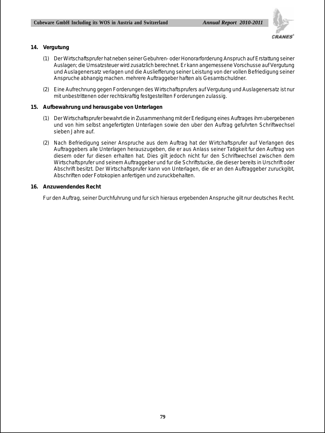

#### **14. Vergutung**

- (1) Der Wirtschaftsprufer hat neben seiner Gebuhren- oder Honorarforderung Anspruch auf Erstattung seiner Auslagen; die Umsatzsteuer wird zusatzlich berechnet. Er kann angemessene Vorschusse auf Vergutung und Auslagenersatz verlagen und die Ausliefferung seiner Leistung von der vollen Befriedigung seiner Anspruche abhangig machen. mehrere Auftraggeber haften als Gesamtschuldner.
- (2) Eine Aufrechnung gegen Forderungen des Wirtschaftsprufers auf Vergutung und Auslagenersatz ist nur mit unbestrittenen oder rechtskraftig festgestellten Forderungen zulassig.

#### **15. Aufbewahrung und herausgabe von Unterlagen**

- (1) Der Wirtschaftsprufer bewahrt die in Zusammenhang mit der Erledigung eines Auftrages ihm ubergebenen und von him selbst angefertigten Unterlagen sowie den uber den Auftrag gefuhrten Schriftwechsel sieben Jahre auf.
- (2) Nach Befriedigung seiner Anspruche aus dem Auftrag hat der Wirtchaftsprufer auf Verlangen des Auftraggebers alle Unterlagen herauszugeben, die er aus Anlass seiner Tatigkeit fur den Auftrag von diesem oder fur diesen erhalten hat. Dies gilt jedoch nicht fur den Schriftwechsel zwischen dem Wirtschaftsprufer und seinem Auftraggeber und fur die Schriftstucke, die dieser bereits in Urschrift oder Abschrift besitzt. Der Wirtschaftsprufer kann von Unterlagen, die er an den Auftraggeber zuruckgibt, Abschriften oder Fotokopien anfertigen und zuruckbehalten.

#### **16. Anzuwendendes Recht**

Fur den Auftrag, seiner Durchfuhrung und fur sich hieraus ergebenden Anspruche gilt nur deutsches Recht.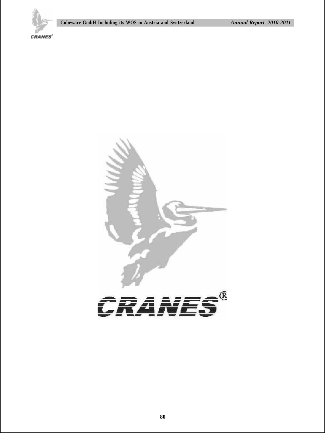



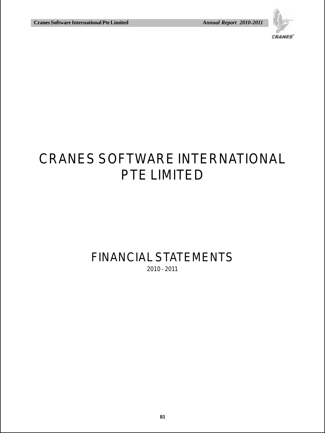

# CRANES SOFTWARE INTERNATIONAL PTE LIMITED

# FINANCIAL STATEMENTS

2010 - 2011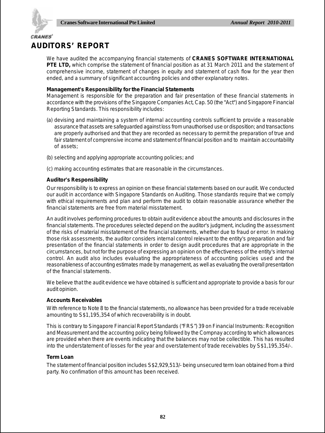

# **AUDITORS' REPORT**

We have audited the accompanying financial statements of **CRANES SOFTWARE INTERNATIONAL PTE LTD,** which comprise the statement of financial position as at 31 March 2011 and the statement of comprehensive income, statement of changes in equity and statement of cash flow for the year then ended, and a summary of significant accounting policies and other explanatory notes.

#### *Management's Responsibility for the Financial Statements*

Management is responsible for the preparation and fair presentation of these financial statements in accordance with the provisions of the Singapore Companies Act, Cap. 50 (the "Act") and Singapore Financial Reporting Standards. This responsibility includes:

- (a) devising and maintaining a system of internal accounting controls sufficient to provide a reasonable assurance that assets are safeguarded against loss from unauthorised use or disposition; and transactions are properly authorised and that they are recorded as necessary to permit the preparation of true and fair statement of comprensive income and statement of financial position and to maintain accountability of assets;
- (b) selecting and applying appropriate accounting policies; and
- (c) making accounting estimates that are reasonable in the circumstances.

#### *Auditor's Responsibility*

Our responsibility is to express an opinion on these financial statements based on our audit. We conducted our audit in accordance with Singapore Standards on Auditing. Those standards require that we comply with ethical requirements and plan and perform the audit to obtain reasonable assurance whether the financial statements are free from material misstatement.

An audit involves performing procedures to obtain audit evidence about the amounts and disclosures in the financial statements. The procedures selected depend on the auditor's judgment, including the assessment of the risks of material misstatement of the financial statements, whether due to fraud or error. In making those risk assessments, the auditor considers internal control relevant to the entity's preparation and fair presentation of the financial statements in order to design audit procedures that are appropriate in the circumstances, but not for the purpose of expressing an opinion on the effectiveness of the entity's internal control. An audit also includes evaluating the appropriateness of accounting policies used and the reasonableness of accounting estimates made by management, as well as evaluating the overall presentation of the financial statements.

We believe that the audit evidence we have obtained is sufficient and appropriate to provide a basis for our audit opinion.

#### *Accounts Receivables*

With reference to Note 8 to the financial statements, no allowance has been provided for a trade receivable amounting to S\$1,195,354 of which recoverability is in doubt.

This is contrary to Singapore Financial Report Standards ("FRS") 39 on Financial Instruments: Recognition and Measurement and the accounting policy being followed by the Compnay according to which allowances are provided when there are events indicating that the balances may not be collectible. This has resulted into the understatement of losses for the year and overstatement of trade receivables by S\$1,195,354/-.

#### *Term Loan*

The statement of financial position includes S\$2,929,513/- being unsecured term loan obtained from a third party. No confimation of this amount has been received.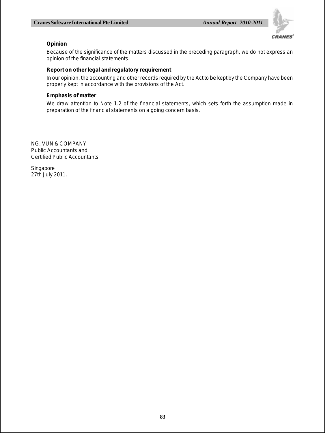

#### *Opinion*

Because of the significance of the matters discussed in the preceding paragraph, we do not express an opinion of the financial statements.

#### *Report on other legal and regulatory requirement*

In our opinion, the accounting and other records required by the Act to be kept by the Company have been properly kept in accordance with the provisions of the Act.

#### *Emphasis of matter*

We draw attention to Note 1.2 of the financial statements, which sets forth the assumption made in preparation of the financial statements on a going concern basis.

NG, VUN & COMPANY Public Accountants and Certified Public Accountants

**Singapore** 27th July 2011.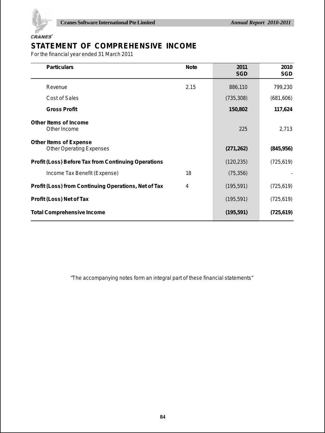

## **STATEMENT OF COMPREHENSIVE INCOME**

For the financial year ended 31 March 2011

| <b>Particulars</b>                                               | <b>Note</b> | 2011<br><b>SGD</b> | 2010<br><b>SGD</b> |
|------------------------------------------------------------------|-------------|--------------------|--------------------|
| Revenue                                                          | 2.15        | 886,110            | 799,230            |
| Cost of Sales                                                    |             | (735, 308)         | (681, 606)         |
| <b>Gross Profit</b>                                              |             | 150,802            | 117,624            |
| Other Items of Income<br>Other Income                            |             | 225                | 2,713              |
| <b>Other Items of Expense</b><br><b>Other Operating Expenses</b> |             | (271, 262)         | (845, 956)         |
| Profit (Loss) Before Tax from Continuing Operations              |             | (120, 235)         | (725, 619)         |
| Income Tax Benefit (Expense)                                     | 18          | (75, 356)          |                    |
| Profit (Loss) from Continuing Operations, Net of Tax             | 4           | (195, 591)         | (725, 619)         |
| Profit (Loss) Net of Tax                                         |             | (195, 591)         | (725, 619)         |
| <b>Total Comprehensive Income</b>                                |             | (195, 591)         | (725, 619)         |

"The accompanying notes form an integral part of these financial statements"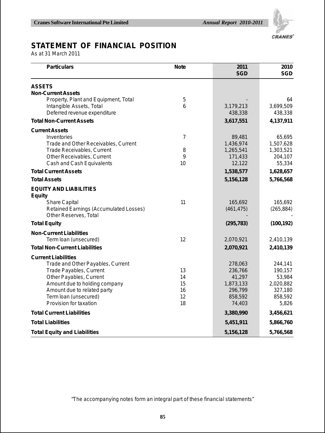

# **STATEMENT OF FINANCIAL POSITION**

As at 31 March 2011

| <b>Particulars</b>                              | <b>Note</b> | 2011<br><b>SGD</b> | 2010<br><b>SGD</b> |
|-------------------------------------------------|-------------|--------------------|--------------------|
| <b>ASSETS</b>                                   |             |                    |                    |
| <b>Non-Current Assets</b>                       |             |                    |                    |
| Property, Plant and Equipment, Total            | 5           |                    | 64                 |
| Intangible Assets, Total                        | 6           | 3,179,213          | 3,699,509          |
| Deferred revenue expenditure                    |             | 438,338            | 438,338            |
| <b>Total Non-Current Assets</b>                 |             | 3,617,551          | 4,137,911          |
| <b>Current Assets</b>                           |             |                    |                    |
| Inventories                                     | 7           | 89,481             | 65,695             |
| Trade and Other Receivables, Current            |             | 1,436,974          | 1,507,628          |
| Trade Receivables, Current                      | 8           | 1,265,541          | 1,303,521          |
| Other Receivables, Current                      | 9<br>10     | 171,433<br>12,122  | 204,107<br>55,334  |
| Cash and Cash Equivalents                       |             |                    |                    |
| <b>Total Current Assets</b>                     |             | 1,538,577          | 1,628,657          |
| <b>Total Assets</b>                             |             | 5,156,128          | 5,766,568          |
| <b>EQUITY AND LIABILITIES</b>                   |             |                    |                    |
| <b>Equity</b>                                   |             |                    |                    |
| Share Capital                                   | 11          | 165,692            | 165,692            |
| Retained Earnings (Accumulated Losses)          |             | (461, 475)         | (265, 884)         |
| Other Reserves, Total                           |             |                    |                    |
| <b>Total Equity</b>                             |             | (295, 783)         | (100, 192)         |
| <b>Non-Current Liabilities</b>                  |             |                    |                    |
| Term loan (unsecured)                           | 12          | 2,070,921          | 2,410,139          |
| <b>Total Non-Current Liabilities</b>            |             | 2,070,921          | 2,410,139          |
| <b>Current Liabilities</b>                      |             |                    |                    |
| Trade and Other Payables, Current               |             | 278,063            | 244,141            |
| Trade Payables, Current                         | 13          | 236,766            | 190,157            |
| Other Payables, Current                         | 14          | 41,297             | 53,984             |
| Amount due to holding company                   | 15          | 1,873,133          | 2,020,882          |
| Amount due to related party                     | 16          | 296,799            | 327,180            |
| Term loan (unsecured)<br>Provision for taxation | 12<br>18    | 858,592<br>74,403  | 858,592<br>5,826   |
|                                                 |             |                    |                    |
| <b>Total Current Liabilities</b>                |             | 3,380,990          | 3,456,621          |
| <b>Total Liabilities</b>                        |             | 5,451,911          | 5,866,760          |
| <b>Total Equity and Liabilities</b>             |             | 5,156,128          | 5,766,568          |

"The accompanying notes form an integral part of these financial statements"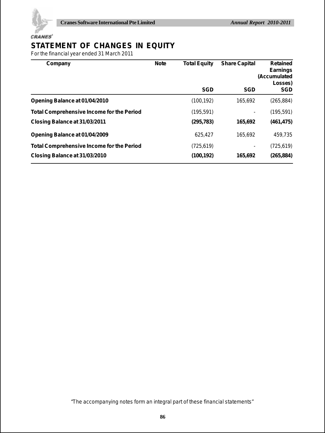

# **STATEMENT OF CHANGES IN EQUITY**

For the financial year ended 31 March 2011

| Company                                   | <b>Note</b> | <b>Total Equity</b> | <b>Share Capital</b> | Retained<br>Earnings<br>(Accumulated<br>Losses) |
|-------------------------------------------|-------------|---------------------|----------------------|-------------------------------------------------|
|                                           |             | <b>SGD</b>          | <b>SGD</b>           | <b>SGD</b>                                      |
| Opening Balance at 01/04/2010             |             | (100, 192)          | 165.692              | (265, 884)                                      |
| Total Comprehensive Income for the Period |             | (195, 591)          |                      | (195, 591)                                      |
| Closing Balance at 31/03/2011             |             | (295, 783)          | 165,692              | (461, 475)                                      |
| Opening Balance at 01/04/2009             |             | 625.427             | 165.692              | 459,735                                         |
| Total Comprehensive Income for the Period |             | (725, 619)          |                      | (725, 619)                                      |
| Closing Balance at 31/03/2010             |             | (100, 192)          | 165,692              | (265, 884)                                      |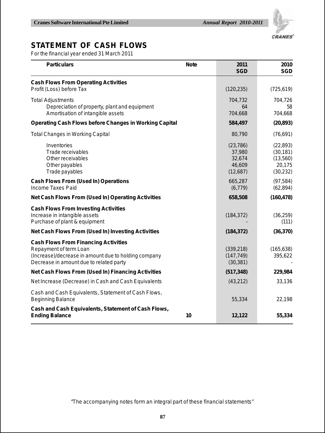

# **STATEMENT OF CASH FLOWS**

For the financial year ended 31 March 2011

| <b>Particulars</b>                                                                                                                                                       | <b>Note</b> | 2011<br><b>SGD</b>                                  | 2010<br><b>SGD</b>                                        |
|--------------------------------------------------------------------------------------------------------------------------------------------------------------------------|-------------|-----------------------------------------------------|-----------------------------------------------------------|
| <b>Cash Flows From Operating Activities</b><br>Profit (Loss) before Tax                                                                                                  |             | (120, 235)                                          | (725, 619)                                                |
| <b>Total Adjustments</b><br>Depreciation of property, plant and equipment<br>Amortisation of intangible assets                                                           |             | 704,732<br>64<br>704,668                            | 704,726<br>58<br>704,668                                  |
| Operating Cash Flows before Changes in Working Capital                                                                                                                   |             | 584,497                                             | (20, 893)                                                 |
| <b>Total Changes in Working Capital</b>                                                                                                                                  |             | 80,790                                              | (76, 691)                                                 |
| Inventories<br>Trade receivables<br>Other receivables<br>Other payables<br>Trade payables                                                                                |             | (23, 786)<br>37,980<br>32,674<br>46,609<br>(12,687) | (22, 893)<br>(30, 181)<br>(13,560)<br>20,175<br>(30, 232) |
| Cash Flows From (Used In) Operations<br>Income Taxes Paid                                                                                                                |             | 665,287<br>(6, 779)                                 | (97, 584)<br>(62, 894)                                    |
| Net Cash Flows From (Used In) Operating Activities                                                                                                                       |             | 658,508                                             | (160, 478)                                                |
| <b>Cash Flows From Investing Activities</b><br>Increase in intangible assets<br>Purchase of plant & equipment                                                            |             | (184, 372)                                          | (36, 259)<br>(111)                                        |
| Net Cash Flows From (Used In) Investing Activities                                                                                                                       |             | (184, 372)                                          | (36, 370)                                                 |
| <b>Cash Flows From Financing Activities</b><br>Repayment of term Loan<br>(Increase)/decrease in amount due to holding company<br>Decrease in amount due to related party |             | (339, 218)<br>(147, 749)<br>(30, 381)               | (165, 638)<br>395,622                                     |
| Net Cash Flows From (Used In) Financing Activities                                                                                                                       |             | (517, 348)                                          | 229,984                                                   |
| Net Increase (Decrease) in Cash and Cash Equivalents                                                                                                                     |             | (43, 212)                                           | 33,136                                                    |
| Cash and Cash Equivalents, Statement of Cash Flows,<br><b>Beginning Balance</b>                                                                                          |             | 55,334                                              | 22,198                                                    |
| Cash and Cash Equivalents, Statement of Cash Flows,<br><b>Ending Balance</b>                                                                                             | 10          | 12,122                                              | 55,334                                                    |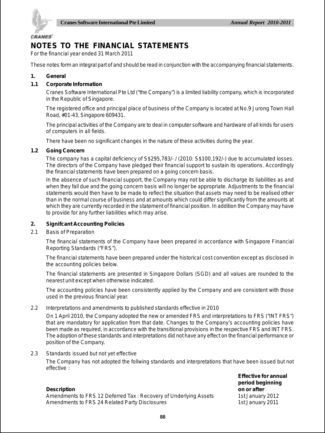

# **NOTES TO THE FINANCIAL STATEMENTS**

For the financial year ended 31 March 2011

These notes form an integral part of and should be read in conjunction with the accompanying financial statements.

#### **1. General**

#### **1.1 Corporate Information**

Cranes Software International Pte Ltd ("the Company") is a limited liability company, which is incorporated in the Republic of Singapore.

The registered office and principal place of business of the Company is located at No.9 Jurong Town Hall Road, #01-43, Singapore 609431.

The principal activities of the Company are to deal in computer software and hardware of all kinds for users of computers in all fields.

There have been no significant changes in the nature of these activities during the year.

#### **1.2 Going Concern**

The company has a capital deficiency of S\$295,783/- / (2010: S\$100,192/-) due to accumulated losses. The directors of the Company have pledged their financial support to sustain its operations. Accordingly the financial statements have been prepared on a going concern basis.

In the absence of such financial support, the Company may not be able to discharge its liabilities as and when they fall due and the going concern basis will no longer be appropriate. Adjustments to the financial statements would then have to be made to reflect the situation that assets may need to be realised other than in the normal course of business and at amounts which could differ significantly from the amounts at which they are currently recorded in the statement of financial position. In addition the Company may have to provide for any further liabilities which may arise.

#### **2. Signifcant Accounting Policies**

2.1 Basis of Preparation

The financial statements of the Company have been prepared in accordance with Singapore Financial Reporting Standards ("FRS").

The financial statements have been prepared under the historical cost convention except as disclosed in the accounting policies below.

The financial statements are presented in Singapore Dollars (SGD) and all values are rounded to the nearest unit except when otherwise indicated.

The accounting policies have been consistently applied by the Company and are consistent with those used in the previous financial year.

2.2 Interpretations and amendments to published standards effective in 2010

On 1 April 2010, the Company adopted the new or amended FRS and interpretations to FRS ("INT FRS") that are mandatory for application from that date. Changes to the Company's accounting policies have been made as required, in accordance with the transitional provisions in the respective FRS and INT FRS. The adoption of these standards and interpretations did not have any effect on the financial performance or position of the Company.

#### 2.3 Standards issued but not yet effective

The Company has not adopted the follwing standards and interpretations that have been issued but not effective :

Amendments to FRS 12 Deferred Tax : Recovery of Underlying Assets 1st January 2012<br>Amendments to FRS 24 Related Party Disclosures 1st January 2011 Amendments to FRS 24 Related Party Disclosures

**Effective for annual period beginning Description on or after**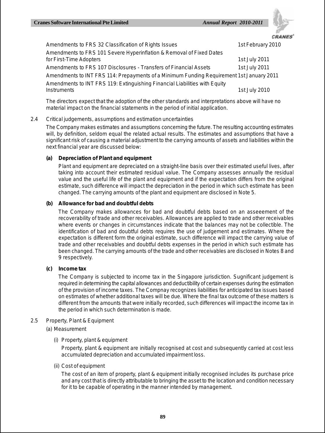| Amendments to FRS 32 Classification of Rights Issues                                     | 1st February 2010 |
|------------------------------------------------------------------------------------------|-------------------|
| Amendments to FRS 101 Severe Hyperinflation & Removal of Fixed Dates                     |                   |
| for First-Time Adopters                                                                  | 1st July 2011     |
| Amendments to FRS 107 Disclosures - Transfers of Financial Assets                        | 1st July 2011     |
| Amendments to INT FRS 114: Prepayments of a Minimum Funding Requirement 1st January 2011 |                   |
| Amendments to INT FRS 119: Extinguishing Financial Liabilities with Equity               |                   |
| <b>Instruments</b>                                                                       | 1st July 2010     |
|                                                                                          |                   |

The directors expect that the adoption of the other standards and interpretations above will have no material impact on the financial statements in the period of initial application.

#### 2.4 Critical judgements, assumptions and estimation uncertainties

The Company makes estimates and assumptions concerning the future. The resulting accounting estimates will, by definition, seldom equal the related actual results. The estimates and assumptions that have a significant risk of causing a material adjustment to the carrying amounts of assets and liabilities within the next financial year are discussed below:

#### **(a) Depreciation of Plant and equipment**

Plant and equipment are depreciated on a straight-line basis over their estimated useful lives, after taking into account their estimated residual value. The Company assesses annually the residual value and the useful life of the plant and equipment and if the expectation differs from the original estimate, such difference will impact the depreciation in the period in which such estimate has been changed. The carrying amounts of the plant and equipment are disclosed in Note 5.

#### **(b) Allowance for bad and doubtful debts**

The Company makes allowances for bad and doubtful debts based on an asseeement of the recoverability of trade and other receivables. Allowances are applied to trade and other receivables where events or changes in circumstances indicate that the balances may not be collectible. The identification of bad and doubtful debts requires the use of judgement and estimates. Where the expectation is different form the original estimate, such difference will impact the carrying value of trade and other receivables and doubtful debts expenses in the period in which such estimate has been changed. The carrying amounts of the trade and other receivables are disclosed in Notes 8 and 9 respectively.

#### **(c) Income tax**

The Company is subjected to income tax in the Singapore jurisdiction. Sugnificant judgement is required in determining the capital allowances and deductibility of certain expenses during the estimation of the provision of income taxes. The Compnay recognizes liabilities for anticipated tax issues based on estimates of whether additional taxes will be due. Where the final tax outcome of these matters is different from the amounts that were initially recorded, such differences will impact the income tax in the period in which such determination is made.

#### 2.5 Property, Plant & Equipment

#### (a) Measurement

(i) Property, plant & equipment

Property, plant & equipment are initially recognised at cost and subsequently carried at cost less accumulated depreciation and accumulated impairment loss.

(ii) Cost of equipment

The cost of an item of property, plant & equipment initially recognised includes its purchase price and any cost that is directly attributable to bringing the asset to the location and condition necessary for it to be capable of operating in the manner intended by management.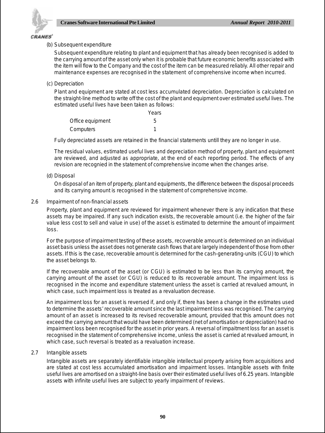



#### (b) Subsequent expenditure

Subsequent expenditure relating to plant and equipment that has already been recognised is added to the carrying amount of the asset only when it is probable that future economic benefits associated with the item will flow to the Company and the cost of the item can be measured reliably. All other repair and maintenance expenses are recognised in the statement of comprehensive income when incurred.

(c) Depreciation

Plant and equipment are stated at cost less accumulated depreciation. Depreciation is calculated on the straight-line method to write off the cost of the plant and equipment over estimated useful lives. The estimated useful lives have been taken as follows:

|                  | Years |
|------------------|-------|
| Office equipment | b     |
| Computers        |       |

Fully depreciated assets are retained in the financial statements untill they are no longer in use.

The residual values, estimated useful lives and depreciation method of property, plant and equipment are reviewed, and adjusted as appropriate, at the end of each reporting period. The effects of any revision are recognied in the statement of comprehensive income when the changes arise.

#### (d) Disposal

On disposal of an item of property, plant and equipments, the difference between the disposal proceeds and its carrying amount is recognised in the statement of comprehensive income.

#### 2.6 Impairment of non-financial assets

Property, plant and equipment are reviewed for impairment whenever there is any indication that these assets may be impaired. If any such indication exists, the recoverable amount (i.e. the higher of the fair value less cost to sell and value in use) of the asset is estimated to determine the amount of impairment loss.

For the purpose of impairment testing of these assets, recoverable amount is determined on an individual asset basis unless the asset does not generate cash flows that are largely independent of those from other assets. If this is the case, recoverable amount is determined for the cash-generating-units (CGU) to which the asset belongs to.

If the recoverable amount of the asset (or CGU) is estimated to be less than its carrying amount, the carrying amount of the asset (or CGU) is reduced to its recoverable amount. The impairment loss is recognised in the income and expenditure statement unless the asset is carried at revalued amount, in which case, such impairment loss is treated as a revaluation decrease.

An impairment loss for an asset is reversed if, and only if, there has been a change in the estimates used to determine the assets' recoverable amount since the last impairment loss was recognised. The carrying amount of an asset is increased to its revised recoverable amount, provided that this amount does not exceed the carrying amount that would have been determined (net of amortisation or depreciation) had no impairment loss been recognised for the asset in prior years. A reversal of impaitment loss for an asset is recognised in the statement of comprehensive income, unless the asset is carried at revalued amount, in which case, such reversal is treated as a revaluation increase.

#### 2.7 Intangible assets

Intangible assets are separately identifiable intangible intellectual property arising from acquisitions and are stated at cost less accumulated amortisation and impairment losses. Intangible assets with finite useful lives are amortised on a straight-line basis over their estimated useful lives of 6.25 years. Intangible assets with infinite useful lives are subject to yearly impairment of reviews.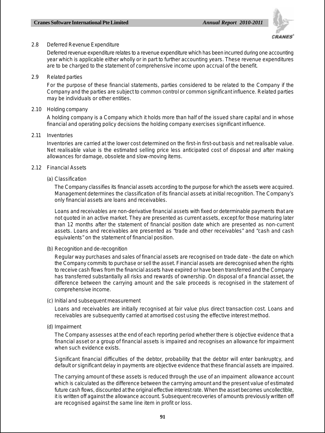

#### 2.8 Deferred Revenue Expenditure

Deferred revenue expenditure relates to a revenue expenditure which has been incurred during one accounting year which is applicable either wholly or in part to further accounting years. These revenue expenditures are to be charged to the statement of comprehensive income upon accrual of the benefit.

2.9 Related parties

For the purpose of these financial statements, parties considered to be related to the Company if the Company and the parties are subject to common control or common significant influence. Related parties may be individuals or other entities.

2.10 Holding company

A holding company is a Company which it holds more than half of the issued share capital and in whose financial and operating policy decisions the holding company exercises significant influence.

2.11 Inventories

Inventories are carried at the lower cost determined on the first-in first-out basis and net realisable value. Net realisable value is the estimated selling price less anticipated cost of disposal and after making allowances for damage, obsolete and slow-moving items.

#### 2.12 Financial Assets

#### (a) Classification

The Company classifies its financial assets according to the purpose for which the assets were acquired. Management determines the classification of its financial assets at initial recognition. The Company's only financial assets are loans and receivables.

Loans and receivables are non-derivative financial assets with fixed or determinable payments that are not quoted in an active market. They are presented as current assets, except for those maturing later than 12 months after the statement of financial position date which are presented as non-current assets. Loans and receivables are presented as "trade and other receivables" and "cash and cash equivalents" on the statement of financial position.

(b) Recognition and de-recognition

Regular way purchases and sales of financial assets are recognised on trade date - the date on which the Company commits to purchase or sell the asset. Financial assets are derecognised when the rights to receive cash flows from the financial assets have expired or have been transferred and the Company has transferred substantially all risks and rewards of ownership. On disposal of a financial asset, the difference between the carrying amount and the sale proceeds is recognised in the statement of comprehensive income.

#### (c) Initial and subsequent measurement

Loans and receivables are initially recognised at fair value plus direct transaction cost. Loans and receivables are subsequently carried at amortised cost using the effective interest method.

(d) Impairment

The Company assesses at the end of each reporting period whether there is objective evidence that a financial asset or a group of financial assets is impaired and recognises an allowance for impairment when such evidence exists.

Significant financial difficulties of the debtor, probability that the debtor will enter bankruptcy, and default or significant delay in payments are objective evidence that these financial assets are impaired.

The carrying amount of these assets is reduced through the use of an impaiment allowance account which is calculated as the difference between the carrrying amount and the present value of estimated future cash flows, discounted at the original effective interest rate. When the asset becomes uncollectible, it is written off against the allowance account. Subsequent recoveries of amounts previously written off are recognised against the same line item in profit or loss.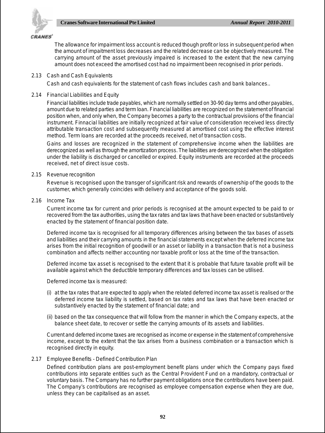

The allowance for impairment loss account is reduced though profit or loss in subsequent period when the amount of impaitment loss decreases and the related decrease can be objectively measured. The carrying amount of the asset previously impaired is increased to the extent that the new carrying amount does not exceed the amortised cost had no impairment been recognised in prior periods.

#### 2.13 Cash and Cash Equivalents

Cash and cash equivalents for the statement of cash flows includes cash and bank balances..

#### 2.14 Financial Liabilities and Equity

Financial liabilities include trade payables, which are normally settled on 30-90 day terms and other payables, amount due to related parties and term loan. Financial liabilities are recognized on the statement of financial position when, and only when, the Company becomes a party to the contractual provisiions of the financial instrument. Finnacial liabilities are initially recognized at fair value of consideration received less directly attributable transaction cost and subsequently measured at amortised cost using the effective interest method. Term loans are recorded at the proceeds received, net of transaction costs.

Gains and losses are recognized in the statement of comprehensive income when the liabilities are derecognized as well as through the amortization process. The liabilities are derecognized when the obligation under the liability is discharged or cancelled or expired. Equity instruments are recorded at the proceeds received, net of direct issue costs.

#### 2.15 Revenue recognition

Revenue is recognised upon the transger of significant risk and rewards of ownership of the goods to the customer, which generally coincides with delivery and acceptance of the goods sold.

#### 2.16 Income Tax

Current income tax for current and prior periods is recognised at the amount expected to be paid to or recovered from the tax authorities, using the tax rates and tax laws that have been enacted or substantively enacted by the statement of financial position date.

Deferred income tax is recognised for all temporary differences arising between the tax bases of assets and liabilities and their carrying amounts in the financial statements except when the deferred income tax arises from the initial recognition of goodwill or an asset or liability in a transaction that is not a business combination and affects neither accounting nor taxable profit or loss at the time of the transaction.

Deferred income tax asset is recognised to the extent that it is probable that future taxable profit will be available against which the deductible temporary differences and tax losses can be utilised.

Deferred income tax is measured:

- (i) at the tax rates that are expected to apply when the related deferred income tax asset is realised or the deferred income tax liability is settled, based on tax rates and tax laws that have been enacted or substantively enacted by the statement of financial date; and
- (ii) based on the tax consequence that will follow from the manner in which the Company expects, at the balance sheet date, to recover or settle the carrying amounts of its assets and liabilities.

Current and deferred income taxes are recognised as income or expense in the statement of comprehensive income, except to the extent that the tax arises from a business combination or a transaction which is recognised directly in equity.

#### 2.17 Employee Benefits - Defined Contribution Plan

Defined contribution plans are post-employment benefit plans under which the Company pays fixed contributions into separate entities such as the Central Provident Fund on a mandatory, contractual or voluntary basis. The Company has no further payment obligations once the contributions have been paid. The Company's contributions are recognised as employee compensation expense when they are due, unless they can be capitalised as an asset.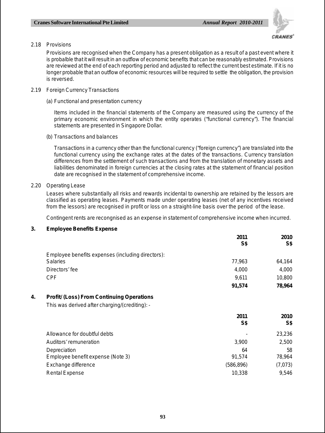

#### 2.18 Provisions

Provisions are recognised when the Company has a present obligation as a result of a past event where it is probalble that it will result in an outflow of economic benefits that can be reasonably estimated. Provisions are reviewed at the end of each reporting period and adjusted to reflect the current best estimate. If it is no longer probable that an outflow of economic resources will be required to settle the obligation, the provision is reversed.

#### 2.19 Foreign Currency Transactions

(a) Functional and presentation currency

Items included in the financial statements of the Company are measured using the currency of the primary economic environment in which the entity operates ("functional currency"). The financial statements are presented in Singapore Dollar.

(b) Transactions and balances

Transactions in a currency other than the functional curency ("foreign currency") are translated into the functional currency using the exchange rates at the dates of the transactions. Currency translation differences from the settlement of such transactions and from the translation of monetary assets and liabilities denominated in foreign currencies at the closing rates at the statement of financial position date are recognised in the statement of comprehensive income.

#### 2.20 Operating Lease

Leases where substantially all risks and rewards incidental to ownership are retained by the lessors are classified as operating leases. Payments made under operating leases (net of any incentives received from the lessors) are recognised in profit or loss on a straight-line basis over the period of the lease.

Contingent rents are recongnised as an expense in statement of comprehensive income when incurred.

#### **3. Employee Benefits Expense**

|    |                                                   | 2011<br>S\$ | 2010<br><b>S\$</b> |
|----|---------------------------------------------------|-------------|--------------------|
|    | Employee benefits expenses (including directors): |             |                    |
|    | <b>Salaries</b>                                   | 77,963      | 64,164             |
|    | Directors' fee                                    | 4,000       | 4,000              |
|    | <b>CPF</b>                                        | 9,611       | 10,800             |
|    |                                                   | 91,574      | 78,964             |
| 4. | Profit/ (Loss) From Continuing Operations         |             |                    |
|    | This was derived after charging/(crediting): -    |             |                    |
|    |                                                   | 2011        | 2010               |
|    |                                                   | S\$         | <b>S\$</b>         |
|    |                                                   |             |                    |

| Allowance for doubtful debts      |            | 23,236  |
|-----------------------------------|------------|---------|
| Auditors' remuneration            | 3.900      | 2.500   |
| Depreciation                      | 64         | 58      |
| Employee benefit expense (Note 3) | 91.574     | 78.964  |
| Exchange difference               | (586, 896) | (7,073) |
| Rental Expense                    | 10.338     | 9.546   |
|                                   |            |         |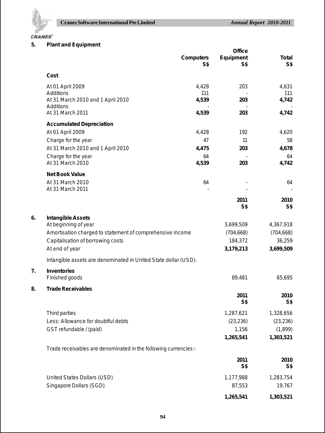

**7. Inventories**

## **5. Plant and Equipment**

|    |                                                                                   | Computers<br>S\$ | Office<br>Equipment<br>S\$ | Total<br><b>S\$</b>     |
|----|-----------------------------------------------------------------------------------|------------------|----------------------------|-------------------------|
|    | Cost                                                                              |                  |                            |                         |
|    | At 01 April 2009                                                                  | 4,428            | 203                        | 4,631                   |
|    | Additions                                                                         | 111              |                            | 111                     |
|    | At 31 March 2010 and 1 April 2010<br>Additions                                    | 4,539            | 203                        | 4,742                   |
|    | At 31 March 2011                                                                  | 4,539            | 203                        | 4,742                   |
|    | <b>Accumulated Depreciation</b>                                                   |                  |                            |                         |
|    | At 01 April 2009                                                                  | 4,428            | 192                        | 4,620                   |
|    | Charge for the year                                                               | 47               | 11                         | 58                      |
|    | At 31 March 2010 and 1 April 2010                                                 | 4,475            | 203                        | 4,678                   |
|    | Charge for the year<br>At 31 March 2010                                           | 64<br>4,539      | 203                        | 64<br>4,742             |
|    | <b>Net Book Value</b>                                                             |                  |                            |                         |
|    | At 31 March 2010                                                                  | 64               |                            | 64                      |
|    | At 31 March 2011                                                                  |                  |                            |                         |
|    |                                                                                   |                  | 2011                       | 2010                    |
|    |                                                                                   |                  | <b>S\$</b>                 | <b>S\$</b>              |
| 6. | <b>Intangible Assets</b>                                                          |                  |                            |                         |
|    | At beginning of year<br>Amortisation charged to statement of comprehensive income |                  | 3,699,509<br>(704, 668)    | 4,367,918<br>(704, 668) |
|    | Capitalisation of borrowing costs                                                 |                  | 184,372                    | 36,259                  |
|    | At end of year                                                                    |                  | 3,179,213                  | 3,699,509               |
|    | Intangible assets are denominated in United State dollar (USD).                   |                  |                            |                         |
| 7. | Inventories                                                                       |                  |                            |                         |
|    | Finished goods                                                                    |                  | 89,481                     | 65,695                  |
| 8. | <b>Trade Receivables</b>                                                          |                  |                            |                         |
|    |                                                                                   |                  | 2011<br><b>S\$</b>         | 2010<br><b>S\$</b>      |
|    | Third parties                                                                     |                  | 1,287,621                  | 1,328,656               |
|    | Less: Allowance for doubtful debts                                                |                  | (23, 236)                  | (23, 236)               |
|    | GST refundable / (paid)                                                           |                  | 1,156                      | (1,899)                 |
|    |                                                                                   |                  | 1,265,541                  | 1,303,521               |
|    | Trade receivables are denominated in the following currencies:-                   |                  |                            |                         |
|    |                                                                                   |                  | 2011<br><b>S\$</b>         | 2010<br><b>S\$</b>      |
|    |                                                                                   |                  |                            |                         |
|    | United States Dollars (USD)                                                       |                  | 1,177,988<br>87,553        | 1,283,754<br>19,767     |
|    | Singapore Dollars (SGD)                                                           |                  |                            |                         |
|    |                                                                                   |                  | 1,265,541                  | 1,303,521               |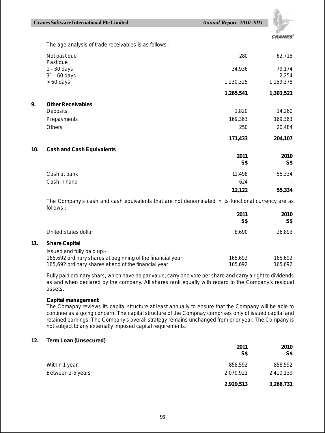

The age analysis of trade receivables is as follows :-

|     | Not past due<br>Past due         | 280                | 62,715             |
|-----|----------------------------------|--------------------|--------------------|
|     | 1 - 30 days<br>31 - 60 days      | 34,936             | 79,174<br>2,254    |
|     | $> 60$ days                      | 1,230,325          | 1,159,378          |
|     |                                  | 1,265,541          | 1,303,521          |
| 9.  | <b>Other Receivables</b>         |                    |                    |
|     | Deposits                         | 1,820              | 14,260             |
|     | Prepayments                      | 169,363            | 169,363            |
|     | Others                           | 250                | 20,484             |
|     |                                  | 171,433            | 204,107            |
| 10. | <b>Cash and Cash Equivalents</b> |                    |                    |
|     |                                  | 2011<br><b>S\$</b> | 2010<br><b>S\$</b> |
|     | Cash at bank                     | 11,498             | 55,334             |
|     | Cash in hand                     | 624                |                    |
|     |                                  | 12,122             | 55,334             |

The Company's cash and cash equivalents that are not denominated in its functional currency are as follows :

|     |                                                                                                                                                                          | 2011<br>S\$        | 2010<br>S\$        |
|-----|--------------------------------------------------------------------------------------------------------------------------------------------------------------------------|--------------------|--------------------|
|     | United States dollar                                                                                                                                                     | 8.690              | 26.893             |
| 11. | <b>Share Capital</b><br>Issued and fully paid up:-<br>165,692 ordinary shares at beginning of the financial year<br>165,692 ordinary shares at end of the financial year | 165.692<br>165.692 | 165,692<br>165,692 |

Fully paid ordinary shars, which have no par value, carry one vote per share and carry a right to dividends as and when declared by the company. All shares rank equally with regard to the Company's residual assets.

#### **Capital management**

The Comapny reviews its capital structure at least annually to ensure that the Company will be able to continue as a going concern. The capital structure of the Compnay comprises only of issued capital and retained earnings. The Company's overall strategy remains unchanged from prior year. The Company is not subject to any externally imposed capital requirements.

#### **12. Term Loan (Unsecured)**

|                   | 2011<br>S\$ | 2010<br><b>S\$</b> |
|-------------------|-------------|--------------------|
| Within 1 year     | 858,592     | 858,592            |
| Between 2-5 years | 2,070,921   | 2,410,139          |
|                   | 2,929,513   | 3,268,731          |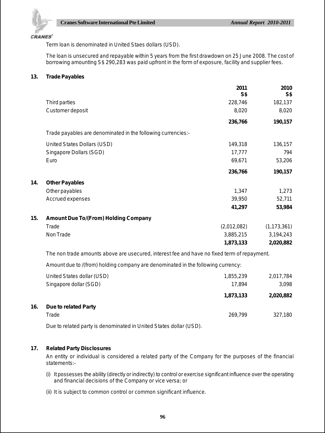

**14.** 

Term loan is denominated in United Staes dollars (USD).

The loan is unsecured and repayable within 5 years from the first drawdown on 25 June 2008. The cost of borrowing amounting S\$ 290,283 was paid upfront in the form of exposure, facility and supplier fees.

#### **13. Trade Payables**

|     |                                                              | 2011<br><b>S\$</b> | 2010<br><b>S\$</b> |
|-----|--------------------------------------------------------------|--------------------|--------------------|
|     | Third parties                                                | 228,746            | 182,137            |
|     | Customer deposit                                             | 8,020              | 8,020              |
|     |                                                              | 236,766            | 190,157            |
|     | Trade payables are denominated in the following currencies:- |                    |                    |
|     | United States Dollars (USD)                                  | 149,318            | 136,157            |
|     | Singapore Dollars (SGD)                                      | 17,777             | 794                |
|     | Euro                                                         | 69,671             | 53,206             |
|     |                                                              | 236,766            | 190,157            |
| 14. | <b>Other Payables</b>                                        |                    |                    |
|     | Other payables                                               | 1,347              | 1,273              |
|     | Accrued expenses                                             | 39,950             | 52,711             |
|     |                                                              | 41,297             | 53,984             |
| 15. | Amount Due To/(From) Holding Company                         |                    |                    |
|     | Trade                                                        | (2,012,082)        | (1, 173, 361)      |
|     | Non Trade                                                    | 3,885,215          | 3,194,243          |
|     |                                                              | 1,873,133          | 2,020,882          |

The non trade amounts above are usecured, interest fee and have no fixed term of repayment.

Amount due to /(from) holding company are denominated in the following currency:

|     | United States dollar (USD)<br>Singapore dollar (SGD) | 1,855,239<br>17.894 | 2,017,784<br>3,098 |
|-----|------------------------------------------------------|---------------------|--------------------|
|     |                                                      | 1,873,133           | 2,020,882          |
| 16. | Due to related Party<br>Trade                        | 269.799             | 327,180            |
|     |                                                      |                     |                    |

Due to related party is denominated in United States dollar (USD).

#### **17. Related Party Disclosures**

An entity or individual is considered a related party of the Company for the purposes of the financial statements:-

- (i) It possesses the ability (directly or indirectly) to control or exercise significant influence over the operating and financial decisions of the Company or vice versa; or
- (ii) It is subject to common control or common significant influence.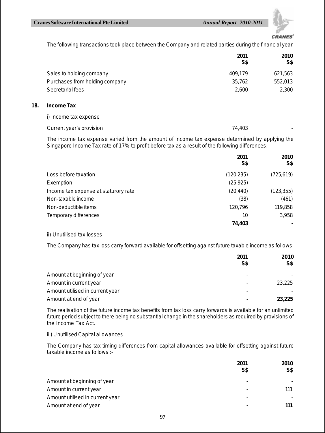

The following transactions took place between the Company and related parties during the financial year.

|                                | 2011<br>S\$ | 2010<br><b>S\$</b> |
|--------------------------------|-------------|--------------------|
| Sales to holding company       | 409.179     | 621,563            |
| Purchases from holding company | 35,762      | 552,013            |
| Secretarial fees               | 2.600       | 2,300              |

#### **18. Income Tax**

i) Income tax expense

| Current year's provision | 74,403 |  |
|--------------------------|--------|--|
|--------------------------|--------|--|

The income tax expense varied from the amount of income tax expense determined by applying the Singapore Income Tax rate of 17% to profit before tax as a result of the following differences:

|                                      | 2011<br>S\$ | 2010<br>S\$ |
|--------------------------------------|-------------|-------------|
| Loss before taxation                 | (120, 235)  | (725, 619)  |
| Exemption                            | (25, 925)   |             |
| Income tax expense at staturory rate | (20, 440)   | (123, 355)  |
| Non-taxable income                   | (38)        | (461)       |
| Non-deductible items                 | 120,796     | 119,858     |
| Temporary differences                | 10          | 3,958       |
|                                      | 74,403      |             |

#### ii) Unutilised tax losses

The Company has tax loss carry forward available for offsetting against future taxable income as follows:

|                                 | 2011<br>S\$              | 2010<br>S\$ |
|---------------------------------|--------------------------|-------------|
| Amount at beginning of year     | $\overline{\phantom{a}}$ |             |
| Amount in current year          | $\overline{\phantom{a}}$ | 23,225      |
| Amount utilised in current year | $\overline{\phantom{a}}$ |             |
| Amount at end of year           | $\blacksquare$           | 23,225      |

The realisation of the future income tax benefits from tax loss carry forwards is available for an unlimited future period subject to there being no substantial change in the shareholders as required by provisions of the Income Tax Act.

#### iii) Unutilised Capital allowances

The Company has tax timing differences from capital allowances available for offsetting against future taxable income as follows :-

|                                 | 2011                     | 2010<br>S\$ |
|---------------------------------|--------------------------|-------------|
|                                 | S\$                      |             |
| Amount at beginning of year     | $\overline{\phantom{0}}$ |             |
| Amount in current year          |                          | 111         |
| Amount utilised in current year |                          |             |
| Amount at end of year           |                          |             |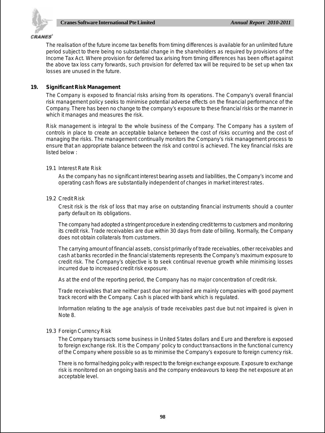

The realisation of the future income tax benefits from timing differences is available for an unlimited future period subject to there being no substantial change in the shareholders as required by provisions of the Income Tax Act. Where provision for deferred tax arising from timing differences has been offset against the above tax loss carry forwards, such provision for deferred tax will be required to be set up when tax losses are unused in the future.

#### **19. Significant Risk Management**

The Company is exposed to financial risks arising from its operations. The Company's overall financial risk management policy seeks to minimise potential adverse effects on the financial performance of the Company. There has been no change to the company's exposure to these financial risks or the manner in which it manages and measures the risk.

Risk management is integral to the whole business of the Company. The Company has a system of controls in place to create an acceptable balance between the cost of risks occurring and the cost of managing the risks. The management continually monitors the Company's risk management process to ensure that an appropriate balance between the risk and control is achieved. The key financial risks are listed below :

#### 19.1 Interest Rate Risk

As the company has no significant interest bearing assets and liabilities, the Company's income and operating cash flows are substantially independent of changes in market interest rates.

19.2 Credit Risk

Cresit risk is the risk of loss that may arise on outstanding financial instruments should a counter party default on its obligations.

The company had adopted a stringent procedure in extending credit terms to customers and monitoring its credit risk. Trade receivables are due within 30 days from date of billing. Normally, the Company does not obtain collaterals from customers.

The carrying amount of financial assets, consist primarily of trade receivables, other receivables and cash at banks recorded in the financial statements represents the Company's maximum exposure to credit risk. The Company's objective is to seek continual revenue growth while minimising losses incurred due to increased credit risk exposure.

As at the end of the reporting period, the Company has no major concentration of credit risk.

Trade receivables that are neither past due nor impaired are mainly companies with good payment track record with the Company. Cash is placed with bank which is regulated.

Information relating to the age analysis of trade receivables past due but not impaired is given in Note 8.

#### 19.3 Foreign Currency Risk

The Company transacts some business in United States dollars and Euro and therefore is exposed to foreign exchange risk. It is the Company' policy to conduct transactions in the functional currency of the Company where possible so as to minimise the Company's exposure to foreign currency risk.

There is no formal hedging policy with respect to the foreign exchange exposure. Exposure to exchange risk is monitored on an ongoing basis and the company endeavours to keep the net exposure at an acceptable level.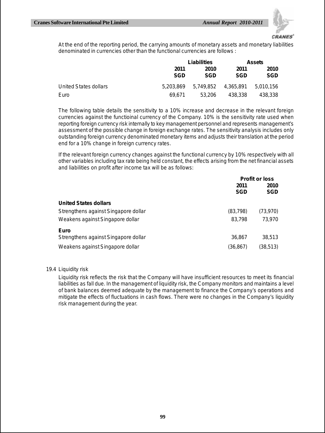

At the end of the reporting period, the carrying amounts of monetary assets and monetary liabilities denominated in currencies other than the functional currencies are follows :

|                       | Liabilities |                    |                        | <b>Assets</b> |  |
|-----------------------|-------------|--------------------|------------------------|---------------|--|
|                       | 2011<br>SGD | 2010<br><b>SGD</b> | 2011<br>SGD            | 2010<br>SGD   |  |
| United States dollars | 5,203,869   |                    | 5.749.852    4.365.891 | 5.010.156     |  |
| Euro                  | 69.671      | 53,206             | 438,338                | 438.338       |  |

The following table details the sensitivity to a 10% increase and decrease in the relevant foreign currencies against the functioinal currency of the Company. 10% is the sensitivity rate used when reporting foreign currency risk internally to key management personnel and represents management's assessment of the possible change in foreign exchange rates. The sensitivity analysis includes only outstanding foreign currency denominated monetary items and adjusts their translation at the period end for a 10% change in foreign currency rates.

If the relevant foreign currency changes against the functional currency by 10% respectively with all other variables including tax rate being held constant, the effects arising from the net financial assets and liabilities on profit after income tax will be as follows:

|                                      |            | Profit or loss |
|--------------------------------------|------------|----------------|
|                                      | 2011       | 2010           |
|                                      | <b>SGD</b> | <b>SGD</b>     |
| <b>United States dollars</b>         |            |                |
| Strengthens against Singapore dollar | (83, 798)  | (73,970)       |
| Weakens against Singapore dollar     | 83.798     | 73,970         |
| Euro                                 |            |                |
| Strengthens against Singapore dollar | 36,867     | 38,513         |
| Weakens against Singapore dollar     | (36, 867)  | (38, 513)      |
|                                      |            |                |

#### 19.4 Liquidity risk

Liquidity risk reflects the risk that the Company will have insufficient resources to meet its financial liabilities as fall due. In the management of liquidity risk, the Company monitors and maintains a level of bank balances deemed adequate by the management to finance the Company's operations and mitigate the effects of fluctuations in cash flows. There were no changes in the Company's liquidity risk management during the year.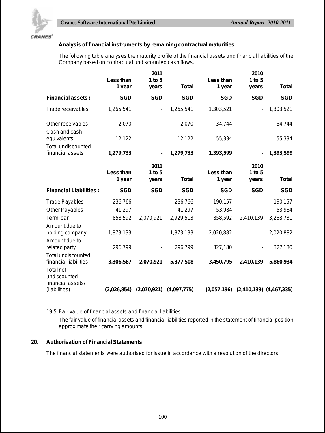



#### **Analysis of financial instruments by remaining contractual maturities**

The following table analyses the maturity profile of the financial assets and financial liabilities of the Company based on contractual undiscounted cash flows.

| Less than<br>1 year | 2011<br>1 to 5<br>years     | Total       | Less than<br>1 year | 2010<br>$1$ to $5$<br>years | Total                       |
|---------------------|-----------------------------|-------------|---------------------|-----------------------------|-----------------------------|
| <b>SGD</b>          | <b>SGD</b>                  | <b>SGD</b>  | <b>SGD</b>          | <b>SGD</b>                  | <b>SGD</b>                  |
| 1,265,541           |                             | 1,265,541   | 1,303,521           | $\overline{\phantom{a}}$    | 1,303,521                   |
| 2,070               |                             | 2,070       | 34,744              |                             | 34,744                      |
| 12,122              |                             | 12,122      | 55,334              |                             | 55,334                      |
| 1,279,733           |                             | 1,279,733   | 1,393,599           |                             | 1,393,599                   |
| Less than<br>1 year | 2011<br>$1$ to $5$<br>years | Total       | Less than<br>1 year | 2010<br>$1$ to $5$<br>years | <b>Total</b>                |
| <b>SGD</b>          | <b>SGD</b>                  | <b>SGD</b>  | <b>SGD</b>          | <b>SGD</b>                  | <b>SGD</b>                  |
| 236,766             |                             | 236,766     | 190,157             |                             | 190,157                     |
| 41,297              |                             | 41,297      | 53,984              |                             | 53,984                      |
| 858,592             | 2,070,921                   | 2,929,513   | 858,592             | 2,410,139                   | 3,268,731                   |
| 1,873,133           |                             | 1,873,133   | 2,020,882           |                             | 2,020,882                   |
| 296,799             |                             | 296,799     | 327,180             |                             | 327,180                     |
| 3,306,587           | 2,070,921                   | 5,377,508   | 3,450,795           | 2,410,139                   | 5,860,934                   |
|                     |                             |             |                     |                             |                             |
|                     | (2,026,854)                 | (2,070,921) | (4,097,775)         | (2,057,196)                 | $(2,410,139)$ $(4,467,335)$ |

19.5 Fair value of financial assets and financial liabilities

The fair value of financial assets and financial liabilities reported in the statement of financial position approximate their carrying amounts.

#### **20. Authorisation of Financial Statements**

The financial statements were authorised for issue in accordance with a resolution of the directors.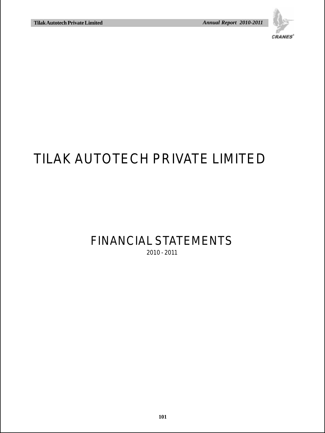

# TILAK AUTOTECH PRIVATE LIMITED

# FINANCIAL STATEMENTS 2010 - 2011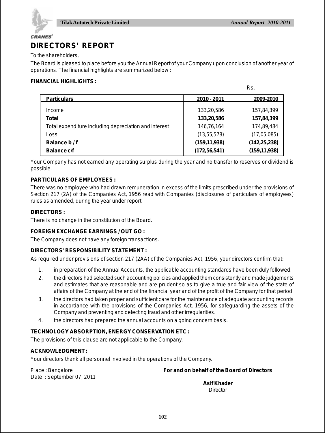

#### **CRANES DIRECTORS' REPORT**

To the shareholders,

The Board is pleased to place before you the Annual Report of your Company upon conclusion of another year of operations. The financial highlights are summarized below :

#### **FINANCIAL HIGHLIGHTS :**

| ۰.<br>×<br>$\sim$ |
|-------------------|
|-------------------|

| <b>Particulars</b>                                    | 2010 - 2011    | 2009-2010      |
|-------------------------------------------------------|----------------|----------------|
| Income                                                |                |                |
|                                                       | 133,20,586     | 157,84,399     |
| Total                                                 | 133,20,586     | 157,84,399     |
| Total expenditure including depreciation and interest | 146,76,164     | 174,89,484     |
| Loss                                                  | (13, 55, 578)  | (17,05,085)    |
| Balance b/f                                           | (159, 11, 938) | (142, 25, 238) |
| Balance c/f                                           | (172, 56, 541) | (159, 11, 938) |

Your Company has not earned any operating surplus during the year and no transfer to reserves or dividend is possible.

#### **PARTICULARS OF EMPLOYEES :**

There was no employee who had drawn remuneration in excess of the limits prescribed under the provisions of Section 217 (2A) of the Companies Act, 1956 read with Companies (disclosures of particulars of employees) rules as amended, during the year under report.

#### **DIRECTORS :**

There is no change in the constitution of the Board.

#### **FOREIGN EXCHANGE EARNINGS / OUT GO :**

The Company does not have any foreign transactions.

#### **DIRECTORS' RESPONSIBILITY STATEMENT :**

As required under provisions of section 217 (2AA) of the Companies Act, 1956, your directors confirm that:

- 1. in preparation of the Annual Accounts, the applicable accounting standards have been duly followed.
- 2. the directors had selected such accounting policies and applied them consistently and made judgements and estimates that are reasonable and are prudent so as to give a true and fair view of the state of affairs of the Company at the end of the financial year and of the profit of the Company for that period.
- 3. the directors had taken proper and sufficient care for the maintenance of adequate accounting records in accordance with the provisions of the Companies Act, 1956, for safeguarding the assets of the Company and preventing and detecting fraud and other irregularities.
- 4. the directors had prepared the annual accounts on a going concern basis.

#### **TECHNOLOGY ABSORPTION, ENERGY CONSERVATION ETC :**

The provisions of this clause are not applicable to the Company.

#### **ACKNOWLEDGMENT :**

Your directors thank all personnel involved in the operations of the Company.

Date : September 07, 2011

Place : Bangalore **For and on behalf of the Board of Directors**

**Asif Khader Director**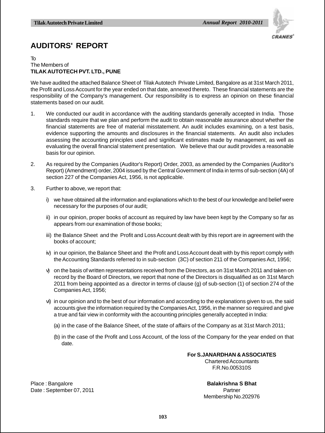

# **AUDITORS' REPORT**

#### To The Members of **TILAK AUTOTECH PVT. LTD., PUNE**

We have audited the attached Balance Sheet of Tilak Autotech Private Limited, Bangalore as at 31st March 2011, the Profit and Loss Account for the year ended on that date, annexed thereto. These financial statements are the responsibility of the Company's management. Our responsibility is to express an opinion on these financial statements based on our audit.

- 1. We conducted our audit in accordance with the auditing standards generally accepted in India. Those standards require that we plan and perform the audit to obtain reasonable assurance about whether the financial statements are free of material misstatement. An audit includes examining, on a test basis, evidence supporting the amounts and disclosures in the financial statements. An audit also includes assessing the accounting principles used and significant estimates made by management, as well as evaluating the overall financial statement presentation. We believe that our audit provides a reasonable basis for our opinion.
- 2. As required by the Companies (Auditor's Report) Order, 2003, as amended by the Companies (Auditor's Report) (Amendment) order, 2004 issued by the Central Government of India in terms of sub-section (4A) of section 227 of the Companies Act, 1956, is not applicable.
- 3. Further to above, we report that:
	- i) we have obtained all the information and explanations which to the best of our knowledge and belief were necessary for the purposes of our audit;
	- ii) in our opinion, proper books of account as required by law have been kept by the Company so far as appears from our examination of those books;
	- iii) the Balance Sheet and the Profit and Loss Account dealt with by this report are in agreement with the books of account;
	- iv) in our opinion, the Balance Sheet and the Profit and Loss Account dealt with by this report comply with the Accounting Standards referred to in sub-section (3C) of section 211 of the Companies Act, 1956;
	- v) on the basis of written representations received from the Directors, as on 31st March 2011 and taken on record by the Board of Directors, we report that none of the Directors is disqualified as on 31st March 2011 from being appointed as a director in terms of clause (g) of sub-section (1) of section 274 of the Companies Act, 1956;
	- vi) in our opinion and to the best of our information and according to the explanations given to us, the said accounts give the information required by the Companies Act, 1956, in the manner so required and give a true and fair view in conformity with the accounting principles generally accepted in India:
		- (a) in the case of the Balance Sheet, of the state of affairs of the Company as at 31st March 2011;
		- (b) in the case of the Profit and Loss Account, of the loss of the Company for the year ended on that date.

#### **For S.JANARDHAN & ASSOCIATES** Chartered Accountants

F.R.No.005310S

Place : Bangalore **Balakrishna S Bhat** Date : September 07, 2011 **Partner** Constant Constant Constant Constant Constant Constant Constant Constant Constant Constant Constant Constant Constant Constant Constant Constant Constant Constant Constant Constant Consta

Membership No.202976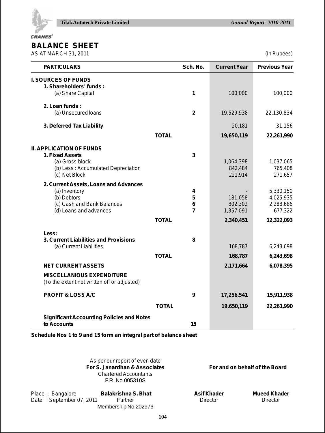

*Annual Report 2010-2011*

#### **CRANES**

## **BALANCE SHEET**

AS AT MARCH 31, 2011 **(In Rupees)** (In Rupees)

| <b>PARTICULARS</b>                               | Sch. No.              | <b>Current Year</b> | <b>Previous Year</b>   |
|--------------------------------------------------|-----------------------|---------------------|------------------------|
| <b>I. SOURCES OF FUNDS</b>                       |                       |                     |                        |
| 1. Shareholders' funds:                          |                       |                     |                        |
| (a) Share Capital                                | $\mathbf{1}$          | 100,000             | 100,000                |
| 2. Loan funds:                                   |                       |                     |                        |
| (a) Unsecured loans                              | $\overline{2}$        | 19,529,938          | 22,130,834             |
| 3. Deferred Tax Liability                        |                       | 20,181              | 31,156                 |
|                                                  | <b>TOTAL</b>          | 19,650,119          | 22,261,990             |
| <b>II. APPLICATION OF FUNDS</b>                  |                       |                     |                        |
| 1. Fixed Assets                                  | 3                     |                     |                        |
| (a) Gross block                                  |                       | 1,064,398           | 1,037,065              |
| (b) Less: Accumulated Depreciation               |                       | 842,484             | 765,408                |
| (c) Net Block                                    |                       | 221,914             | 271,657                |
| 2. Current Assets, Loans and Advances            |                       |                     |                        |
| (a) Inventory                                    | 4                     |                     | 5,330,150              |
| (b) Debtors<br>(c) Cash and Bank Balances        | 5<br>$\boldsymbol{6}$ | 181,058<br>802,302  | 4,025,935<br>2,288,686 |
| (d) Loans and advances                           | $\overline{7}$        | 1,357,091           | 677,322                |
|                                                  | <b>TOTAL</b>          | 2,340,451           | 12,322,093             |
|                                                  |                       |                     |                        |
| Less:<br>3. Current Liabilities and Provisions   | 8                     |                     |                        |
| (a) Current Liabilities                          |                       | 168,787             | 6,243,698              |
|                                                  | <b>TOTAL</b>          | 168,787             | 6,243,698              |
| <b>NET CURRENT ASSETS</b>                        |                       | 2,171,664           | 6,078,395              |
| <b>MISCELLANIOUS EXPENDITURE</b>                 |                       |                     |                        |
| (To the extent not written off or adjusted)      |                       |                     |                        |
| <b>PROFIT &amp; LOSS A/C</b>                     | 9                     | 17,256,541          | 15,911,938             |
|                                                  | <b>TOTAL</b>          | 19,650,119          | 22,261,990             |
| <b>Significant Accounting Policies and Notes</b> |                       |                     |                        |
| to Accounts                                      | 15                    |                     |                        |

**Schedule Nos 1 to 9 and 15 form an integral part of balance sheet**

As per our report of even date **For S. Janardhan & Associates For and on behalf of the Board** Chartered Accountants F.R. No.005310S

**Asif Khader Mueed Khader<br>Director Director** 

| Place: Bangalore         | - Balakrishna S. Bhat | Asif Khader     | Mueed Kha |
|--------------------------|-----------------------|-----------------|-----------|
| Date: September 07, 2011 | Partner               | <b>Director</b> | Director  |
|                          | Membership No.202976  |                 |           |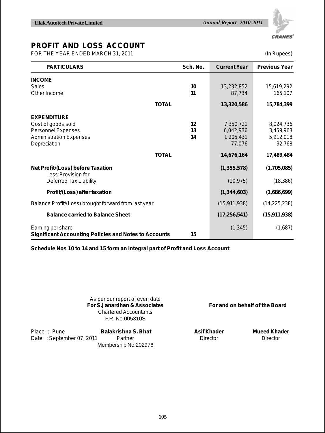# **PROFIT AND LOSS ACCOUNT**

FOR THE YEAR ENDED MARCH 31, 2011 (In Rupees)

| <b>PARTICULARS</b>                                                                | Sch. No. | <b>Current Year</b> | <b>Previous Year</b> |
|-----------------------------------------------------------------------------------|----------|---------------------|----------------------|
| <b>INCOME</b>                                                                     |          |                     |                      |
| Sales                                                                             | 10       | 13,232,852          | 15,619,292           |
| Other Income                                                                      | 11       | 87,734              | 165,107              |
| <b>TOTAL</b>                                                                      |          | 13,320,586          | 15,784,399           |
| <b>EXPENDITURE</b>                                                                |          |                     |                      |
| Cost of goods sold                                                                | 12       | 7,350,721           | 8,024,736            |
| <b>Personnel Expenses</b>                                                         | 13       | 6,042,936           | 3,459,963            |
| <b>Administration Expenses</b>                                                    | 14       | 1,205,431           | 5,912,018            |
| Depreciation                                                                      |          | 77,076              | 92,768               |
| <b>TOTAL</b>                                                                      |          | 14,676,164          | 17,489,484           |
| Net Profit/(Loss) before Taxation<br>Less: Provision for                          |          | (1, 355, 578)       | (1,705,085)          |
| Deferred Tax Liability                                                            |          | (10, 975)           | (18, 386)            |
| Profit/(Loss) after taxation                                                      |          | (1,344,603)         | (1,686,699)          |
| Balance Profit/(Loss) brought forward from last year                              |          | (15, 911, 938)      | (14, 225, 238)       |
| <b>Balance carried to Balance Sheet</b>                                           |          | (17, 256, 541)      | (15, 911, 938)       |
| Earning per share<br><b>Significant Accounting Policies and Notes to Accounts</b> | 15       | (1, 345)            | (1,687)              |

**Schedule Nos 10 to 14 and 15 form an integral part of Profit and Loss Account**

As per our report of even date<br>For S.Janardhan & Associates Chartered Accountants F.R. No.005310S

For and on behalf of the Board

Place : Pune **Balakrishna S. Bhat Asif Khader Mueed Khader Mueed Khader Director Director Director Director** Date: September 07, 2011 Membership No.202976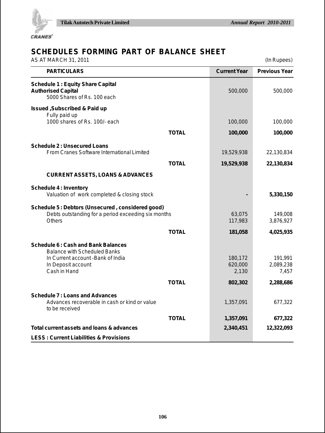



# **SCHEDULES FORMING PART OF BALANCE SHEET**

AS AT MARCH 31, 2011 2012 12:00 12:00 12:00 12:00 12:00 12:00 12:00 12:00 12:00 12:00 12:00 12:00 12:00 12:00

| <b>PARTICULARS</b>                                                                                                 | <b>Current Year</b>         | <b>Previous Year</b>          |
|--------------------------------------------------------------------------------------------------------------------|-----------------------------|-------------------------------|
| <b>Schedule 1: Equity Share Capital</b><br><b>Authorised Capital</b><br>5000 Shares of Rs. 100 each                | 500,000                     | 500,000                       |
| Issued, Subscribed & Paid up<br>Fully paid up                                                                      |                             |                               |
| 1000 shares of Rs. 100/- each                                                                                      | 100,000                     | 100,000                       |
| <b>TOTAL</b>                                                                                                       | 100,000                     | 100,000                       |
| <b>Schedule 2: Unsecured Loans</b><br>From Cranes Software International Limited                                   | 19,529,938                  | 22,130,834                    |
| <b>TOTAL</b>                                                                                                       | 19,529,938                  | 22,130,834                    |
| <b>CURRENT ASSETS, LOANS &amp; ADVANCES</b>                                                                        |                             |                               |
| Schedule 4 : Inventory<br>Valuation of work completed & closing stock                                              |                             | 5,330,150                     |
| Schedule 5 : Debtors (Unsecured, considered good)<br>Debts outstanding for a period exceeding six months<br>Others | 63,075<br>117,983           | 149,008<br>3,876,927          |
| <b>TOTAL</b>                                                                                                       | 181,058                     | 4,025,935                     |
| Schedule 6: Cash and Bank Balances<br><b>Balance with Scheduled Banks</b>                                          |                             |                               |
| In Current account - Bank of India<br>In Deposit account<br>Cash in Hand                                           | 180,172<br>620,000<br>2,130 | 191,991<br>2,089,238<br>7,457 |
| <b>TOTAL</b>                                                                                                       | 802,302                     | 2,288,686                     |
| <b>Schedule 7: Loans and Advances</b>                                                                              |                             |                               |
| Advances recoverable in cash or kind or value<br>to be received                                                    | 1,357,091                   | 677,322                       |
| <b>TOTAL</b>                                                                                                       | 1,357,091                   | 677,322                       |
| Total current assets and loans & advances                                                                          | 2,340,451                   | 12,322,093                    |
| <b>LESS: Current Liabilities &amp; Provisions</b>                                                                  |                             |                               |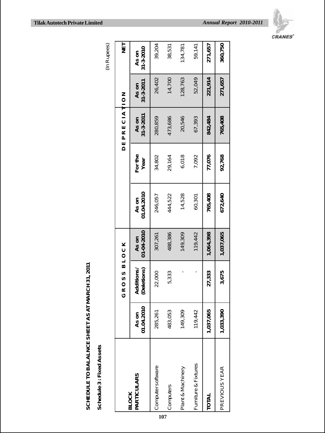

|                                    |                     |                                |                     |                     |                 |                          |                          | (In Rupees)        |
|------------------------------------|---------------------|--------------------------------|---------------------|---------------------|-----------------|--------------------------|--------------------------|--------------------|
|                                    |                     | <b>DSSBLOCK</b><br>o<br>C<br>C |                     |                     |                 | DEPRECIATION             |                          | <b>TEL</b>         |
| <b>PARTICULARS</b><br><b>BLOCK</b> | 01.04.2010<br>As on | (Deletions)<br>Additions/      | 01-04-2010<br>As on | 01.04.2010<br>As on | For the<br>Year | $31 - 3 - 2011$<br>As on | $31 - 3 - 2011$<br>As on | 31-3-2010<br>As on |
| Computer software                  | 285,261             | 22,000                         | 307,261             | 246,057             | 34,802          | 280,859                  | 26,402                   | 39,204             |
| Computers                          | 483,053             | 5,333                          | 488,386             | 444,522             | 29,164          | 473,686                  | 14,700                   | 38,531             |
| Plant & Machinery                  | 149,309             |                                | 149,309             | 14,528              | 6,018           | 20,546                   | 128,763                  | 134,781            |
| Furniture & Fixtures               | 119,442             |                                | 119,442             | 60,301              | 7,092           | 67,393                   | 52,049                   | 59,141             |
| <b>TOTAL</b>                       | 1,037,065           | 27,333                         | 1,064,398           | 765,408             | 77,076          | 842,484                  | 221,914                  | 271,657            |
| PREVIOUS YEAR                      | 1,033,390           | 3,675                          | 1,037,065           | 672,640             | 92,768          | 765,408                  | 271,657                  | 360,750            |
|                                    |                     |                                |                     |                     |                 |                          |                          |                    |

SCHEDULE TO BALALNCE SHEET AS AT MARCH 31, 2011 **SCHEDULE TO BALALNCE SHEET AS AT MARCH 31, 2011**

Schedule 3: Fixed Assets **Schedule 3 : Fixed Assets**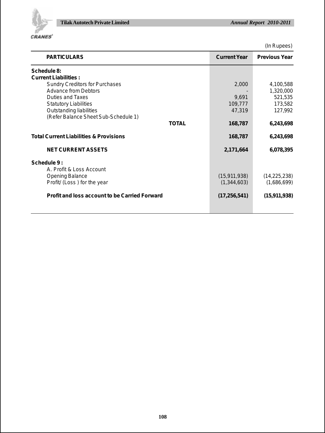**Tilak Autotech Private Limited**



*Annual Report 2010-2011*

|                                                   |                     | (In Rupees)          |
|---------------------------------------------------|---------------------|----------------------|
| <b>PARTICULARS</b>                                | <b>Current Year</b> | <b>Previous Year</b> |
| Schedule 8:                                       |                     |                      |
| <b>Current Liabilities:</b>                       |                     |                      |
| <b>Sundry Creditors for Purchases</b>             | 2,000               | 4,100,588            |
| <b>Advance from Debtors</b>                       |                     | 1,320,000            |
| <b>Duties and Taxes</b>                           | 9,691               | 521,535              |
| <b>Statutory Liabilities</b>                      | 109,777             | 173,582              |
| <b>Outstanding liabilities</b>                    | 47,319              | 127,992              |
| (Refer Balance Sheet Sub-Schedule 1)              |                     |                      |
| <b>TOTAL</b>                                      | 168,787             | 6,243,698            |
| <b>Total Current Liabilities &amp; Provisions</b> | 168,787             | 6,243,698            |
| <b>NET CURRENT ASSETS</b>                         | 2,171,664           | 6,078,395            |
| Schedule 9:                                       |                     |                      |
| A. Profit & Loss Account                          |                     |                      |
| <b>Opening Balance</b>                            | (15, 911, 938)      | (14, 225, 238)       |
| Profit/ (Loss) for the year                       | (1,344,603)         | (1,686,699)          |
| Profit and loss account to be Carried Forward     | (17, 256, 541)      | (15, 911, 938)       |
|                                                   |                     |                      |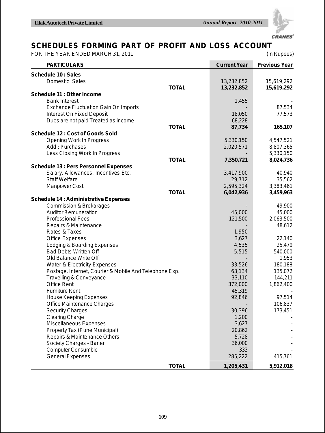

# **SCHEDULES FORMING PART OF PROFIT AND LOSS ACCOUNT**<br>FOR THE YEAR ENDED MARCH 31, 2011

FOR THE YEAR ENDED MARCH 31, 2011

| <b>PARTICULARS</b>                                     | <b>Current Year</b> | <b>Previous Year</b> |
|--------------------------------------------------------|---------------------|----------------------|
| Schedule 10 : Sales                                    |                     |                      |
| Domestic Sales                                         | 13,232,852          | 15,619,292           |
| <b>TOTAL</b>                                           | 13,232,852          | 15,619,292           |
| Schedule 11 : Other Income                             |                     |                      |
| <b>Bank Interest</b>                                   | 1,455               |                      |
| <b>Exchange Fluctuation Gain On Imports</b>            |                     | 87,534               |
| Interest On Fixed Deposit                              | 18,050              | 77,573               |
| Dues are not paid Treated as income                    | 68,228              |                      |
| <b>TOTAL</b>                                           | 87,734              | 165,107              |
| Schedule 12: Cost of Goods Sold                        |                     |                      |
| <b>Opening Work In Progress</b>                        | 5,330,150           | 4,547,521            |
| Add: Purchases                                         | 2,020,571           | 8,807,365            |
| Less Closing Work In Progress                          |                     | 5,330,150            |
| <b>TOTAL</b>                                           | 7,350,721           | 8,024,736            |
| <b>Schedule 13: Pers Personnel Expenses</b>            |                     |                      |
| Salary, Allowances, Incentives Etc.                    | 3,417,900           | 40,940               |
| <b>Staff Welfare</b>                                   | 29,712              | 35,562               |
| Manpower Cost                                          | 2,595,324           | 3,383,461            |
| <b>TOTAL</b>                                           | 6,042,936           | 3,459,963            |
| <b>Schedule 14: Administrative Expenses</b>            |                     |                      |
| Commission & Brokarages                                |                     | 49,900               |
| <b>Auditor Remuneration</b>                            | 45,000              | 45,000               |
| Professional Fees                                      | 121,500             | 2,063,500            |
| Repairs & Maintenance                                  |                     | 48,612               |
| Rates & Taxes                                          | 1,950               |                      |
| <b>Office Expenses</b>                                 | 3,627               | 22,140               |
| Lodging & Boarding Expenses                            | 4,535               | 25,479               |
| <b>Bad Debts Written Off</b>                           | 5,515               | 540,000              |
| Old Balance Write Off                                  |                     | 1,953                |
| Water & Electricity Expenses                           | 33,526              | 180,188              |
| Postage, Internet, Courier & Mobile And Telephone Exp. | 63,134              | 135,072              |
| Travelling & Conveyance                                | 33,110              | 144,211              |
| <b>Office Rent</b>                                     | 372,000             | 1,862,400            |
| <b>Furniture Rent</b>                                  | 45,319              |                      |
| <b>House Keeping Expenses</b>                          | 92,846              | 97,514               |
| Office Maintenance Charges                             |                     | 106,837              |
| <b>Security Charges</b>                                | 30,396              | 173,451              |
| <b>Clearing Charge</b>                                 | 1,200               |                      |
| Miscellaneous Expenses                                 | 3,627               |                      |
| Property Tax (Pune Municipal)                          | 20,862              |                      |
| Repairs & Maintenance Others                           | 5,728               |                      |
| Society Charges - Baner                                | 36,000              |                      |
| Computer Consumble                                     | 333                 |                      |
| <b>General Expenses</b>                                | 285,222             | 415,761              |
|                                                        |                     |                      |
| <b>TOTAL</b>                                           | 1,205,431           | 5,912,018            |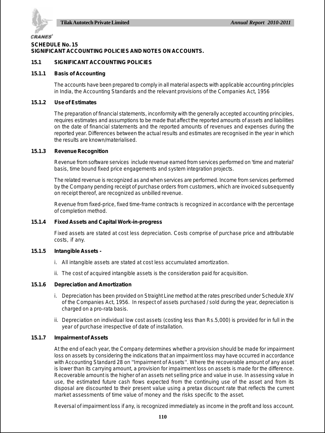

#### *CRANES* **SCHEDULE No. 15 SIGNIFICANT ACCOUNTING POLICIES AND NOTES ON ACCOUNTS.**

#### **15.1 SIGNIFICANT ACCOUNTING POLICIES**

#### **15.1.1 Basis of Accounting**

The accounts have been prepared to comply in all material aspects with applicable accounting principles in India, the Accounting Standards and the relevant provisions of the Companies Act, 1956

#### **15.1.2 Use of Estimates**

The preparation of financial statements, inconformity with the generally accepted accounting principles, requires estimates and assumptions to be made that affect the reported amounts of assets and liabilities on the date of financial statements and the reported amounts of revenues and expenses during the reported year. Differences between the actual results and estimates are recognised in the year in which the results are known/materialised.

#### **15.1.3 Revenue Recognition**

Revenue from software services include revenue earned from services performed on 'time and material' basis, time bound fixed price engagements and system integration projects.

The related revenue is recognized as and when services are performed. Income from services performed by the Company pending receipt of purchase orders from customers, which are invoiced subsequently on receipt thereof, are recognized as unbilled revenue.

Revenue from fixed-price, fixed time-frame contracts is recognized in accordance with the percentage of completion method.

#### **15.1.4 Fixed Assets and Capital Work-in-progress**

Fixed assets are stated at cost less depreciation. Costs comprise of purchase price and attributable costs, if any.

#### **15.1.5 Intangible Assets -**

- i. All intangible assets are stated at cost less accumulated amortization.
- ii. The cost of acquired intangible assets is the consideration paid for acquisition.

#### **15.1.6 Depreciation and Amortization**

- i. Depreciation has been provided on Straight Line method at the rates prescribed under Schedule XIV of the Companies Act, 1956. In respect of assets purchased / sold during the year, depreciation is charged on a pro-rata basis.
- ii. Depreciation on individual low cost assets (costing less than Rs.5,000) is provided for in full in the year of purchase irrespective of date of installation.

#### **15.1.7 Impairment of Assets**

At the end of each year, the Company determines whether a provision should be made for impairment loss on assets by considering the indications that an impairment loss may have occurred in accordance with Accounting Standard 28 on ''Impairment of Assets''. Where the recoverable amount of any asset is lower than its carrying amount, a provision for impairment loss on assets is made for the difference. Recoverable amount is the higher of an assets net selling price and value in use. In assessing value in use, the estimated future cash flows expected from the continuing use of the asset and from its disposal are discounted to their present value using a pretax discount rate that reflects the current market assessments of time value of money and the risks specific to the asset.

Reversal of impairment loss if any, is recognized immediately as income in the profit and loss account.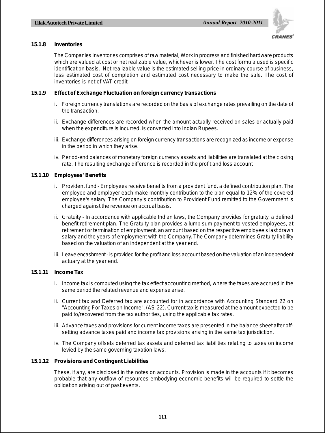

#### **15.1.8 Inventories**

The Companies Inventories comprises of raw material, Work in progress and finished hardware products which are valued at cost or net realizable value, whichever is lower. The cost formula used is specific identification basis. Net realizable value is the estimated selling price in ordinary course of business, less estimated cost of completion and estimated cost necessary to make the sale. The cost of inventories is net of VAT credit.

#### **15.1.9 Effect of Exchange Fluctuation on foreign currency transactions**

- i. Foreign currency translations are recorded on the basis of exchange rates prevailing on the date of the transaction.
- ii. Exchange differences are recorded when the amount actually received on sales or actually paid when the expenditure is incurred, is converted into Indian Rupees.
- iii. Exchange differences arising on foreign currency transactions are recognized as income or expense in the period in which they arise.
- iv. Period-end balances of monetary foreign currency assets and liabilities are translated at the closing rate. The resulting exchange difference is recorded in the profit and loss account

#### **15.1.10 Employees' Benefits**

- i. Provident fund Employees receive benefits from a provident fund, a defined contribution plan. The employee and employer each make monthly contribution to the plan equal to 12% of the covered employee's salary. The Company's contribution to Provident Fund remitted to the Government is charged against the revenue on accrual basis.
- ii. Gratuity In accordance with applicable Indian laws, the Company provides for gratuity, a defined benefit retirement plan. The Gratuity plan provides a lump sum payment to vested employees, at retirement or termination of employment, an amount based on the respective employee's last drawn salary and the years of employment with the Company. The Company determines Gratuity liability based on the valuation of an independent at the year end.
- iii. Leave encashment is provided for the profit and loss account based on the valuation of an independent actuary at the year end.

#### **15.1.11 Income Tax**

- i. Income tax is computed using the tax effect accounting method, where the taxes are accrued in the same period the related revenue and expense arise.
- ii. Current tax and Deferred tax are accounted for in accordance with Accounting Standard 22 on "Accounting For Taxes on Income", (AS-22). Current tax is measured at the amount expected to be paid to/recovered from the tax authorities, using the applicable tax rates.
- iii. Advance taxes and provisions for current income taxes are presented in the balance sheet after offsetting advance taxes paid and income tax provisions arising in the same tax jurisdiction.
- iv. The Company offsets deferred tax assets and deferred tax liabilities relating to taxes on income levied by the same governing taxation laws.

#### **15.1.12 Provisions and Contingent Liabilities**

These, if any, are disclosed in the notes on accounts. Provision is made in the accounts if it becomes probable that any outflow of resources embodying economic benefits will be required to settle the obligation arising out of past events.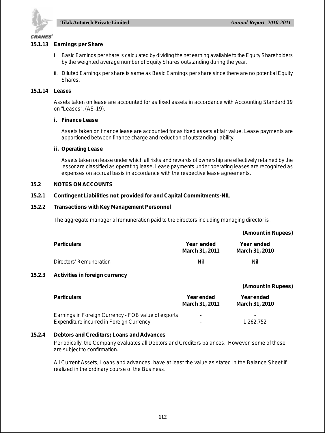

**(Amount in Rupees)**

#### *CRANES*

#### **15.1.13 Earnings per Share**

- i. Basic Earnings per share is calculated by dividing the net earning available to the Equity Shareholders by the weighted average number of Equity Shares outstanding during the year.
- ii. Diluted Earnings per share is same as Basic Earnings per share since there are no potential Equity Shares.

#### **15.1.14 Leases**

Assets taken on lease are accounted for as fixed assets in accordance with Accounting Standard 19 on "Leases", (AS-19).

#### **i. Finance Lease**

Assets taken on finance lease are accounted for as fixed assets at fair value. Lease payments are apportioned between finance charge and reduction of outstanding liability.

#### **ii. Operating Lease**

Assets taken on lease under which all risks and rewards of ownership are effectively retained by the lessor are classified as operating lease. Lease payments under operating leases are recognized as expenses on accrual basis in accordance with the respective lease agreements.

#### **15.2 NOTES ON ACCOUNTS**

#### **15.2.1 Contingent Liabilities not provided for and Capital Commitments-NIL**

#### **15.2.2 Transactions with Key Management Personnel**

The aggregate managerial remuneration paid to the directors including managing director is :

|                         |                              | (Amount in Rupees)           |
|-------------------------|------------------------------|------------------------------|
| <b>Particulars</b>      | Year ended<br>March 31, 2011 | Year ended<br>March 31, 2010 |
| Directors' Remuneration | Nil                          | Nil                          |

#### **15.2.3 Activities in foreign currency**

| <b>Particulars</b>                                  | Year ended<br>March 31, 2011 | Year ended<br>March 31, 2010 |
|-----------------------------------------------------|------------------------------|------------------------------|
| Earnings in Foreign Currency - FOB value of exports | $\overline{\phantom{a}}$     |                              |
| Expenditure incurred in Foreign Currency            |                              | 1,262,752                    |

#### **15.2.4 Debtors and Creditors; Loans and Advances**

Periodically, the Company evaluates all Debtors and Creditors balances. However, some of these are subject to confirmation.

All Current Assets, Loans and advances, have at least the value as stated in the Balance Sheet if realized in the ordinary course of the Business.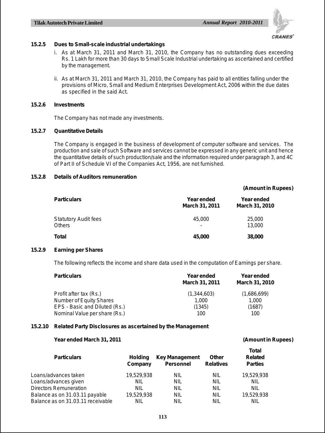

#### **15.2.5 Dues to Small-scale industrial undertakings**

- i. As at March 31, 2011 and March 31, 2010, the Company has no outstanding dues exceeding Rs. 1 Lakh for more than 30 days to Small Scale Industrial undertaking as ascertained and certified by the management.
- ii. As at March 31, 2011 and March 31, 2010, the Company has paid to all entities falling under the provisions of Micro, Small and Medium Enterprises Development Act, 2006 within the due dates as specified in the said Act.

#### **15.2.6 Investments**

The Company has not made any investments.

#### **15.2.7 Quantitative Details**

The Company is engaged in the business of development of computer software and services. The production and sale of such Software and services cannot be expressed in any generic unit and hence the quantitative details of such production/sale and the information required under paragraph 3, and 4C of Part II of Schedule VI of the Companies Act, 1956, are not furnished.

#### **15.2.8 Details of Auditors remuneration**

#### **(Amount in Rupees)**

| <b>Particulars</b>                           | Year ended<br>March 31, 2011 | Year ended<br>March 31, 2010 |
|----------------------------------------------|------------------------------|------------------------------|
| <b>Statutory Audit fees</b><br><b>Others</b> | 45,000<br>٠                  | 25,000<br>13,000             |
| Total                                        | 45,000                       | 38,000                       |

#### **15.2.9 Earning per Shares**

The following reflects the income and share data used in the computation of Earnings per share.

| <b>Particulars</b>            | Year ended<br>March 31, 2011 | Year ended<br>March 31, 2010 |
|-------------------------------|------------------------------|------------------------------|
| Profit after tax (Rs.)        | (1,344,603)                  | (1,686,699)                  |
| Number of Equity Shares       | 1.000                        | 1.000                        |
| EPS - Basic and Diluted (Rs.) | (1345)                       | (1687)                       |
| Nominal Value per share (Rs.) | 100                          | 100                          |

#### **15.2.10 Related Party Disclosures as ascertained by the Management**

#### **Year ended March 31, 2011 (Amount in Rupees)**

| <b>Particulars</b>                | Holding<br>Company | <b>Key Management</b><br>Personnel | Other<br><b>Relatives</b> | Total<br>Related<br><b>Parties</b> |
|-----------------------------------|--------------------|------------------------------------|---------------------------|------------------------------------|
| Loans/advances taken              | 19,529,938         | NIL                                | NIL                       | 19,529,938                         |
| Loans/advances given              | <b>NIL</b>         | NIL                                | NIL                       | NIL                                |
| <b>Directors Remuneration</b>     | <b>NIL</b>         | NIL                                | NIL                       | NIL                                |
| Balance as on 31.03.11 payable    | 19,529,938         | NIL                                | NIL                       | 19,529,938                         |
| Balance as on 31.03.11 receivable | <b>NIL</b>         | nil                                | NIL                       | nil                                |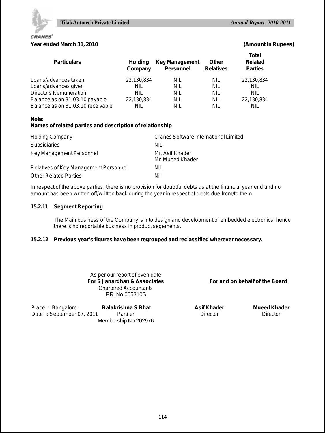

## **CRANES Year ended March 31, 2010 (Amount in Rupees)**

| <b>Particulars</b>                | Holding<br>Company | <b>Key Management</b><br>Personnel | Other<br><b>Relatives</b> | Total<br>Related<br><b>Parties</b> |
|-----------------------------------|--------------------|------------------------------------|---------------------------|------------------------------------|
| Loans/advances taken              | 22,130,834         | NIL                                | NIL                       | 22,130,834                         |
| Loans/advances given              | <b>NIL</b>         | NIL                                | NIL                       | NIL                                |
| <b>Directors Remuneration</b>     | <b>NIL</b>         | NIL                                | NIL                       | NIL                                |
| Balance as on 31.03.10 payable    | 22,130,834         | NIL                                | NIL                       | 22,130,834                         |
| Balance as on 31.03.10 receivable | NIL                | NIL                                | nil                       | NIL                                |

#### **Note:**

#### **Names of related parties and description of relationship**

| Holding Company                       | Cranes Software International Limited |
|---------------------------------------|---------------------------------------|
| <b>Subsidiaries</b>                   | NIL                                   |
| Key Management Personnel              | Mr. Asif Khader<br>Mr. Mueed Khader   |
| Relatives of Key Management Personnel | NIL                                   |
| <b>Other Related Parties</b>          | Nil                                   |

In respect of the above parties, there is no provision for doubtful debts as at the financial year end and no amount has been written off/written back during the year in respect of debts due from/to them.

#### **15.2.11 Segment Reporting**

The Main business of the Company is into design and development of embedded electronics: hence there is no reportable business in product segements.

#### **15.2.12 Previous year's figures have been regrouped and reclassified wherever necessary.**

| As per our report of even date |
|--------------------------------|
| For S Janardhan & Associates   |
| <b>Chartered Accountants</b>   |
| E.R. No.005310S                |

For and on behalf of the Board

| Place: Bangalore         | Balakrishna S Bhat   | Asif Khader | <b>Mueed Khader</b> |
|--------------------------|----------------------|-------------|---------------------|
| Date: September 07, 2011 | Partner              | Director    | Director            |
|                          | Membership No.202976 |             |                     |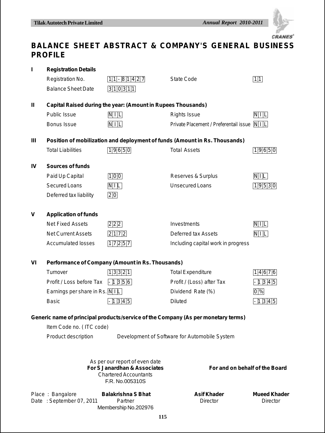

## **BALANCE SHEET ABSTRACT & COMPANY'S GENERAL BUSINESS PROFILE**

| I  | <b>Registration Details</b>                  |                                                                                                                   |                                                                                   |                                        |
|----|----------------------------------------------|-------------------------------------------------------------------------------------------------------------------|-----------------------------------------------------------------------------------|----------------------------------------|
|    | Registration No.                             | $1 1 $ - $ 8 1 4 2 7$                                                                                             | State Code                                                                        | 1 1                                    |
|    | <b>Balance Sheet Date</b>                    | 3 1 0 3 1 1                                                                                                       |                                                                                   |                                        |
| Ш  |                                              | Capital Raised during the year: (Amount in Rupees Thousands)                                                      |                                                                                   |                                        |
|    | Public Issue                                 | $N$ $ $ $ $ $ $                                                                                                   | <b>Rights Issue</b>                                                               | N  L                                   |
|    | Bonus Issue                                  | N I L                                                                                                             | Private Placement / Preferentail issue N  L                                       |                                        |
| Ш  |                                              |                                                                                                                   | Position of mobilization and deployment of funds (Amount in Rs. Thousands)        |                                        |
|    | <b>Total Liabilities</b>                     | 19650                                                                                                             | <b>Total Assets</b>                                                               | 19650                                  |
| IV | Sources of funds                             |                                                                                                                   |                                                                                   |                                        |
|    | Paid Up Capital                              | 1 0 0                                                                                                             | Reserves & Surplus                                                                | NIL                                    |
|    | <b>Secured Loans</b>                         | N I L                                                                                                             | <b>Unsecured Loans</b>                                                            | 19530                                  |
|    | Deferred tax liability                       | 2 0                                                                                                               |                                                                                   |                                        |
| v  | <b>Application of funds</b>                  |                                                                                                                   |                                                                                   |                                        |
|    | <b>Net Fixed Assets</b>                      | 2 2 2                                                                                                             | Investments                                                                       | N I L                                  |
|    | <b>Net Current Assets</b>                    | 2 1 7 2                                                                                                           | Deferred tax Assets                                                               | N I L                                  |
|    | <b>Accumulated losses</b>                    | 1 7 2 5 7                                                                                                         | Including capital work in progress                                                |                                        |
| VI |                                              | Performance of Company (Amount in Rs. Thousands)                                                                  |                                                                                   |                                        |
|    | Turnover                                     | 1 3 3 2 1                                                                                                         | <b>Total Expenditure</b>                                                          | 1 4 6 7 6                              |
|    | Profit / Loss before Tax                     | $-1356$                                                                                                           | Profit / (Loss) after Tax                                                         | $-1345$                                |
|    | Earnings per share in Rs. $N/L$              |                                                                                                                   | Dividend Rate (%)                                                                 | $ 0 \%$                                |
|    | <b>Basic</b>                                 | 1 3 4 5                                                                                                           | <b>Diluted</b>                                                                    | - 1345                                 |
|    |                                              |                                                                                                                   | Generic name of principal products/service of the Company (As per monetary terms) |                                        |
|    | Item Code no. (ITC code)                     |                                                                                                                   |                                                                                   |                                        |
|    | Product description                          |                                                                                                                   | Development of Software for Automobile System                                     |                                        |
|    |                                              |                                                                                                                   |                                                                                   |                                        |
|    |                                              | As per our report of even date<br>For S Janardhan & Associates<br><b>Chartered Accountants</b><br>F.R. No.005310S | For and on behalf of the Board                                                    |                                        |
|    | Place: Bangalore<br>Date: September 07, 2011 | <b>Balakrishna S Bhat</b><br>Partner<br>Membership No.202976                                                      | <b>Asif Khader</b><br>Director                                                    | <b>Mueed Khader</b><br><b>Director</b> |
|    |                                              | 115                                                                                                               |                                                                                   |                                        |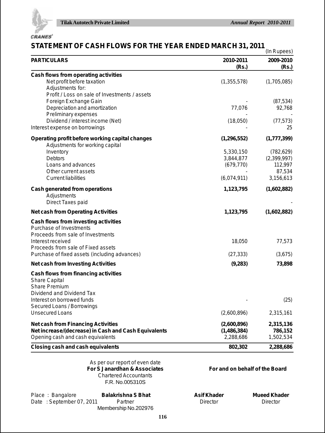

**Tilak Autotech Private Limited**

#### **CRANES**

### **STATEMENT OF CASH FLOWS FOR THE YEAR ENDED MARCH 31, 2011**

|                                                                                                                                                                                                                  |                                                     | (In Rupees)                                                 |
|------------------------------------------------------------------------------------------------------------------------------------------------------------------------------------------------------------------|-----------------------------------------------------|-------------------------------------------------------------|
| <b>PARTICULARS</b>                                                                                                                                                                                               | 2010-2011<br>(Rs.)                                  | 2009-2010<br>(Rs.)                                          |
| Cash flows from operating activities<br>Net profit before taxation<br>Adjustments for:                                                                                                                           | (1, 355, 578)                                       | (1,705,085)                                                 |
| Profit / Loss on sale of Investments / assets<br>Foreign Exchange Gain<br>Depreciation and amortization<br>Preliminary expenses                                                                                  | 77,076                                              | (87, 534)<br>92,768                                         |
| Dividend / interest income (Net)<br>Interest expense on borrowings                                                                                                                                               | (18,050)                                            | (77, 573)<br>25                                             |
| Operating profit before working capital changes                                                                                                                                                                  | (1, 296, 552)                                       | (1, 777, 399)                                               |
| Adjustments for working capital<br>Inventory<br><b>Debtors</b><br>Loans and advances<br>Other current assets<br><b>Current liabilities</b>                                                                       | 5,330,150<br>3,844,877<br>(679, 770)<br>(6,074,911) | (782, 629)<br>(2,399,997)<br>112,997<br>87,534<br>3,156,613 |
| Cash generated from operations<br>Adjustments<br>Direct Taxes paid                                                                                                                                               | 1,123,795                                           | (1,602,882)                                                 |
| Net cash from Operating Activities                                                                                                                                                                               | 1,123,795                                           | (1,602,882)                                                 |
| Cash flows from investing activities<br>Purchase of Investments<br>Proceeds from sale of Investments<br>Interest received<br>Proceeds from sale of Fixed assets<br>Purchase of fixed assets (including advances) | 18,050<br>(27, 333)                                 | 77,573<br>(3,675)                                           |
| Net cash from Investing Activities                                                                                                                                                                               | (9, 283)                                            | 73,898                                                      |
| Cash flows from financing activities<br><b>Share Capital</b><br>Share Premium<br>Dividend and Dividend Tax<br>Interest on borrowed funds                                                                         |                                                     | (25)                                                        |
| Secured Loans / Borrowings<br><b>Unsecured Loans</b>                                                                                                                                                             | (2,600,896)                                         | 2,315,161                                                   |
| Net cash from Financing Activities<br>Net increase/(decrease) in Cash and Cash Equivalents<br>Opening cash and cash equivalents                                                                                  | (2,600,896)<br>(1,486,384)<br>2,288,686             | 2,315,136<br>786,152<br>1,502,534                           |
| Closing cash and cash equivalents                                                                                                                                                                                | 802,302                                             | 2,288,686                                                   |

As per our report of even date<br>For S Janardhan & Associates Chartered Accountants F.R. No.005310S

For and on behalf of the Board

Place : Bangalore **Balakrishna S Bhat Asif Khader Mueed Khader Mueed Khader Director Director Director Director** Date : September 07, 2011 Membership No.202976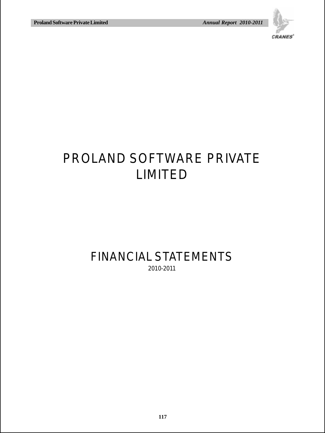

## PROLAND SOFTWARE PRIVATE LIMITED

## FINANCIAL STATEMENTS 2010-2011

**117**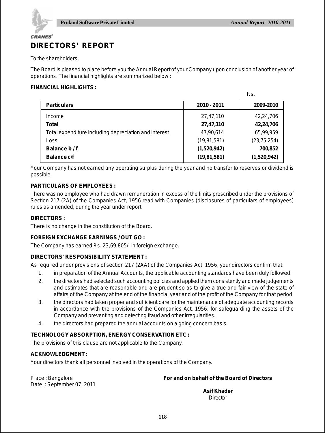

### *CRANES* **DIRECTORS' REPORT**

To the shareholders,

The Board is pleased to place before you the Annual Report of your Company upon conclusion of another year of operations. The financial highlights are summarized below :

#### **FINANCIAL HIGHLIGHTS :**

| <b>Particulars</b>                                    | 2010 - 2011   | 2009-2010     |
|-------------------------------------------------------|---------------|---------------|
| Income                                                | 27,47,110     | 42,24,706     |
| Total                                                 | 27,47,110     | 42,24,706     |
| Total expenditure including depreciation and interest | 47,90,614     | 65,99,959     |
| Loss                                                  | (19, 81, 581) | (23, 75, 254) |
| Balance b/f                                           | (1,520,942)   | 700,852       |
| Balance c/f                                           | (19, 81, 581) | (1,520,942)   |

Your Company has not earned any operating surplus during the year and no transfer to reserves or dividend is possible.

#### **PARTICULARS OF EMPLOYEES :**

There was no employee who had drawn remuneration in excess of the limits prescribed under the provisions of Section 217 (2A) of the Companies Act, 1956 read with Companies (disclosures of particulars of employees) rules as amended, during the year under report.

#### **DIRECTORS :**

There is no change in the constitution of the Board.

#### **FOREIGN EXCHANGE EARNINGS / OUT GO :**

The Company has earned Rs. 23,69,805/- in foreign exchange.

#### **DIRECTORS' RESPONSIBILITY STATEMENT :**

As required under provisions of section 217 (2AA) of the Companies Act, 1956, your directors confirm that:

- 1. in preparation of the Annual Accounts, the applicable accounting standards have been duly followed.
- 2. the directors had selected such accounting policies and applied them consistently and made judgements and estimates that are reasonable and are prudent so as to give a true and fair view of the state of affairs of the Company at the end of the financial year and of the profit of the Company for that period.
- 3. the directors had taken proper and sufficient care for the maintenance of adequate accounting records in accordance with the provisions of the Companies Act, 1956, for safeguarding the assets of the Company and preventing and detecting fraud and other irregularities.
- 4. the directors had prepared the annual accounts on a going concern basis.

#### **TECHNOLOGY ABSORPTION, ENERGY CONSERVATION ETC :**

The provisions of this clause are not applicable to the Company.

#### **ACKNOWLEDGMENT :**

Your directors thank all personnel involved in the operations of the Company.

Date : September 07, 2011

Place : Bangalore **For and on behalf of the Board of Directors**

**Asif Khader Director**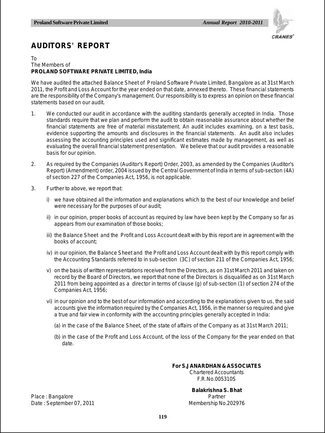

## **AUDITORS' REPORT**

#### To The Members of **PROLAND SOFTWARE PRIVATE LIMITED, India**

We have audited the attached Balance Sheet of Proland Software Private Limited, Bangalore as at 31st March 2011, the Profit and Loss Account for the year ended on that date, annexed thereto. These financial statements are the responsibility of the Company's management. Our responsibility is to express an opinion on these financial statements based on our audit.

- 1. We conducted our audit in accordance with the auditing standards generally accepted in India. Those standards require that we plan and perform the audit to obtain reasonable assurance about whether the financial statements are free of material misstatement. An audit includes examining, on a test basis, evidence supporting the amounts and disclosures in the financial statements. An audit also includes assessing the accounting principles used and significant estimates made by management, as well as evaluating the overall financial statement presentation. We believe that our audit provides a reasonable basis for our opinion.
- 2. As required by the Companies (Auditor's Report) Order, 2003, as amended by the Companies (Auditor's Report) (Amendment) order, 2004 issued by the Central Government of India in terms of sub-section (4A) of section 227 of the Companies Act, 1956, is not applicable.
- 3. Further to above, we report that:
	- i) we have obtained all the information and explanations which to the best of our knowledge and belief were necessary for the purposes of our audit;
	- ii) in our opinion, proper books of account as required by law have been kept by the Company so far as appears from our examination of those books;
	- iii) the Balance Sheet and the Profit and Loss Account dealt with by this report are in agreement with the books of account;
	- iv) in our opinion, the Balance Sheet and the Profit and Loss Account dealt with by this report comply with the Accounting Standards referred to in sub-section (3C) of section 211 of the Companies Act, 1956;
	- v) on the basis of written representations received from the Directors, as on 31st March 2011 and taken on record by the Board of Directors, we report that none of the Directors is disqualified as on 31st March 2011 from being appointed as a director in terms of clause (g) of sub-section (1) of section 274 of the Companies Act, 1956;
	- vi) in our opinion and to the best of our information and according to the explanations given to us, the said accounts give the information required by the Companies Act, 1956, in the manner so required and give a true and fair view in conformity with the accounting principles generally accepted in India:
		- (a) in the case of the Balance Sheet, of the state of affairs of the Company as at 31st March 2011;
		- (b) in the case of the Profit and Loss Account, of the loss of the Company for the year ended on that date.

### **For S.JANARDHAN & ASSOCIATES**

Chartered Accountants F.R.No.005310S

**Balakrishna S. Bhat**

Place : Bangalore Partner Date: September 07, 2011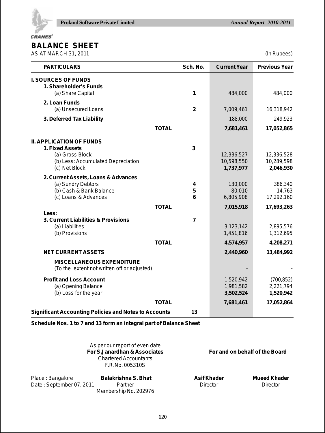

**Proland Software Private Limited**

#### **CRANES**

#### **BALANCE SHEET**

AS AT MARCH 31, 2011 **(In Rupees)** (In Rupees)

**PARTICULARS Sch. No. Current Year Previous Year I. SOURCES OF FUNDS 1. Shareholder's Funds** (a) Share Capital **1** 484,000 484,000 **2. Loan Funds** (a) Unsecured Loans **2** 7,009,461 16,318,942 **3. Deferred Tax Liability** 188,000 249,923 **TOTAL 7,681,461 17,052,865 II. APPLICATION OF FUNDS 1. Fixed Assets 3** (a) Gross Block 12,336,528<br>
(b) Less: Accumulated Depreciation 10,289,598 10,598,550 10,289,598 (b) Less: Accumulated Depreciation 10,598,550 10,289,598<br>
(c) Net Block 1,737,977 2,046,930 (c) Net Block **1,737,977 2,046,930 2. Current Assets, Loans & Advances** (a) Sundry Debtors **4** 130,000 386,340 (b) Cash & Bank Balance **5** 80,010 14,763<br>
(c) Loans & Advances 6 80,010 17,292,160 (c) Loans & Advances **6** 6,805,908 **TOTAL 7,015,918 17,693,263 Less: 3. Current Liabilities & Provisions 7** (a) Liabilities 3,123,142 2,895,576 (b) Provisions 1,451,816 1,312,695 **TOTAL 4,574,957 4,208,271 NET CURRENT ASSETS 2,440,960 13,484,992 MISCELLANEOUS EXPENDITURE** (To the extent not written off or adjusted) **Profit and Loss Account** (1,520,942 (700,852)<br>(a) Opening Balance (1,981,582 (2,221,794 ) (a) Opening Balance (b) Loss for the year **3,502,524 1,520,942 TOTAL 7,681,461 17,052,864 Significant Accounting Policies and Notes to Accounts 13**

**Schedule Nos. 1 to 7 and 13 form an integral part of Balance Sheet**

As per our report of even date Chartered Accountants F.R.No. 005310S

**For S.Janardhan & Associates For and on behalf of the Board**

| Place: Bangalore         | Balakrishna S. Bhat   | Asif Khader | <b>Mueed Khader</b> |
|--------------------------|-----------------------|-------------|---------------------|
| Date: September 07, 2011 | Partner               | Director    | <b>Director</b>     |
|                          | Membership No. 202976 |             |                     |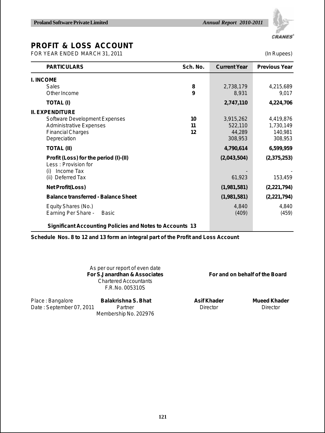## **PROFIT & LOSS ACCOUNT**

FOR YEAR ENDED MARCH 31, 2011 **In Rupees** (In Rupees)

| <b>PARTICULARS</b>                                                                                                                    | Sch. No.       | <b>Current Year</b>                       | <b>Previous Year</b>                         |
|---------------------------------------------------------------------------------------------------------------------------------------|----------------|-------------------------------------------|----------------------------------------------|
| I. INCOME                                                                                                                             |                |                                           |                                              |
| Sales<br>Other Income                                                                                                                 | 8<br>9         | 2,738,179<br>8,931                        | 4,215,689<br>9,017                           |
| <b>TOTAL(I)</b>                                                                                                                       |                | 2,747,110                                 | 4,224,706                                    |
| <b>II. EXPENDITURE</b><br>Software Development Expenses<br><b>Administrative Expenses</b><br><b>Financial Charges</b><br>Depreciation | 10<br>11<br>12 | 3,915,262<br>522,110<br>44,289<br>308,953 | 4,419,876<br>1,730,149<br>140,981<br>308,953 |
| <b>TOTAL (II)</b>                                                                                                                     |                | 4,790,614                                 | 6,599,959                                    |
| Profit (Loss) for the period (I)-(II)<br>Less: Provision for<br>Income Tax<br>(i)<br>Deferred Tax<br>(ii)                             |                | (2,043,504)<br>61,923                     | (2,375,253)<br>153,459                       |
| Net Profit(Loss)                                                                                                                      |                | (1,981,581)                               | (2,221,794)                                  |
| <b>Balance transferred - Balance Sheet</b>                                                                                            |                | (1,981,581)                               | (2,221,794)                                  |
| Equity Shares (No.)<br>Earning Per Share -<br><b>Basic</b>                                                                            |                | 4,840<br>(409)                            | 4,840<br>(459)                               |
| Significant Accounting Policies and Notes to Accounts 13                                                                              |                |                                           |                                              |

**Schedule Nos. 8 to 12 and 13 form an integral part of the Profit and Loss Account**

As per our report of even date Chartered Accountants F.R.No. 005310S

**For S.Janardhan & Associates For and on behalf of the Board**

Place : Bangalore **Balakrishna S. Bhat Asif Khader Mueed Khader** Date : September 07, 2011 **Partner Asif Changes** Director **Asif Khader** Director **Director** Date : September 07, 2011 Membership No. 202976

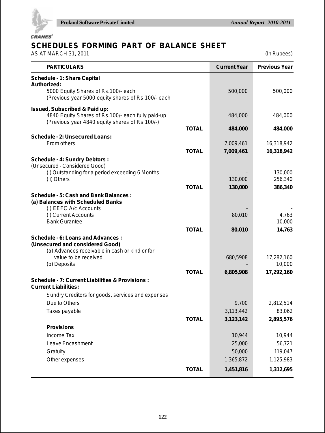

#### **CRANES**

## **SCHEDULES FORMING PART OF BALANCE SHEET**

AS AT MARCH 31, 2011 2012 12:00 12:00 12:00 12:00 12:00 12:00 12:00 12:00 12:00 12:00 12:00 12:00 12:00 12:00

| <b>PARTICULARS</b>                                                                                  |              | <b>Current Year</b> | <b>Previous Year</b> |
|-----------------------------------------------------------------------------------------------------|--------------|---------------------|----------------------|
| Schedule - 1: Share Capital                                                                         |              |                     |                      |
| Authorized:<br>5000 Equity Shares of Rs.100/- each                                                  |              | 500,000             | 500,000              |
| (Previous year 5000 equity shares of Rs.100/- each                                                  |              |                     |                      |
| Issued, Subscribed & Paid up:                                                                       |              |                     |                      |
| 4840 Equity Shares of Rs.100/- each fully paid-up<br>(Previous year 4840 equity shares of Rs.100/-) |              | 484,000             | 484,000              |
|                                                                                                     | <b>TOTAL</b> | 484,000             | 484,000              |
| Schedule - 2: Unsecured Loans:                                                                      |              |                     |                      |
| From others                                                                                         |              | 7,009,461           | 16,318,942           |
|                                                                                                     | <b>TOTAL</b> | 7,009,461           | 16,318,942           |
| Schedule - 4: Sundry Debtors :<br>(Unsecured - Considered Good)                                     |              |                     |                      |
| (i) Outstanding for a period exceeding 6 Months                                                     |              |                     | 130,000              |
| (ii) Others                                                                                         |              | 130,000             | 256,340              |
|                                                                                                     | <b>TOTAL</b> | 130,000             | 386,340              |
| Schedule - 5: Cash and Bank Balances:                                                               |              |                     |                      |
| (a) Balances with Scheduled Banks                                                                   |              |                     |                      |
| (i) EEFC A/c Accounts<br>(i) Current Accounts                                                       |              | 80,010              | 4,763                |
| <b>Bank Gurantee</b>                                                                                |              |                     | 10,000               |
|                                                                                                     | <b>TOTAL</b> | 80,010              | 14,763               |
| Schedule - 6: Loans and Advances :                                                                  |              |                     |                      |
| (Unsecured and considered Good)                                                                     |              |                     |                      |
| (a) Advances receivable in cash or kind or for<br>value to be received                              |              | 680,5908            | 17,282,160           |
| (b) Deposits                                                                                        |              |                     | 10,000               |
|                                                                                                     | <b>TOTAL</b> | 6,805,908           | 17,292,160           |
| Schedule - 7: Current Liabilities & Provisions :                                                    |              |                     |                      |
| <b>Current Liabilities:</b>                                                                         |              |                     |                      |
| Sundry Creditors for goods, services and expenses                                                   |              |                     |                      |
| Due to Others                                                                                       |              | 9,700               | 2,812,514            |
| Taxes payable                                                                                       |              | 3,113,442           | 83,062               |
|                                                                                                     | <b>TOTAL</b> | 3,123,142           | 2,895,576            |
| Provisions                                                                                          |              |                     |                      |
| Income Tax                                                                                          |              | 10,944              | 10,944               |
| Leave Encashment                                                                                    |              | 25,000              | 56,721               |
| Gratuity                                                                                            |              | 50,000              | 119,047              |
| Other expenses                                                                                      |              | 1,365,872           | 1,125,983            |
|                                                                                                     | <b>TOTAL</b> | 1,451,816           | 1,312,695            |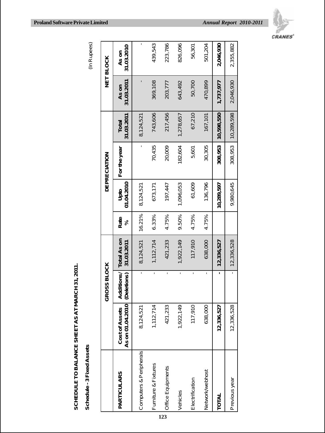SCHEDULE TO BALANCE SHEET AS AT MARCH 31, 2011.

| SCHEDULE TO BALANCE SHEET AS AT MARCH 31, 2011<br>Schedule - 3 Fixed Assets |                                    |                           |                           |            |                    |              |                     |                     | (In Rupees)         |
|-----------------------------------------------------------------------------|------------------------------------|---------------------------|---------------------------|------------|--------------------|--------------|---------------------|---------------------|---------------------|
|                                                                             |                                    | <b>BLOCK</b><br>GROSS     |                           |            |                    | DEPRECIATION |                     |                     | NET BLOCK           |
| PARTICULARS                                                                 | As on 01.04.2010<br>Cost of Assets | Additions/<br>(Deletions) | Total As on<br>31.03.2011 | Rate<br>ಸಿ | 01.04.2010<br>Upto | For the year | 31.03.2011<br>Total | 31.03.2011<br>As on | 31.03.2010<br>As on |
| Computers & Peripherals                                                     | 8,124,521                          | ı                         | 8,124,521                 | 16.21%     | 8,124,521          |              | 8,124,521           |                     | ı                   |
| Furniture & Fixtures                                                        | 1, 112, 714                        | ı                         | 1, 112, 714               | 6.33%      | 673,171            | 70,435       | 743,606             | 369,108             | 439,543             |
| Office Equipments                                                           | 421,233                            | ı                         | 421,233                   | 4.75%      | 197,447            | 20,009       | 217,456             | 203,777             | 223,786             |
| Vehicles                                                                    | 1,922,149                          | ï                         | 1,922,149                 | 9.50%      | 1,096,053          | 182,604      | 1,278,657           | 643,492             | 826,096             |
| Electrification                                                             | 117,910                            | ı                         | 117,910                   | 4.75%      | 61,609             | 5,601        | 67,210              | 50,700              | 56,301              |
| Network/webhost                                                             | 638,000                            | ı                         | 638,000                   | 4.75%      | 136,796            | 30,305       | 167,101             | 470,899             | 501,204             |
| <b>TOTAL</b>                                                                | 12,336,527                         | ı                         | 12,336,527                |            | 10,289,597         | 308,953      | 10,598,550          | 1,737,977           | 2,046,930           |
| Previous year                                                               | 12,336,528                         | ı,                        | 12,336,528                |            | 9,980,645          | 308,953      | 10,289,598          | 2,046,930           | 2,355,882           |

*Annual Report 2010-2011*

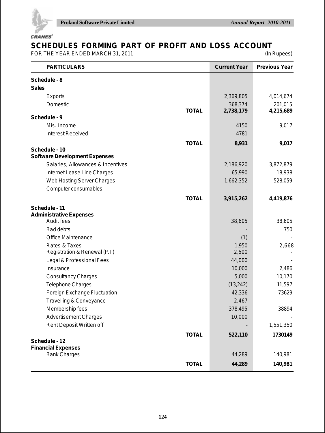

#### **CRANES**

## **SCHEDULES FORMING PART OF PROFIT AND LOSS ACCOUNT**<br>FOR THE YEAR ENDED MARCH 31, 2011

FOR THE YEAR ENDED MARCH 31, 2011

| <b>PARTICULARS</b>                                    |              | <b>Current Year</b> | <b>Previous Year</b> |
|-------------------------------------------------------|--------------|---------------------|----------------------|
| Schedule - 8                                          |              |                     |                      |
| <b>Sales</b>                                          |              |                     |                      |
| <b>Exports</b>                                        |              | 2,369,805           | 4,014,674            |
| Domestic                                              |              | 368,374             | 201,015              |
|                                                       | <b>TOTAL</b> | 2,738,179           | 4,215,689            |
| Schedule - 9                                          |              |                     |                      |
| Mis. Income                                           |              | 4150                | 9,017                |
| <b>Interest Received</b>                              |              | 4781                |                      |
|                                                       | <b>TOTAL</b> | 8,931               | 9,017                |
| Schedule - 10<br><b>Software Development Expenses</b> |              |                     |                      |
| Salaries, Allowances & Incentives                     |              | 2,186,920           | 3,872,879            |
| Internet Lease Line Charges                           |              | 65,990              | 18,938               |
| Web Hosting Server Charges                            |              | 1,662,352           | 528,059              |
| Computer consumables                                  |              |                     |                      |
|                                                       | <b>TOTAL</b> | 3,915,262           | 4,419,876            |
|                                                       |              |                     |                      |
| Schedule - 11<br><b>Administrative Expenses</b>       |              |                     |                      |
| Audit fees                                            |              | 38,605              | 38,605               |
| <b>Bad debts</b>                                      |              |                     | 750                  |
| <b>Office Maintenance</b>                             |              | (1)                 |                      |
| Rates & Taxes                                         |              | 1,950               | 2,668                |
| Registration & Renewal (P.T)                          |              | 2,500               |                      |
| Legal & Professional Fees                             |              | 44,000              |                      |
| Insurance                                             |              | 10,000              | 2,486                |
| <b>Consultancy Charges</b>                            |              | 5,000               | 10,170               |
| Telephone Charges                                     |              | (13, 242)           | 11,597               |
| Foreign Exchange Fluctuation                          |              | 42,336              | 73629                |
| Travelling & Conveyance                               |              | 2,467               |                      |
| Membership fees                                       |              | 378,495             | 38894                |
| <b>Advertisement Charges</b>                          |              | 10,000              |                      |
| Rent Deposit Written off                              |              |                     | 1,551,350            |
|                                                       | <b>TOTAL</b> | 522,110             | 1730149              |
| Schedule - 12                                         |              |                     |                      |
| <b>Financial Expenses</b>                             |              |                     |                      |
| <b>Bank Charges</b>                                   |              | 44,289              | 140,981              |
|                                                       | <b>TOTAL</b> | 44,289              | 140,981              |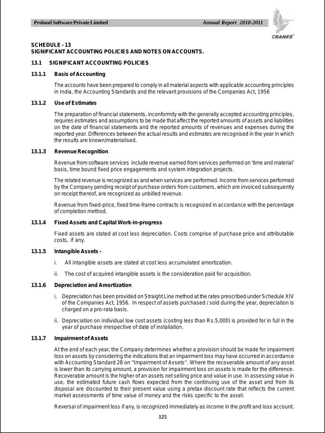

#### **SCHEDULE - 13 SIGNIFICANT ACCOUNTING POLICIES AND NOTES ON ACCOUNTS.**

#### **13.1 SIGNIFICANT ACCOUNTING POLICIES**

#### **13.1.1 Basis of Accounting**

The accounts have been prepared to comply in all material aspects with applicable accounting principles in India, the Accounting Standards and the relevant provisions of the Companies Act, 1956

#### **13.1.2 Use of Estimates**

The preparation of financial statements, inconformity with the generally accepted accounting principles, requires estimates and assumptions to be made that affect the reported amounts of assets and liabilities on the date of financial statements and the reported amounts of revenues and expenses during the reported year. Differences between the actual results and estimates are recognised in the year in which the results are known/materialised.

#### **13.1.3 Revenue Recognition**

Revenue from software services include revenue earned from services performed on 'time and material' basis, time bound fixed price engagements and system integration projects.

The related revenue is recognized as and when services are performed. Income from services performed by the Company pending receipt of purchase orders from customers, which are invoiced subsequently on receipt thereof, are recognized as unbilled revenue.

Revenue from fixed-price, fixed time-frame contracts is recognized in accordance with the percentage of completion method.

#### **13.1.4 Fixed Assets and Capital Work-in-progress**

Fixed assets are stated at cost less depreciation. Costs comprise of purchase price and attributable costs, if any.

#### **13.1.5 Intangible Assets -**

- i. All intangible assets are stated at cost less accumulated amortization.
- ii. The cost of acquired intangible assets is the consideration paid for acquisition.

#### **13.1.6 Depreciation and Amortization**

- i. Depreciation has been provided on Straight Line method at the rates prescribed under Schedule XIV of the Companies Act, 1956. In respect of assets purchased / sold during the year, depreciation is charged on a pro-rata basis.
- ii. Depreciation on individual low cost assets (costing less than Rs.5,000) is provided for in full in the year of purchase irrespective of date of installation.

#### **13.1.7 Impairment of Assets**

At the end of each year, the Company determines whether a provision should be made for impairment loss on assets by considering the indications that an impairment loss may have occurred in accordance with Accounting Standard 28 on ''Impairment of Assets''. Where the recoverable amount of any asset is lower than its carrying amount, a provision for impairment loss on assets is made for the difference. Recoverable amount is the higher of an assets net selling price and value in use. In assessing value in use, the estimated future cash flows expected from the continuing use of the asset and from its disposal are discounted to their present value using a pretax discount rate that reflects the current market assessments of time value of money and the risks specific to the asset.

Reversal of impairment loss if any, is recognized immediately as income in the profit and loss account.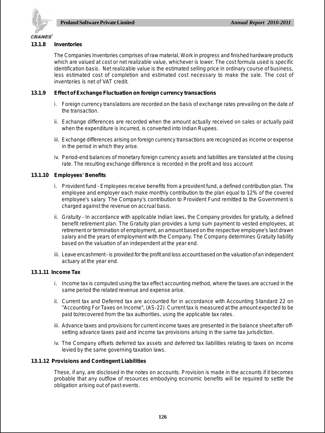

#### **CRANES**

#### **13.1.8 Inventories**

The Companies Inventories comprises of raw material, Work in progress and finished hardware products which are valued at cost or net realizable value, whichever is lower. The cost formula used is specific identification basis. Net realizable value is the estimated selling price in ordinary course of business, less estimated cost of completion and estimated cost necessary to make the sale. The cost of inventories is net of VAT credit.

#### **13.1.9 Effect of Exchange Fluctuation on foreign currency transactions**

- i. Foreign currency translations are recorded on the basis of exchange rates prevailing on the date of the transaction.
- ii. Exchange differences are recorded when the amount actually received on sales or actually paid when the expenditure is incurred, is converted into Indian Rupees.
- iii. Exchange differences arising on foreign currency transactions are recognized as income or expense in the period in which they arise.
- iv. Period-end balances of monetary foreign currency assets and liabilities are translated at the closing rate. The resulting exchange difference is recorded in the profit and loss account

#### **13.1.10 Employees' Benefits**

- i. Provident fund Employees receive benefits from a provident fund, a defined contribution plan. The employee and employer each make monthly contribution to the plan equal to 12% of the covered employee's salary. The Company's contribution to Provident Fund remitted to the Government is charged against the revenue on accrual basis.
- ii. Gratuity In accordance with applicable Indian laws, the Company provides for gratuity, a defined benefit retirement plan. The Gratuity plan provides a lump sum payment to vested employees, at retirement or termination of employment, an amount based on the respective employee's last drawn salary and the years of employment with the Company. The Company determines Gratuity liability based on the valuation of an independent at the year end.
- iii. Leave encashment is provided for the profit and loss account based on the valuation of an independent actuary at the year end.

#### **13.1.11 Income Tax**

- i. Income tax is computed using the tax effect accounting method, where the taxes are accrued in the same period the related revenue and expense arise.
- ii. Current tax and Deferred tax are accounted for in accordance with Accounting Standard 22 on "Accounting For Taxes on Income", (AS-22). Current tax is measured at the amount expected to be paid to/recovered from the tax authorities, using the applicable tax rates.
- iii. Advance taxes and provisions for current income taxes are presented in the balance sheet after offsetting advance taxes paid and income tax provisions arising in the same tax jurisdiction.
- iv. The Company offsets deferred tax assets and deferred tax liabilities relating to taxes on income levied by the same governing taxation laws.

#### **13.1.12 Provisions and Contingent Liabilities**

These, if any, are disclosed in the notes on accounts. Provision is made in the accounts if it becomes probable that any outflow of resources embodying economic benefits will be required to settle the obligation arising out of past events.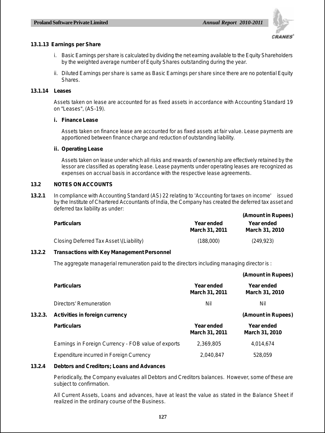

#### **13.1.13 Earnings per Share**

- i. Basic Earnings per share is calculated by dividing the net earning available to the Equity Shareholders by the weighted average number of Equity Shares outstanding during the year.
- ii. Diluted Earnings per share is same as Basic Earnings per share since there are no potential Equity Shares.

#### **13.1.14 Leases**

Assets taken on lease are accounted for as fixed assets in accordance with Accounting Standard 19 on "Leases", (AS-19).

#### **i. Finance Lease**

Assets taken on finance lease are accounted for as fixed assets at fair value. Lease payments are apportioned between finance charge and reduction of outstanding liability.

#### **ii. Operating Lease**

Assets taken on lease under which all risks and rewards of ownership are effectively retained by the lessor are classified as operating lease. Lease payments under operating leases are recognized as expenses on accrual basis in accordance with the respective lease agreements.

#### **13.2 NOTES ON ACCOUNTS**

**13.2.1** In compliance with Accounting Standard (AS) 22 relating to 'Accounting for taxes on income' issued by the Institute of Chartered Accountants of India, the Company has created the deferred tax asset and deferred tax liability as under: **(Amount in Rupees)**

|                                         |                              | (Alliuditul III Nupcco)      |
|-----------------------------------------|------------------------------|------------------------------|
| <b>Particulars</b>                      | Year ended<br>March 31, 2011 | Year ended<br>March 31, 2010 |
| Closing Deferred Tax Asset \(Liability) | (188,000)                    | (249, 923)                   |

#### **13.2.2 Transactions with Key Management Personnel**

The aggregate managerial remuneration paid to the directors including managing director is:

|         |                                                     |                              | (Amount in Rupees)           |
|---------|-----------------------------------------------------|------------------------------|------------------------------|
|         | <b>Particulars</b>                                  | Year ended<br>March 31, 2011 | Year ended<br>March 31, 2010 |
|         | Directors' Remuneration                             | Nil                          | Nil                          |
| 13.2.3. | Activities in foreign currency                      |                              | (Amount in Rupees)           |
|         | <b>Particulars</b>                                  | Year ended<br>March 31, 2011 | Year ended<br>March 31, 2010 |
|         | Earnings in Foreign Currency - FOB value of exports | 2,369,805                    | 4,014,674                    |
|         | Expenditure incurred in Foreign Currency            | 2.040.847                    | 528.059                      |

#### **13.2.4 Debtors and Creditors; Loans and Advances**

Periodically, the Company evaluates all Debtors and Creditors balances. However, some of these are subject to confirmation.

All Current Assets, Loans and advances, have at least the value as stated in the Balance Sheet if realized in the ordinary course of the Business.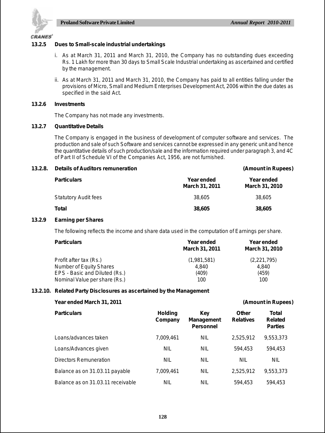

*CRANES* 

#### **13.2.5 Dues to Small-scale industrial undertakings**

- i. As at March 31, 2011 and March 31, 2010, the Company has no outstanding dues exceeding Rs. 1 Lakh for more than 30 days to Small Scale Industrial undertaking as ascertained and certified by the management.
- ii. As at March 31, 2011 and March 31, 2010, the Company has paid to all entities falling under the provisions of Micro, Small and Medium Enterprises Development Act, 2006 within the due dates as specified in the said Act.

#### **13.2.6 Investments**

The Company has not made any investments.

#### **13.2.7 Quantitative Details**

The Company is engaged in the business of development of computer software and services. The production and sale of such Software and services cannot be expressed in any generic unit and hence the quantitative details of such production/sale and the information required under paragraph 3, and 4C of Part II of Schedule VI of the Companies Act, 1956, are not furnished.

#### **13.2.8. Details of Auditors remuneration (Amount in Rupees)**

## **Particulars Year ended Year ended March 31, 2011 March 31, 2010** Statutory Audit fees 38,605 38,605 38,605 **Total 38,605 38,605**

#### **13.2.9 Earning per Shares**

The following reflects the income and share data used in the computation of Earnings per share.

| <b>Particulars</b>             | Year ended<br>March 31, 2011 | Year ended<br>March 31, 2010 |
|--------------------------------|------------------------------|------------------------------|
| Profit after tax (Rs.)         | (1,981,581)                  | (2,221,795)                  |
| <b>Number of Equity Shares</b> | 4.840                        | 4.840                        |
| EPS - Basic and Diluted (Rs.)  | (409)                        | (459)                        |
| Nominal Value per share (Rs.)  | 100                          | 100                          |

#### **13.2.10. Related Party Disclosures as ascertained by the Management**

## **Year ended March 31, 2011 (Amount in Rupees)**

| <b>Particulars</b>                | Holding<br>Company | Key<br>Management<br>Personnel | Other<br><b>Relatives</b> | Total<br>Related<br><b>Parties</b> |
|-----------------------------------|--------------------|--------------------------------|---------------------------|------------------------------------|
| Loans/advances taken              | 7.009.461          | <b>NIL</b>                     | 2,525,912                 | 9,553,373                          |
| Loans/Advances given              | <b>NIL</b>         | <b>NIL</b>                     | 594,453                   | 594,453                            |
| Directors Remuneration            | <b>NIL</b>         | <b>NIL</b>                     | NIL                       | <b>NIL</b>                         |
| Balance as on 31.03.11 payable    | 7.009.461          | <b>NIL</b>                     | 2,525,912                 | 9,553,373                          |
| Balance as on 31.03.11 receivable | NIL                | NIL                            | 594,453                   | 594.453                            |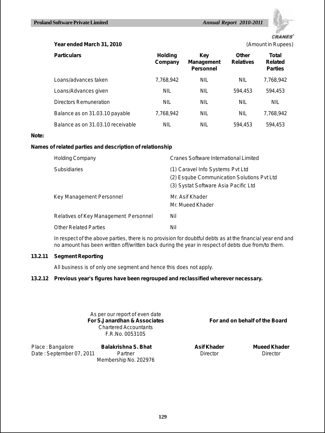

**Year ended March 31, 2010** (Amount in Rupees)

| <b>Particulars</b>                | Holding<br>Company | Key<br>Management<br>Personnel | Other<br><b>Relatives</b> | <b>Total</b><br>Related<br><b>Parties</b> |
|-----------------------------------|--------------------|--------------------------------|---------------------------|-------------------------------------------|
| Loans/advances taken              | 7,768,942          | NIL                            | <b>NIL</b>                | 7,768,942                                 |
| Loans/Advances given              | <b>NIL</b>         | NIL                            | 594,453                   | 594,453                                   |
| Directors Remuneration            | <b>NIL</b>         | <b>NIL</b>                     | <b>NIL</b>                | <b>NIL</b>                                |
| Balance as on 31.03.10 payable    | 7,768,942          | <b>NIL</b>                     | <b>NIL</b>                | 7,768,942                                 |
| Balance as on 31.03.10 receivable | NIL                | NIL                            | 594,453                   | 594,453                                   |

#### **Note:**

#### **Names of related parties and description of relationship**

| <b>Holding Company</b>                | Cranes Software International Limited                                                                                  |
|---------------------------------------|------------------------------------------------------------------------------------------------------------------------|
| <b>Subsidiaries</b>                   | (1) Caravel Info Systems Pvt Ltd<br>(2) Esqube Communication Solutions Pvt Ltd<br>(3) Systat Software Asia Pacific Ltd |
| Key Management Personnel              | Mr. Asif Khader<br>Mr. Mueed Khader                                                                                    |
| Relatives of Key Management Personnel | Nil                                                                                                                    |
| <b>Other Related Parties</b>          | Nil                                                                                                                    |

In respect of the above parties, there is no provision for doubtful debts as at the financial year end and no amount has been written off/written back during the year in respect of debts due from/to them.

#### **13.2.11 Segment Reporting**

All business is of only one segment and hence this does not apply.

#### **13.2.12 Previous year's figures have been regrouped and reclassified wherever necessary.**

As per our report of even date Chartered Accountants F.R.No. 005310S

Place : Bangalore **Balakrishna S. Bhat Asif Khader Mueed Khader Mueed Khader Balakrishna S. Bhat Asif Khader Mueed Khader Director Director Director** Date : September 07, 2011 Membership No. 202976

**For S.Janardhan & Associates For and on behalf of the Board**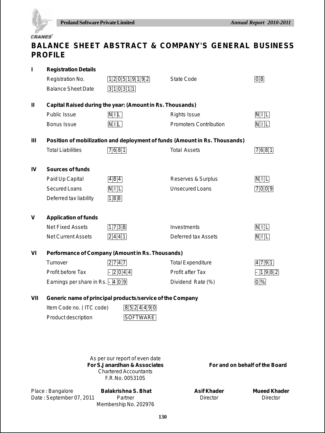

**CRANES** 

## **BALANCE SHEET ABSTRACT & COMPANY'S GENERAL BUSINESS PROFILE**

| T   | <b>Registration Details</b>         |                                                           |                                                                            |                  |
|-----|-------------------------------------|-----------------------------------------------------------|----------------------------------------------------------------------------|------------------|
|     | Registration No.                    | 120519192                                                 | State Code                                                                 | 0 8              |
|     | <b>Balance Sheet Date</b>           | 3 1 0 3 1 1                                               |                                                                            |                  |
| Ш   |                                     | Capital Raised during the year: (Amount in Rs. Thousands) |                                                                            |                  |
|     | Public Issue                        | N I                                                       | <b>Rights Issue</b>                                                        | N  L             |
|     | Bonus Issue                         | $N$ $L$                                                   | <b>Promoters Contribution</b>                                              | NIL              |
| Ш   |                                     |                                                           | Position of mobilization and deployment of funds (Amount in Rs. Thousands) |                  |
|     | <b>Total Liabilities</b>            | 7 6 8 1                                                   | <b>Total Assets</b>                                                        | 7 6 8 1          |
| IV  | Sources of funds                    |                                                           |                                                                            |                  |
|     | Paid Up Capital                     | 4 8 4                                                     | Reserves & Surplus                                                         | NII              |
|     | Secured Loans                       | $N$   L                                                   | <b>Unsecured Loans</b>                                                     | 7 0 0 9          |
|     | Deferred tax liability              | 1 8 8                                                     |                                                                            |                  |
| v   | <b>Application of funds</b>         |                                                           |                                                                            |                  |
|     | <b>Net Fixed Assets</b>             | 1738                                                      | Investments                                                                | NIL              |
|     | <b>Net Current Assets</b>           | 2 4 4 1                                                   | Deferred tax Assets                                                        | N I L            |
| VI  |                                     | Performance of Company (Amount in Rs. Thousands)          |                                                                            |                  |
|     | Turnover                            | 7 4 7                                                     | <b>Total Expenditure</b>                                                   | 4791             |
|     | Profit before Tax                   | 2 0 4 4                                                   | Profit after Tax                                                           | 1982             |
|     | Earnings per share in Rs. $-$ 4 0 9 |                                                           | Dividend Rate (%)                                                          | $\overline{0\%}$ |
| VII |                                     | Generic name of principal products/service of the Company |                                                                            |                  |
|     | Item Code no. (ITC code)            | 8524490                                                   |                                                                            |                  |
|     | Product description                 | <b>SOFTWARE</b>                                           |                                                                            |                  |
|     |                                     |                                                           |                                                                            |                  |

As per our report of even date<br>For S.Janardhan & Associates Chartered Accountants F.R.No. 005310S

Place : Bangalore **Balakrishna S. Bhat Asif Khader Mueed Khader Mueed Khader Director Director Director Director** Date : September 07, 2011 Membership No. 202976

For and on behalf of the Board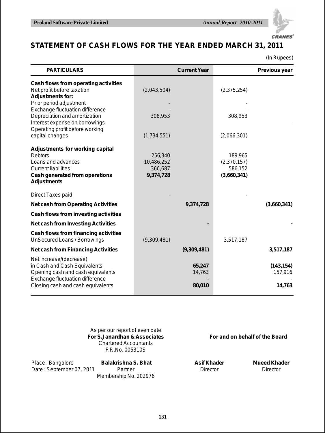

## **STATEMENT OF CASH FLOWS FOR THE YEAR ENDED MARCH 31, 2011**

(In Rupees)

| <b>PARTICULARS</b>                                                                                                                                     |                                               | <b>Current Year</b> |                                                  | Previous year         |
|--------------------------------------------------------------------------------------------------------------------------------------------------------|-----------------------------------------------|---------------------|--------------------------------------------------|-----------------------|
| Cash flows from operating activities<br>Net profit before taxation<br>Adjustments for:                                                                 | (2,043,504)                                   |                     | (2, 375, 254)                                    |                       |
| Prior period adjustment<br>Exchange fluctuation difference<br>Depreciation and amortization<br>Interest expense on borrowings                          | 308,953                                       |                     | 308,953                                          |                       |
| Operating profit before working<br>capital changes                                                                                                     | (1, 734, 551)                                 |                     | (2,066,301)                                      |                       |
| Adjustments for working capital<br><b>Debtors</b><br>Loans and advances<br><b>Current liabilities</b><br>Cash generated from operations<br>Adjustments | 256,340<br>10,486,252<br>366,687<br>9,374,728 |                     | 189,965<br>(2,370,157)<br>586,152<br>(3,660,341) |                       |
| Direct Taxes paid                                                                                                                                      |                                               |                     |                                                  |                       |
| Net cash from Operating Activities                                                                                                                     |                                               | 9,374,728           |                                                  | (3,660,341)           |
| Cash flows from investing activities                                                                                                                   |                                               |                     |                                                  |                       |
| Net cash from Investing Activities                                                                                                                     |                                               |                     |                                                  |                       |
| Cash flows from financing activities<br><b>UnSecured Loans / Borrowings</b>                                                                            | (9,309,481)                                   |                     | 3,517,187                                        |                       |
| Net cash from Financing Activities                                                                                                                     |                                               | (9,309,481)         |                                                  | 3,517,187             |
| Net increase/(decrease)<br>in Cash and Cash Equivalents<br>Opening cash and cash equivalents<br>Exchange fluctuation difference                        |                                               | 65,247<br>14,763    |                                                  | (143, 154)<br>157,916 |
| Closing cash and cash equivalents                                                                                                                      |                                               | 80,010              |                                                  | 14,763                |

As per our report of even date<br>For S.Janardhan & Associates Chartered Accountants F.R.No. 005310S

| Place: Bangalore         | Balakrishna S. Bhat   | Asif Khader | Mueed Kha |
|--------------------------|-----------------------|-------------|-----------|
| Date: September 07, 2011 | Partner               | Director    | Director  |
|                          | Membership No. 202976 |             |           |

**For and on behalf of the Board** 

**Asif Khader Mueed Khader<br>Director Director**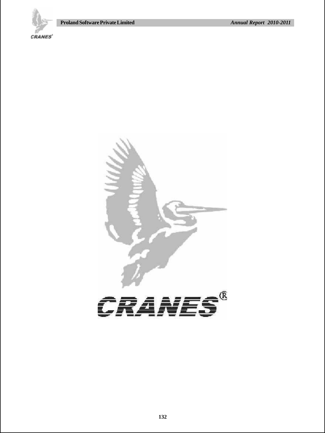



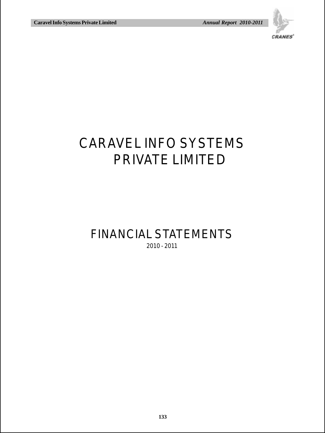

# CARAVEL INFO SYSTEMS PRIVATE LIMITED

## FINANCIAL STATEMENTS 2010 - 2011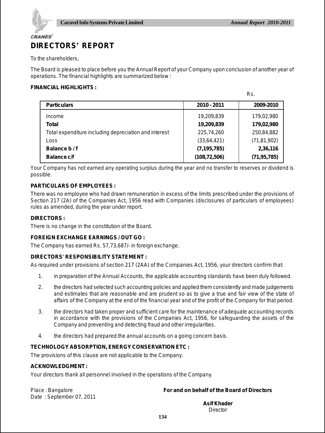

### **CRANES DIRECTORS' REPORT**

To the shareholders,

The Board is pleased to place before you the Annual Report of your Company upon conclusion of another year of operations. The financial highlights are summarized below :

#### **FINANCIAL HIGHLIGHTS :**

| <b>Particulars</b>                                    | 2010 - 2011    | 2009-2010     |
|-------------------------------------------------------|----------------|---------------|
| Income                                                | 19,209,839     | 179,02,980    |
| Total                                                 | 19,209,839     | 179,02,980    |
| Total expenditure including depreciation and interest | 225,74,260     | 250,84,882    |
| Loss                                                  | (33,64,421)    | (71, 81, 902) |
| Balance b/f                                           | (7, 195, 785)  | 2,36,116      |
| Balance c/f                                           | (108, 72, 506) | (71, 95, 785) |

Your Company has not earned any operating surplus during the year and no transfer to reserves or dividend is possible.

### **PARTICULARS OF EMPLOYEES :**

There was no employee who had drawn remuneration in excess of the limits prescribed under the provisions of Section 217 (2A) of the Companies Act, 1956 read with Companies (disclosures of particulars of employees) rules as amended, during the year under report.

#### **DIRECTORS :**

There is no change in the constitution of the Board.

#### **FOREIGN EXCHANGE EARNINGS / OUT GO :**

The Company has earned Rs. 57,73,687/- in foreign exchange.

#### **DIRECTORS' RESPONSIBILITY STATEMENT :**

As required under provisions of section 217 (2AA) of the Companies Act, 1956, your directors confirm that:

- 1. in preparation of the Annual Accounts, the applicable accounting standards have been duly followed.
- 2. the directors had selected such accounting policies and applied them consistently and made judgements and estimates that are reasonable and are prudent so as to give a true and fair view of the state of affairs of the Company at the end of the financial year and of the profit of the Company for that period.
- 3. the directors had taken proper and sufficient care for the maintenance of adequate accounting records in accordance with the provisions of the Companies Act, 1956, for safeguarding the assets of the Company and preventing and detecting fraud and other irregularities.
- 4. the directors had prepared the annual accounts on a going concern basis.

#### **TECHNOLOGY ABSORPTION, ENERGY CONSERVATION ETC :**

The provisions of this clause are not applicable to the Company.

#### **ACKNOWLEDGMENT :**

Your directors thank all personnel involved in the operations of the Company.

Date : September 07, 2011

Place : Bangalore **For and on behalf of the Board of Directors**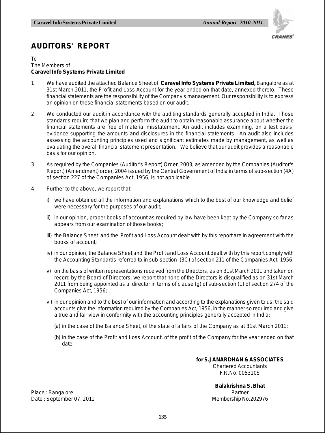

## **AUDITORS' REPORT**

To The Members of **Caravel Info Systems Private Limited**

- 1. We have audited the attached Balance Sheet of **Caravel Info Systems Private Limited,** Bangalore as at 31st March 2011, the Profit and Loss Account for the year ended on that date, annexed thereto. These financial statements are the responsibility of the Company's management. Our responsibility is to express an opinion on these financial statements based on our audit.
- 2. We conducted our audit in accordance with the auditing standards generally accepted in India. Those standards require that we plan and perform the audit to obtain reasonable assurance about whether the financial statements are free of material misstatement. An audit includes examining, on a test basis, evidence supporting the amounts and disclosures in the financial statements. An audit also includes assessing the accounting principles used and significant estimates made by management, as well as evaluating the overall financial statement presentation. We believe that our audit provides a reasonable basis for our opinion.
- 3. As required by the Companies (Auditor's Report) Order, 2003, as amended by the Companies (Auditor's Report) (Amendment) order, 2004 issued by the Central Government of India in terms of sub-section (4A) of section 227 of the Companies Act, 1956, is not applicable
- 4. Further to the above, we report that:
	- i) we have obtained all the information and explanations which to the best of our knowledge and belief were necessary for the purposes of our audit;
	- ii) in our opinion, proper books of account as required by law have been kept by the Company so far as appears from our examination of those books;
	- iii) the Balance Sheet and the Profit and Loss Account dealt with by this report are in agreement with the books of account;
	- iv) in our opinion, the Balance Sheet and the Profit and Loss Account dealt with by this report comply with the Accounting Standards referred to in sub-section (3C) of section 211 of the Companies Act, 1956;
	- v) on the basis of written representations received from the Directors, as on 31st March 2011 and taken on record by the Board of Directors, we report that none of the Directors is disqualified as on 31st March 2011 from being appointed as a director in terms of clause (g) of sub-section (1) of section 274 of the Companies Act, 1956;
	- vi) in our opinion and to the best of our information and according to the explanations given to us, the said accounts give the information required by the Companies Act, 1956, in the manner so required and give a true and fair view in conformity with the accounting principles generally accepted in India:
		- (a) in the case of the Balance Sheet, of the state of affairs of the Company as at 31st March 2011;
		- (b) in the case of the Profit and Loss Account, of the profit of the Company for the year ended on that date.

**for S.JANARDHAN & ASSOCIATES** Chartered Accountants F.R.No. 005310S

**Balakrishna S. Bhat**

Place : Bangalore Partner Date: September 07, 2011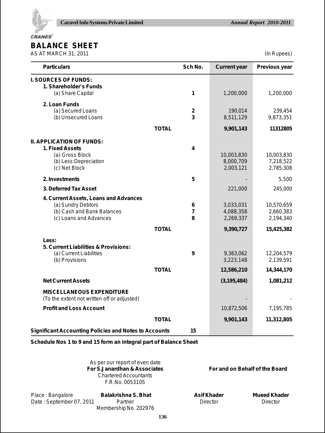

**Caravel Info Systems Private Limited**

#### **CRANES**

#### **BALANCE SHEET**

AS AT MARCH 31, 2011 **(In Rupees)** (In Rupees)

**Particulars Particulars Particulars Sch No. Current year Previous year I. SOURCES OF FUNDS: 1. Shareholder's Funds** (a) Share Capital **1** 1,200,000 1,200,000 **2. Loan Funds** (a) Secured Loans **2** 190,014 239,454<br>
(b) Unsecured Loans 3 8,511,129 9,873,351 (b) Unsecured Loans **3** 8,511,129 9,873,351 **TOTAL 9,901,143 11312805 II. APPLICATION OF FUNDS: 1. Fixed Assets 4** (a) Gross Block 10,003,830 10,003,830 10,003,830 10,003,830 10,003,830 10,003,830 10,003,830 10,003,830 10,003<br>(b) Less:Depreciation 19,000,709 1,218,522 18,522 (b) Less:Depreciation 8,000,709 7,218,522<br>
(c) Net Block 2,003,121 2,785,308 (c) Net Block 2,003,121 2,785,308 **2. Investments 5** - 5,500 **3. Deferred Tax Asset** 221,000 245,000 **4. Current Assets, Loans and Advances** (a) Sundry Debtors **6** 3,033,031 10,570,659<br>
(b) Cash and Bank Balances **6** 7 4,088,358 2,660,383 (b) Cash and Bank Balances **7** 4,088,358 2,660,383 (c) Loans and Advances **8** 2,269,337 2,194,340 **TOTAL 9,390,727 15,425,382 Less: 5. Current Liabilities & Provisions:** (a) Current Liabilities **9** 9,363,062 12,204,579<br>
(b) Provisions 2,139,591 (b) Provisions 3,223,148 2,139,591 **TOTAL 12,586,210 14,344,170 Net Current Assets (3,195,484) 1,081,212 MISCELLANEOUS EXPENDITURE** (To the extent not written off or adjusted) **Profit and Loss Account** 2008 2014 10,872,506 7,195,785 **TOTAL 9,901,143 11,312,805 Significant Accounting Policies and Notes to Accounts 15**

**Schedule Nos 1 to 9 and 15 form an integral part of Balance Sheet**

As per our report of even date<br>For S.Janardhan & Associates Chartered Accountants F.R.No. 005310S

**For and on Behalf of the Board** 

| Place: Bangalore         | Balakrishna S. Bhat   | Asif Khader | <b>Mueed Khader</b> |
|--------------------------|-----------------------|-------------|---------------------|
| Date: September 07, 2011 | Partner               | Director    | Director            |
|                          | Membership No. 202976 |             |                     |

**136**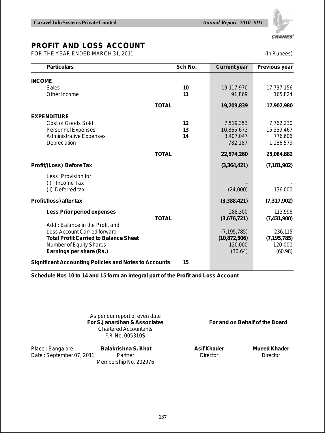## **PROFIT AND LOSS ACCOUNT**

FOR THE YEAR ENDED MARCH 31, 2011 (In Rupees)

| <b>Particulars</b>                                           | Sch No.      | <b>Current year</b> | Previous year |
|--------------------------------------------------------------|--------------|---------------------|---------------|
| <b>INCOME</b>                                                |              |                     |               |
| Sales                                                        | 10           | 19,117,970          | 17,737,156    |
| Other Income                                                 | 11           | 91,869              | 165,824       |
|                                                              | <b>TOTAL</b> | 19,209,839          | 17,902,980    |
| <b>EXPENDITURE</b>                                           |              |                     |               |
| Cost of Goods Sold                                           | 12           | 7,519,353           | 7,762,230     |
| Personnel Expenses                                           | 13           | 10,865,673          | 15,359,467    |
| <b>Administrative Expenses</b>                               | 14           | 3,407,047           | 776,606       |
| Depreciation                                                 |              | 782,187             | 1,186,579     |
|                                                              | <b>TOTAL</b> | 22,574,260          | 25,084,882    |
| Profit/(Loss) Before Tax                                     |              | (3,364,421)         | (7, 181, 902) |
| Less: Provision for                                          |              |                     |               |
| Income Tax<br>(i)                                            |              |                     |               |
| (ii) Deferred tax                                            |              | (24,000)            | 136,000       |
| Profit/(loss) after tax                                      |              | (3,388,421)         | (7, 317, 902) |
| Less Prior period expenses                                   |              | 288,300             | 113,998       |
|                                                              | <b>TOTAL</b> | (3,676,721)         | (7,431,900)   |
| Add: Balance in the Profit and                               |              |                     |               |
| Loss Account Carried forward                                 |              | (7, 195, 785)       | 236,115       |
| <b>Total Profit Carried to Balance Sheet</b>                 |              | (10, 872, 506)      | (7, 195, 785) |
| Number of Equity Shares                                      |              | 120,000             | 120,000       |
| Earnings per share (Rs.)                                     |              | (30.64)             | (60.98)       |
| <b>Significant Accounting Policies and Notes to Accounts</b> | 15           |                     |               |

**Schedule Nos 10 to 14 and 15 form an integral part of the Profit and Loss Account**

As per our report of even date<br>For S.Janardhan & Associates Chartered Accountants F.R.No. 005310S

Place : Bangalore **Balakrishna S. Bhat Asif Khader Mueed Khader Mueed Khader Director Director Director Director** Date: September 07, 2011 Membership No. 202976

For and on Behalf of the Board

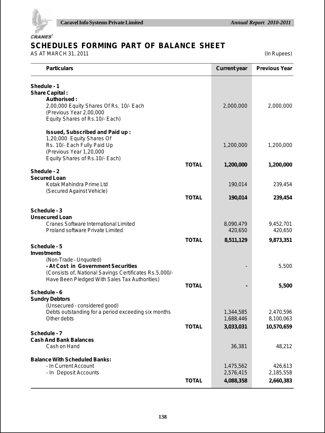

#### **CRANES**

## **SCHEDULES FORMING PART OF BALANCE SHEET**

AS AT MARCH 31, 2011 **(In Rupees)** (In Rupees)

| <b>Particulars</b>                                                 |              | <b>Current year</b>    | <b>Previous Year</b>   |
|--------------------------------------------------------------------|--------------|------------------------|------------------------|
| Shedule - 1                                                        |              |                        |                        |
| Share Capital:                                                     |              |                        |                        |
| Authorised:                                                        |              |                        |                        |
| 2,00,000 Equity Shares Of Rs. 10/- Each                            |              | 2,000,000              | 2,000,000              |
| (Previous Year 2,00,000                                            |              |                        |                        |
| Equity Shares of Rs.10/- Each)                                     |              |                        |                        |
| Issued, Subscribed and Paid up:                                    |              |                        |                        |
| 1,20,000 Equity Shares Of                                          |              |                        |                        |
| Rs. 10/- Each Fully Paid Up                                        |              | 1,200,000              | 1,200,000              |
| (Previous Year 1,20,000                                            |              |                        |                        |
| Equity Shares of Rs.10/- Each)                                     | <b>TOTAL</b> |                        |                        |
| Shedule - 2                                                        |              | 1,200,000              | 1,200,000              |
| <b>Secured Loan</b>                                                |              |                        |                        |
| Kotak Mahindra Prime Ltd                                           |              | 190,014                | 239,454                |
| (Secured Against Vehicle)                                          |              |                        |                        |
|                                                                    | <b>TOTAL</b> | 190,014                | 239,454                |
| Schedule - 3                                                       |              |                        |                        |
| <b>Unsecured Loan</b>                                              |              |                        |                        |
| <b>Cranes Software International Limited</b>                       |              | 8,090,479              | 9,452,701              |
| Proland software Private Limited                                   |              | 420,650                | 420,650                |
|                                                                    | <b>TOTAL</b> | 8,511,129              | 9,873,351              |
| Schedule - 5                                                       |              |                        |                        |
| Investments                                                        |              |                        |                        |
| (Non-Trade - Unquoted)<br>- At Cost in Government Securities       |              |                        | 5,500                  |
| (Consists of, National Savings Certificates Rs.5,000/-             |              |                        |                        |
| Have Been Pledged With Sales Tax Authorities)                      |              |                        |                        |
|                                                                    | <b>TOTAL</b> |                        | 5,500                  |
| Schedule - 6                                                       |              |                        |                        |
| <b>Sundry Debtors</b>                                              |              |                        |                        |
| (Unsecured - considered good)                                      |              |                        |                        |
| Debts outstanding for a period exceeding six months<br>Other debts |              | 1,344,585<br>1,688,446 | 2,470,596<br>8,100,063 |
|                                                                    | <b>TOTAL</b> | 3,033,031              | 10,570,659             |
| Schedule - 7                                                       |              |                        |                        |
| <b>Cash And Bank Balances</b>                                      |              |                        |                        |
| Cash on Hand                                                       |              | 36,381                 | 48,212                 |
|                                                                    |              |                        |                        |
| <b>Balance With Scheduled Banks:</b><br>- In Current Account       |              | 1,475,562              | 426,613                |
| - In Deposit Accounts                                              |              | 2,576,415              | 2,185,558              |
|                                                                    | <b>TOTAL</b> | 4,088,358              | 2,660,383              |
|                                                                    |              |                        |                        |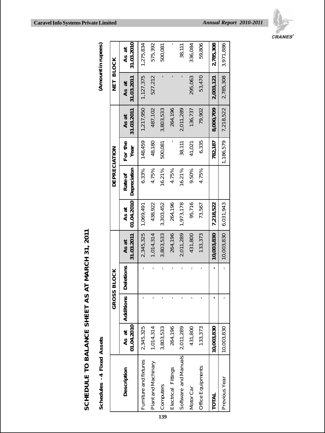SCHEDULE TO BALANCE SHEET AS AT MARCH 31, 2011 **SCHEDULE TO BALANCE SHEET AS AT MARCH 31, 2011**

Schedules - 4 Fixed Assets

(Amount in rupees) **(Amount in rupees)**

| Schedules - 4 Fixed Assets |                     |           |              |                     |                     |                         |                 |                     |                     | (Amount in rupees)  |
|----------------------------|---------------------|-----------|--------------|---------------------|---------------------|-------------------------|-----------------|---------------------|---------------------|---------------------|
|                            |                     | GROSS BI  | LOCK         |                     |                     | DEPRECIATION            |                 |                     | NET BLOCK           |                     |
| <b>Description</b>         | 01.04.2010<br>As at | Additions | letions<br>Å | 31.03.2011<br>As at | 01.04.2010<br>As at | Depreciation<br>Rate of | For the<br>Year | 31.03.2011<br>As at | 31.03.2011<br>As at | 31.03.2010<br>As at |
| Furniture and fixtures     | 2,345,325           |           |              | 2,345,325           | 1,069,491           | 6.33%                   | 148,459         | 1,217,950           | 1,127,375           | 1,275,834           |
| Plant and Machinary        | 1,014,314           |           |              | 1,014,314           | 438,922             | 4.75%                   | 48,180          | 487,102             | 527,212             | 575,392             |
| Computers                  | 3,803,533           |           |              | 3,803,533           | 3,303,452           | 16.21%                  | 500,081         | 3,803,533           |                     | 500,081             |
| Electrical Fittings        | 264,196             |           |              | 264,196             | 264,196             | 4.75%                   |                 | 264,196             |                     |                     |
| Software and Manuals       | 2,011,289           |           |              | 2,011,289           | 1,973,178           | 16.21%                  | 38,111          | 2,011,289           |                     | 38,111              |
| Motor Car                  | 431,800             |           |              | 431,800             | 95,716              | 9.50%                   | 41,021          | 136,737             | 295,063             | 336,084             |
| Office Equipments          | 133,373             |           |              | 133,373             | 73,567              | 4.75%                   | 6,335           | 79,902              | 53,470              | 59,806              |
| TOTAL                      | 10,003,830          |           |              | 10,003,830          | 7,218,522           |                         | 782,187         | 8,000,709           | 2,003,121           | 2,785,308           |
| Previous Year              | 10,003,830          |           |              | 10,003,830          | 6,031,943           |                         | 1,186,579       | 7,218,522           | 2,785,308           | 3,971,886           |
|                            |                     |           |              |                     |                     |                         |                 |                     |                     |                     |

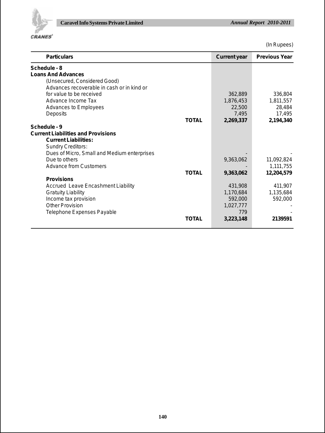**Caravel Info Systems Private Limited**



*Annual Report 2010-2011*

(In Rupees)

| <b>Particulars</b>                          |              | <b>Current year</b> | <b>Previous Year</b> |
|---------------------------------------------|--------------|---------------------|----------------------|
| Schedule - 8                                |              |                     |                      |
| <b>Loans And Advances</b>                   |              |                     |                      |
| (Unsecured, Considered Good)                |              |                     |                      |
| Advances recoverable in cash or in kind or  |              |                     |                      |
| for value to be received                    |              | 362,889             | 336,804              |
| Advance Income Tax                          |              | 1,876,453           | 1,811,557            |
| Advances to Employees                       |              | 22,500              | 28,484               |
| Deposits                                    |              | 7.495               | 17,495               |
|                                             | <b>TOTAL</b> | 2,269,337           | 2,194,340            |
| Schedule - 9                                |              |                     |                      |
| <b>Current Liabilities and Provisions</b>   |              |                     |                      |
| <b>Current Liabilities:</b>                 |              |                     |                      |
| <b>Sundry Creditors:</b>                    |              |                     |                      |
| Dues of Micro, Small and Medium enterprises |              |                     |                      |
| Due to others                               |              | 9,363,062           | 11,092,824           |
| Advance from Customers                      |              |                     | 1,111,755            |
|                                             | <b>TOTAL</b> | 9,363,062           | 12,204,579           |
| <b>Provisions</b>                           |              |                     |                      |
| Accrued Leave Encashment Liability          |              | 431,908             | 411,907              |
| <b>Gratuity Liability</b>                   |              | 1,170,684           | 1,135,684            |
| Income tax provision                        |              | 592,000             | 592,000              |
| <b>Other Provision</b>                      |              | 1,027,777           |                      |
| Telephone Expenses Payable                  |              | 779                 |                      |
|                                             | TOTAL        | 3,223,148           | 2139591              |
|                                             |              |                     |                      |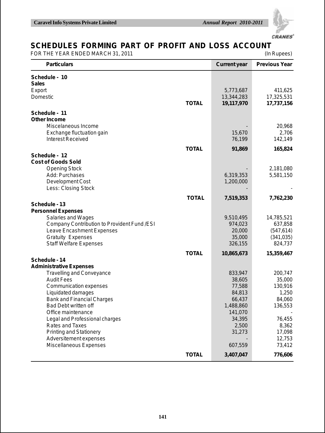

# **SCHEDULES FORMING PART OF PROFIT AND LOSS ACCOUNT**<br>FOR THE YEAR ENDED MARCH 31, 2011 (In Rupees)

FOR THE YEAR ENDED MARCH 31, 2011

| <b>Particulars</b>                           | <b>Current year</b> | <b>Previous Year</b> |
|----------------------------------------------|---------------------|----------------------|
| Schedule - 10                                |                     |                      |
| <b>Sales</b>                                 |                     |                      |
| Export                                       | 5,773,687           | 411,625              |
| Domestic                                     | 13,344,283          | 17,325,531           |
| <b>TOTAL</b>                                 | 19,117,970          | 17,737,156           |
| Schedule - 11                                |                     |                      |
| Other Income                                 |                     |                      |
| Miscelaneous Income                          |                     | 20,968               |
| Exchange fluctuation gain                    | 15,670              | 2,706                |
| <b>Interest Received</b>                     | 76,199              | 142,149              |
| <b>TOTAL</b>                                 | 91,869              | 165,824              |
| Schedule - 12                                |                     |                      |
| <b>Cost of Goods Sold</b>                    |                     |                      |
| <b>Opening Stock</b>                         |                     | 2,181,080            |
| Add: Purchases                               | 6,319,353           | 5,581,150            |
| Development Cost                             | 1,200,000           |                      |
| Less: Closing Stock                          |                     |                      |
| <b>TOTAL</b>                                 | 7,519,353           | 7,762,230            |
| Schedule - 13                                |                     |                      |
| <b>Personnel Expenses</b>                    |                     |                      |
| Salaries and Wages                           | 9,510,495           | 14,785,521           |
| Company Contribution to Provident Fund / ESI | 974,023             | 637,858              |
| Leave Encashment Expenses                    | 20,000              | (547, 614)           |
| <b>Gratuity Expenses</b>                     | 35,000              | (341, 035)           |
| <b>Staff Welfare Expenses</b>                | 326,155             | 824,737              |
| <b>TOTAL</b>                                 | 10,865,673          | 15,359,467           |
| Schedule - 14                                |                     |                      |
| <b>Administrative Expenses</b>               |                     |                      |
| <b>Travelling and Conveyance</b>             | 833,947             | 200,747              |
| <b>Audit Fees</b>                            | 38,605              | 35,000               |
| Communication expenses                       | 77,588              | 130,916              |
| Liquidated damages                           | 84,813              | 1,250                |
| <b>Bank and Financial Charges</b>            | 66,437              | 84,060               |
| Bad Debt written off                         | 1,488,860           | 136,553              |
| Office maintenance                           | 141,070             |                      |
| Legal and Professional charges               | 34,395              | 76,455               |
| Rates and Taxes                              | 2,500               | 8,362                |
| <b>Printing and Stationery</b>               | 31,273              | 17,098               |
| Adversitement expenses                       |                     | 12,753               |
| Miscellaneous Expenses                       | 607,559             | 73,412               |
| <b>TOTAL</b>                                 | 3,407,047           | 776,606              |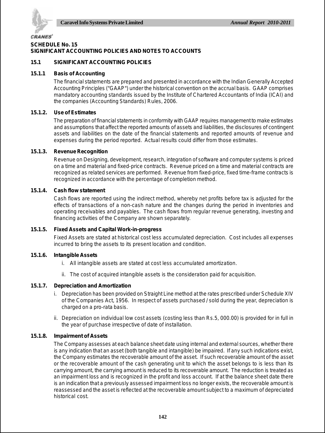

#### *CRANES* **SCHEDULE No. 15 SIGNIFICANT ACCOUNTING POLICIES AND NOTES TO ACCOUNTS**

#### **15.1 SIGNIFICANT ACCOUNTING POLICIES**

#### **15.1.1 Basis of Accounting**

The financial statements are prepared and presented in accordance with the Indian Generally Accepted Accounting Principles ("GAAP") under the historical convention on the accrual basis. GAAP comprises mandatory accounting standards issued by the Institute of Chartered Accountants of India (ICAI) and the companies (Accounting Standards) Rules, 2006.

#### **15.1.2. Use of Estimates**

The preparation of financial statements in conformity with GAAP requires management to make estimates and assumptions that affect the reported amounts of assets and liabilities, the disclosures of contingent assets and liabilities on the date of the financial statements and reported amounts of revenue and expenses during the period reported. Actual results could differ from those estimates.

#### **15.1.3. Revenue Recognition**

Revenue on Designing, development, research, integration of software and computer systems is priced on a time and material and fixed-price contracts. Revenue priced on a time and material contracts are recognized as related services are performed. Revenue from fixed-price, fixed time-frame contracts is recognized in accordance with the percentage of completion method.

#### **15.1.4. Cash flow statement**

Cash flows are reported using the indirect method, whereby net profits before tax is adjusted for the effects of transactions of a non-cash nature and the changes during the period in inventories and operating receivables and payables. The cash flows from regular revenue generating, investing and financing activities of the Company are shown separately.

#### **15.1.5. Fixed Assets and Capital Work-in-progress**

Fixed Assets are stated at historical cost less accumulated depreciation. Cost includes all expenses incurred to bring the assets to its present location and condition.

#### **15.1.6. Intangible Assets**

- i. All intangible assets are stated at cost less accumulated amortization.
- ii. The cost of acquired intangible assets is the consideration paid for acquisition.

#### **15.1.7. Depreciation and Amortization**

- i. Depreciation has been provided on Straight Line method at the rates prescribed under Schedule XIV of the Companies Act, 1956. In respect of assets purchased / sold during the year, depreciation is charged on a pro-rata basis.
- ii. Depreciation on individual low cost assets (costing less than Rs.5, 000.00) is provided for in full in the year of purchase irrespective of date of installation.

#### **15.1.8. Impairment of Assets**

The Company assesses at each balance sheet date using internal and external sources, whether there is any indication that an asset (both tangible and intangible) be impaired. If any such indications exist, the Company estimates the recoverable amount of the asset. If such recoverable amount of the asset or the recoverable amount of the cash generating unit to which the asset belongs to is less than its carrying amount, the carrying amount is reduced to its recoverable amount. The reduction is treated as an impairment loss and is recognized in the profit and loss account. If at the balance sheet date there is an indication that a previously assessed impairment loss no longer exists, the recoverable amount is reassessed and the asset is reflected at the recoverable amount subject to a maximum of depreciated historical cost.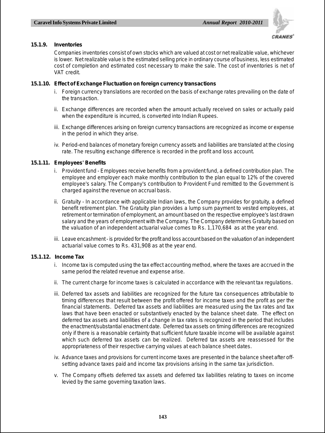

#### **15.1.9. Inventories**

Companies inventories consist of own stocks which are valued at cost or net realizable value, whichever is lower. Net realizable value is the estimated selling price in ordinary course of business, less estimated cost of completion and estimated cost necessary to make the sale. The cost of inventories is net of VAT credit.

#### **15.1.10. Effect of Exchange Fluctuation on foreign currency transactions**

- i. Foreign currency translations are recorded on the basis of exchange rates prevailing on the date of the transaction.
- ii. Exchange differences are recorded when the amount actually received on sales or actually paid when the expenditure is incurred, is converted into Indian Rupees.
- iii. Exchange differences arising on foreign currency transactions are recognized as income or expense in the period in which they arise.
- iv. Period-end balances of monetary foreign currency assets and liabilities are translated at the closing rate. The resulting exchange difference is recorded in the profit and loss account.

#### **15.1.11. Employees' Benefits**

- i. Provident fund Employees receive benefits from a provident fund, a defined contribution plan. The employee and employer each make monthly contribution to the plan equal to 12% of the covered employee's salary. The Company's contribution to Provident Fund remitted to the Government is charged against the revenue on accrual basis.
- ii. Gratuity In accordance with applicable Indian laws, the Company provides for gratuity, a defined benefit retirement plan. The Gratuity plan provides a lump sum payment to vested employees, at retirement or termination of employment, an amount based on the respective employee's last drawn salary and the years of employment with the Company. The Company determines Gratuity based on the valuation of an independent actuarial value comes to Rs. 1,170,684 as at the year end.
- iii. Leave encashment is provided for the profit and loss account based on the valuation of an independent actuarial value comes to Rs. 431,908 as at the year end.

#### **15.1.12. Income Tax**

- i. Income tax is computed using the tax effect accounting method, where the taxes are accrued in the same period the related revenue and expense arise.
- ii. The current charge for income taxes is calculated in accordance with the relevant tax regulations.
- iii. Deferred tax assets and liabilities are recognized for the future tax consequences attributable to timing differences that result between the profit offered for income taxes and the profit as per the financial statements. Deferred tax assets and liabilities are measured using the tax rates and tax laws that have been enacted or substantively enacted by the balance sheet date. The effect on deferred tax assets and liabilities of a change in tax rates is recognized in the period that includes the enactment/substantial enactment date. Deferred tax assets on timing differences are recognized only if there is a reasonable certainty that sufficient future taxable income will be available against which such deferred tax assets can be realized. Deferred tax assets are reassessed for the appropriateness of their respective carrying values at each balance sheet dates.
- iv. Advance taxes and provisions for current income taxes are presented in the balance sheet after offsetting advance taxes paid and income tax provisions arising in the same tax jurisdiction.
- v. The Company offsets deferred tax assets and deferred tax liabilities relating to taxes on income levied by the same governing taxation laws.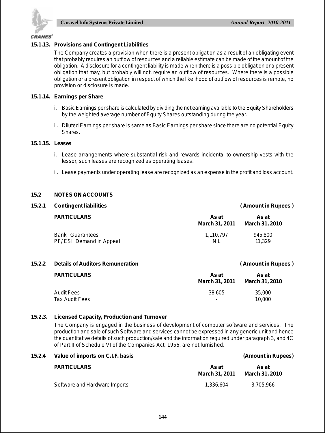

### **15.1.13. Provisions and Contingent Liabilities**

The Company creates a provision when there is a present obligation as a result of an obligating event that probably requires an outflow of resources and a reliable estimate can be made of the amount of the obligation. A disclosure for a contingent liability is made when there is a possible obligation or a present obligation that may, but probably will not, require an outflow of resources. Where there is a possible obligation or a present obligation in respect of which the likelihood of outflow of resources is remote, no provision or disclosure is made.

### **15.1.14. Earnings per Share**

- i. Basic Earnings per share is calculated by dividing the net earning available to the Equity Shareholders by the weighted average number of Equity Shares outstanding during the year.
- ii. Diluted Earnings per share is same as Basic Earnings per share since there are no potential Equity Shares.

### **15.1.15. Leases**

- i. Lease arrangements where substantial risk and rewards incidental to ownership vests with the lessor, such leases are recognized as operating leases.
- ii. Lease payments under operating lease are recognized as an expense in the profit and loss account.

### **15.2 NOTES ON ACCOUNTS**

| 15.2.1 | <b>Contingent liabilities</b>                     | (Amount in Rupees)      |                         |  |
|--------|---------------------------------------------------|-------------------------|-------------------------|--|
|        | <b>PARTICULARS</b>                                | As at<br>March 31, 2011 | As at<br>March 31, 2010 |  |
|        | <b>Bank Guarantees</b><br>PF/ESI Demand in Appeal | 1.110.797<br>NIL        | 945,800<br>11,329       |  |

### **15.2.2 Details of Auditors Remuneration ( Amount in Rupees )**

| <b>PARTICULARS</b> | As at<br>March 31, 2011  | As at<br>March 31, 2010 |
|--------------------|--------------------------|-------------------------|
| <b>Audit Fees</b>  | 38,605                   | 35,000                  |
| Tax Audit Fees     | $\overline{\phantom{a}}$ | 10,000                  |

### **15.2.3. Licensed Capacity, Production and Turnover**

The Company is engaged in the business of development of computer software and services. The production and sale of such Software and services cannot be expressed in any generic unit and hence the quantitative details of such production/sale and the information required under paragraph 3, and 4C of Part II of Schedule VI of the Companies Act, 1956, are not furnished.

| 15.2.4 | Value of imports on C.I.F. basis | (Amount in Rupees)      |                         |  |
|--------|----------------------------------|-------------------------|-------------------------|--|
|        | <b>PARTICULARS</b>               | As at<br>March 31, 2011 | As at<br>March 31, 2010 |  |
|        | Software and Hardware Imports    | 1,336,604               | 3,705,966               |  |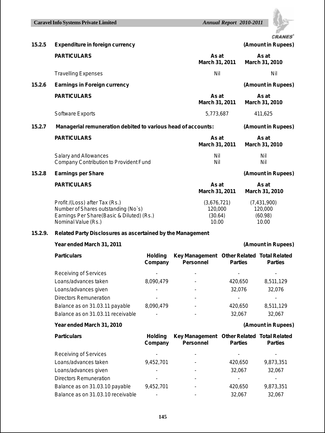

| 15.2.6 Earnings in Foreign currency |
|-------------------------------------|
| <b>PARTICULARS</b>                  |

### PARTICULARS **As at As at As at As at As at As at** As at As at As at As at As at As at As at As at As at As at As at As at As at As at As at As at As at As at As at As at As at As at As at As at As at As at As at As at As a **March 31, 2011 March 31, 2010** Software Exports 6,773,687 411,625

### **15.2.7 Managerial remuneration debited to various head of accounts: (Amount in Rupees)**

| <b>PARTICULARS</b>                     | As at<br>March 31, 2011 | As at<br>March 31, 2010 |
|----------------------------------------|-------------------------|-------------------------|
| Salary and Allowances                  | Nil                     | Nil                     |
| Company Contribution to Provident Fund | Nil                     | Nil                     |

### **15.2.8 Earnings per Share (Amount in Rupees)**

| <b>PARTICULARS</b>                        | As at<br>March 31, 2011 | As at<br>March 31, 2010 |  |
|-------------------------------------------|-------------------------|-------------------------|--|
| Profit /(Loss) after Tax (Rs.)            | (3,676,721)             | (7,431,900)             |  |
| Number of Shares outstanding (No's)       | 120,000                 | 120,000                 |  |
| Earnings Per Share(Basic & Diluted) (Rs.) | (30.64)                 | (60.98)                 |  |
| Nominal Value (Rs.)                       | 10.00                   | 10.00                   |  |

### **15.2.9. Related Party Disclosures as ascertained by the Management**

### **Year ended March 31, 2011 (Amount in Rupees)**

**15.2.6 Earnings in Foreign currency (Amount in Rupees)**

| <b>Particulars</b>                | Holding<br>Company       | Key Management Other Related Total Related<br>Personnel | <b>Parties</b> | <b>Parties</b> |
|-----------------------------------|--------------------------|---------------------------------------------------------|----------------|----------------|
| <b>Receiving of Services</b>      | ٠                        | $\overline{\phantom{a}}$                                |                |                |
| Loans/advances taken              | 8,090,479                | $\overline{\phantom{a}}$                                | 420,650        | 8,511,129      |
| Loans/advances given              | $\overline{\phantom{a}}$ | $\overline{\phantom{a}}$                                | 32,076         | 32,076         |
| Directors Remuneration            | $\qquad \qquad$          | $\overline{\phantom{a}}$                                |                |                |
| Balance as on 31.03.11 payable    | 8,090,479                | $\overline{\phantom{a}}$                                | 420,650        | 8,511,129      |
| Balance as on 31.03.11 receivable | ٠                        |                                                         | 32.067         | 32,067         |

### **Year ended March 31, 2010 (Amount in Rupees)**

| <b>Particulars</b>                | Holding<br>Company       | Key Management Other Related Total Related<br>Personnel | <b>Parties</b> | <b>Parties</b> |
|-----------------------------------|--------------------------|---------------------------------------------------------|----------------|----------------|
| <b>Receiving of Services</b>      |                          |                                                         |                |                |
| Loans/advances taken              | 9,452,701                |                                                         | 420,650        | 9,873,351      |
| Loans/advances given              | $\overline{\phantom{a}}$ |                                                         | 32,067         | 32,067         |
| <b>Directors Remuneration</b>     |                          | $\overline{\phantom{0}}$                                |                |                |
| Balance as on 31.03.10 payable    | 9,452,701                |                                                         | 420.650        | 9,873,351      |
| Balance as on 31.03.10 receivable | $\overline{\phantom{0}}$ |                                                         | 32,067         | 32,067         |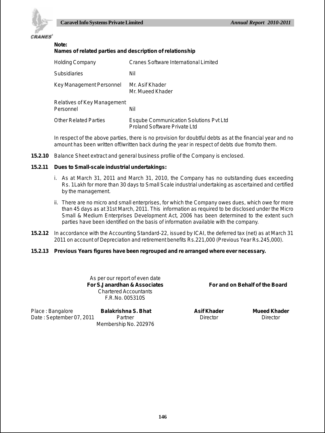

### **Note: Names of related parties and description of relationship**

| Holding Company                          | Cranes Software International Limited                                  |
|------------------------------------------|------------------------------------------------------------------------|
| <b>Subsidiaries</b>                      | Nil                                                                    |
| Key Management Personnel                 | Mr. Asif Khader<br>Mr. Mueed Khader                                    |
| Relatives of Key Management<br>Personnel | Nil                                                                    |
| <b>Other Related Parties</b>             | Esqube Communication Solutions Pvt Ltd<br>Proland Software Private Ltd |

In respect of the above parties, there is no provision for doubtful debts as at the financial year and no amount has been written off/written back during the year in respect of debts due from/to them.

**15.2.10** Balance Sheet extract and general business profile of the Company is enclosed.

### **15.2.11 Dues to Small-scale industrial undertakings:**

- i. As at March 31, 2011 and March 31, 2010, the Company has no outstanding dues exceeding Rs. 1Lakh for more than 30 days to Small Scale industrial undertaking as ascertained and certified by the management.
- ii. There are no micro and small enterprises, for which the Company owes dues, which owe for more than 45 days as at 31st March, 2011. This information as required to be disclosed under the Micro Small & Medium Enterprises Development Act, 2006 has been determined to the extent such parties have been identified on the basis of information available with the company.
- **15.2.12** In accordance with the Accounting Standard-22, issued by ICAI, the deferred tax (net) as at March 31 2011 on account of Depreciation and retirement benefits Rs.221,000 (Previous Year Rs.245,000).
- **15.2.13 Previous Years figures have been regrouped and re arranged where ever necessary.**

As per our report of even date<br>For S. Janardhan & Associates Chartered Accountants F.R.No. 005310S

**For and on Behalf of the Board** 

| Place: Bangalore         | - Balakrishna S. Bhat | Asif Khader | Mueed Khader |
|--------------------------|-----------------------|-------------|--------------|
| Date: September 07, 2011 | Partner               | Director    | Director     |
|                          | Membership No. 202976 |             |              |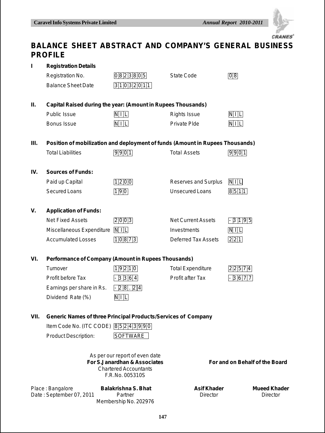

## **BALANCE SHEET ABSTRACT AND COMPANY'S GENERAL BUSINESS PROFILE**

| I    | <b>Registration Details</b>                                                   |                                                                                                                   |                                       |                                        |
|------|-------------------------------------------------------------------------------|-------------------------------------------------------------------------------------------------------------------|---------------------------------------|----------------------------------------|
|      | Registration No.                                                              | 0 8 2 3 8 0 5                                                                                                     | State Code                            | 0 8                                    |
|      | <b>Balance Sheet Date</b>                                                     | 3 1 0 3 2 0 1 1                                                                                                   |                                       |                                        |
| ΙΙ.  | Capital Raised during the year: (Amount in Rupees Thousands)                  |                                                                                                                   |                                       |                                        |
|      | Public Issue                                                                  | $N$ $ $ $ $ $ $                                                                                                   | <b>Rights Issue</b>                   | N I L                                  |
|      | Bonus Issue                                                                   | N  L                                                                                                              | Private Plde                          | $N$ $ I $                              |
| III. | Position of mobilization and deployment of funds (Amount in Rupees Thousands) |                                                                                                                   |                                       |                                        |
|      | <b>Total Liabilities</b>                                                      | 9901                                                                                                              | <b>Total Assets</b>                   | 9901                                   |
| IV.  | <b>Sources of Funds:</b>                                                      |                                                                                                                   |                                       |                                        |
|      | Paid up Capital                                                               | 1 2 0 0                                                                                                           | Reserves and Surplus                  | $N$ $ $ $L$                            |
|      | <b>Secured Loans</b>                                                          | 190                                                                                                               | <b>Unsecured Loans</b>                | 8 5 1 1                                |
| V.   | <b>Application of Funds:</b>                                                  |                                                                                                                   |                                       |                                        |
|      | <b>Net Fixed Assets</b>                                                       | 2 0 0 3                                                                                                           | <b>Net Current Assets</b>             | - 3 1 9 5                              |
|      | Miscellaneous Expenditure                                                     | $N$ $I$ $L$                                                                                                       | Investments                           | N I  L                                 |
|      | <b>Accumulated Losses</b>                                                     | 1 0 8 7 3                                                                                                         | <b>Deferred Tax Assets</b>            | 2 2 1                                  |
| VI.  | Performance of Company (Amount in Rupees Thousands)                           |                                                                                                                   |                                       |                                        |
|      | Turnover                                                                      | 1 9 2 1 0                                                                                                         | <b>Total Expenditure</b>              | 2 2 5 7 4                              |
|      | Profit before Tax                                                             | $-3364$                                                                                                           | Profit after Tax                      | $-3677$                                |
|      | Earnings per share in Rs.                                                     | $-28.24$                                                                                                          |                                       |                                        |
|      | Dividend Rate (%)                                                             | N  L                                                                                                              |                                       |                                        |
| VII. | Generic Names of three Principal Products/Services of Company                 |                                                                                                                   |                                       |                                        |
|      | Item Code No. (ITC CODE) $8 5 2 4 3 9 9 0$                                    |                                                                                                                   |                                       |                                        |
|      | <b>Product Description:</b>                                                   | SOFTWARE                                                                                                          |                                       |                                        |
|      |                                                                               | As per our report of even date<br>For S.Janardhan & Associates<br><b>Chartered Accountants</b><br>F.R.No. 005310S |                                       | For and on Behalf of the Board         |
|      | Place: Bangalore<br>Date: September 07, 2011                                  | Balakrishna S. Bhat<br>Partner<br>Membership No. 202976                                                           | <b>Asif Khader</b><br><b>Director</b> | <b>Mueed Khader</b><br><b>Director</b> |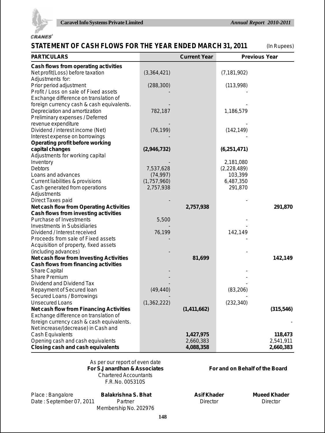

**STATEMENT OF CASH FLOWS FOR THE YEAR ENDED MARCH 31, 2011** (In Rupees)

| <b>PARTICULARS</b>                                                 |                          | <b>Current Year</b> |                        | <b>Previous Year</b> |
|--------------------------------------------------------------------|--------------------------|---------------------|------------------------|----------------------|
| Cash flows from operating activities                               |                          |                     |                        |                      |
| Net profit(Loss) before taxation                                   | (3,364,421)              |                     | (7, 181, 902)          |                      |
| Adjustments for:                                                   |                          |                     |                        |                      |
| Prior period adjustment                                            | (288, 300)               |                     | (113,998)              |                      |
| Profit / Loss on sale of Fixed assets                              |                          |                     |                        |                      |
| Exchange difference on translation of                              |                          |                     |                        |                      |
| foreign currency cash & cash equivalents.                          |                          |                     |                        |                      |
| Depreciation and amortization                                      | 782,187                  |                     | 1,186,579              |                      |
| Preliminary expenses / Deferred                                    |                          |                     |                        |                      |
| revenue expenditure                                                |                          |                     |                        |                      |
| Dividend / interest income (Net)                                   | (76, 199)                |                     | (142, 149)             |                      |
| Interest expense on borrowings                                     |                          |                     |                        |                      |
| Operating profit before working                                    |                          |                     |                        |                      |
| capital changes                                                    | (2,946,732)              |                     | (6, 251, 471)          |                      |
| Adjustments for working capital                                    |                          |                     |                        |                      |
| Inventory<br><b>Debtors</b>                                        | 7,537,628                |                     | 2,181,080              |                      |
|                                                                    |                          |                     | (2,228,489)<br>103,399 |                      |
| Loans and advances                                                 | (74, 997)<br>(1,757,960) |                     | 6,487,350              |                      |
| Current liabilities & provisions<br>Cash generated from operations | 2,757,938                |                     | 291,870                |                      |
| Adjustments                                                        |                          |                     |                        |                      |
| Direct Taxes paid                                                  |                          |                     |                        |                      |
| Net cash flow from Operating Activities                            |                          | 2,757,938           |                        | 291,870              |
| Cash flows from investing activities                               |                          |                     |                        |                      |
| Purchase of Investments                                            | 5,500                    |                     |                        |                      |
| <b>Investments in Subsidiaries</b>                                 |                          |                     |                        |                      |
| Dividend / Interest received                                       | 76,199                   |                     | 142,149                |                      |
| Proceeds from sale of Fixed assets                                 |                          |                     |                        |                      |
| Acquisition of property, fixed assets                              |                          |                     |                        |                      |
| (including advances)                                               |                          |                     |                        |                      |
| Net cash flow from Investing Activities                            |                          | 81,699              |                        | 142,149              |
| Cash flows from financing activities                               |                          |                     |                        |                      |
| <b>Share Capital</b>                                               |                          |                     |                        |                      |
| <b>Share Premium</b>                                               |                          |                     |                        |                      |
| Dividend and Dividend Tax                                          |                          |                     |                        |                      |
| Repayment of Secured Ioan                                          | (49, 440)                |                     | (83, 206)              |                      |
| Secured Loans / Borrowings                                         |                          |                     |                        |                      |
| <b>Unsecured Loans</b>                                             | (1,362,222)              |                     | (232, 340)             |                      |
| Net cash flow from Financing Activities                            |                          | (1,411,662)         |                        | (315, 546)           |
| Exchange difference on translation of                              |                          |                     |                        |                      |
| foreign currency cash & cash equivalents.                          |                          |                     |                        |                      |
| Net increase/(decrease) in Cash and                                |                          |                     |                        |                      |
| Cash Equivalents                                                   |                          | 1,427,975           |                        | 118,473              |
| Opening cash and cash equivalents                                  |                          | 2,660,383           |                        | 2,541,911            |
| Closing cash and cash equivalents                                  |                          | 4,088,358           |                        | 2,660,383            |

As per our report of even date<br>For S.Janardhan & Associates Chartered Accountants F.R.No. 005310S

For and on Behalf of the Board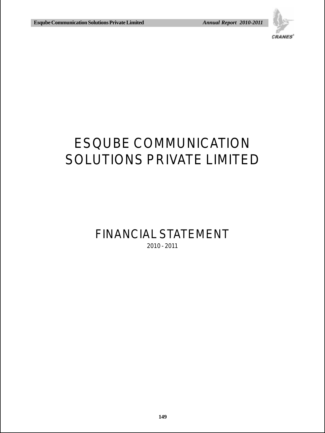

# ESQUBE COMMUNICATION SOLUTIONS PRIVATE LIMITED

FINANCIAL STATEMENT 2010 - 2011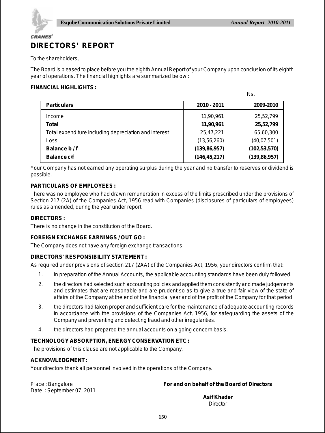### **CRANES DIRECTORS' REPORT**

To the shareholders,

The Board is pleased to place before you the eighth Annual Report of your Company upon conclusion of its eighth year of operations. The financial highlights are summarized below :

### **FINANCIAL HIGHLIGHTS :**

| <b>Particulars</b>                                    | 2010 - 2011    | 2009-2010      |
|-------------------------------------------------------|----------------|----------------|
| Income                                                | 11,90,961      | 25,52,799      |
| Total                                                 | 11,90,961      | 25,52,799      |
| Total expenditure including depreciation and interest | 25,47,221      | 65,60,300      |
| Loss                                                  | (13,56,260)    | (40,07,501)    |
| Balance b/f                                           | (139, 86, 957) | (102, 53, 570) |
| Balance c/f                                           | (146, 45, 217) | (139, 86, 957) |

Your Company has not earned any operating surplus during the year and no transfer to reserves or dividend is possible.

### **PARTICULARS OF EMPLOYEES :**

There was no employee who had drawn remuneration in excess of the limits prescribed under the provisions of Section 217 (2A) of the Companies Act, 1956 read with Companies (disclosures of particulars of employees) rules as amended, during the year under report.

### **DIRECTORS :**

There is no change in the constitution of the Board.

### **FOREIGN EXCHANGE EARNINGS / OUT GO :**

The Company does not have any foreign exchange transactions.

### **DIRECTORS' RESPONSIBILITY STATEMENT :**

As required under provisions of section 217 (2AA) of the Companies Act, 1956, your directors confirm that:

- 1. in preparation of the Annual Accounts, the applicable accounting standards have been duly followed.
- 2. the directors had selected such accounting policies and applied them consistently and made judgements and estimates that are reasonable and are prudent so as to give a true and fair view of the state of affairs of the Company at the end of the financial year and of the profit of the Company for that period.
- 3. the directors had taken proper and sufficient care for the maintenance of adequate accounting records in accordance with the provisions of the Companies Act, 1956, for safeguarding the assets of the Company and preventing and detecting fraud and other irregularities.
- 4. the directors had prepared the annual accounts on a going concern basis.

### **TECHNOLOGY ABSORPTION, ENERGY CONSERVATION ETC :**

The provisions of this clause are not applicable to the Company.

### **ACKNOWLEDGMENT :**

Your directors thank all personnel involved in the operations of the Company.

Date : September 07, 2011

Place : Bangalore **For and on behalf of the Board of Directors**

**Asif Khader Director**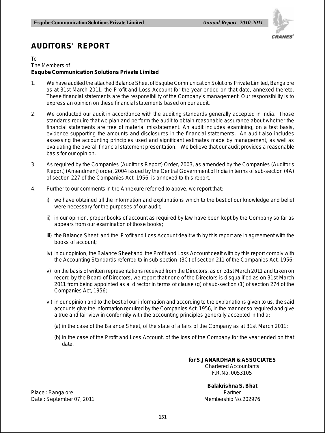

## **AUDITORS' REPORT**

### To The Members of **Esqube Communication Solutions Private Limited**

- 1. We have audited the attached Balance Sheet of Esqube Communication Solutions Private Limited, Bangalore as at 31st March 2011, the Profit and Loss Account for the year ended on that date, annexed thereto. These financial statements are the responsibility of the Company's management. Our responsibility is to express an opinion on these financial statements based on our audit.
- 2. We conducted our audit in accordance with the auditing standards generally accepted in India. Those standards require that we plan and perform the audit to obtain reasonable assurance about whether the financial statements are free of material misstatement. An audit includes examining, on a test basis, evidence supporting the amounts and disclosures in the financial statements. An audit also includes assessing the accounting principles used and significant estimates made by management, as well as evaluating the overall financial statement presentation. We believe that our audit provides a reasonable basis for our opinion.
- 3. As required by the Companies (Auditor's Report) Order, 2003, as amended by the Companies (Auditor's Report) (Amendment) order, 2004 issued by the Central Government of India in terms of sub-section (4A) of section 227 of the Companies Act, 1956, is annexed to this report.
- 4. Further to our comments in the Annexure referred to above, we report that:
	- i) we have obtained all the information and explanations which to the best of our knowledge and belief were necessary for the purposes of our audit;
	- ii) in our opinion, proper books of account as required by law have been kept by the Company so far as appears from our examination of those books;
	- iii) the Balance Sheet and the Profit and Loss Account dealt with by this report are in agreement with the books of account;
	- iv) in our opinion, the Balance Sheet and the Profit and Loss Account dealt with by this report comply with the Accounting Standards referred to in sub-section (3C) of section 211 of the Companies Act, 1956;
	- v) on the basis of written representations received from the Directors, as on 31st March 2011 and taken on record by the Board of Directors, we report that none of the Directors is disqualified as on 31st March 2011 from being appointed as a director in terms of clause (g) of sub-section (1) of section 274 of the Companies Act, 1956;
	- vi) in our opinion and to the best of our information and according to the explanations given to us, the said accounts give the information required by the Companies Act, 1956, in the manner so required and give a true and fair view in conformity with the accounting principles generally accepted in India:
		- (a) in the case of the Balance Sheet, of the state of affairs of the Company as at 31st March 2011;
		- (b) in the case of the Profit and Loss Account, of the loss of the Company for the year ended on that date.

**for S.JANARDHAN & ASSOCIATES** Chartered Accountants F.R.No. 005310S

**Balakrishna S. Bhat**

Place : Bangalore Partner Date: September 07, 2011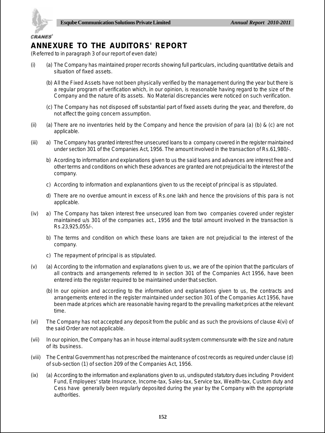

# **ANNEXURE TO THE AUDITORS' REPORT**

(Referred to in paragraph 3 of our report of even date)

- (i) (a) The Company has maintained proper records showing full particulars, including quantitative details and situation of fixed assets.
	- (b) All the Fixed Assets have not been physically verified by the management during the year but there is a regular program of verification which, in our opinion, is reasonable having regard to the size of the Company and the nature of its assets. No Material discrepancies were noticed on such verification.
	- (c) The Company has not disposed off substantial part of fixed assets during the year, and therefore, do not affect the going concern assumption.
- (ii) (a) There are no inventories held by the Company and hence the provision of para (a) (b) & (c) are not applicable.
- (iii) a) The Company has granted interest free unsecured loans to a company covered in the register maintained under section 301 of the Companies Act, 1956. The amount involved in the transaction of Rs.61,980/-.
	- b) Acording to information and explanations given to us the said loans and advances are interest free and other terms and conditions on which these advances are granted are not prejudicial to the interest of the company.
	- c) According to information and explanantions given to us the receipt of principal is as stipulated.
	- d) There are no overdue amount in excess of Rs.one lakh and hence the provisions of this para is not applicable.
- (iv) a) The Company has taken interest free unsecured loan from two companies covered under register maintained u/s 301 of the companies act., 1956 and the total amount involved in the transaction is Rs.23,925,055/-.
	- b) The terms and condition on which these loans are taken are not prejudicial to the interest of the company.
	- c) The repayment of principal is as stipulated.
- (v) (a) According to the information and explanations given to us, we are of the opinion that the particulars of all contracts and arrangements referred to in section 301 of the Companies Act 1956, have been entered into the register required to be maintained under that section.
	- (b) In our opinion and according to the information and explanations given to us, the contracts and arrangements entered in the register maintained under section 301 of the Companies Act 1956, have been made at prices which are reasonable having regard to the prevailing market prices at the relevant time.
- (vi) The Company has not accepted any deposit from the public and as such the provisions of clause 4(vi) of the said Order are not applicable.
- (vii) In our opinion, the Company has an in house internal audit system commensurate with the size and nature of its business.
- (viii) The Central Government has not prescribed the maintenance of cost records as required under clause (d) of sub-section (1) of section 209 of the Companies Act, 1956.
- (ix) (a) According to the information and explanations given to us, undisputed statutory dues including Provident Fund, Employees' state Insurance, Income-tax, Sales-tax, Service tax, Wealth-tax, Custom duty and Cess have generally been regularly deposited during the year by the Company with the appropriate authorities.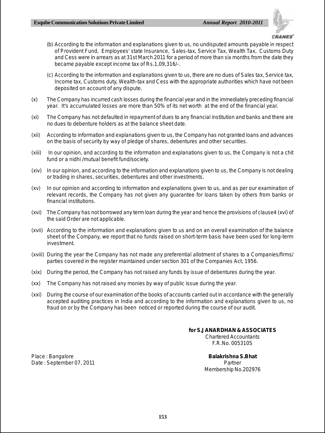

- (b) According to the information and explanations given to us, no undisputed amounts payable in respect of Provident Fund, Employees' state Insurance, Sales-tax, Service Tax, Wealth Tax, Customs Duty and Cess were in arrears as at 31st March 2011 for a period of more than six months from the date they became payable except income tax of Rs.1,09,316/-.
- (c) According to the information and explanations given to us, there are no dues of Sales tax, Service tax, Income tax, Customs duty, Wealth-tax and Cess with the appropriate authorities which have not been deposited on account of any dispute.
- (x) The Company has incurred cash losses during the financial year and in the immediately preceding financial year. It's accumulated losses are more than 50% of its net worth at the end of the financial year.
- (xi) The Company has not defaulted in repayment of dues to any financial institution and banks and there are no dues to debenture holders as at the balance sheet date.
- (xii) According to information and explanations given to us, the Company has not granted loans and advances on the basis of security by way of pledge of shares, debentures and other securities.
- (xiii) In our opinion, and according to the information and explanations given to us, the Company is not a chit fund or a nidhi /mutual benefit fund/society.
- (xiv) In our opinion, and according to the information and explanations given to us, the Company is not dealing or trading in shares, securities, debentures and other investments.
- (xv) In our opinion and according to information and explanations given to us, and as per our examination of relevant records, the Company has not given any guarantee for loans taken by others from banks or financial institutions.
- (xvi) The Company has not borrowed any term loan during the year and hence the provisions of clause4 (xvi) of the said Order are not applicable.
- (xvii) According to the information and explanations given to us and on an overall examination of the balance sheet of the Company, we report that no funds raised on short-term basis have been used for long-term investment.
- (xviii) During the year the Company has not made any preferential allotment of shares to a Companies/firms/ parties covered in the register maintained under section 301 of the Companies Act, 1956.
- (xix) During the period, the Company has not raised any funds by issue of debentures during the year.
- (xx) The Company has not raised any monies by way of public issue during the year.
- (xxi) During the course of our examination of the books of accounts carried out in accordance with the generally accepted auditing practices in India and according to the information and explanations given to us, no fraud on or by the Company has been noticed or reported during the course of our audit.

**for S.JANARDHAN & ASSOCIATES**

Chartered Accountants F.R.No. 005310S

Place : Bangalore **Balakrishna S.Bhat**<br>
Date : September 07 | 2011 | **Balakrishna S.Bhat**<br> **Balakrishna S.Bhat** Date: September 07, 2011

Membership No.202976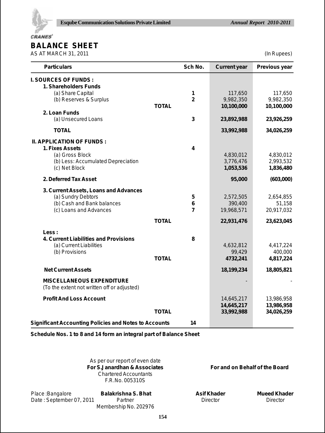

### **BALANCE SHEET**

AS AT MARCH 31, 2011 **(In Rupees)** (In Rupees)

**Particulars Particulars Particulars Previous year Previous year Previous year I. SOURCES OF FUNDS : 1. Shareholders Funds** (a) Share Capital **1** 117,650 117,650 (b) Reserves & Surplus **2** 9,982,350 9,982,350 **TOTAL 10,100,000 10,100,000 2. Loan Funds** (a) Unsecured Loans **3 23,892,988 23,926,259 TOTAL 33,992,988 34,026,259 II. APPLICATION OF FUNDS : 1. Fixes Assets 4** (a) Gross Block 4,830,012 4,830,012 4,830,012 (b) Less: Accumulated Depreciation 3,776,476 2,993,532<br>
(c) Net Block **3,776,476** 2,993,532<br> **1,053,536** 1,836,480 (c) Net Block **1,053,536 1,836,480 2. Deferred Tax Asset 95,000 (603,000) 3. Current Assets, Loans and Advances** (a) Sundry Debtors **5** 2,572,505 2,654,855 (b) Cash and Bank balances **6** 390,400 51,158 (c) Loans and Advances **TOTAL 22,931,476 23,623,045 Less : 4. Current Liabilities and Provisions 8** (a) Current Liabilities (a) 2017, 224<br>(b) Provisions (a) 4,632,812 4,417,224<br>(b) Provisions (a) 400,000 (b) Provisions 99,429 400,000 **TOTAL 4732,241 4,817,224 Net Current Assets 18,199,234 18,805,821 MISCELLANEOUS EXPENDITURE** (To the extent not written off or adjusted) Profit And Loss Account<br>14,645,217 13,986,958<br>14,645,217 13,986,958  **14,645,217 13,986,958 TOTAL 33,992,988 Significant Accounting Policies and Notes to Accounts 14**

**Schedule Nos. 1 to 8 and 14 form an integral part of Balance Sheet**

Date: September 07, 2011

As per our report of even date **For S.Janardhan & Associates For and on Behalf of the Board** Chartered Accountants F.R.No. 005310S

Membership No. 202976

Place :Bangalore **Balakrishna S. Bhat Asif Khader Mueed Khader Mueed Khader Director Director Director Director**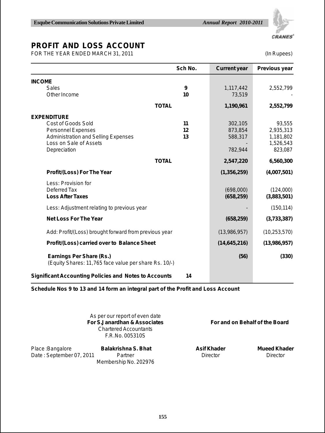Place :Bangalore **Balakrishna S. Bhat Asif Khader Mueed Khader Mueed Khader Date : September 07. 2011 Partner Balakrishna S. Bhat Asif Khader Director Director Director** 

For and on Behalf of the Board

# **PROFIT AND LOSS ACCOUNT**

FOR THE YEAR ENDED MARCH 31, 2011 CHANGE 1999 (In Rupees)

|                                                                                   | Sch No.      | <b>Current year</b> | Previous year        |
|-----------------------------------------------------------------------------------|--------------|---------------------|----------------------|
| <b>INCOME</b>                                                                     |              |                     |                      |
| Sales<br>Other Income                                                             | 9<br>10      | 1,117,442<br>73,519 | 2,552,799            |
|                                                                                   |              |                     |                      |
|                                                                                   | <b>TOTAL</b> | 1,190,961           | 2,552,799            |
| <b>EXPENDITURE</b>                                                                |              |                     |                      |
| Cost of Goods Sold                                                                | 11           | 302,105             | 93,555               |
| <b>Personnel Expenses</b>                                                         | 12           | 873,854             | 2,935,313            |
| <b>Administration and Selling Expenses</b><br>Loss on Sale of Assets              | 13           | 588,317             | 1,181,802            |
| Depreciation                                                                      |              | 782,944             | 1,526,543<br>823,087 |
|                                                                                   |              |                     |                      |
|                                                                                   | <b>TOTAL</b> | 2,547,220           | 6,560,300            |
| Profit/(Loss) For The Year                                                        |              | (1, 356, 259)       | (4,007,501)          |
| Less: Provision for                                                               |              |                     |                      |
| Deferred Tax                                                                      |              | (698,000)           | (124,000)            |
| <b>Loss After Taxes</b>                                                           |              | (658, 259)          | (3,883,501)          |
| Less: Adjustment relating to previous year                                        |              |                     | (150, 114)           |
| <b>Net Loss For The Year</b>                                                      |              | (658, 259)          | (3,733,387)          |
| Add: Profit/(Loss) brought forward from previous year                             |              | (13,986,957)        | (10, 253, 570)       |
| Profit/(Loss) carried over to Balance Sheet                                       |              | (14,645,216)        | (13,986,957)         |
| Earnings Per Share (Rs.)<br>(Equity Shares: 11,765 face value per share Rs. 10/-) |              | (56)                | (330)                |
| <b>Significant Accounting Policies and Notes to Accounts</b>                      | 14           |                     |                      |

**Schedule Nos 9 to 13 and 14 form an integral part of the Profit and Loss Account**

As per our report of even date<br>For S.Janardhan & Associates

Chartered Accountants F.R.No. 005310S

Membership No. 202976

Date: September 07, 2011

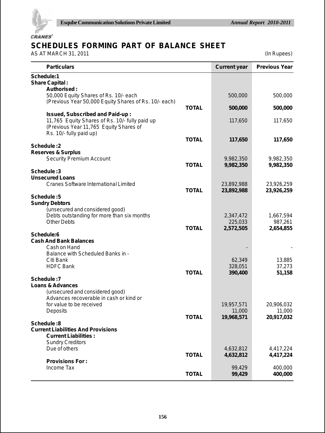

### **SCHEDULES FORMING PART OF BALANCE SHEET**

AS AT MARCH 31, 2011 2008 12:00 12:00 12:00 12:00 12:00 12:00 12:00 12:00 12:00 12:00 12:00 12:00 12:00 12:00

| <b>Particulars</b>                                                                                                  |              | <b>Current year</b>      | <b>Previous Year</b>     |
|---------------------------------------------------------------------------------------------------------------------|--------------|--------------------------|--------------------------|
| Schedule:1<br>Share Capital:<br>Authorised:                                                                         |              |                          |                          |
| 50,000 Equity Shares of Rs. 10/- each<br>(Previous Year 50,000 Equity Shares of Rs. 10/- each)                      |              | 500,000                  | 500,000                  |
| Issued, Subscribed and Paid-up:                                                                                     | <b>TOTAL</b> | 500,000                  | 500,000                  |
| 11,765 Equity Shares of Rs. 10/- fully paid up<br>(Previous Year 11,765 Equity Shares of<br>Rs. 10/- fully paid up) |              | 117,650                  | 117,650                  |
|                                                                                                                     | <b>TOTAL</b> | 117,650                  | 117,650                  |
| Schedule: 2<br><b>Reserves &amp; Surplus</b>                                                                        |              |                          |                          |
| Security Premium Account                                                                                            | <b>TOTAL</b> | 9,982,350<br>9,982,350   | 9,982,350<br>9,982,350   |
| Schedule: 3<br><b>Unsecured Loans</b>                                                                               |              |                          |                          |
| <b>Cranes Software International Limited</b>                                                                        | <b>TOTAL</b> | 23,892,988<br>23,892,988 | 23,926,259<br>23,926,259 |
| Schedule: 5<br><b>Sundry Debtors</b>                                                                                |              |                          |                          |
| (unsecured and considered good)<br>Debts outstanding for more than six months                                       |              | 2,347,472                | 1,667,594                |
| <b>Other Debts</b>                                                                                                  | <b>TOTAL</b> | 225,033<br>2,572,505     | 987,261<br>2,654,855     |
| Schedule:6<br><b>Cash And Bank Balances</b>                                                                         |              |                          |                          |
| Cash on Hand<br>Balance with Scheduled Banks in -                                                                   |              |                          |                          |
| Citi Bank<br><b>HDFC</b> Bank                                                                                       |              | 62,349<br>328,051        | 13,885<br>37,273         |
|                                                                                                                     | <b>TOTAL</b> | 390,400                  | 51,158                   |
| Schedule: 7<br><b>Loans &amp; Advances</b>                                                                          |              |                          |                          |
| (unsecured and considered good)<br>Advances recoverable in cash or kind or                                          |              |                          |                          |
| for value to be received<br>Deposits                                                                                |              | 19,957,571<br>11,000     | 20,906,032<br>11,000     |
|                                                                                                                     | <b>TOTAL</b> | 19,968,571               | 20,917,032               |
| Schedule:8<br><b>Current Liabilities And Provisions</b><br><b>Current Liabilities:</b>                              |              |                          |                          |
| <b>Sundry Creditors</b>                                                                                             |              |                          |                          |
| Due of others                                                                                                       | <b>TOTAL</b> | 4,632,812<br>4,632,812   | 4,417,224<br>4,417,224   |
| <b>Provisions For:</b><br>Income Tax                                                                                |              | 99,429                   | 400,000                  |
|                                                                                                                     | <b>TOTAL</b> | 99,429                   | 400,000                  |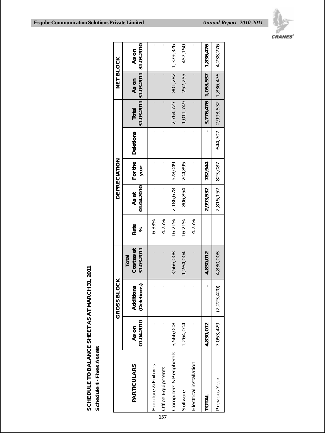

| SCHEDULE TO BALANCE SHEET AS AT MARCH 31, 2011<br>Schedule 4 - Fixes Assets |                     |                          |                                   |            |                     |                 |                  |           |                                           |           |
|-----------------------------------------------------------------------------|---------------------|--------------------------|-----------------------------------|------------|---------------------|-----------------|------------------|-----------|-------------------------------------------|-----------|
|                                                                             |                     | GROSS BLOCK              |                                   |            |                     | DEPRECIATION    |                  |           | NET BLOCK                                 |           |
| <b>PARTICULARS</b>                                                          | 01.04.2010<br>As on | (Deletions)<br>Additions | Cost as at<br>31.03.2011<br>Total | Rate<br>ಸಿ | 01.04.2010<br>As at | For the<br>year | <b>Deletions</b> | Total     | 31.03.2011 31.03.2011 31.03.2010<br>As on | As on     |
| Furniture & Fixtures                                                        |                     |                          |                                   | 6.33%      |                     |                 |                  |           |                                           |           |
| Office Equipments                                                           |                     |                          |                                   | 4.75%      | ı                   |                 |                  |           |                                           |           |
| Computers & Peripherals                                                     | 3,566,008           |                          | 3,566,008                         | 16.21%     | 2,186,678           | 578,049         |                  | 2,764,727 | 801,282                                   | 1,379,326 |
| Software                                                                    | 1,264,004           |                          | 1,264,004                         | 16.21%     | 806,854             | 204,895         |                  | 1,011,749 | 252,255                                   | 457,150   |
| Electrical installation                                                     |                     |                          |                                   | 4.75%      |                     |                 |                  |           |                                           |           |
| TOTAL                                                                       | 4,830,012           |                          | 4,830,012                         |            | 2,993,532           | 782,944         |                  | 3,776,476 | 1,053,537                                 | 1,836,476 |
| Previous Year                                                               | 7,053,429           | (2,223,420)              | 4,830,008                         |            | 2,815,152           | 823,087         |                  |           | 644,707 2,993,532 1,836,476               | 4,238,276 |
|                                                                             |                     |                          |                                   |            |                     |                 |                  |           |                                           |           |

# SCHEDULE TO BALANCE SHEET AS AT MARCH 31, 2011<br>Schedule 4 - Fixes Assets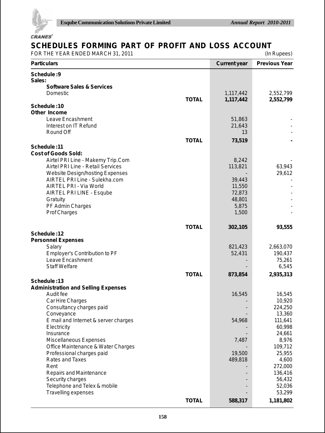

# **SCHEDULES FORMING PART OF PROFIT AND LOSS ACCOUNT**<br>FOR THE YEAR ENDED MARCH 31, 2011

FOR THE YEAR ENDED MARCH 31, 2011

| <b>Particulars</b>                                                     |              | <b>Current year</b> | <b>Previous Year</b>   |
|------------------------------------------------------------------------|--------------|---------------------|------------------------|
| Schedule: 9                                                            |              |                     |                        |
| Sales:                                                                 |              |                     |                        |
| <b>Software Sales &amp; Services</b><br>Domestic                       |              | 1,117,442           |                        |
|                                                                        | <b>TOTAL</b> | 1,117,442           | 2,552,799<br>2,552,799 |
| Schedule: 10                                                           |              |                     |                        |
| Other Income                                                           |              |                     |                        |
| Leave Encashment                                                       |              | 51,863              |                        |
| Interest on IT Refund                                                  |              | 21,643              |                        |
| Round Off                                                              |              | 13                  |                        |
|                                                                        | <b>TOTAL</b> | 73,519              |                        |
| Schedule: 11                                                           |              |                     |                        |
| <b>Cost of Goods Sold:</b>                                             |              |                     |                        |
| Airtel PRI Line - Makemy Trip.Com<br>Airtel PRI Line - Retail Services |              | 8,242<br>113,821    | 63,943                 |
| Website Design/hosting Expenses                                        |              |                     | 29,612                 |
| AIRTEL PRI Line - Sulekha.com                                          |              | 39,443              |                        |
| AIRTEL PRI - Via World                                                 |              | 11,550              |                        |
| AIRTEL PRI LINE - Esqube                                               |              | 72,873              |                        |
| Gratuity                                                               |              | 48,801              |                        |
| PF Admin Charges                                                       |              | 5,875               |                        |
| <b>Prof Charges</b>                                                    |              | 1,500               |                        |
|                                                                        | <b>TOTAL</b> | 302,105             | 93,555                 |
| Schedule: 12                                                           |              |                     |                        |
| <b>Personnel Expenses</b>                                              |              |                     |                        |
| Salary                                                                 |              | 821,423             | 2,663,070              |
| Employer's Contribution to PF                                          |              | 52,431              | 190,437                |
| Leave Encashment                                                       |              |                     | 75,261                 |
| <b>Staff Welfare</b>                                                   |              |                     | 6,545                  |
|                                                                        | <b>TOTAL</b> | 873,854             | 2,935,313              |
| Schedule: 13                                                           |              |                     |                        |
| <b>Administration and Selling Expenses</b>                             |              |                     |                        |
| Audit fee<br>Car Hire Charges                                          |              | 16,545              | 16,545<br>10,920       |
| Consultancy charges paid                                               |              |                     | 224,250                |
| Conveyance                                                             |              |                     | 13,360                 |
| E mail and Internet & server charges                                   |              | 54,968              | 111,641                |
| Electricity                                                            |              |                     | 60,998                 |
| Insurance                                                              |              |                     | 24,661                 |
| Miscellaneous Expenses                                                 |              | 7,487               | 8,976                  |
| Office Maintenance & Water Charges                                     |              |                     | 109,712                |
| Professional charges paid                                              |              | 19,500              | 25,955                 |
| Rates and Taxes                                                        |              | 489,818             | 4,600                  |
| Rent                                                                   |              |                     | 272,000                |
| Repairs and Maintenance                                                |              |                     | 136,416                |
| Security charges                                                       |              |                     | 56,432                 |
| Telephone and Telex & mobile                                           |              |                     | 52,036                 |
| Travelling expenses                                                    |              |                     | 53,299                 |
|                                                                        | <b>TOTAL</b> | 588,317             | 1,181,802              |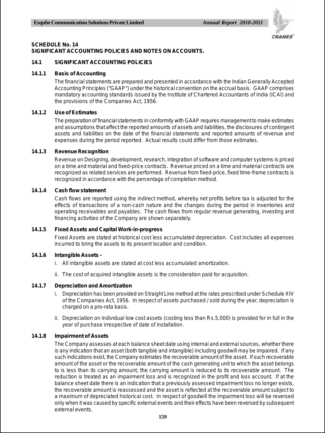

### **SCHEDULE No. 14 SIGNIFICANT ACCOUNTING POLICIES AND NOTES ON ACCOUNTS.**

### **14.1 SIGNIFICANT ACCOUNTING POLICIES**

### **14.1.1 Basis of Accounting**

The financial statements are prepared and presented in accordance with the Indian Generally Accepted Accounting Principles ("GAAP") under the historical convention on the accrual basis. GAAP comprises mandatory accounting standards issued by the Institute of Chartered Accountants of India (ICAI) and the provisions of the Companies Act, 1956.

### **14.1.2 Use of Estimates**

The preparation of financial statements in conformity with GAAP requires management to make estimates and assumptions that affect the reported amounts of assets and liabilities, the disclosures of contingent assets and liabilities on the date of the financial statements and reported amounts of revenue and expenses during the period reported. Actual results could differ from those estimates.

### **14.1.3 Revenue Recognition**

Revenue on Designing, development, research, integration of software and computer systems is priced on a time and material and fixed-price contracts. Revenue priced on a time and material contracts are recognized as related services are performed. Revenue from fixed-price, fixed time-frame contracts is recognized in accordance with the percentage of completion method.

### **14.1.4 Cash flow statement**

Cash flows are reported using the indirect method, whereby net profits before tax is adjusted for the effects of transactions of a non-cash nature and the changes during the period in inventories and operating receivables and payables. The cash flows from regular revenue generating, investing and financing activities of the Company are shown separately.

### **14.1.5 Fixed Assets and Capital Work-in-progress**

Fixed Assets are stated at historical cost less accumulated depreciation. Cost includes all expenses incurred to bring the assets to its present location and condition.

### **14.1.6 Intangible Assets -**

- i. All intangible assets are stated at cost less accumulated amortization.
- ii. The cost of acquired intangible assets is the consideration paid for acquisition.

### **14.1.7 Depreciation and Amortization**

- i. Depreciation has been provided on Straight Line method at the rates prescribed under Schedule XIV of the Companies Act, 1956. In respect of assets purchased / sold during the year, depreciation is charged on a pro-rata basis.
- ii. Depreciation on individual low cost assets (costing less than Rs.5,000) is provided for in full in the year of purchase irrespective of date of installation.

### **14.1.8 Impairment of Assets**

The Company assesses at each balance sheet date using internal and external sources, whether there is any indication that an asset (both tangible and intangible) including goodwill may be impaired. If any such indications exist, the Company estimates the recoverable amount of the asset. If such recoverable amount of the asset or the recoverable amount of the cash generating unit to which the asset belongs to is less than its carrying amount, the carrying amount is reduced to its recoverable amount. The reduction is treated as an impairment loss and is recognized in the profit and loss account. If at the balance sheet date there is an indication that a previously assessed impairment loss no longer exists, the recoverable amount is reassessed and the asset is reflected at the recoverable amount subject to a maximum of depreciated historical cost. In respect of goodwill the impairment loss will be reversed only when it was caused by specific external events and their effects have been reversed by subsequent external events.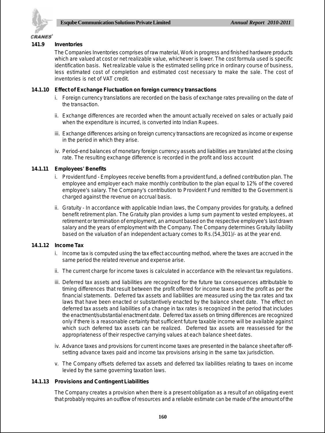

### **141.9 Inventories**

The Companies Inventories comprises of raw material, Work in progress and finished hardware products which are valued at cost or net realizable value, whichever is lower. The cost formula used is specific identification basis. Net realizable value is the estimated selling price in ordinary course of business, less estimated cost of completion and estimated cost necessary to make the sale. The cost of inventories is net of VAT credit.

### **14.1.10 Effect of Exchange Fluctuation on foreign currency transactions**

- i. Foreign currency translations are recorded on the basis of exchange rates prevailing on the date of the transaction.
- ii. Exchange differences are recorded when the amount actually received on sales or actually paid when the expenditure is incurred, is converted into Indian Rupees.
- iii. Exchange differences arising on foreign currency transactions are recognized as income or expense in the period in which they arise.
- iv. Period-end balances of monetary foreign currency assets and liabilities are translated at the closing rate. The resulting exchange difference is recorded in the profit and loss account

### **14.1.11 Employees' Benefits**

- i. Provident fund Employees receive benefits from a provident fund, a defined contribution plan. The employee and employer each make monthly contribution to the plan equal to 12% of the covered employee's salary. The Company's contribution to Provident Fund remitted to the Government is charged against the revenue on accrual basis.
- ii. Gratuity In accordance with applicable Indian laws, the Company provides for gratuity, a defined benefit retirement plan. The Gratuity plan provides a lump sum payment to vested employees, at retirement or termination of employment, an amount based on the respective employee's last drawn salary and the years of employment with the Company. The Company determines Gratuity liability based on the valuation of an independent actuary comes to Rs.(54,301)/- as at the year end.

### **14.1.12 Income Tax**

- i. Income tax is computed using the tax effect accounting method, where the taxes are accrued in the same period the related revenue and expense arise.
- ii. The current charge for income taxes is calculated in accordance with the relevant tax regulations.
- iii. Deferred tax assets and liabilities are recognized for the future tax consequences attributable to timing differences that result between the profit offered for income taxes and the profit as per the financial statements. Deferred tax assets and liabilities are measured using the tax rates and tax laws that have been enacted or substantively enacted by the balance sheet date. The effect on deferred tax assets and liabilities of a change in tax rates is recognized in the period that includes the enactment/substantial enactment date. Deferred tax assets on timing differences are recognized only if there is a reasonable certainty that sufficient future taxable income will be available against which such deferred tax assets can be realized. Deferred tax assets are reassessed for the appropriateness of their respective carrying values at each balance sheet dates.
- iv. Advance taxes and provisions for current income taxes are presented in the balance sheet after offsetting advance taxes paid and income tax provisions arising in the same tax jurisdiction.
- v. The Company offsets deferred tax assets and deferred tax liabilities relating to taxes on income levied by the same governing taxation laws.

### **14.1.13 Provisions and Contingent Liabilities**

The Company creates a provision when there is a present obligation as a result of an obligating event that probably requires an outflow of resources and a reliable estimate can be made of the amount of the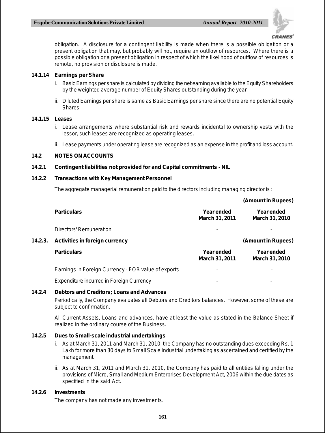

**(Amount in Rupees)**

obligation. A disclosure for a contingent liability is made when there is a possible obligation or a present obligation that may, but probably will not, require an outflow of resources. Where there is a possible obligation or a present obligation in respect of which the likelihood of outflow of resources is remote, no provision or disclosure is made.

### **14.1.14 Earnings per Share**

- i. Basic Earnings per share is calculated by dividing the net earning available to the Equity Shareholders by the weighted average number of Equity Shares outstanding during the year.
- ii. Diluted Earnings per share is same as Basic Earnings per share since there are no potential Equity Shares.

### **14.1.15 Leases**

- i. Lease arrangements where substantial risk and rewards incidental to ownership vests with the lessor, such leases are recognized as operating leases.
- ii. Lease payments under operating lease are recognized as an expense in the profit and loss account.

### **14.2 NOTES ON ACCOUNTS**

**14.2.1 Contingent liabilities not provided for and Capital commitments - NIL**

### **14.2.2 Transactions with Key Management Personnel**

The aggregate managerial remuneration paid to the directors including managing director is :

|         |                                                     |                | (ATHOUTH IT KUPCO)       |
|---------|-----------------------------------------------------|----------------|--------------------------|
|         | <b>Particulars</b>                                  | Year ended     | Year ended               |
|         |                                                     | March 31, 2011 | March 31, 2010           |
|         | Directors' Remuneration                             |                |                          |
| 14.2.3. | Activities in foreign currency                      |                | (Amount in Rupees)       |
|         | <b>Particulars</b>                                  | Year ended     | Year ended               |
|         |                                                     | March 31, 2011 | March 31, 2010           |
|         | Earnings in Foreign Currency - FOB value of exports | -              | $\overline{\phantom{a}}$ |
|         |                                                     |                |                          |

Expenditure incurred in Foreign Currency

### **14.2.4 Debtors and Creditors; Loans and Advances**

Periodically, the Company evaluates all Debtors and Creditors balances. However, some of these are subject to confirmation.

All Current Assets, Loans and advances, have at least the value as stated in the Balance Sheet if realized in the ordinary course of the Business.

### **14.2.5 Dues to Small-scale industrial undertakings**

- i. As at March 31, 2011 and March 31, 2010, the Company has no outstanding dues exceeding Rs. 1 Lakh for more than 30 days to Small Scale Industrial undertaking as ascertained and certified by the management.
- ii. As at March 31, 2011 and March 31, 2010, the Company has paid to all entities falling under the provisions of Micro, Small and Medium Enterprises Development Act, 2006 within the due dates as specified in the said Act.

### **14.2.6 Investments**

The company has not made any investments.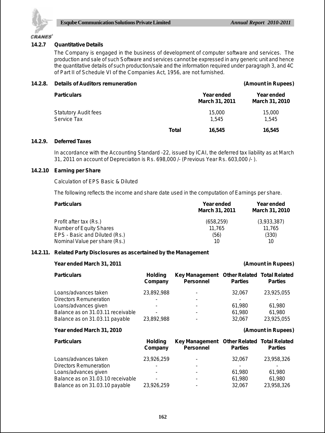

### **14.2.7 Quantitative Details**

The Company is engaged in the business of development of computer software and services. The production and sale of such Software and services cannot be expressed in any generic unit and hence the quantitative details of such production/sale and the information required under paragraph 3, and 4C of Part II of Schedule VI of the Companies Act, 1956, are not furnished.

### **14.2.8. Details of Auditors remuneration (Amount in Rupees) Particulars Year ended Year ended March 31, 2011 March 31, 2010** Statutory Audit fees 15,000 15,000 15,000 15,000 15,000 15,000 15,000 15,000 15,000 15,000 15,000 15,000 15,000 Service Tax  $1,545$  1,545 1,545 **Total 16,545 16,545**

### **14.2.9. Deferred Taxes**

In accordance with the Accounting Standard -22, issued by ICAI, the deferred tax liability as at March 31, 2011 on account of Depreciation is Rs. 698,000 /- (Previous Year Rs. 603,000 /- ).

### **14.2.10 Earning per Share**

Calculation of EPS Basic & Diluted

The following reflects the income and share date used in the computation of Earnings per share.

| <b>Particulars</b>            | Year ended<br>March 31, 2011 | Year ended<br>March 31, 2010 |
|-------------------------------|------------------------------|------------------------------|
| Profit after tax (Rs.)        | (658, 259)                   | (3,933,387)                  |
| Number of Equity Shares       | 11.765                       | 11.765                       |
| EPS - Basic and Diluted (Rs.) | (56)                         | (330)                        |
| Nominal Value per share (Rs.) | 10                           | 10                           |

### **14.2.11. Related Party Disclosures as ascertained by the Management**

| Year ended March 31, 2011         |                    |                                                         |                | (Amount in Rupees) |
|-----------------------------------|--------------------|---------------------------------------------------------|----------------|--------------------|
| <b>Particulars</b>                | Holding<br>Company | Key Management Other Related Total Related<br>Personnel | <b>Parties</b> | <b>Parties</b>     |
| Loans/advances taken              | 23,892,988         | ٠                                                       | 32.067         | 23,925,055         |
| <b>Directors Remuneration</b>     |                    |                                                         |                |                    |
| Loans/advances given              |                    |                                                         | 61,980         | 61.980             |
| Balance as on 31.03.11 receivable |                    |                                                         | 61,980         | 61,980             |
| Balance as on 31.03.11 payable    | 23,892,988         |                                                         | 32,067         | 23,925,055         |

### **Year ended March 31, 2010 (Amount in Rupees)**

| <b>Particulars</b>                | <b>Holding</b><br>Company | Key Management Other Related Total Related<br>Personnel | <b>Parties</b> | <b>Parties</b> |
|-----------------------------------|---------------------------|---------------------------------------------------------|----------------|----------------|
| Loans/advances taken              | 23,926,259                | $\qquad \qquad \blacksquare$                            | 32.067         | 23,958,326     |
| Directors Remuneration            |                           | $\overline{\phantom{0}}$                                |                |                |
| Loans/advances given              |                           | $\overline{\phantom{a}}$                                | 61.980         | 61.980         |
| Balance as on 31.03.10 receivable |                           | -                                                       | 61,980         | 61,980         |
| Balance as on 31.03.10 payable    | 23,926,259                |                                                         | 32,067         | 23,958,326     |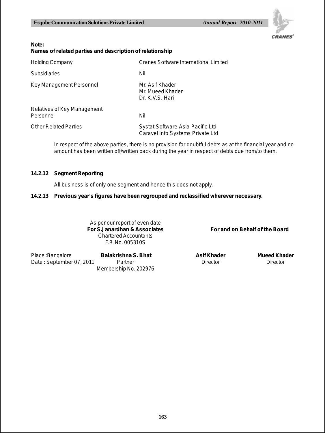*Annual Report 2010-2011*



### **Note:**

### **Names of related parties and description of relationship**

| <b>Holding Company</b>                   | Cranes Software International Limited                                |
|------------------------------------------|----------------------------------------------------------------------|
| <b>Subsidiaries</b>                      | Nil                                                                  |
| Key Management Personnel                 | Mr. Asif Khader<br>Mr. Mueed Khader<br>Dr. K.V.S. Hari               |
| Relatives of Key Management<br>Personnel | Nil                                                                  |
| <b>Other Related Parties</b>             | Systat Software Asia Pacific Ltd<br>Caravel Info Systems Private Ltd |

In respect of the above parties, there is no provision for doubtful debts as at the financial year and no amount has been written off/written back during the year in respect of debts due from/to them.

### **14.2.12 Segment Reporting**

All business is of only one segment and hence this does not apply.

### **14.2.13 Previous year's figures have been regrouped and reclassified wherever necessary.**

|     | As per our report of even date<br>For S. Janardhan & Associates<br><b>Chartered Accountants</b><br>F.R.No. 005310S |             | For and on Behalf of the Board |
|-----|--------------------------------------------------------------------------------------------------------------------|-------------|--------------------------------|
| ore | Balakrishna S. Bhat                                                                                                | Asif Khader | Mueed Khader                   |

Place :Bangalore **Balakrishna S. Bhat Asif Khader Mueed Kha**<br>
Director **Director** Director **Director Director** Date : September 07, 2011 Membership No. 202976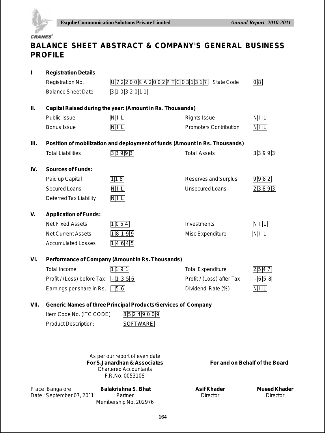

### **BALANCE SHEET ABSTRACT & COMPANY'S GENERAL BUSINESS PROFILE**

| $\mathsf{l}$ | <b>Registration Details</b>                               |                                                                                                                   |                                       |                                 |
|--------------|-----------------------------------------------------------|-------------------------------------------------------------------------------------------------------------------|---------------------------------------|---------------------------------|
|              | Registration No.                                          | $ 0 7 2 2 0 0 K A 2 0 0 2 P T C 0 3 1 3 1 7 $                                                                     | State Code                            | 0 8                             |
|              | <b>Balance Sheet Date</b>                                 | 3 1 0 3 2 0 1 1                                                                                                   |                                       |                                 |
| ΙΙ.          | Capital Raised during the year: (Amount in Rs. Thousands) |                                                                                                                   |                                       |                                 |
|              | Public Issue                                              | N  L                                                                                                              | <b>Rights Issue</b>                   | N I L                           |
|              | Bonus Issue                                               | N L                                                                                                               | <b>Promoters Contribution</b>         | N I L                           |
| Ш.           |                                                           | Position of mobilization and deployment of funds (Amount in Rs. Thousands)                                        |                                       |                                 |
|              | <b>Total Liabilities</b>                                  | 3 3 9 9 3                                                                                                         | <b>Total Assets</b>                   | 3 3 9 9 3                       |
| IV.          | <b>Sources of Funds:</b>                                  |                                                                                                                   |                                       |                                 |
|              | Paid up Capital                                           | 1 1 8                                                                                                             | Reserves and Surplus                  | 9982                            |
|              | Secured Loans                                             | N I L                                                                                                             | <b>Unsecured Loans</b>                | 23893                           |
|              | Deferred Tax Liability                                    | N I L                                                                                                             |                                       |                                 |
| V.           | <b>Application of Funds:</b>                              |                                                                                                                   |                                       |                                 |
|              | <b>Net Fixed Assets</b>                                   | 1 0 5 4                                                                                                           | Investments                           | N I L                           |
|              | <b>Net Current Assets</b>                                 | 18199                                                                                                             | Misc Expenditure                      | N  L                            |
|              | <b>Accumulated Losses</b>                                 | 1 4 6 4 5                                                                                                         |                                       |                                 |
| VI.          |                                                           | Performance of Company (Amount in Rs. Thousands)                                                                  |                                       |                                 |
|              | <b>Total Income</b>                                       | 1 1 9 1                                                                                                           | <b>Total Expenditure</b>              | 2 5 4 7                         |
|              | Profit / (Loss) before Tax                                | $- 1 3 5 6$                                                                                                       | Profit / (Loss) after Tax             | $- 6 5 8$                       |
|              | Earnings per share in Rs.                                 | $-56$                                                                                                             | Dividend Rate (%)                     | N I L                           |
| VII.         |                                                           | Generic Names of three Principal Products/Services of Company                                                     |                                       |                                 |
|              | Item Code No. (ITC CODE) $85249009$                       |                                                                                                                   |                                       |                                 |
|              | <b>Product Description:</b>                               | SOFTWARE                                                                                                          |                                       |                                 |
|              |                                                           |                                                                                                                   |                                       |                                 |
|              |                                                           | As per our report of even date<br>For S.Janardhan & Associates<br><b>Chartered Accountants</b><br>F.R.No. 005310S |                                       | For and on Behalf of the Board  |
|              | Place: Bangalore<br>Date: September 07, 2011              | Balakrishna S. Bhat<br>Partner                                                                                    | <b>Asif Khader</b><br><b>Director</b> | <b>Mueed Khader</b><br>Director |

Membership No. 202976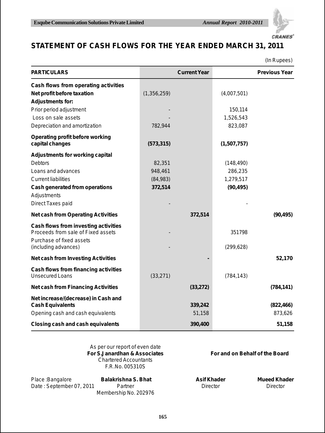

### **STATEMENT OF CASH FLOWS FOR THE YEAR ENDED MARCH 31, 2011**

(In Rupees)

| <b>PARTICULARS</b>                                             |               | <b>Current Year</b> |             | <b>Previous Year</b> |
|----------------------------------------------------------------|---------------|---------------------|-------------|----------------------|
| Cash flows from operating activities                           |               |                     |             |                      |
| Net profit before taxation                                     | (1, 356, 259) |                     | (4,007,501) |                      |
| Adjustments for:                                               |               |                     |             |                      |
| Prior period adjustment                                        |               |                     | 150,114     |                      |
| Loss on sale assets                                            |               |                     | 1,526,543   |                      |
| Depreciation and amortization                                  | 782,944       |                     | 823,087     |                      |
| Operating profit before working<br>capital changes             | (573, 315)    |                     | (1,507,757) |                      |
| Adjustments for working capital                                |               |                     |             |                      |
| <b>Debtors</b>                                                 | 82,351        |                     | (148, 490)  |                      |
| Loans and advances                                             | 948,461       |                     | 286,235     |                      |
| <b>Current liabilities</b>                                     | (84,983)      |                     | 1,279,517   |                      |
| Cash generated from operations                                 | 372,514       |                     | (90, 495)   |                      |
| Adjustments                                                    |               |                     |             |                      |
| Direct Taxes paid                                              |               |                     |             |                      |
| Net cash from Operating Activities                             |               | 372,514             |             | (90, 495)            |
| Cash flows from investing activities                           |               |                     |             |                      |
| Proceeds from sale of Fixed assets                             |               |                     | 351798      |                      |
| Purchase of fixed assets                                       |               |                     |             |                      |
| (including advances)                                           |               |                     | (299, 628)  |                      |
| Net cash from Investing Activities                             |               |                     |             | 52,170               |
| Cash flows from financing activities<br><b>Unsecured Loans</b> | (33, 271)     |                     | (784, 143)  |                      |
| Net cash from Financing Activities                             |               | (33, 272)           |             | (784, 141)           |
| Net increase/(decrease) in Cash and                            |               |                     |             |                      |
| <b>Cash Equivalents</b>                                        |               | 339,242             |             | (822, 466)           |
| Opening cash and cash equivalents                              |               | 51,158              |             | 873,626              |
| Closing cash and cash equivalents                              |               | 390,400             |             | 51,158               |

As per our report of even date<br>For S.Janardhan & Associates Chartered Accountants F.R.No. 005310S

Place :Bangalore **Balakrishna S. Bhat Asif Khader Mueed Khader Date : September 07, 2011 Partner Balakrishna S. Bhat Asif Khader Director Director Director** Date : September 07, 2011 Membership No. 202976

For and on Behalf of the Board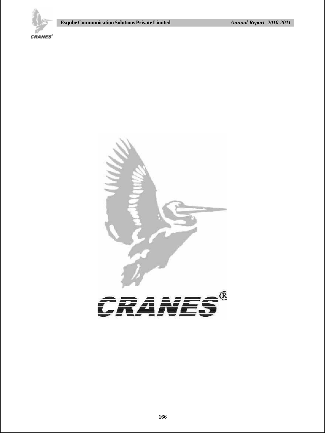

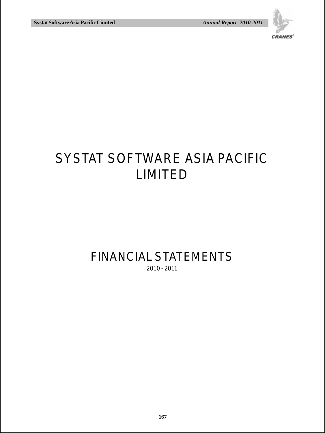

# SYSTAT SOFTWARE ASIA PACIFIC LIMITED

# FINANCIAL STATEMENTS

2010 - 2011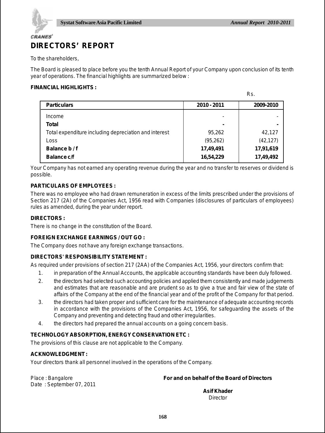

### **CRANES DIRECTORS' REPORT**

To the shareholders,

The Board is pleased to place before you the tenth Annual Report of your Company upon conclusion of its tenth year of operations. The financial highlights are summarized below :

### **FINANCIAL HIGHLIGHTS :**

| <b>Particulars</b>                                    | 2010 - 2011 | 2009-2010 |
|-------------------------------------------------------|-------------|-----------|
| Income                                                |             |           |
| Total                                                 |             |           |
| Total expenditure including depreciation and interest | 95,262      | 42,127    |
| Loss                                                  | (95, 262)   | (42, 127) |
| Balance b/f                                           | 17,49,491   | 17,91,619 |
| Balance c/f                                           | 16,54,229   | 17,49,492 |

Your Company has not earned any operating revenue during the year and no transfer to reserves or dividend is possible.

### **PARTICULARS OF EMPLOYEES :**

There was no employee who had drawn remuneration in excess of the limits prescribed under the provisions of Section 217 (2A) of the Companies Act, 1956 read with Companies (disclosures of particulars of employees) rules as amended, during the year under report.

### **DIRECTORS :**

There is no change in the constitution of the Board.

### **FOREIGN EXCHANGE EARNINGS / OUT GO :**

The Company does not have any foreign exchange transactions.

### **DIRECTORS' RESPONSIBILITY STATEMENT :**

As required under provisions of section 217 (2AA) of the Companies Act, 1956, your directors confirm that:

- 1. in preparation of the Annual Accounts, the applicable accounting standards have been duly followed.
- 2. the directors had selected such accounting policies and applied them consistently and made judgements and estimates that are reasonable and are prudent so as to give a true and fair view of the state of affairs of the Company at the end of the financial year and of the profit of the Company for that period.
- 3. the directors had taken proper and sufficient care for the maintenance of adequate accounting records in accordance with the provisions of the Companies Act, 1956, for safeguarding the assets of the Company and preventing and detecting fraud and other irregularities.
- 4. the directors had prepared the annual accounts on a going concern basis.

### **TECHNOLOGY ABSORPTION, ENERGY CONSERVATION ETC :**

The provisions of this clause are not applicable to the Company.

### **ACKNOWLEDGMENT :**

Your directors thank all personnel involved in the operations of the Company.

Date : September 07, 2011

Place : Bangalore **For and on behalf of the Board of Directors**

**Asif Khader Director**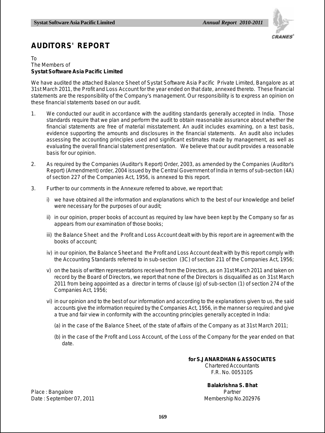

# **AUDITORS' REPORT**

To The Members of **Systat Software Asia Pacific Limited**

We have audited the attached Balance Sheet of Systat Software Asia Pacific Private Limited, Bangalore as at 31st March 2011, the Profit and Loss Account for the year ended on that date, annexed thereto. These financial statements are the responsibility of the Company's management. Our responsibility is to express an opinion on these financial statements based on our audit.

- 1. We conducted our audit in accordance with the auditing standards generally accepted in India. Those standards require that we plan and perform the audit to obtain reasonable assurance about whether the financial statements are free of material misstatement. An audit includes examining, on a test basis, evidence supporting the amounts and disclosures in the financial statements. An audit also includes assessing the accounting principles used and significant estimates made by management, as well as evaluating the overall financial statement presentation. We believe that our audit provides a reasonable basis for our opinion.
- 2. As required by the Companies (Auditor's Report) Order, 2003, as amended by the Companies (Auditor's Report) (Amendment) order, 2004 issued by the Central Government of India in terms of sub-section (4A) of section 227 of the Companies Act, 1956, is annexed to this report.
- 3. Further to our comments in the Annexure referred to above, we report that:
	- i) we have obtained all the information and explanations which to the best of our knowledge and belief were necessary for the purposes of our audit;
	- ii) in our opinion, proper books of account as required by law have been kept by the Company so far as appears from our examination of those books;
	- iii) the Balance Sheet and the Profit and Loss Account dealt with by this report are in agreement with the books of account;
	- iv) in our opinion, the Balance Sheet and the Profit and Loss Account dealt with by this report comply with the Accounting Standards referred to in sub-section (3C) of section 211 of the Companies Act, 1956;
	- v) on the basis of written representations received from the Directors, as on 31st March 2011 and taken on record by the Board of Directors, we report that none of the Directors is disqualified as on 31st March 2011 from being appointed as a director in terms of clause (g) of sub-section (1) of section 274 of the Companies Act, 1956;
	- vi) in our opinion and to the best of our information and according to the explanations given to us, the said accounts give the information required by the Companies Act, 1956, in the manner so required and give a true and fair view in conformity with the accounting principles generally accepted in India:
		- (a) in the case of the Balance Sheet, of the state of affairs of the Company as at 31st March 2011;
		- (b) in the case of the Profit and Loss Account, of the Loss of the Company for the year ended on that date.

**for S.JANARDHAN & ASSOCIATES** Chartered Accountants F.R. No. 005310S

**Balakrishna S. Bhat**

Place : Bangalore Partner<br>Date : September 07, 2011 Membership No.202976 Date: September 07, 2011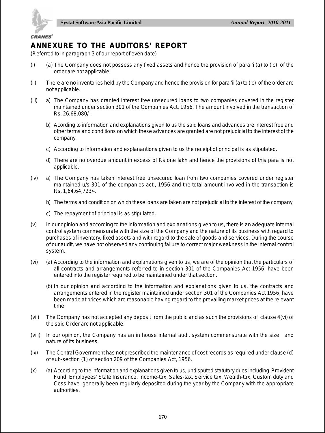

### **ANNEXURE TO THE AUDITORS' REPORT**

(Referred to in paragraph 3 of our report of even date)

- (i) (a) The Company does not possess any fixed assets and hence the provision of para 'i (a) to ('c) of the order are not applicable.
- (ii) There are no inventories held by the Company and hence the provision for para 'ii (a) to ('c) of the order are not applicable.
- (iii) a) The Company has granted interest free unsecured loans to two companies covered in the register maintained under section 301 of the Companies Act, 1956. The amount involved in the transaction of Rs. 26,68,080/-.
	- b) Acording to information and explanations given to us the said loans and advances are interest free and other terms and conditions on which these advances are granted are not prejudicial to the interest of the company.
	- c) According to information and explanantions given to us the receipt of principal is as stipulated.
	- d) There are no overdue amount in excess of Rs.one lakh and hence the provisions of this para is not applicable.
- (iv) a) The Company has taken interest free unsecured loan from two companies covered under register maintained u/s 301 of the companies act., 1956 and the total amount involved in the transaction is Rs. 1,64,64,723/-.
	- b) The terms and condition on which these loans are taken are not prejudicial to the interest of the company.
	- c) The repayment of principal is as stipulated.
- (v) In our opinion and according to the information and explanations given to us, there is an adequate internal control system commensurate with the size of the Company and the nature of its business with regard to purchases of inventory, fixed assets and with regard to the sale of goods and services. During the course of our audit, we have not observed any continuing failure to correct major weakness in the internal control system.
- (vi) (a) According to the information and explanations given to us, we are of the opinion that the particulars of all contracts and arrangements referred to in section 301 of the Companies Act 1956, have been entered into the register required to be maintained under that section.
	- (b) In our opinion and according to the information and explanations given to us, the contracts and arrangements entered in the register maintained under section 301 of the Companies Act 1956, have been made at prices which are reasonable having regard to the prevailing market prices at the relevant time.
- (vii) The Company has not accepted any deposit from the public and as such the provisions of clause 4(vi) of the said Order are not applicable.
- (viii) In our opinion, the Company has an in house internal audit system commensurate with the size and nature of its business.
- (ix) The Central Government has not prescribed the maintenance of cost records as required under clause (d) of sub-section (1) of section 209 of the Companies Act, 1956.
- (x) (a) According to the information and explanations given to us, undisputed statutory dues including Provident Fund, Employees' State Insurance, Income-tax, Sales-tax, Service tax, Wealth-tax, Custom duty and Cess have generally been regularly deposited during the year by the Company with the appropriate authorities.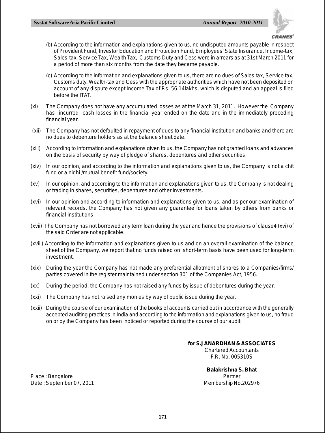

- (b) According to the information and explanations given to us, no undisputed amounts payable in respect of Provident Fund, Investor Education and Protection Fund, Employees' State Insurance, Income-tax, Sales-tax, Service Tax, Wealth Tax, Customs Duty and Cess were in arrears as at 31st March 2011 for a period of more than six months from the date they became payable.
- (c) According to the information and explanations given to us, there are no dues of Sales tax, Service tax, Customs duty, Wealth-tax and Cess with the appropriate authorities which have not been deposited on account of any dispute except Income Tax of Rs. 56.14lakhs, which is disputed and an appeal is filed before the ITAT.
- (xi) The Company does not have any accumulated losses as at the March 31, 2011. However the Company has incurred cash losses in the financial year ended on the date and in the immediately preceding financial year.
- (xii) The Company has not defaulted in repayment of dues to any financial institution and banks and there are no dues to debenture holders as at the balance sheet date.
- (xiii) According to information and explanations given to us, the Company has not granted loans and advances on the basis of security by way of pledge of shares, debentures and other securities.
- (xiv) In our opinion, and according to the information and explanations given to us, the Company is not a chit fund or a nidhi /mutual benefit fund/society.
- (xv) In our opinion, and according to the information and explanations given to us, the Company is not dealing or trading in shares, securities, debentures and other investments.
- (xvi) In our opinion and according to information and explanations given to us, and as per our examination of relevant records, the Company has not given any guarantee for loans taken by others from banks or financial institutions.
- (xvii) The Company has not borrowed any term loan during the year and hence the provisions of clause4 (xvi) of the said Order are not applicable.
- (xviii) According to the information and explanations given to us and on an overall examination of the balance sheet of the Company, we report that no funds raised on short-term basis have been used for long-term investment.
- (xix) During the year the Company has not made any preferential allotment of shares to a Companies/firms/ parties covered in the register maintained under section 301 of the Companies Act, 1956.
- (xx) During the period, the Company has not raised any funds by issue of debentures during the year.
- (xxi) The Company has not raised any monies by way of public issue during the year.
- (xxii) During the course of our examination of the books of accounts carried out in accordance with the generally accepted auditing practices in India and according to the information and explanations given to us, no fraud on or by the Company has been noticed or reported during the course of our audit.

### **for S.JANARDHAN & ASSOCIATES**

Chartered Accountants F.R. No. 005310S

**Balakrishna S. Bhat**

Place : Bangalore Partner<br>
Date : September 07, 2011 Membership No.202976 Date: September 07, 2011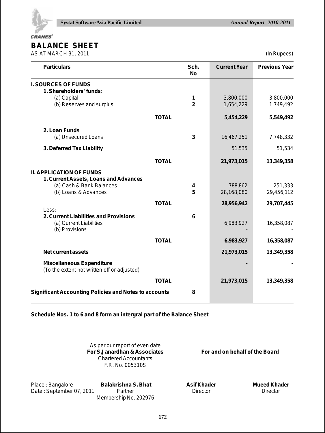

**Systat Software Asia Pacific Limited**

### **CRANES**

### **BALANCE SHEET**

AS AT MARCH 31, 2011 **(In Rupees)** (In Rupees)

| <b>Particulars</b>                                                       | Sch.<br><b>No</b>   | <b>Current Year</b>    | <b>Previous Year</b>   |
|--------------------------------------------------------------------------|---------------------|------------------------|------------------------|
| <b>I. SOURCES OF FUNDS</b>                                               |                     |                        |                        |
| 1. Shareholders' funds:                                                  |                     |                        |                        |
| (a) Capital<br>(b) Reserves and surplus                                  | 1<br>$\overline{2}$ | 3,800,000<br>1,654,229 | 3,800,000<br>1,749,492 |
|                                                                          | <b>TOTAL</b>        | 5,454,229              | 5,549,492              |
| 2. Loan Funds                                                            |                     |                        |                        |
| (a) Unsecured Loans                                                      | 3                   | 16,467,251             | 7,748,332              |
| 3. Deferred Tax Liability                                                |                     | 51,535                 | 51,534                 |
|                                                                          | <b>TOTAL</b>        | 21,973,015             | 13,349,358             |
| <b>II. APPLICATION OF FUNDS</b>                                          |                     |                        |                        |
| 1. Current Assets, Loans and Advances                                    |                     |                        |                        |
| (a) Cash & Bank Balances<br>(b) Loans & Advances                         | 4<br>5              | 788,862<br>28,168,080  | 251,333<br>29,456,112  |
|                                                                          | <b>TOTAL</b>        | 28,956,942             | 29,707,445             |
| Less:                                                                    |                     |                        |                        |
| 2. Current Liabilities and Provisions                                    | 6                   |                        |                        |
| (a) Current Liabilities<br>(b) Provisions                                |                     | 6,983,927              | 16,358,087             |
|                                                                          | <b>TOTAL</b>        | 6,983,927              | 16,358,087             |
| Net current assets                                                       |                     | 21,973,015             | 13,349,358             |
| Miscellaneous Expenditure<br>(To the extent not written off or adjusted) |                     |                        |                        |
|                                                                          | <b>TOTAL</b>        | 21,973,015             | 13,349,358             |
| <b>Significant Accounting Policies and Notes to accounts</b>             | 8                   |                        |                        |

**Schedule Nos. 1 to 6 and 8 form an intergral part of the Balance Sheet**

As per our report of even date **For S.Janardhan & Associates For and on behalf of the Board** Chartered Accountants F.R. No. 005310S

Place : Bangalore **Balakrishna S. Bhat Asif Khader Mueed Khader Mueed Khader Date : September 07, 2011 Partner Balakrishna S. Bhat Asif Khader Director Director Director Director** Date : September 07, 2011 Membership No. 202976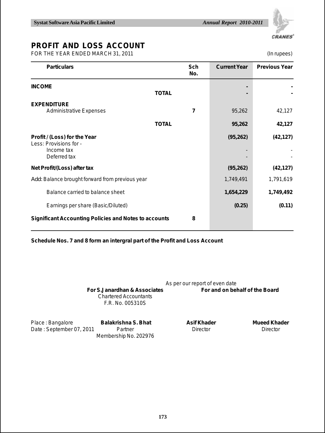### **PROFIT AND LOSS ACCOUNT**

FOR THE YEAR ENDED MARCH 31, 2011 CHANGE 1998 (In rupees)



# Particulars **Schiff Current Year** Previous Year Previous Year Previous Year Previous Year Previous Year Previous **No. INCOME - - TOTAL - - EXPENDITURE** Administrative Expenses **7** 95,262 42,127 **TOTAL 95,262 42,127 Profit / (Loss) for the Year (95,262)** (42,127) Less: Provisions for - Income tax  $\overline{\phantom{a}}$ Deferred tax - - **Net Profit/(Loss) after tax (95,262) (42,127)** Add: Balance brought forward from previous year 1,749,491 1,791,619 Balance carried to balance sheet **1,654,229** 1,749,492 Earnings per share (Basic/Diluted) **(0.25) (0.11)**

**Significant Accounting Policies and Notes to accounts 8**

**Schedule Nos. 7 and 8 form an intergral part of the Profit and Loss Account**

As per our report of even date **For S.Janardhan & Associates For and on behalf of the Board** Chartered Accountants F.R. No. 005310S

Place : Bangalore **Balakrishna S. Bhat Asif Khader Mueed Khader Mueed Khader Director Director Director Director Director** Date : September 07, 2011 Membership No. 202976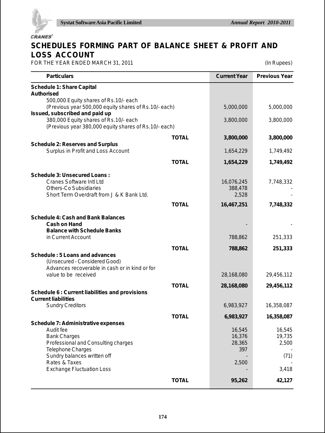

# **SCHEDULES FORMING PART OF BALANCE SHEET & PROFIT AND LOSS ACCOUNT**

FOR THE YEAR ENDED MARCH 31, 2011 CHANGE 1999 (In Rupees)

| <b>Particulars</b>                                                                                                                                                                                                      |              | <b>Current Year</b>                        | <b>Previous Year</b>                       |
|-------------------------------------------------------------------------------------------------------------------------------------------------------------------------------------------------------------------------|--------------|--------------------------------------------|--------------------------------------------|
| <b>Schedule 1: Share Capital</b><br>Authorised                                                                                                                                                                          |              |                                            |                                            |
| 500,000 Equity shares of Rs.10/- each<br>(Previous year 500,000 equity shares of Rs.10/- each)                                                                                                                          |              | 5,000,000                                  | 5,000,000                                  |
| Issued, subscribed and paid up<br>380,000 Equity shares of Rs.10/- each<br>(Previous year 380,000 equity shares of Rs.10/- each)                                                                                        |              | 3,800,000                                  | 3,800,000                                  |
|                                                                                                                                                                                                                         | <b>TOTAL</b> | 3,800,000                                  | 3,800,000                                  |
| Schedule 2: Reserves and Surplus<br>Surplus in Profit and Loss Account                                                                                                                                                  |              | 1,654,229                                  | 1,749,492                                  |
|                                                                                                                                                                                                                         | <b>TOTAL</b> | 1,654,229                                  | 1,749,492                                  |
| <b>Schedule 3: Unsecured Loans:</b><br><b>Cranes Software Intl Ltd</b><br>Others-Co Subsidiaries<br>Short Term Overdraft from J & K Bank Ltd.                                                                           | <b>TOTAL</b> | 16,076,245<br>388,478<br>2,528             | 7,748,332                                  |
|                                                                                                                                                                                                                         |              | 16,467,251                                 | 7,748,332                                  |
| <b>Schedule 4: Cash and Bank Balances</b><br>Cash on Hand<br><b>Balance with Schedule Banks</b>                                                                                                                         |              |                                            |                                            |
| in Current Account                                                                                                                                                                                                      |              | 788,862                                    | 251,333                                    |
| Schedule: 5 Loans and advances<br>(Unsecured - Considered Good)<br>Advances recoverable in cash or in kind or for                                                                                                       | <b>TOTAL</b> | 788,862                                    | 251,333                                    |
| value to be received                                                                                                                                                                                                    |              | 28,168,080                                 | 29,456,112                                 |
| Schedule 6 : Current liabilities and provisions                                                                                                                                                                         | <b>TOTAL</b> | 28,168,080                                 | 29,456,112                                 |
| <b>Current liabilities</b><br><b>Sundry Creditors</b>                                                                                                                                                                   |              | 6,983,927                                  | 16,358,087                                 |
|                                                                                                                                                                                                                         | TOTAL        | 6,983,927                                  | 16,358,087                                 |
| Schedule 7: Administrative expenses<br>Audit fee<br><b>Bank Charges</b><br>Professional and Consulting charges<br>Telephone Charges<br>Sundry balances written off<br>Rates & Taxes<br><b>Exchange Fluctuation Loss</b> |              | 16,545<br>16,376<br>28,365<br>397<br>2,500 | 16,545<br>19,735<br>2,500<br>(71)<br>3,418 |
|                                                                                                                                                                                                                         | <b>TOTAL</b> | 95,262                                     | 42,127                                     |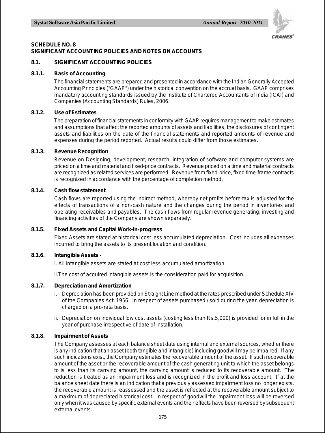

### **SCHEDULE NO. 8 SIGNIFICANT ACCOUNTING POLICIES AND NOTES ON ACCOUNTS**

### **8.1. SIGNIFICANT ACCOUNTING POLICIES**

### **8.1.1. Basis of Accounting**

The financial statements are prepared and presented in accordance with the Indian Generally Accepted Accounting Principles ("GAAP") under the historical convention on the accrual basis. GAAP comprises mandatory accounting standards issued by the Institute of Chartered Accountants of India (ICAI) and Companies (Accounting Standards) Rules, 2006.

### **8.1.2. Use of Estimates**

The preparation of financial statements in conformity with GAAP requires management to make estimates and assumptions that affect the reported amounts of assets and liabilities, the disclosures of contingent assets and liabilities on the date of the financial statements and reported amounts of revenue and expenses during the period reported. Actual results could differ from those estimates.

### **8.1.3. Revenue Recognition**

Revenue on Designing, development, research, integration of software and computer systems are priced on a time and material and fixed-price contracts. Revenue priced on a time and material contracts are recognized as related services are performed. Revenue from fixed-price, fixed time-frame contracts is recognized in accordance with the percentage of completion method.

### **8.1.4. Cash flow statement**

Cash flows are reported using the indirect method, whereby net profits before tax is adjusted for the effects of transactions of a non-cash nature and the changes during the period in inventories and operating receivables and payables. The cash flows from regular revenue generating, investing and financing activities of the Company are shown separately.

### **8.1.5. Fixed Assets and Capital Work-in-progress**

Fixed Assets are stated at historical cost less accumulated depreciation. Cost includes all expenses incurred to bring the assets to its present location and condition.

### **8.1.6. Intangible Assets -**

i. All intangible assets are stated at cost less accumulated amortization.

ii.The cost of acquired intangible assets is the consideration paid for acquisition.

### **8.1.7. Depreciation and Amortization**

- i. Depreciation has been provided on Straight Line method at the rates prescribed under Schedule XIV of the Companies Act, 1956. In respect of assets purchased / sold during the year, depreciation is charged on a pro-rata basis.
- ii. Depreciation on individual low cost assets (costing less than Rs.5,000) is provided for in full in the year of purchase irrespective of date of installation.

### **8.1.8. Impairment of Assets**

The Company assesses at each balance sheet date using internal and external sources, whether there is any indication that an asset (both tangible and intangible) including goodwill may be impaired. If any such indications exist, the Company estimates the recoverable amount of the asset. If such recoverable amount of the asset or the recoverable amount of the cash generating unit to which the asset belongs to is less than its carrying amount, the carrying amount is reduced to its recoverable amount. The reduction is treated as an impairment loss and is recognized in the profit and loss account. If at the balance sheet date there is an indication that a previously assessed impairment loss no longer exists, the recoverable amount is reassessed and the asset is reflected at the recoverable amount subject to a maximum of depreciated historical cost. In respect of goodwill the impairment loss will be reversed only when it was caused by specific external events and their effects have been reversed by subsequent external events.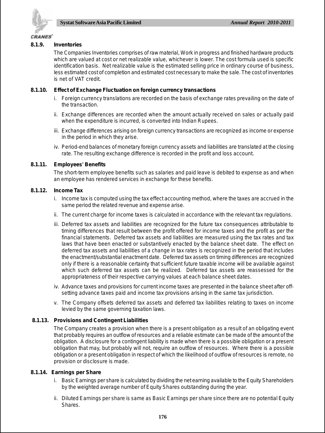

### **8.1.9. Inventories**

The Companies Inventories comprises of raw material, Work in progress and finished hardware products which are valued at cost or net realizable value, whichever is lower. The cost formula used is specific identification basis. Net realizable value is the estimated selling price in ordinary course of business, less estimated cost of completion and estimated cost necessary to make the sale. The cost of inventories is net of VAT credit.

### **8.1.10. Effect of Exchange Fluctuation on foreign currency transactions**

- i. Foreign currency translations are recorded on the basis of exchange rates prevailing on the date of the transaction.
- ii. Exchange differences are recorded when the amount actually received on sales or actually paid when the expenditure is incurred, is converted into Indian Rupees.
- iii. Exchange differences arising on foreign currency transactions are recognized as income or expense in the period in which they arise.
- iv. Period-end balances of monetary foreign currency assets and liabilities are translated at the closing rate. The resulting exchange difference is recorded in the profit and loss account.

### **8.1.11. Employees' Benefits**

The short-term employee benefits such as salaries and paid leave is debited to expense as and when an employee has rendered services in exchange for these benefits.

### **8.1.12. Income Tax**

- i. Income tax is computed using the tax effect accounting method, where the taxes are accrued in the same period the related revenue and expense arise.
- ii. The current charge for income taxes is calculated in accordance with the relevant tax regulations.
- iii. Deferred tax assets and liabilities are recognized for the future tax consequences attributable to timing differences that result between the profit offered for income taxes and the profit as per the financial statements. Deferred tax assets and liabilities are measured using the tax rates and tax laws that have been enacted or substantively enacted by the balance sheet date. The effect on deferred tax assets and liabilities of a change in tax rates is recognized in the period that includes the enactment/substantial enactment date. Deferred tax assets on timing differences are recognized only if there is a reasonable certainty that sufficient future taxable income will be available against which such deferred tax assets can be realized. Deferred tax assets are reassessed for the appropriateness of their respective carrying values at each balance sheet dates.
- iv. Advance taxes and provisions for current income taxes are presented in the balance sheet after offsetting advance taxes paid and income tax provisions arising in the same tax jurisdiction.
- v. The Company offsets deferred tax assets and deferred tax liabilities relating to taxes on income levied by the same governing taxation laws.

### **8.1.13. Provisions and Contingent Liabilities**

The Company creates a provision when there is a present obligation as a result of an obligating event that probably requires an outflow of resources and a reliable estimate can be made of the amount of the obligation. A disclosure for a contingent liability is made when there is a possible obligation or a present obligation that may, but probably will not, require an outflow of resources. Where there is a possible obligation or a present obligation in respect of which the likelihood of outflow of resources is remote, no provision or disclosure is made.

### **8.1.14. Earnings per Share**

- i. Basic Earnings per share is calculated by dividing the net earning available to the Equity Shareholders by the weighted average number of Equity Shares outstanding during the year.
- ii. Diluted Earnings per share is same as Basic Earnings per share since there are no potential Equity Shares.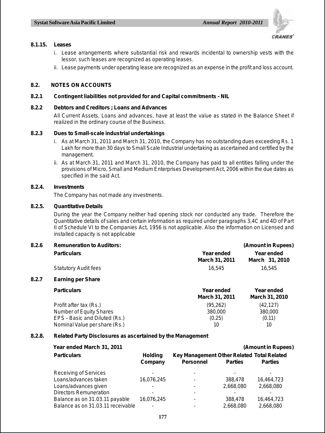

### **8.1.15. Leases**

- i. Lease arrangements where substantial risk and rewards incidental to ownership vests with the lessor, such leases are recognized as operating leases.
- ii. Lease payments under operating lease are recognized as an expense in the profit and loss account.

### **8.2. NOTES ON ACCOUNTS**

### **8.2.1 Contingent liabilities not provided for and Capital commitments - NIL**

### **8.2.2 Debtors and Creditors ; Loans and Advances**

All Current Assets, Loans and advances, have at least the value as stated in the Balance Sheet if realized in the ordinary course of the Business.

### **8.2.3 Dues to Small-scale industrial undertakings**

- i. As at March 31, 2011 and March 31, 2010, the Company has no outstanding dues exceeding Rs. 1 Lakh for more than 30 days to Small Scale Industrial undertaking as ascertained and certified by the management.
- ii. As at March 31, 2011 and March 31, 2010, the Company has paid to all entities falling under the provisions of Micro, Small and Medium Enterprises Development Act, 2006 within the due dates as specified in the said Act.

### **8.2.4. Investments**

The Company has not made any investments.

### **8.2.5. Quantitative Details**

During the year the Company neither had opening stock nor conducted any trade. Therefore the Quantitative details of sales and certain information as required under paragraphs 3,4C and 4D of Part II of Schedule VI to the Companies Act, 1956 is not applicable. Also the information on Licensed and installed capacity is not applicable

### **8.2.6 Remuneration to Auditors: (Amount in Rupees)**

| <b>Particulars</b>          | Year ended<br>March 31, 2011 | Year ended<br>March 31, 2010 |
|-----------------------------|------------------------------|------------------------------|
| <b>Statutory Audit fees</b> | 16.545                       | 16,545                       |

### **8.2.7 Earning per Share**

| <b>Particulars</b>             | Year ended<br>March 31, 2011 | Year ended<br>March 31, 2010 |
|--------------------------------|------------------------------|------------------------------|
| Profit after tax (Rs.)         | (95, 262)                    | (42, 127)                    |
| <b>Number of Equity Shares</b> | 380,000                      | 380,000                      |
| EPS - Basic and Diluted (Rs.)  | (0.25)                       | (0.11)                       |
| Nominal Value per share (Rs.)  | 10                           | 10                           |

### **8.2.8. Related Party Disclosures as ascertained by the Management**

| Year ended March 31, 2011 |           |                | (Amount in Rupees)                         |
|---------------------------|-----------|----------------|--------------------------------------------|
| Holding<br>Company        | Personnel | <b>Parties</b> | <b>Parties</b>                             |
|                           |           |                |                                            |
| 16,076,245                |           | 388,478        | 16,464,723                                 |
|                           |           | 2,668,080      | 2,668,080                                  |
|                           |           |                |                                            |
| 16,076,245                |           | 388,478        | 16,464,723                                 |
|                           |           | 2,668,080      | 2,668,080                                  |
|                           |           |                | Key Management Other Related Total Related |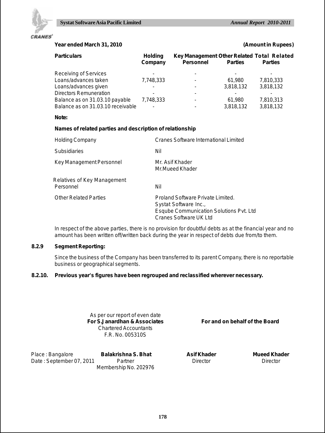

### **Year ended March 31, 2010 (Amount in Rupees)**

| <b>Particulars</b>                | Holding<br>Company | Key Management Other Related Total Related<br>Personnel | <b>Parties</b> | <b>Parties</b> |
|-----------------------------------|--------------------|---------------------------------------------------------|----------------|----------------|
| <b>Receiving of Services</b>      |                    |                                                         |                |                |
| Loans/advances taken              | 7,748,333          |                                                         | 61.980         | 7,810,333      |
| Loans/advances given              |                    |                                                         | 3,818,132      | 3,818,132      |
| <b>Directors Remuneration</b>     |                    |                                                         |                |                |
| Balance as on 31.03.10 payable    | 7,748,333          |                                                         | 61.980         | 7,810,313      |
| Balance as on 31.03.10 receivable |                    |                                                         | 3,818,132      | 3,818,132      |

### **Note:**

### **Names of related parties and description of relationship**

| <b>Holding Company</b>                   | <b>Cranes Software International Limited</b>                                                                                    |
|------------------------------------------|---------------------------------------------------------------------------------------------------------------------------------|
| <b>Subsidiaries</b>                      | Nil                                                                                                                             |
| Key Management Personnel                 | Mr. Asif Khader<br>Mr.Mueed Khader                                                                                              |
| Relatives of Key Management<br>Personnel | Nil                                                                                                                             |
| Other Related Parties                    | Proland Software Private Limited.<br>Systat Software Inc.,<br>Esqube Communication Solutions Pvt. Ltd<br>Cranes Software UK Ltd |

In respect of the above parties, there is no provision for doubtful debts as at the financial year and no amount has been written off/written back during the year in respect of debts due from/to them.

### **8.2.9 Segment Reporting:**

Since the business of the Company has been transferred to its parent Company, there is no reportable business or geographical segments.

### **8.2.10. Previous year's figures have been regrouped and reclassified wherever necessary.**

As per our report of even date<br>For S.Janardhan & Associates Chartered Accountants F.R. No. 005310S

For and on behalf of the Board

| Place: Bangalore         | Balakrishna S. Bhat   | Asif Khader | Mueed Khader |
|--------------------------|-----------------------|-------------|--------------|
| Date: September 07, 2011 | Partner               | Director    | Director     |
|                          | Membership No. 202976 |             |              |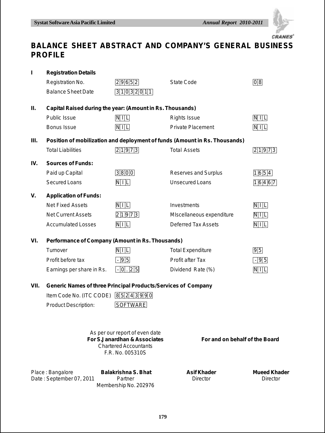

# **BALANCE SHEET ABSTRACT AND COMPANY'S GENERAL BUSINESS PROFILE**

| I                                                                                                       | <b>Registration Details</b>                                                       |                                       |                                        |                 |
|---------------------------------------------------------------------------------------------------------|-----------------------------------------------------------------------------------|---------------------------------------|----------------------------------------|-----------------|
|                                                                                                         | Registration No.                                                                  | 29652                                 | <b>State Code</b>                      | 0 8             |
|                                                                                                         | <b>Balance Sheet Date</b>                                                         | 3 1 0 3 2 0 1 1                       |                                        |                 |
| Ш.                                                                                                      | Capital Raised during the year: (Amount in Rs. Thousands)                         |                                       |                                        |                 |
|                                                                                                         | Public Issue                                                                      | $N$ I $L$                             | <b>Rights Issue</b>                    | N I L           |
|                                                                                                         | Bonus Issue                                                                       | NIL                                   | <b>Private Placement</b>               | NIL             |
| III.                                                                                                    | Position of mobilization and deployment of funds (Amount in Rs. Thousands)        |                                       |                                        |                 |
|                                                                                                         | <b>Total Liabilities</b>                                                          | 2 1 9 7 3                             | <b>Total Assets</b>                    | 2 1 9 7 3       |
| IV.                                                                                                     | <b>Sources of Funds:</b>                                                          |                                       |                                        |                 |
|                                                                                                         | Paid up Capital                                                                   | 3 8 0 0                               | Reserves and Surplus                   | 1654            |
|                                                                                                         | <b>Secured Loans</b>                                                              | N  L                                  | <b>Unsecured Loans</b>                 | 16467           |
| V.                                                                                                      | <b>Application of Funds:</b>                                                      |                                       |                                        |                 |
|                                                                                                         | <b>Net Fixed Assets</b>                                                           | $N$ $ $ $ $ $ $                       | Investments                            | $N$ $ I $ L $ $ |
|                                                                                                         | <b>Net Current Assets</b>                                                         | 2 1 9 7 3                             | MIscellaneous expenditure              | N I L           |
|                                                                                                         | <b>Accumulated Losses</b>                                                         | N I L                                 | <b>Deferred Tax Assets</b>             | N  L            |
| VI.                                                                                                     | Performance of Company (Amount in Rs. Thousands)                                  |                                       |                                        |                 |
|                                                                                                         | Turnover                                                                          | $N$ $ $ $ $ $ $                       | <b>Total Expenditure</b>               | $\sqrt{9}$      |
|                                                                                                         | Profit before tax                                                                 | $- 9 5 $                              | Profit after Tax                       | $-95$           |
|                                                                                                         | Earnings per share in Rs.                                                         | $- 0 $ . 25                           | Dividend Rate (%)                      | NIL             |
| VII.                                                                                                    | Generic Names of three Principal Products/Services of Company                     |                                       |                                        |                 |
|                                                                                                         |                                                                                   | 85243990<br>Item Code No. (ITC CODE)  |                                        |                 |
|                                                                                                         | Product Description:                                                              | <b>SOFTWARE</b>                       |                                        |                 |
|                                                                                                         |                                                                                   |                                       |                                        |                 |
|                                                                                                         | As per our report of even date                                                    |                                       |                                        |                 |
|                                                                                                         | For S. Janardhan & Associates<br><b>Chartered Accountants</b><br>F.R. No. 005310S |                                       | For and on behalf of the Board         |                 |
| Balakrishna S. Bhat<br>Place: Bangalore<br>Date: September 07, 2011<br>Partner<br>Membership No. 202976 |                                                                                   | <b>Asif Khader</b><br><b>Director</b> | <b>Mueed Khader</b><br><b>Director</b> |                 |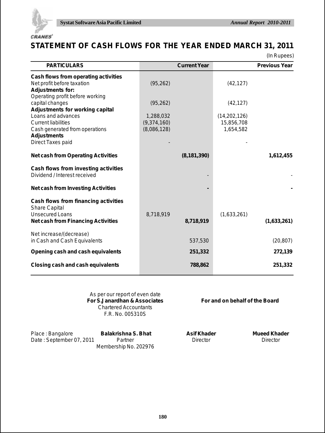

# **STATEMENT OF CASH FLOWS FOR THE YEAR ENDED MARCH 31, 2011**

(In Rupees)

| <b>PARTICULARS</b>                                                                                                                                               |                                           | <b>Current Year</b> |                                           | <b>Previous Year</b> |
|------------------------------------------------------------------------------------------------------------------------------------------------------------------|-------------------------------------------|---------------------|-------------------------------------------|----------------------|
| Cash flows from operating activities<br>Net profit before taxation<br>Adjustments for:<br>Operating profit before working                                        | (95, 262)                                 |                     | (42, 127)                                 |                      |
| capital changes                                                                                                                                                  | (95, 262)                                 |                     | (42, 127)                                 |                      |
| Adjustments for working capital<br>Loans and advances<br><b>Current liabilities</b><br>Cash generated from operations<br><b>Adjustments</b><br>Direct Taxes paid | 1,288,032<br>(9, 374, 160)<br>(8,086,128) |                     | (14, 202, 126)<br>15,856,708<br>1,654,582 |                      |
| Net cash from Operating Activities                                                                                                                               |                                           | (8, 181, 390)       |                                           | 1,612,455            |
| Cash flows from investing activities<br>Dividend / Interest received                                                                                             |                                           |                     |                                           |                      |
| Net cash from Investing Activities                                                                                                                               |                                           |                     |                                           |                      |
| Cash flows from financing activities<br><b>Share Capital</b><br><b>Unsecured Loans</b><br>Net cash from Financing Activities                                     | 8,718,919                                 | 8,718,919           | (1,633,261)                               | (1,633,261)          |
|                                                                                                                                                                  |                                           |                     |                                           |                      |
| Net increase/(decrease)<br>in Cash and Cash Equivalents                                                                                                          |                                           | 537,530             |                                           | (20, 807)            |
| Opening cash and cash equivalents                                                                                                                                |                                           | 251,332             |                                           | 272,139              |
| Closing cash and cash equivalents                                                                                                                                |                                           | 788,862             |                                           | 251,332              |

As per our report of even date **For S.Janardhan & Associates For and on behalf of the Board** Chartered Accountants F.R. No. 005310S

| Place: Bangalore         | Balakrishna S. Bhat   | Asif Khader | Mueed Khader |
|--------------------------|-----------------------|-------------|--------------|
| Date: September 07, 2011 | Partner               | Director    | Director     |
|                          | Membership No. 202976 |             |              |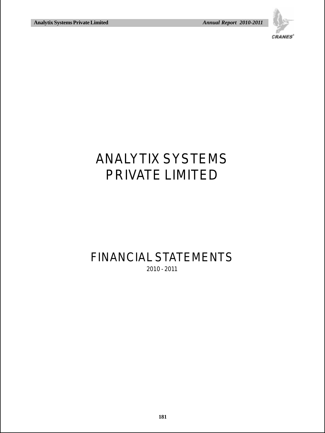

# ANALYTIX SYSTEMS PRIVATE LIMITED

# FINANCIAL STATEMENTS

2010 - 2011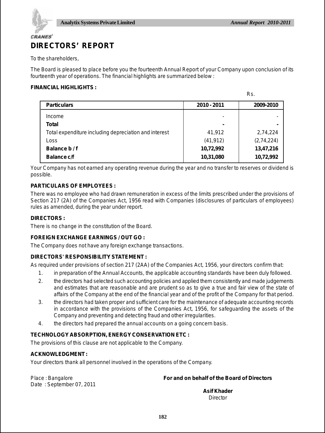

# **CRANES DIRECTORS' REPORT**

To the shareholders,

The Board is pleased to place before you the fourteenth Annual Report of your Company upon conclusion of its fourteenth year of operations. The financial highlights are summarized below :

## **FINANCIAL HIGHLIGHTS :**

| <b>Particulars</b>                                    | 2010 - 2011 | 2009-2010  |
|-------------------------------------------------------|-------------|------------|
| Income                                                |             | -          |
| Total                                                 | -           | -          |
| Total expenditure including depreciation and interest | 41.912      | 2,74,224   |
| Loss                                                  | (41, 912)   | (2,74,224) |
| Balance b/f                                           | 10,72,992   | 13,47,216  |
| Balance c/f                                           | 10,31,080   | 10,72,992  |

Your Company has not earned any operating revenue during the year and no transfer to reserves or dividend is possible.

# **PARTICULARS OF EMPLOYEES :**

There was no employee who had drawn remuneration in excess of the limits prescribed under the provisions of Section 217 (2A) of the Companies Act, 1956 read with Companies (disclosures of particulars of employees) rules as amended, during the year under report.

## **DIRECTORS :**

There is no change in the constitution of the Board.

## **FOREIGN EXCHANGE EARNINGS / OUT GO :**

The Company does not have any foreign exchange transactions.

## **DIRECTORS' RESPONSIBILITY STATEMENT :**

As required under provisions of section 217 (2AA) of the Companies Act, 1956, your directors confirm that:

- 1. in preparation of the Annual Accounts, the applicable accounting standards have been duly followed.
- 2. the directors had selected such accounting policies and applied them consistently and made judgements and estimates that are reasonable and are prudent so as to give a true and fair view of the state of affairs of the Company at the end of the financial year and of the profit of the Company for that period.
- 3. the directors had taken proper and sufficient care for the maintenance of adequate accounting records in accordance with the provisions of the Companies Act, 1956, for safeguarding the assets of the Company and preventing and detecting fraud and other irregularities.
- 4. the directors had prepared the annual accounts on a going concern basis.

## **TECHNOLOGY ABSORPTION, ENERGY CONSERVATION ETC :**

The provisions of this clause are not applicable to the Company.

#### **ACKNOWLEDGMENT :**

Your directors thank all personnel involved in the operations of the Company.

Date : September 07, 2011

Place : Bangalore **For and on behalf of the Board of Directors**

**Asif Khader Director**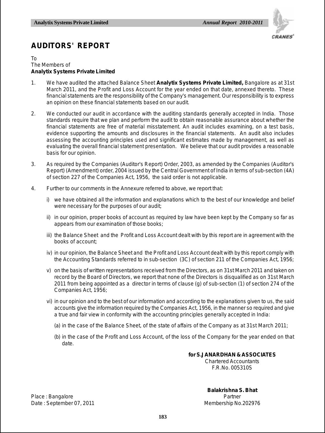

# **AUDITORS' REPORT**

To The Members of **Analytix Systems Private Limited**

- 1. We have audited the attached Balance Sheet **Analytix Systems Private Limited,** Bangalore as at 31st March 2011, and the Profit and Loss Account for the year ended on that date, annexed thereto. These financial statements are the responsibility of the Company's management. Our responsibility is to express an opinion on these financial statements based on our audit.
- 2. We conducted our audit in accordance with the auditing standards generally accepted in India. Those standards require that we plan and perform the audit to obtain reasonable assurance about whether the financial statements are free of material misstatement. An audit includes examining, on a test basis, evidence supporting the amounts and disclosures in the financial statements. An audit also includes assessing the accounting principles used and significant estimates made by management, as well as evaluating the overall financial statement presentation. We believe that our audit provides a reasonable basis for our opinion.
- 3. As required by the Companies (Auditor's Report) Order, 2003, as amended by the Companies (Auditor's Report) (Amendment) order, 2004 issued by the Central Government of India in terms of sub-section (4A) of section 227 of the Companies Act, 1956, the said order is not applicable.
- 4. Further to our comments in the Annexure referred to above, we report that:
	- i) we have obtained all the information and explanations which to the best of our knowledge and belief were necessary for the purposes of our audit;
	- ii) in our opinion, proper books of account as required by law have been kept by the Company so far as appears from our examination of those books;
	- iii) the Balance Sheet and the Profit and Loss Account dealt with by this report are in agreement with the books of account;
	- iv) in our opinion, the Balance Sheet and the Profit and Loss Account dealt with by this report comply with the Accounting Standards referred to in sub-section (3C) of section 211 of the Companies Act, 1956;
	- v) on the basis of written representations received from the Directors, as on 31st March 2011 and taken on record by the Board of Directors, we report that none of the Directors is disqualified as on 31st March 2011 from being appointed as a director in terms of clause (g) of sub-section (1) of section 274 of the Companies Act, 1956;
	- vi) in our opinion and to the best of our information and according to the explanations given to us, the said accounts give the information required by the Companies Act, 1956, in the manner so required and give a true and fair view in conformity with the accounting principles generally accepted in India:
		- (a) in the case of the Balance Sheet, of the state of affairs of the Company as at 31st March 2011;
		- (b) in the case of the Profit and Loss Account, of the loss of the Company for the year ended on that date.

**for S.JANARDHAN & ASSOCIATES** Chartered Accountants F.R.No. 005310S

**Balakrishna S. Bhat**

Place : Bangalore Partner Date: September 07, 2011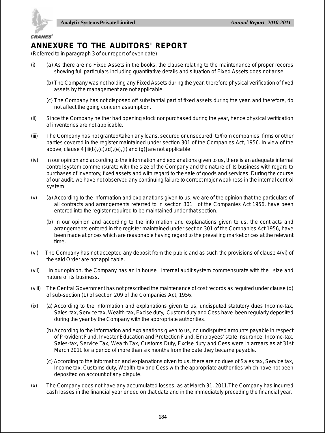



# **ANNEXURE TO THE AUDITORS' REPORT**

(Referred to in paragraph 3 of our report of even date)

- (i) (a) As there are no Fixed Assets in the books, the clause relating to the maintenance of proper records showing full particulars including quantitative details and situation of Fixed Assets does not arise
	- (b) The Company was not holding any Fixed Assets during the year, therefore physical verification of fixed assets by the management are not applicable.
	- (c) The Company has not disposed off substantial part of fixed assets during the year, and therefore, do not affect the going concern assumption.
- (ii) Since the Company neither had opening stock nor purchased during the year, hence physical verification of inventories are not applicable.
- (iii) The Company has not granted/taken any loans, secured or unsecured, to/from companies, firms or other parties covered in the register maintained under section 301 of the Companies Act, 1956. In view of the above, clause 4  $[iii(b),(c),(d),(e),(f)$  and  $(g)]$  are not applicable.
- (iv) In our opinion and according to the information and explanations given to us, there is an adequate internal control system commensurate with the size of the Company and the nature of its business with regard to purchases of inventory, fixed assets and with regard to the sale of goods and services. During the course of our audit, we have not observed any continuing failure to correct major weakness in the internal control system.
- (v) (a) According to the information and explanations given to us, we are of the opinion that the particulars of all contracts and arrangements referred to in section 301 of the Companies Act 1956, have been entered into the register required to be maintained under that section.
	- (b) In our opinion and according to the information and explanations given to us, the contracts and arrangements entered in the register maintained under section 301 of the Companies Act 1956, have been made at prices which are reasonable having regard to the prevailing market prices at the relevant time.
- (vi) The Company has not accepted any deposit from the public and as such the provisions of clause 4(vi) of the said Order are not applicable.
- (vii) In our opinion, the Company has an in house internal audit system commensurate with the size and nature of its business.
- (viii) The Central Government has not prescribed the maintenance of cost records as required under clause (d) of sub-section (1) of section 209 of the Companies Act, 1956.
- (ix) (a) According to the information and explanations given to us, undisputed statutory dues Income-tax, Sales-tax, Service tax, Wealth-tax, Excise duty, Custom duty and Cess have been regularly deposited during the year by the Company with the appropriate authorities.
	- (b) According to the information and explanations given to us, no undisputed amounts payable in respect of Provident Fund, Investor Education and Protection Fund, Employees' state Insurance, Income-tax, Sales-tax, Service Tax, Wealth Tax, Customs Duty, Excise duty and Cess were in arrears as at 31st March 2011 for a period of more than six months from the date they became payable.
	- (c) According to the information and explanations given to us, there are no dues of Sales tax, Service tax, Income tax, Customs duty, Wealth-tax and Cess with the appropriate authorities which have not been deposited on account of any dispute.
- (x) The Company does not have any accumulated losses, as at March 31, 2011.The Company has incurred cash losses in the financial year ended on that date and in the immediately preceding the financial year.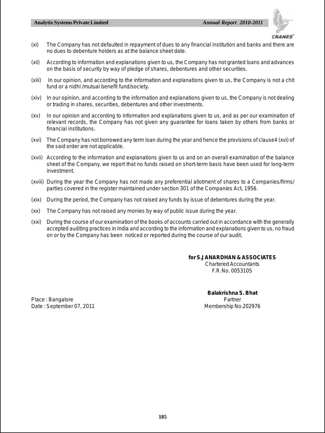

- (xi) The Company has not defaulted in repayment of dues to any financial institution and banks and there are no dues to debenture holders as at the balance sheet date.
- (xii) According to information and explanations given to us, the Company has not granted loans and advances on the basis of security by way of pledge of shares, debentures and other securities.
- (xiii) In our opinion, and according to the information and explanations given to us, the Company is not a chit fund or a nidhi /mutual benefit fund/society.
- (xiv) In our opinion, and according to the information and explanations given to us, the Company is not dealing or trading in shares, securities, debentures and other investments.
- (xv) In our opinion and according to information and explanations given to us, and as per our examination of relevant records, the Company has not given any guarantee for loans taken by others from banks or financial institutions.
- (xvi) The Company has not borrowed any term loan during the year and hence the provisions of clause4 (xvi) of the said order are not applicable.
- (xvii) According to the information and explanations given to us and on an overall examination of the balance sheet of the Company, we report that no funds raised on short-term basis have been used for long-term investment.
- (xviii) During the year the Company has not made any preferential allotment of shares to a Companies/firms/ parties covered in the register maintained under section 301 of the Companies Act, 1956.
- (xix) During the period, the Company has not raised any funds by issue of debentures during the year.
- (xx) The Company has not raised any monies by way of public issue during the year.
- (xxi) During the course of our examination of the books of accounts carried out in accordance with the generally accepted auditing practices in India and according to the information and explanations given to us, no fraud on or by the Company has been noticed or reported during the course of our audit.

#### **for S.JANARDHAN & ASSOCIATES**

Chartered Accountants F.R.No. 005310S

Place : Bangalore Partner Date: September 07, 2011

**Balakrishna S. Bhat**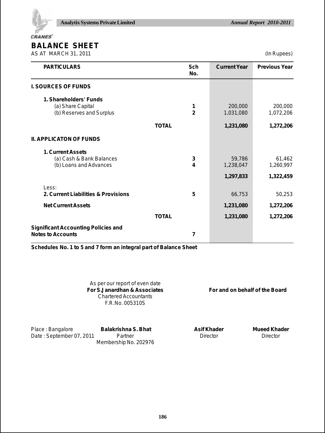

*Annual Report 2010-2011*

# **CRANES BALANCE SHEET**

AS AT MARCH 31, 2011 2012 12:30 12:30 12:30 12:30 12:30 12:30 12:30 12:30 12:30 12:30 12:30 12:30 12:30 12:30

| <b>PARTICULARS</b>                                                      | Sch<br>No.                          | <b>Current Year</b>               | <b>Previous Year</b>              |
|-------------------------------------------------------------------------|-------------------------------------|-----------------------------------|-----------------------------------|
| <b>I. SOURCES OF FUNDS</b>                                              |                                     |                                   |                                   |
| 1. Shareholders' Funds<br>(a) Share Capital<br>(b) Reserves and Surplus | 1<br>$\overline{2}$<br><b>TOTAL</b> | 200,000<br>1,031,080<br>1,231,080 | 200,000<br>1,072,206<br>1,272,206 |
| <b>II. APPLICATON OF FUNDS</b>                                          |                                     |                                   |                                   |
| 1. Current Assets<br>(a) Cash & Bank Balances<br>(b) Loans and Advances | 3<br>4                              | 59,786<br>1,238,047<br>1,297,833  | 61,462<br>1,260,997<br>1,322,459  |
| Less:<br>2. Current Liabilities & Provisions                            | 5                                   | 66,753                            | 50,253                            |
| <b>Net Current Assets</b>                                               |                                     | 1,231,080                         | 1,272,206                         |
|                                                                         | <b>TOTAL</b>                        | 1,231,080                         | 1,272,206                         |
| <b>Significant Accounting Policies and</b><br><b>Notes to Accounts</b>  | 7                                   |                                   |                                   |

**Schedules No. 1 to 5 and 7 form an integral part of Balance Sheet**

As per our report of even date<br>For S.Janardhan & Associates Chartered Accountants F.R.No. 005310S

For and on behalf of the Board

Place : Bangalore **Balakrishna S. Bhat Asif Khader Mueed Khader Mueed Khader Director Director Director Director** Date : September 07, 2011 Membership No. 202976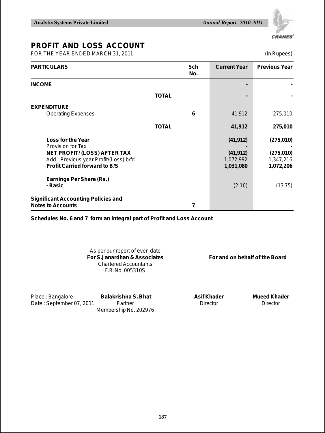# **PROFIT AND LOSS ACCOUNT**

FOR THE YEAR ENDED MARCH 31, 2011 CHANGE 1998 (In Rupees)



| <b>PARTICULARS</b>                                                                                                                                      |              | Sch<br>No. | <b>Current Year</b>                              | <b>Previous Year</b>                               |
|---------------------------------------------------------------------------------------------------------------------------------------------------------|--------------|------------|--------------------------------------------------|----------------------------------------------------|
| <b>INCOME</b>                                                                                                                                           |              |            |                                                  |                                                    |
|                                                                                                                                                         | <b>TOTAL</b> |            |                                                  |                                                    |
| <b>EXPENDITURE</b><br><b>Operating Expenses</b>                                                                                                         |              | 6          | 41,912                                           | 275,010                                            |
|                                                                                                                                                         | <b>TOTAL</b> |            | 41,912                                           | 275,010                                            |
| Loss for the Year<br>Provision for Tax<br>NET PROFIT/ (LOSS) AFTER TAX<br>Add: Previous year Profit/(Loss) b/fd<br><b>Profit Carried forward to B/S</b> |              |            | (41, 912)<br>(41, 912)<br>1,072,992<br>1,031,080 | (275, 010)<br>(275, 010)<br>1,347,216<br>1,072,206 |
| Earnings Per Share (Rs.)<br>- Basic<br><b>Significant Accounting Policies and</b>                                                                       |              |            | (2.10)                                           | (13.75)                                            |
| <b>Notes to Accounts</b>                                                                                                                                |              |            |                                                  |                                                    |

**Schedules No. 6 and 7 form an integral part of Profit and Loss Account**

As per our report of even date Chartered Accountants F.R.No. 005310S

**For S.Janardhan & Associates For and on behalf of the Board**

Place : Bangalore **Balakrishna S. Bhat Asif Khader Mueed Khader Mueed Khader Director Director Director Director** Date: September 07, 2011 Membership No. 202976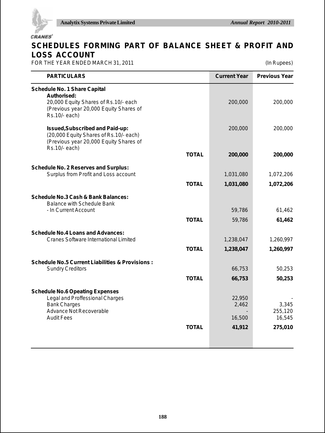

# **SCHEDULES FORMING PART OF BALANCE SHEET & PROFIT AND LOSS ACCOUNT**

FOR THE YEAR ENDED MARCH 31, 2011 CHANGE STATES (In Rupees)

| <b>PARTICULARS</b>                                                                                                                               | <b>Current Year</b>       | <b>Previous Year</b>       |
|--------------------------------------------------------------------------------------------------------------------------------------------------|---------------------------|----------------------------|
| Schedule No. 1 Share Capital<br>Authorised:<br>20,000 Equity Shares of Rs.10/- each<br>(Previous year 20,000 Equity Shares of<br>Rs.10/- each)   | 200,000                   | 200,000                    |
| Issued, Subscribed and Paid-up:<br>(20,000 Equity Shares of Rs.10/- each)<br>(Previous year 20,000 Equity Shares of<br>Rs.10/- each)             | 200,000                   | 200,000                    |
| <b>TOTAL</b>                                                                                                                                     | 200,000                   | 200,000                    |
| Schedule No. 2 Reserves and Surplus:<br>Surplus from Profit and Loss account<br><b>TOTAL</b>                                                     | 1,031,080<br>1,031,080    | 1,072,206<br>1,072,206     |
| Schedule No.3 Cash & Bank Balances:                                                                                                              |                           |                            |
| <b>Balance with Schedule Bank</b><br>- In Current Account                                                                                        | 59,786                    | 61.462                     |
| <b>TOTAL</b>                                                                                                                                     | 59,786                    | 61,462                     |
| <b>Schedule No.4 Loans and Advances:</b><br>Cranes Software International Limited                                                                | 1,238,047                 | 1,260,997                  |
| <b>TOTAL</b>                                                                                                                                     | 1,238,047                 | 1,260,997                  |
| Schedule No.5 Current Liabilities & Provisions:<br><b>Sundry Creditors</b>                                                                       | 66,753                    | 50,253                     |
| <b>TOTAL</b>                                                                                                                                     | 66,753                    | 50,253                     |
| <b>Schedule No.6 Opeating Expenses</b><br>Legal and Proffessional Charges<br><b>Bank Charges</b><br>Advance Not Recoverable<br><b>Audit Fees</b> | 22,950<br>2,462<br>16,500 | 3,345<br>255,120<br>16,545 |
| <b>TOTAL</b>                                                                                                                                     | 41,912                    | 275,010                    |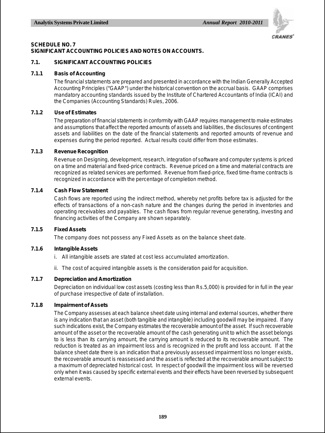

#### **SCHEDULE NO. 7 SIGNIFICANT ACCOUNTING POLICIES AND NOTES ON ACCOUNTS.**

## **7.1. SIGNIFICANT ACCOUNTING POLICIES**

## **7.1.1 Basis of Accounting**

The financial statements are prepared and presented in accordance with the Indian Generally Accepted Accounting Principles ("GAAP") under the historical convention on the accrual basis. GAAP comprises mandatory accounting standards issued by the Institute of Chartered Accountants of India (ICAI) and the Companies (Accounting Standards) Rules, 2006.

# **7.1.2 Use of Estimates**

The preparation of financial statements in conformity with GAAP requires management to make estimates and assumptions that affect the reported amounts of assets and liabilities, the disclosures of contingent assets and liabilities on the date of the financial statements and reported amounts of revenue and expenses during the period reported. Actual results could differ from those estimates.

## **7.1.3 Revenue Recognition**

Revenue on Designing, development, research, integration of software and computer systems is priced on a time and material and fixed-price contracts. Revenue priced on a time and material contracts are recognized as related services are performed. Revenue from fixed-price, fixed time-frame contracts is recognized in accordance with the percentage of completion method.

## **7.1.4 Cash Flow Statement**

Cash flows are reported using the indirect method, whereby net profits before tax is adjusted for the effects of transactions of a non-cash nature and the changes during the period in inventories and operating receivables and payables. The cash flows from regular revenue generating, investing and financing activities of the Company are shown separately.

## **7.1.5 Fixed Assets**

The company does not possess any Fixed Assets as on the balance sheet date.

## **7.1.6 Intangible Assets**

- i. All intangible assets are stated at cost less accumulated amortization.
- ii. The cost of acquired intangible assets is the consideration paid for acquisition.

# **7.1.7 Depreciation and Amortization**

Depreciation on individual low cost assets (costing less than Rs.5,000) is provided for in full in the year of purchase irrespective of date of installation.

# **7.1.8 Impairment of Assets**

The Company assesses at each balance sheet date using internal and external sources, whether there is any indication that an asset (both tangible and intangible) including goodwill may be impaired. If any such indications exist, the Company estimates the recoverable amount of the asset. If such recoverable amount of the asset or the recoverable amount of the cash generating unit to which the asset belongs to is less than its carrying amount, the carrying amount is reduced to its recoverable amount. The reduction is treated as an impairment loss and is recognized in the profit and loss account. If at the balance sheet date there is an indication that a previously assessed impairment loss no longer exists, the recoverable amount is reassessed and the asset is reflected at the recoverable amount subject to a maximum of depreciated historical cost. In respect of goodwill the impairment loss will be reversed only when it was caused by specific external events and their effects have been reversed by subsequent external events.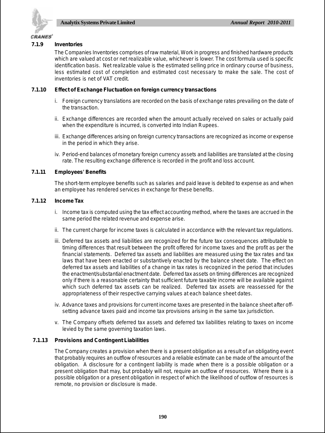

#### **7.1.9 Inventories**

The Companies Inventories comprises of raw material, Work in progress and finished hardware products which are valued at cost or net realizable value, whichever is lower. The cost formula used is specific identification basis. Net realizable value is the estimated selling price in ordinary course of business, less estimated cost of completion and estimated cost necessary to make the sale. The cost of inventories is net of VAT credit.

#### **7.1.10 Effect of Exchange Fluctuation on foreign currency transactions**

- i. Foreign currency translations are recorded on the basis of exchange rates prevailing on the date of the transaction.
- ii. Exchange differences are recorded when the amount actually received on sales or actually paid when the expenditure is incurred, is converted into Indian Rupees.
- iii. Exchange differences arising on foreign currency transactions are recognized as income or expense in the period in which they arise.
- iv. Period-end balances of monetary foreign currency assets and liabilities are translated at the closing rate. The resulting exchange difference is recorded in the profit and loss account.

#### **7.1.11 Employees' Benefits**

The short-term employee benefits such as salaries and paid leave is debited to expense as and when an employee has rendered services in exchange for these benefits.

#### **7.1.12 Income Tax**

- i. Income tax is computed using the tax effect accounting method, where the taxes are accrued in the same period the related revenue and expense arise.
- ii. The current charge for income taxes is calculated in accordance with the relevant tax regulations.
- iii. Deferred tax assets and liabilities are recognized for the future tax consequences attributable to timing differences that result between the profit offered for income taxes and the profit as per the financial statements. Deferred tax assets and liabilities are measured using the tax rates and tax laws that have been enacted or substantively enacted by the balance sheet date. The effect on deferred tax assets and liabilities of a change in tax rates is recognized in the period that includes the enactment/substantial enactment date. Deferred tax assets on timing differences are recognized only if there is a reasonable certainty that sufficient future taxable income will be available against which such deferred tax assets can be realized. Deferred tax assets are reassessed for the appropriateness of their respective carrying values at each balance sheet dates.
- iv. Advance taxes and provisions for current income taxes are presented in the balance sheet after offsetting advance taxes paid and income tax provisions arising in the same tax jurisdiction.
- v. The Company offsets deferred tax assets and deferred tax liabilities relating to taxes on income levied by the same governing taxation laws.

#### **7.1.13 Provisions and Contingent Liabilities**

The Company creates a provision when there is a present obligation as a result of an obligating event that probably requires an outflow of resources and a reliable estimate can be made of the amount of the obligation. A disclosure for a contingent liability is made when there is a possible obligation or a present obligation that may, but probably will not, require an outflow of resources. Where there is a possible obligation or a present obligation in respect of which the likelihood of outflow of resources is remote, no provision or disclosure is made.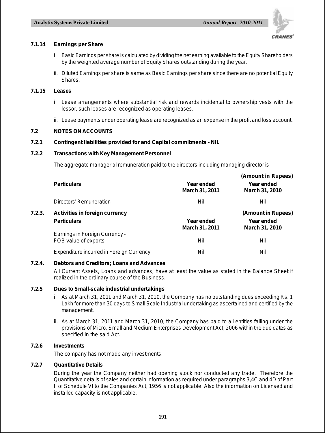

#### **7.1.14 Earnings per Share**

- i. Basic Earnings per share is calculated by dividing the net earning available to the Equity Shareholders by the weighted average number of Equity Shares outstanding during the year.
- ii. Diluted Earnings per share is same as Basic Earnings per share since there are no potential Equity Shares.

#### **7.1.15 Leases**

- i. Lease arrangements where substantial risk and rewards incidental to ownership vests with the lessor, such leases are recognized as operating leases.
- ii. Lease payments under operating lease are recognized as an expense in the profit and loss account.

## **7.2 NOTES ON ACCOUNTS**

#### **7.2.1 Contingent liabilities provided for and Capital commitments - NIL**

#### **7.2.2 Transactions with Key Management Personnel**

The aggregate managerial remuneration paid to the directors including managing director is:

|        |                                          |                | (Amount in Rupees) |
|--------|------------------------------------------|----------------|--------------------|
|        | <b>Particulars</b>                       | Year ended     | Year ended         |
|        |                                          | March 31, 2011 | March 31, 2010     |
|        | Directors' Remuneration                  | Nil            | Nil                |
| 7.2.3. | Activities in foreign currency           |                | (Amount in Rupees) |
|        | <b>Particulars</b>                       | Year ended     | Year ended         |
|        |                                          | March 31, 2011 | March 31, 2010     |
|        | <b>Earnings in Foreign Currency -</b>    |                |                    |
|        | FOB value of exports                     | Nil            | Nil                |
|        | Expenditure incurred in Foreign Currency | Nil            | Nil                |
|        |                                          |                |                    |

#### **7.2.4. Debtors and Creditors; Loans and Advances**

All Current Assets, Loans and advances, have at least the value as stated in the Balance Sheet if realized in the ordinary course of the Business.

#### **7.2.5 Dues to Small-scale industrial undertakings**

- i. As at March 31, 2011 and March 31, 2010, the Company has no outstanding dues exceeding Rs. 1 Lakh for more than 30 days to Small Scale Industrial undertaking as ascertained and certified by the management.
- ii. As at March 31, 2011 and March 31, 2010, the Company has paid to all entities falling under the provisions of Micro, Small and Medium Enterprises Development Act, 2006 within the due dates as specified in the said Act.

# **7.2.6 Investments**

The company has not made any investments.

#### **7.2.7 Quantitative Details**

During the year the Company neither had opening stock nor conducted any trade. Therefore the Quantitative details of sales and certain information as required under paragraphs 3,4C and 4D of Part II of Schedule VI to the Companies Act, 1956 is not applicable. Also the information on Licensed and installed capacity is not applicable.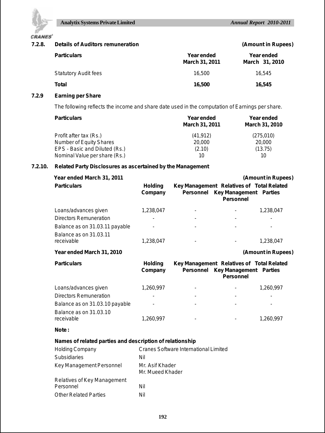

**Analytix Systems Private Limited**

#### **CRANES**

# **7.2.8. Details of Auditors remuneration (Amount in Rupees)**

| Particulars          | Year ended<br>March 31, 2011 | Year ended<br>March 31, 2010 |
|----------------------|------------------------------|------------------------------|
| Statutory Audit fees | 16,500                       | 16,545                       |
| Total                | 16,500                       | 16,545                       |

# **7.2.9 Earning per Share**

The following reflects the income and share date used in the computation of Earnings per share.

| <b>Particulars</b>             | Year ended<br>March 31, 2011 | Year ended<br>March 31, 2010 |
|--------------------------------|------------------------------|------------------------------|
| Profit after tax (Rs.)         | (41, 912)                    | (275, 010)                   |
| <b>Number of Equity Shares</b> | 20,000                       | 20,000                       |
| EPS - Basic and Diluted (Rs.)  | (2.10)                       | (13.75)                      |
| Nominal Value per share (Rs.)  | 10                           | 10                           |

### **7.2.10. Related Party Disclosures as ascertained by the Management**

| Year ended March 31, 2011                                |                                     |                                              |                                                                                  | (Amount in Rupees) |
|----------------------------------------------------------|-------------------------------------|----------------------------------------------|----------------------------------------------------------------------------------|--------------------|
| <b>Particulars</b>                                       | <b>Holding</b><br>Company           | Personnel                                    | Key Management Relatives of Total Related<br>Key Management Parties<br>Personnel |                    |
| Loans/advances given                                     | 1,238,047                           |                                              |                                                                                  | 1,238,047          |
| <b>Directors Remuneration</b>                            |                                     |                                              |                                                                                  |                    |
| Balance as on 31.03.11 payable<br>Balance as on 31.03.11 |                                     |                                              |                                                                                  |                    |
| receivable                                               | 1,238,047                           |                                              |                                                                                  | 1,238,047          |
| Year ended March 31, 2010                                |                                     |                                              |                                                                                  | (Amount in Rupees) |
| <b>Particulars</b>                                       | <b>Holding</b><br>Company           | Personnel                                    | Key Management Relatives of Total Related<br>Key Management Parties<br>Personnel |                    |
| Loans/advances given                                     | 1,260,997                           |                                              |                                                                                  | 1,260,997          |
| <b>Directors Remuneration</b>                            |                                     |                                              |                                                                                  |                    |
| Balance as on 31.03.10 payable                           |                                     |                                              |                                                                                  |                    |
| Balance as on 31.03.10<br>receivable                     | 1,260,997                           |                                              |                                                                                  | 1,260,997          |
| Note:                                                    |                                     |                                              |                                                                                  |                    |
| Names of related parties and description of relationship |                                     |                                              |                                                                                  |                    |
| <b>Holding Company</b>                                   |                                     | <b>Cranes Software International Limited</b> |                                                                                  |                    |
| Subsidiaries                                             | Nil                                 |                                              |                                                                                  |                    |
| Key Management Personnel                                 | Mr. Asif Khader<br>Mr. Mueed Khader |                                              |                                                                                  |                    |
| Relatives of Key Management<br>Personnel                 | Nil                                 |                                              |                                                                                  |                    |
| <b>Other Related Parties</b>                             | Nil                                 |                                              |                                                                                  |                    |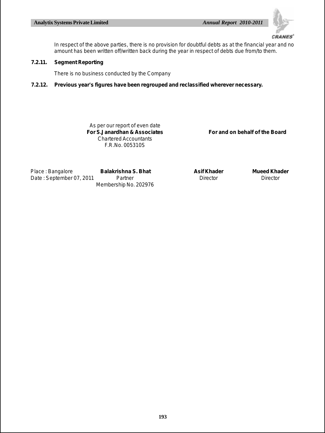

In respect of the above parties, there is no provision for doubtful debts as at the financial year and no amount has been written off/written back during the year in respect of debts due from/to them.

#### **7.2.11. Segment Reporting**

There is no business conducted by the Company

#### **7.2.12. Previous year's figures have been regrouped and reclassified wherever necessary.**

As per our report of even date **For S.Janardhan & Associates For and on behalf of the Board** Chartered Accountants F.R.No. 005310S

Place : Bangalore **Balakrishna S. Bhat Asif Khader Mueed Khader Mueed Khader Director Director Director Director** Date: September 07, 2011 Membership No. 202976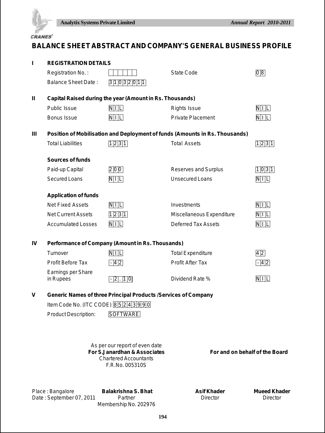

# **BALANCE SHEET ABSTRACT AND COMPANY'S GENERAL BUSINESS PROFILE**

| L             | <b>REGISTRATION DETAILS</b>       |                                                                 |                                                                             |                   |
|---------------|-----------------------------------|-----------------------------------------------------------------|-----------------------------------------------------------------------------|-------------------|
|               | Registration No.:                 |                                                                 | State Code                                                                  | 0 8               |
|               | <b>Balance Sheet Date:</b>        | 3 1 0 3 2 0 1 1                                                 |                                                                             |                   |
| $\mathbf{II}$ |                                   | Capital Raised during the year (Amount in Rs. Thousands)        |                                                                             |                   |
|               | Public Issue                      | N  L                                                            | <b>Rights Issue</b>                                                         | N I L             |
|               | Bonus Issue                       | N  L                                                            | <b>Private Placement</b>                                                    | N I L             |
| Ш             |                                   |                                                                 | Position of Mobilisation and Deployment of funds (Amounts in Rs. Thousands) |                   |
|               | <b>Total Liabilities</b>          | 1231                                                            | <b>Total Assets</b>                                                         | 1 2 3 1           |
|               | <b>Sources of funds</b>           |                                                                 |                                                                             |                   |
|               | Paid-up Capital                   | 2 0 0                                                           | Reserves and Surplus                                                        | $\boxed{1 0 3 1}$ |
|               | <b>Secured Loans</b>              | N I L                                                           | <b>Unsecured Loans</b>                                                      | N I L             |
|               | <b>Application of funds</b>       |                                                                 |                                                                             |                   |
|               | <b>Net Fixed Assets</b>           | N I L                                                           | Investments                                                                 | N I L             |
|               | <b>Net Current Assets</b>         | 1 2 3 1                                                         | Miscellaneous Expenditure                                                   | N I L             |
|               | <b>Accumulated Losses</b>         | N  L                                                            | <b>Deferred Tax Assets</b>                                                  | N I L             |
| IV            |                                   | Performance of Company (Amount in Rs. Thousands)                |                                                                             |                   |
|               | Turnover                          | $N$ $ $ $ $ $ $                                                 | <b>Total Expenditure</b>                                                    | $\sqrt{4 2 }$     |
|               | Profit Before Tax                 | $- 4 2 $                                                        | Profit After Tax                                                            | $- 4 2 $          |
|               | Earnings per Share<br>in Rupees   | $-2$ . 10                                                       | Dividend Rate %                                                             | $N$   $L$         |
|               |                                   |                                                                 |                                                                             |                   |
| v             |                                   | Generic Names of three Principal Products / Services of Company |                                                                             |                   |
|               | Item Code No. (ITC CODE) 85243990 |                                                                 |                                                                             |                   |
|               | Product Description:              | SOFTWARE                                                        |                                                                             |                   |
|               |                                   |                                                                 |                                                                             |                   |
|               |                                   | As per our report of even date                                  |                                                                             |                   |
|               |                                   | For S.Janardhan & Associates                                    | For and on behalf of the Board                                              |                   |
|               |                                   | <b>Chartered Accountants</b><br>F.R.No. 005310S                 |                                                                             |                   |
|               |                                   |                                                                 |                                                                             |                   |
|               |                                   |                                                                 |                                                                             |                   |

Place : Bangalore **Balakrishna S. Bhat Asif Khader Mueed Khader** Date : September 07, 2011 **Balakrishna S. Bhat**<br>
Director **Director** Director Date : September 07, 2011 Membership No. 202976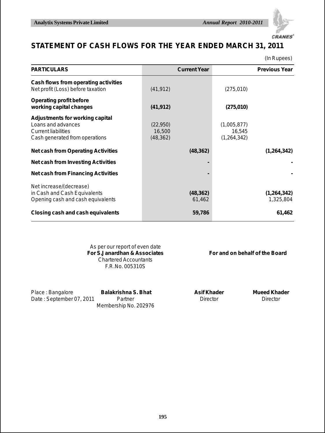

# **STATEMENT OF CASH FLOWS FOR THE YEAR ENDED MARCH 31, 2011**

(In Rupees)

| <b>PARTICULARS</b>                                                                                                    | <b>Current Year</b>             |                                        | <b>Previous Year</b>       |
|-----------------------------------------------------------------------------------------------------------------------|---------------------------------|----------------------------------------|----------------------------|
| Cash flows from operating activities<br>Net profit (Loss) before taxation                                             | (41, 912)                       | (275, 010)                             |                            |
| Operating profit before<br>working capital changes                                                                    | (41, 912)                       | (275, 010)                             |                            |
| Adjustments for working capital<br>Loans and advances<br><b>Current liabilities</b><br>Cash generated from operations | (22,950)<br>16,500<br>(48, 362) | (1,005,877)<br>16,545<br>(1, 264, 342) |                            |
| Net cash from Operating Activities                                                                                    | (48, 362)                       |                                        | (1, 264, 342)              |
| Net cash from Investing Activities                                                                                    |                                 |                                        |                            |
| Net cash from Financing Activities                                                                                    |                                 |                                        |                            |
| Net increase/(decrease)<br>in Cash and Cash Equivalents<br>Opening cash and cash equivalents                          | (48, 362)<br>61,462             |                                        | (1, 264, 342)<br>1,325,804 |
| Closing cash and cash equivalents                                                                                     | 59,786                          |                                        | 61,462                     |

As per our report of even date<br>For S.Janardhan & Associates Chartered Accountants F.R.No. 005310S

For and on behalf of the Board

Place : Bangalore **Balakrishna S. Bhat Asif Khader Mueed Khader Mueed Khader Director Director Director Director** Date : September 07, 2011 Membership No. 202976